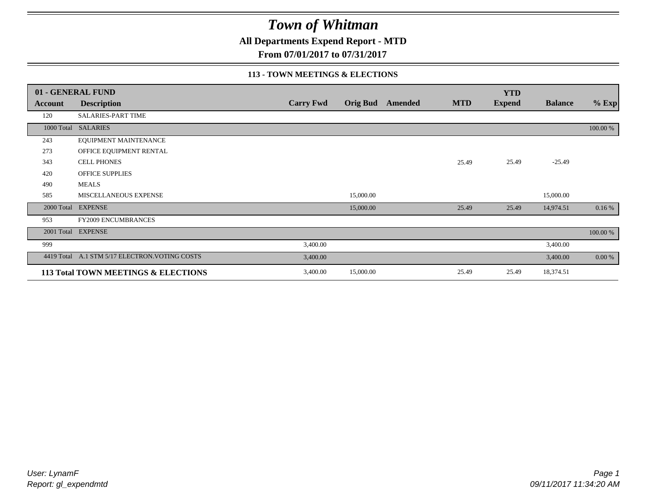**All Departments Expend Report - MTD**

**From 07/01/2017 to 07/31/2017**

#### **113 - TOWN MEETINGS & ELECTIONS**

|            | 01 - GENERAL FUND                              |                  |                 |         |            | <b>YTD</b>    |                |          |
|------------|------------------------------------------------|------------------|-----------------|---------|------------|---------------|----------------|----------|
| Account    | <b>Description</b>                             | <b>Carry Fwd</b> | <b>Orig Bud</b> | Amended | <b>MTD</b> | <b>Expend</b> | <b>Balance</b> | $%$ Exp  |
| 120        | SALARIES-PART TIME                             |                  |                 |         |            |               |                |          |
|            | 1000 Total SALARIES                            |                  |                 |         |            |               |                | 100.00 % |
| 243        | EQUIPMENT MAINTENANCE                          |                  |                 |         |            |               |                |          |
| 273        | OFFICE EQUIPMENT RENTAL                        |                  |                 |         |            |               |                |          |
| 343        | <b>CELL PHONES</b>                             |                  |                 |         | 25.49      | 25.49         | $-25.49$       |          |
| 420        | OFFICE SUPPLIES                                |                  |                 |         |            |               |                |          |
| 490        | <b>MEALS</b>                                   |                  |                 |         |            |               |                |          |
| 585        | MISCELLANEOUS EXPENSE                          |                  | 15,000.00       |         |            |               | 15,000.00      |          |
|            | 2000 Total EXPENSE                             |                  | 15,000.00       |         | 25.49      | 25.49         | 14,974.51      | 0.16%    |
| 953        | <b>FY2009 ENCUMBRANCES</b>                     |                  |                 |         |            |               |                |          |
| 2001 Total | <b>EXPENSE</b>                                 |                  |                 |         |            |               |                | 100.00 % |
| 999        |                                                | 3,400.00         |                 |         |            |               | 3,400.00       |          |
|            | 4419 Total A.1 STM 5/17 ELECTRON. VOTING COSTS | 3,400.00         |                 |         |            |               | 3,400.00       | 0.00 %   |
|            | 113 Total TOWN MEETINGS & ELECTIONS            | 3,400.00         | 15,000.00       |         | 25.49      | 25.49         | 18,374.51      |          |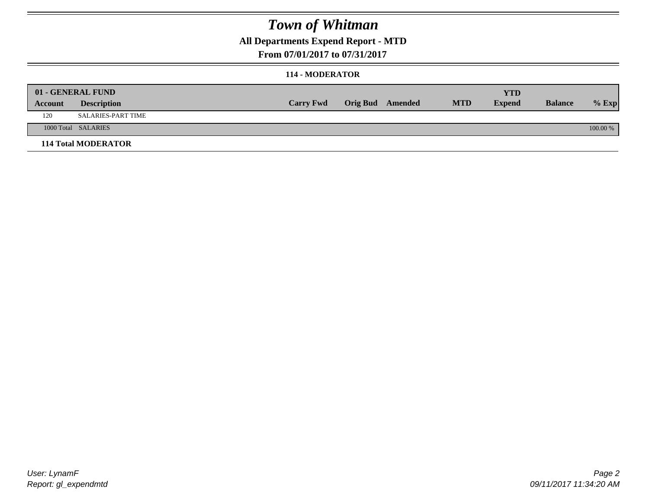### **All Departments Expend Report - MTD**

#### **From 07/01/2017 to 07/31/2017**

#### **114 - MODERATOR**

|         | 01 - GENERAL FUND          |                  |                         |            | YTD           |                |            |
|---------|----------------------------|------------------|-------------------------|------------|---------------|----------------|------------|
| Account | <b>Description</b>         | <b>Carry Fwd</b> | <b>Orig Bud</b> Amended | <b>MTD</b> | <b>Expend</b> | <b>Balance</b> | $%$ Exp    |
| 120     | SALARIES-PART TIME         |                  |                         |            |               |                |            |
|         | 1000 Total SALARIES        |                  |                         |            |               |                | $100.00\%$ |
|         | <b>114 Total MODERATOR</b> |                  |                         |            |               |                |            |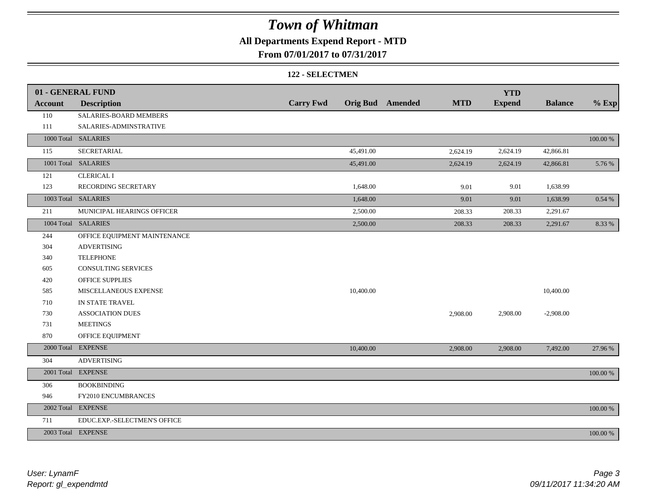### **All Departments Expend Report - MTD**

#### **From 07/01/2017 to 07/31/2017**

#### **122 - SELECTMEN**

|                | 01 - GENERAL FUND            |                  |           |                         |            | <b>YTD</b>    |                |             |
|----------------|------------------------------|------------------|-----------|-------------------------|------------|---------------|----------------|-------------|
| <b>Account</b> | <b>Description</b>           | <b>Carry Fwd</b> |           | <b>Orig Bud</b> Amended | <b>MTD</b> | <b>Expend</b> | <b>Balance</b> | $%$ Exp     |
| 110            | SALARIES-BOARD MEMBERS       |                  |           |                         |            |               |                |             |
| 111            | SALARIES-ADMINSTRATIVE       |                  |           |                         |            |               |                |             |
|                | 1000 Total SALARIES          |                  |           |                         |            |               |                | $100.00~\%$ |
| 115            | <b>SECRETARIAL</b>           |                  | 45,491.00 |                         | 2,624.19   | 2,624.19      | 42,866.81      |             |
|                | 1001 Total SALARIES          |                  | 45,491.00 |                         | 2,624.19   | 2,624.19      | 42,866.81      | 5.76 %      |
| 121            | <b>CLERICAL I</b>            |                  |           |                         |            |               |                |             |
| 123            | RECORDING SECRETARY          |                  | 1,648.00  |                         | 9.01       | 9.01          | 1,638.99       |             |
|                | 1003 Total SALARIES          |                  | 1,648.00  |                         | 9.01       | 9.01          | 1,638.99       | 0.54%       |
| 211            | MUNICIPAL HEARINGS OFFICER   |                  | 2,500.00  |                         | 208.33     | 208.33        | 2,291.67       |             |
|                | 1004 Total SALARIES          |                  | 2,500.00  |                         | 208.33     | 208.33        | 2,291.67       | 8.33 %      |
| 244            | OFFICE EQUIPMENT MAINTENANCE |                  |           |                         |            |               |                |             |
| 304            | <b>ADVERTISING</b>           |                  |           |                         |            |               |                |             |
| 340            | <b>TELEPHONE</b>             |                  |           |                         |            |               |                |             |
| 605            | <b>CONSULTING SERVICES</b>   |                  |           |                         |            |               |                |             |
| 420            | <b>OFFICE SUPPLIES</b>       |                  |           |                         |            |               |                |             |
| 585            | MISCELLANEOUS EXPENSE        |                  | 10,400.00 |                         |            |               | 10,400.00      |             |
| 710            | IN STATE TRAVEL              |                  |           |                         |            |               |                |             |
| 730            | <b>ASSOCIATION DUES</b>      |                  |           |                         | 2,908.00   | 2,908.00      | $-2,908.00$    |             |
| 731            | <b>MEETINGS</b>              |                  |           |                         |            |               |                |             |
| 870            | OFFICE EQUIPMENT             |                  |           |                         |            |               |                |             |
|                | 2000 Total EXPENSE           |                  | 10,400.00 |                         | 2,908.00   | 2,908.00      | 7,492.00       | 27.96 %     |
| 304            | <b>ADVERTISING</b>           |                  |           |                         |            |               |                |             |
|                | 2001 Total EXPENSE           |                  |           |                         |            |               |                | 100.00 %    |
| 306            | <b>BOOKBINDING</b>           |                  |           |                         |            |               |                |             |
| 946            | FY2010 ENCUMBRANCES          |                  |           |                         |            |               |                |             |
|                | 2002 Total EXPENSE           |                  |           |                         |            |               |                | 100.00 %    |
| 711            | EDUC.EXP.-SELECTMEN'S OFFICE |                  |           |                         |            |               |                |             |
|                | 2003 Total EXPENSE           |                  |           |                         |            |               |                | 100.00 %    |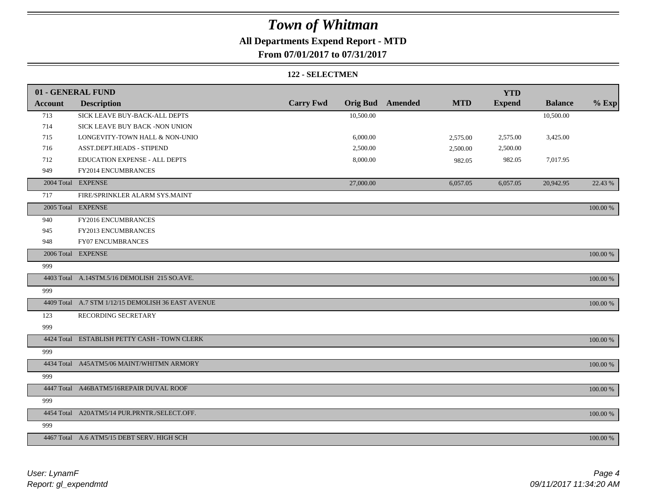### **All Departments Expend Report - MTD**

### **From 07/01/2017 to 07/31/2017**

#### **122 - SELECTMEN**

|                | 01 - GENERAL FUND                                  |                  |           |                         |            | <b>YTD</b>    |                |          |
|----------------|----------------------------------------------------|------------------|-----------|-------------------------|------------|---------------|----------------|----------|
| <b>Account</b> | <b>Description</b>                                 | <b>Carry Fwd</b> |           | <b>Orig Bud</b> Amended | <b>MTD</b> | <b>Expend</b> | <b>Balance</b> | $%$ Exp  |
| 713            | SICK LEAVE BUY-BACK-ALL DEPTS                      |                  | 10,500.00 |                         |            |               | 10,500.00      |          |
| 714            | SICK LEAVE BUY BACK -NON UNION                     |                  |           |                         |            |               |                |          |
| 715            | LONGEVITY-TOWN HALL & NON-UNIO                     |                  | 6,000.00  |                         | 2,575.00   | 2,575.00      | 3,425.00       |          |
| 716            | ASST.DEPT.HEADS - STIPEND                          |                  | 2,500.00  |                         | 2,500.00   | 2,500.00      |                |          |
| 712            | EDUCATION EXPENSE - ALL DEPTS                      |                  | 8,000.00  |                         | 982.05     | 982.05        | 7,017.95       |          |
| 949            | FY2014 ENCUMBRANCES                                |                  |           |                         |            |               |                |          |
|                | 2004 Total EXPENSE                                 |                  | 27,000.00 |                         | 6,057.05   | 6,057.05      | 20,942.95      | 22.43 %  |
| 717            | FIRE/SPRINKLER ALARM SYS.MAINT                     |                  |           |                         |            |               |                |          |
|                | 2005 Total EXPENSE                                 |                  |           |                         |            |               |                | 100.00 % |
| 940            | FY2016 ENCUMBRANCES                                |                  |           |                         |            |               |                |          |
| 945            | FY2013 ENCUMBRANCES                                |                  |           |                         |            |               |                |          |
| 948            | <b>FY07 ENCUMBRANCES</b>                           |                  |           |                         |            |               |                |          |
|                | 2006 Total EXPENSE                                 |                  |           |                         |            |               |                | 100.00 % |
| 999            |                                                    |                  |           |                         |            |               |                |          |
|                | 4403 Total A.14STM.5/16 DEMOLISH 215 SO.AVE.       |                  |           |                         |            |               |                | 100.00 % |
| 999            |                                                    |                  |           |                         |            |               |                |          |
|                | 4409 Total A.7 STM 1/12/15 DEMOLISH 36 EAST AVENUE |                  |           |                         |            |               |                | 100.00 % |
| 123            | RECORDING SECRETARY                                |                  |           |                         |            |               |                |          |
| 999            |                                                    |                  |           |                         |            |               |                |          |
|                | 4424 Total ESTABLISH PETTY CASH - TOWN CLERK       |                  |           |                         |            |               |                | 100.00 % |
| 999            |                                                    |                  |           |                         |            |               |                |          |
|                | 4434 Total A45ATM5/06 MAINT/WHITMN ARMORY          |                  |           |                         |            |               |                | 100.00 % |
| 999            |                                                    |                  |           |                         |            |               |                |          |
|                | 4447 Total A46BATM5/16REPAIR DUVAL ROOF            |                  |           |                         |            |               |                | 100.00 % |
| 999            |                                                    |                  |           |                         |            |               |                |          |
|                | 4454 Total A20ATM5/14 PUR.PRNTR./SELECT.OFF.       |                  |           |                         |            |               |                | 100.00 % |
| 999            |                                                    |                  |           |                         |            |               |                |          |
|                | 4467 Total A.6 ATM5/15 DEBT SERV. HIGH SCH         |                  |           |                         |            |               |                | 100.00 % |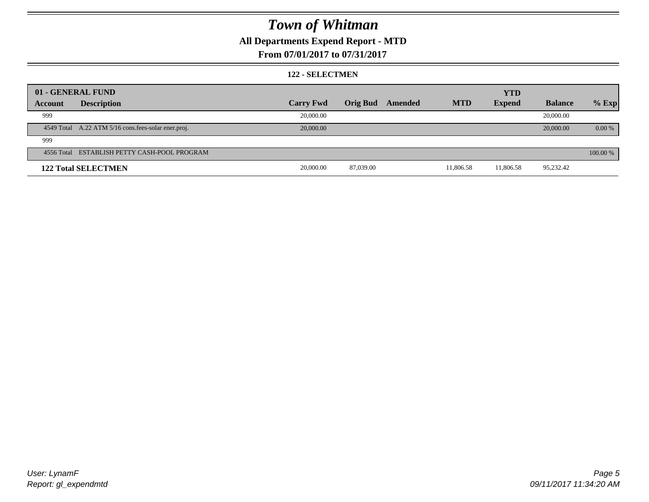### **All Departments Expend Report - MTD**

#### **From 07/01/2017 to 07/31/2017**

#### **122 - SELECTMEN**

|         | 01 - GENERAL FUND                                   |                  |                 |         |            | <b>YTD</b>    |                |          |
|---------|-----------------------------------------------------|------------------|-----------------|---------|------------|---------------|----------------|----------|
| Account | <b>Description</b>                                  | <b>Carry Fwd</b> | <b>Orig Bud</b> | Amended | <b>MTD</b> | <b>Expend</b> | <b>Balance</b> | $%$ Exp  |
| 999     |                                                     | 20,000.00        |                 |         |            |               | 20,000.00      |          |
|         | 4549 Total A.22 ATM 5/16 cons.fees-solar ener.proj. | 20,000.00        |                 |         |            |               | 20,000.00      | 0.00 %   |
| 999     |                                                     |                  |                 |         |            |               |                |          |
|         | 4556 Total ESTABLISH PETTY CASH-POOL PROGRAM        |                  |                 |         |            |               |                | 100.00 % |
|         | <b>122 Total SELECTMEN</b>                          | 20,000.00        | 87,039.00       |         | 11,806.58  | 11,806.58     | 95,232.42      |          |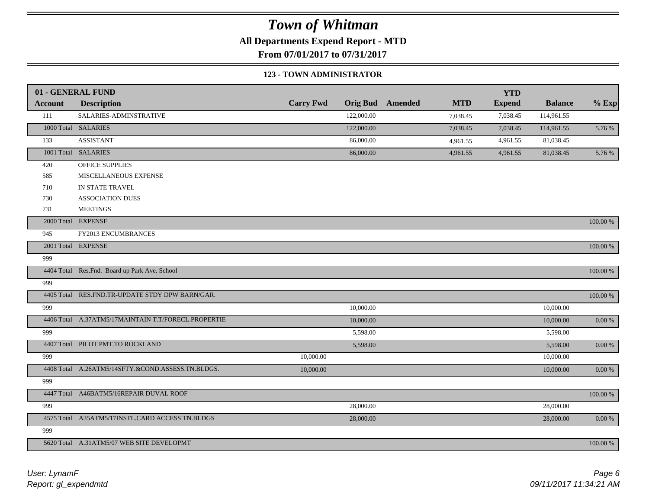**All Departments Expend Report - MTD**

**From 07/01/2017 to 07/31/2017**

#### **123 - TOWN ADMINISTRATOR**

|                | 01 - GENERAL FUND                                   |                  |                 |         |            | <b>YTD</b>    |                |             |
|----------------|-----------------------------------------------------|------------------|-----------------|---------|------------|---------------|----------------|-------------|
| <b>Account</b> | <b>Description</b>                                  | <b>Carry Fwd</b> | <b>Orig Bud</b> | Amended | <b>MTD</b> | <b>Expend</b> | <b>Balance</b> | $%$ Exp     |
| 111            | SALARIES-ADMINSTRATIVE                              |                  | 122,000.00      |         | 7,038.45   | 7,038.45      | 114,961.55     |             |
|                | 1000 Total SALARIES                                 |                  | 122,000.00      |         | 7,038.45   | 7,038.45      | 114,961.55     | 5.76 %      |
| 133            | <b>ASSISTANT</b>                                    |                  | 86,000.00       |         | 4,961.55   | 4,961.55      | 81,038.45      |             |
|                | 1001 Total SALARIES                                 |                  | 86,000.00       |         | 4,961.55   | 4,961.55      | 81,038.45      | 5.76 %      |
| 420            | <b>OFFICE SUPPLIES</b>                              |                  |                 |         |            |               |                |             |
| 585            | MISCELLANEOUS EXPENSE                               |                  |                 |         |            |               |                |             |
| 710            | IN STATE TRAVEL                                     |                  |                 |         |            |               |                |             |
| 730            | <b>ASSOCIATION DUES</b>                             |                  |                 |         |            |               |                |             |
| 731            | <b>MEETINGS</b>                                     |                  |                 |         |            |               |                |             |
|                | 2000 Total EXPENSE                                  |                  |                 |         |            |               |                | $100.00~\%$ |
| 945            | FY2013 ENCUMBRANCES                                 |                  |                 |         |            |               |                |             |
|                | 2001 Total EXPENSE                                  |                  |                 |         |            |               |                | 100.00 %    |
| 999            |                                                     |                  |                 |         |            |               |                |             |
|                | 4404 Total Res.Fnd. Board up Park Ave. School       |                  |                 |         |            |               |                | $100.00~\%$ |
| 999            |                                                     |                  |                 |         |            |               |                |             |
|                | 4405 Total RES.FND.TR-UPDATE STDY DPW BARN/GAR.     |                  |                 |         |            |               |                | $100.00~\%$ |
| 999            |                                                     |                  | 10,000.00       |         |            |               | 10,000.00      |             |
|                | 4406 Total A.37ATM5/17MAINTAIN T.T/FORECL.PROPERTIE |                  | 10,000.00       |         |            |               | 10,000.00      | $0.00~\%$   |
| 999            |                                                     |                  | 5,598.00        |         |            |               | 5,598.00       |             |
|                | 4407 Total PILOT PMT.TO ROCKLAND                    |                  | 5,598.00        |         |            |               | 5,598.00       | $0.00~\%$   |
| 999            |                                                     | 10,000.00        |                 |         |            |               | 10,000.00      |             |
|                | 4408 Total A.26ATM5/14SFTY.&COND.ASSESS.TN.BLDGS.   | 10,000.00        |                 |         |            |               | 10,000.00      | 0.00 %      |
| 999            |                                                     |                  |                 |         |            |               |                |             |
|                | 4447 Total A46BATM5/16REPAIR DUVAL ROOF             |                  |                 |         |            |               |                | 100.00 %    |
| 999            |                                                     |                  | 28,000.00       |         |            |               | 28,000.00      |             |
|                | 4575 Total A35ATM5/17INSTL.CARD ACCESS TN.BLDGS     |                  | 28,000.00       |         |            |               | 28,000.00      | $0.00~\%$   |
| 999            |                                                     |                  |                 |         |            |               |                |             |
|                | 5620 Total A.31ATM5/07 WEB SITE DEVELOPMT           |                  |                 |         |            |               |                | 100.00 %    |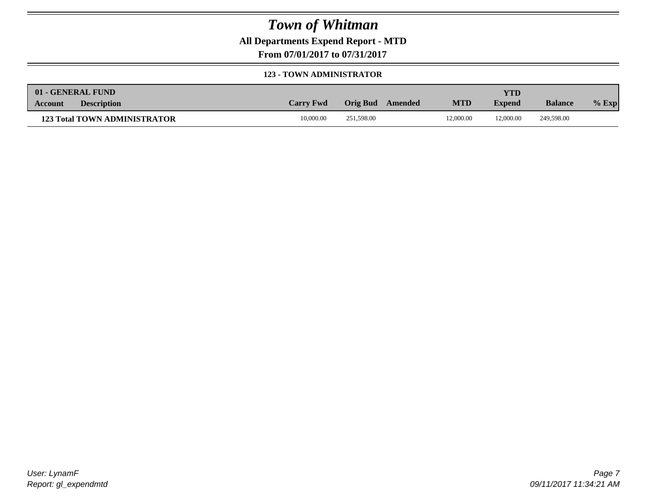**All Departments Expend Report - MTD**

**From 07/01/2017 to 07/31/2017**

#### **123 - TOWN ADMINISTRATOR**

| 01 - GENERAL FUND                    |                  |                  |            | <b>YTD</b>    |                |         |
|--------------------------------------|------------------|------------------|------------|---------------|----------------|---------|
| <b>Description</b><br><b>Account</b> | <b>Carry Fwd</b> | Orig Bud Amended | <b>MTD</b> | <b>Expend</b> | <b>Balance</b> | $%$ Exp |
| <b>123 Total TOWN ADMINISTRATOR</b>  | 10,000.00        | 251,598.00       | 12,000.00  | 12,000.00     | 249,598,00     |         |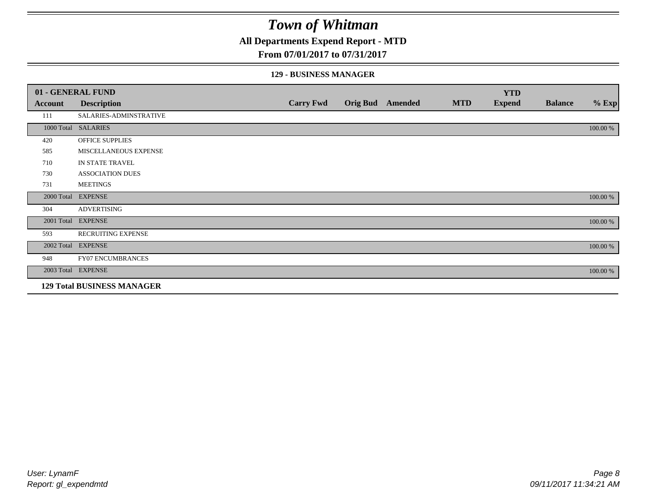### **All Departments Expend Report - MTD**

#### **From 07/01/2017 to 07/31/2017**

#### **129 - BUSINESS MANAGER**

|            | 01 - GENERAL FUND                 |                  |                 |         |            | <b>YTD</b>    |                |          |
|------------|-----------------------------------|------------------|-----------------|---------|------------|---------------|----------------|----------|
| Account    | <b>Description</b>                | <b>Carry Fwd</b> | <b>Orig Bud</b> | Amended | <b>MTD</b> | <b>Expend</b> | <b>Balance</b> | $%$ Exp  |
| 111        | SALARIES-ADMINSTRATIVE            |                  |                 |         |            |               |                |          |
|            | 1000 Total SALARIES               |                  |                 |         |            |               |                | 100.00 % |
| 420        | OFFICE SUPPLIES                   |                  |                 |         |            |               |                |          |
| 585        | MISCELLANEOUS EXPENSE             |                  |                 |         |            |               |                |          |
| 710        | IN STATE TRAVEL                   |                  |                 |         |            |               |                |          |
| 730        | <b>ASSOCIATION DUES</b>           |                  |                 |         |            |               |                |          |
| 731        | <b>MEETINGS</b>                   |                  |                 |         |            |               |                |          |
| 2000 Total | <b>EXPENSE</b>                    |                  |                 |         |            |               |                | 100.00 % |
| 304        | <b>ADVERTISING</b>                |                  |                 |         |            |               |                |          |
| 2001 Total | <b>EXPENSE</b>                    |                  |                 |         |            |               |                | 100.00 % |
| 593        | <b>RECRUITING EXPENSE</b>         |                  |                 |         |            |               |                |          |
|            | 2002 Total EXPENSE                |                  |                 |         |            |               |                | 100.00 % |
| 948        | <b>FY07 ENCUMBRANCES</b>          |                  |                 |         |            |               |                |          |
|            | 2003 Total EXPENSE                |                  |                 |         |            |               |                | 100.00 % |
|            | <b>129 Total BUSINESS MANAGER</b> |                  |                 |         |            |               |                |          |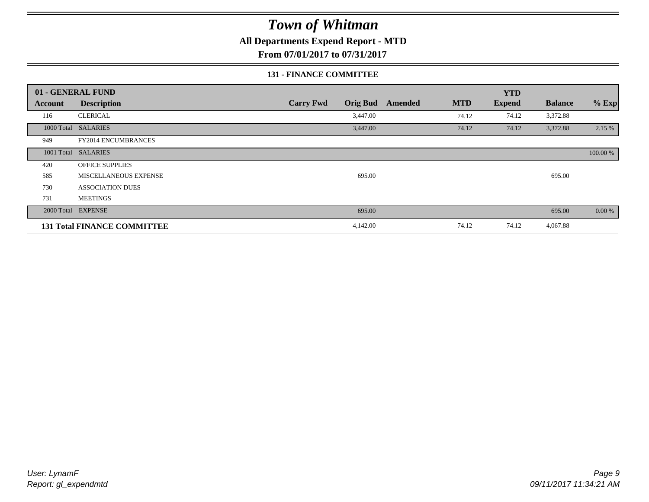**All Departments Expend Report - MTD**

**From 07/01/2017 to 07/31/2017**

#### **131 - FINANCE COMMITTEE**

|                | 01 - GENERAL FUND                  |                                     |                       | <b>YTD</b>    |                |          |
|----------------|------------------------------------|-------------------------------------|-----------------------|---------------|----------------|----------|
| <b>Account</b> | <b>Description</b>                 | <b>Carry Fwd</b><br><b>Orig Bud</b> | <b>MTD</b><br>Amended | <b>Expend</b> | <b>Balance</b> | $%$ Exp  |
| 116            | <b>CLERICAL</b>                    | 3,447.00                            | 74.12                 | 74.12         | 3,372.88       |          |
|                | 1000 Total SALARIES                | 3,447.00                            | 74.12                 | 74.12         | 3,372.88       | 2.15 %   |
| 949            | <b>FY2014 ENCUMBRANCES</b>         |                                     |                       |               |                |          |
|                | 1001 Total SALARIES                |                                     |                       |               |                | 100.00 % |
| 420            | <b>OFFICE SUPPLIES</b>             |                                     |                       |               |                |          |
| 585            | MISCELLANEOUS EXPENSE              | 695.00                              |                       |               | 695.00         |          |
| 730            | <b>ASSOCIATION DUES</b>            |                                     |                       |               |                |          |
| 731            | <b>MEETINGS</b>                    |                                     |                       |               |                |          |
|                | 2000 Total EXPENSE                 | 695.00                              |                       |               | 695.00         | 0.00 %   |
|                | <b>131 Total FINANCE COMMITTEE</b> | 4,142.00                            | 74.12                 | 74.12         | 4,067.88       |          |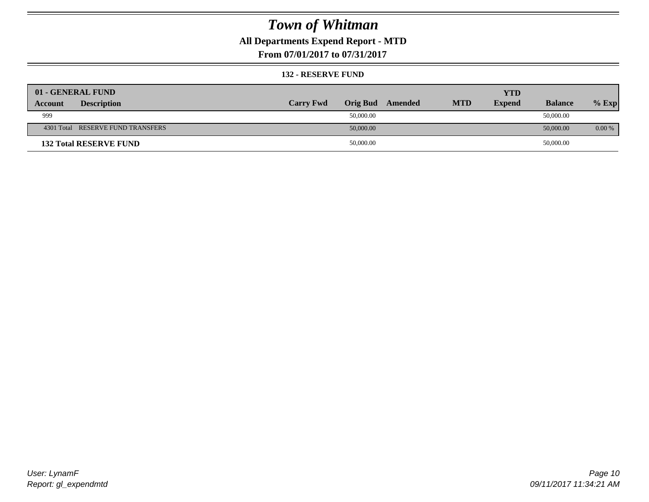### **All Departments Expend Report - MTD**

**From 07/01/2017 to 07/31/2017**

#### **132 - RESERVE FUND**

| 01 - GENERAL FUND                 |                  |                 |         |            | <b>YTD</b>    |                |          |
|-----------------------------------|------------------|-----------------|---------|------------|---------------|----------------|----------|
| <b>Description</b><br>Account     | <b>Carry Fwd</b> | <b>Orig Bud</b> | Amended | <b>MTD</b> | <b>Expend</b> | <b>Balance</b> | $%$ Exp  |
| 999                               |                  | 50,000.00       |         |            |               | 50,000.00      |          |
| 4301 Total RESERVE FUND TRANSFERS |                  | 50,000.00       |         |            |               | 50,000.00      | $0.00\%$ |
| <b>132 Total RESERVE FUND</b>     |                  | 50,000.00       |         |            |               | 50,000.00      |          |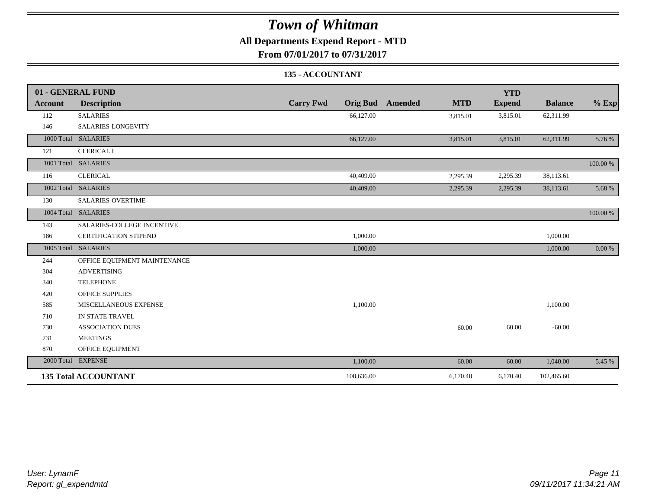### **All Departments Expend Report - MTD**

**From 07/01/2017 to 07/31/2017**

#### **135 - ACCOUNTANT**

|         | 01 - GENERAL FUND            |                                     |                       | <b>YTD</b>    |                |           |
|---------|------------------------------|-------------------------------------|-----------------------|---------------|----------------|-----------|
| Account | <b>Description</b>           | <b>Carry Fwd</b><br><b>Orig Bud</b> | <b>MTD</b><br>Amended | <b>Expend</b> | <b>Balance</b> | $%$ Exp   |
| 112     | <b>SALARIES</b>              | 66,127.00                           | 3,815.01              | 3,815.01      | 62,311.99      |           |
| 146     | SALARIES-LONGEVITY           |                                     |                       |               |                |           |
|         | 1000 Total SALARIES          | 66,127.00                           | 3,815.01              | 3,815.01      | 62,311.99      | 5.76 %    |
| 121     | <b>CLERICAL I</b>            |                                     |                       |               |                |           |
|         | 1001 Total SALARIES          |                                     |                       |               |                | 100.00 %  |
| 116     | <b>CLERICAL</b>              | 40,409.00                           | 2,295.39              | 2,295.39      | 38,113.61      |           |
|         | 1002 Total SALARIES          | 40,409.00                           | 2,295.39              | 2,295.39      | 38,113.61      | 5.68 %    |
| 130     | <b>SALARIES-OVERTIME</b>     |                                     |                       |               |                |           |
|         | 1004 Total SALARIES          |                                     |                       |               |                | 100.00 %  |
| 143     | SALARIES-COLLEGE INCENTIVE   |                                     |                       |               |                |           |
| 186     | <b>CERTIFICATION STIPEND</b> | 1,000.00                            |                       |               | 1,000.00       |           |
|         | 1005 Total SALARIES          | 1,000.00                            |                       |               | 1,000.00       | $0.00 \%$ |
| 244     | OFFICE EQUIPMENT MAINTENANCE |                                     |                       |               |                |           |
| 304     | <b>ADVERTISING</b>           |                                     |                       |               |                |           |
| 340     | <b>TELEPHONE</b>             |                                     |                       |               |                |           |
| 420     | <b>OFFICE SUPPLIES</b>       |                                     |                       |               |                |           |
| 585     | MISCELLANEOUS EXPENSE        | 1,100.00                            |                       |               | 1,100.00       |           |
| 710     | IN STATE TRAVEL              |                                     |                       |               |                |           |
| 730     | <b>ASSOCIATION DUES</b>      |                                     | 60.00                 | 60.00         | $-60.00$       |           |
| 731     | <b>MEETINGS</b>              |                                     |                       |               |                |           |
| 870     | OFFICE EQUIPMENT             |                                     |                       |               |                |           |
|         | 2000 Total EXPENSE           | 1,100.00                            | 60.00                 | 60.00         | 1,040.00       | 5.45 %    |
|         | <b>135 Total ACCOUNTANT</b>  | 108,636.00                          | 6,170.40              | 6,170.40      | 102,465.60     |           |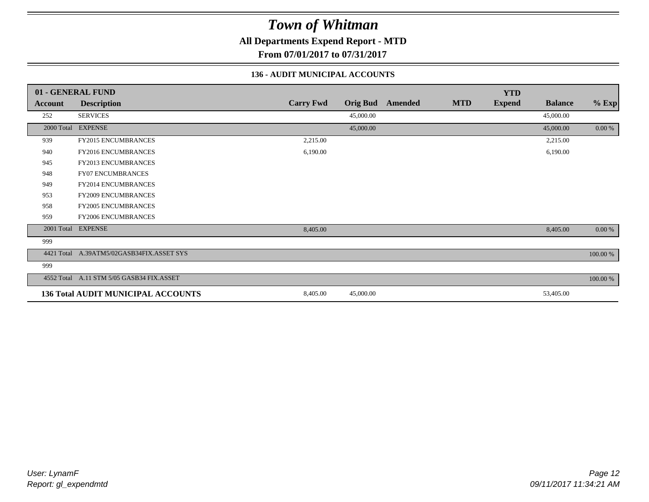**All Departments Expend Report - MTD**

**From 07/01/2017 to 07/31/2017**

#### **136 - AUDIT MUNICIPAL ACCOUNTS**

|            | 01 - GENERAL FUND                         |                  |                 |                |            | <b>YTD</b>    |                |           |
|------------|-------------------------------------------|------------------|-----------------|----------------|------------|---------------|----------------|-----------|
| Account    | <b>Description</b>                        | <b>Carry Fwd</b> | <b>Orig Bud</b> | <b>Amended</b> | <b>MTD</b> | <b>Expend</b> | <b>Balance</b> | $%$ Exp   |
| 252        | <b>SERVICES</b>                           |                  | 45,000.00       |                |            |               | 45,000.00      |           |
|            | 2000 Total EXPENSE                        |                  | 45,000.00       |                |            |               | 45,000.00      | $0.00 \%$ |
| 939        | FY2015 ENCUMBRANCES                       | 2,215.00         |                 |                |            |               | 2,215.00       |           |
| 940        | FY2016 ENCUMBRANCES                       | 6,190.00         |                 |                |            |               | 6,190.00       |           |
| 945        | <b>FY2013 ENCUMBRANCES</b>                |                  |                 |                |            |               |                |           |
| 948        | <b>FY07 ENCUMBRANCES</b>                  |                  |                 |                |            |               |                |           |
| 949        | FY2014 ENCUMBRANCES                       |                  |                 |                |            |               |                |           |
| 953        | <b>FY2009 ENCUMBRANCES</b>                |                  |                 |                |            |               |                |           |
| 958        | <b>FY2005 ENCUMBRANCES</b>                |                  |                 |                |            |               |                |           |
| 959        | <b>FY2006 ENCUMBRANCES</b>                |                  |                 |                |            |               |                |           |
|            | 2001 Total EXPENSE                        | 8,405.00         |                 |                |            |               | 8,405.00       | $0.00 \%$ |
| 999        |                                           |                  |                 |                |            |               |                |           |
| 4421 Total | A.39ATM5/02GASB34FIX.ASSET SYS            |                  |                 |                |            |               |                | 100.00 %  |
| 999        |                                           |                  |                 |                |            |               |                |           |
|            | 4552 Total A.11 STM 5/05 GASB34 FIX.ASSET |                  |                 |                |            |               |                | 100.00 %  |
|            | <b>136 Total AUDIT MUNICIPAL ACCOUNTS</b> | 8,405.00         | 45,000.00       |                |            |               | 53,405.00      |           |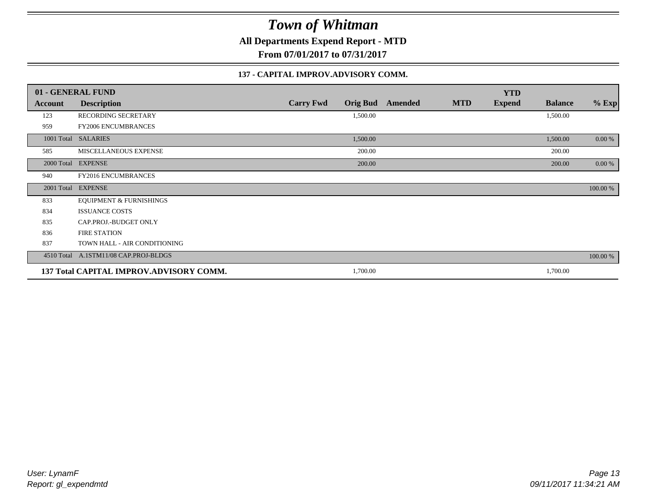**All Departments Expend Report - MTD**

**From 07/01/2017 to 07/31/2017**

#### **137 - CAPITAL IMPROV.ADVISORY COMM.**

|         | 01 - GENERAL FUND                       |                                     |         |            | <b>YTD</b>    |                |          |
|---------|-----------------------------------------|-------------------------------------|---------|------------|---------------|----------------|----------|
| Account | <b>Description</b>                      | <b>Carry Fwd</b><br><b>Orig Bud</b> | Amended | <b>MTD</b> | <b>Expend</b> | <b>Balance</b> | $%$ Exp  |
| 123     | RECORDING SECRETARY                     | 1,500.00                            |         |            |               | 1,500.00       |          |
| 959     | <b>FY2006 ENCUMBRANCES</b>              |                                     |         |            |               |                |          |
|         | 1001 Total SALARIES                     | 1,500.00                            |         |            |               | 1,500.00       | $0.00\%$ |
| 585     | MISCELLANEOUS EXPENSE                   | 200.00                              |         |            |               | 200.00         |          |
|         | 2000 Total EXPENSE                      | 200.00                              |         |            |               | 200.00         | $0.00\%$ |
| 940     | FY2016 ENCUMBRANCES                     |                                     |         |            |               |                |          |
|         | 2001 Total EXPENSE                      |                                     |         |            |               |                | 100.00 % |
| 833     | <b>EQUIPMENT &amp; FURNISHINGS</b>      |                                     |         |            |               |                |          |
| 834     | <b>ISSUANCE COSTS</b>                   |                                     |         |            |               |                |          |
| 835     | CAP.PROJ.-BUDGET ONLY                   |                                     |         |            |               |                |          |
| 836     | <b>FIRE STATION</b>                     |                                     |         |            |               |                |          |
| 837     | TOWN HALL - AIR CONDITIONING            |                                     |         |            |               |                |          |
|         | 4510 Total A.1STM11/08 CAP.PROJ-BLDGS   |                                     |         |            |               |                | 100.00 % |
|         | 137 Total CAPITAL IMPROV.ADVISORY COMM. | 1,700.00                            |         |            |               | 1,700.00       |          |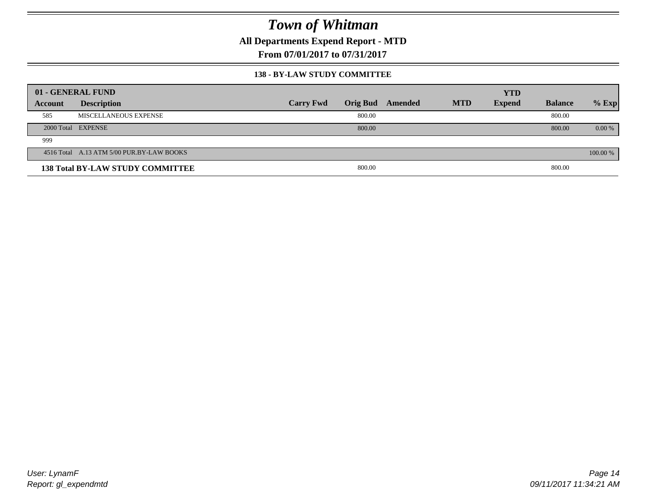**All Departments Expend Report - MTD**

**From 07/01/2017 to 07/31/2017**

#### **138 - BY-LAW STUDY COMMITTEE**

|         | 01 - GENERAL FUND                         |                  |        |                  |            | <b>YTD</b>    |                |          |
|---------|-------------------------------------------|------------------|--------|------------------|------------|---------------|----------------|----------|
| Account | <b>Description</b>                        | <b>Carry Fwd</b> |        | Orig Bud Amended | <b>MTD</b> | <b>Expend</b> | <b>Balance</b> | $%$ Exp  |
| 585     | MISCELLANEOUS EXPENSE                     |                  | 800.00 |                  |            |               | 800.00         |          |
|         | 2000 Total EXPENSE                        |                  | 800.00 |                  |            |               | 800.00         | $0.00\%$ |
| 999     |                                           |                  |        |                  |            |               |                |          |
|         | 4516 Total A.13 ATM 5/00 PUR.BY-LAW BOOKS |                  |        |                  |            |               |                | 100.00 % |
|         | <b>138 Total BY-LAW STUDY COMMITTEE</b>   |                  | 800.00 |                  |            |               | 800.00         |          |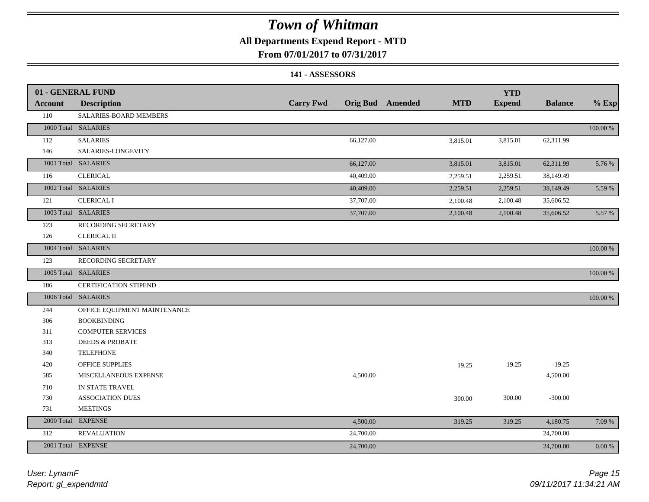### **All Departments Expend Report - MTD**

#### **From 07/01/2017 to 07/31/2017**

#### **141 - ASSESSORS**

|            | 01 - GENERAL FUND            |                  |           |                         |            | <b>YTD</b>    |                |          |
|------------|------------------------------|------------------|-----------|-------------------------|------------|---------------|----------------|----------|
| Account    | <b>Description</b>           | <b>Carry Fwd</b> |           | <b>Orig Bud</b> Amended | <b>MTD</b> | <b>Expend</b> | <b>Balance</b> | $%$ Exp  |
| 110        | SALARIES-BOARD MEMBERS       |                  |           |                         |            |               |                |          |
|            | 1000 Total SALARIES          |                  |           |                         |            |               |                | 100.00 % |
| 112        | <b>SALARIES</b>              |                  | 66,127.00 |                         | 3,815.01   | 3,815.01      | 62,311.99      |          |
| 146        | SALARIES-LONGEVITY           |                  |           |                         |            |               |                |          |
|            | 1001 Total SALARIES          |                  | 66,127.00 |                         | 3,815.01   | 3,815.01      | 62,311.99      | 5.76 %   |
| 116        | <b>CLERICAL</b>              |                  | 40,409.00 |                         | 2,259.51   | 2,259.51      | 38,149.49      |          |
|            | 1002 Total SALARIES          |                  | 40,409.00 |                         | 2,259.51   | 2,259.51      | 38,149.49      | 5.59 %   |
| 121        | <b>CLERICAL I</b>            |                  | 37,707.00 |                         | 2,100.48   | 2,100.48      | 35,606.52      |          |
|            | 1003 Total SALARIES          |                  | 37,707.00 |                         | 2,100.48   | 2,100.48      | 35,606.52      | 5.57 %   |
| 123        | RECORDING SECRETARY          |                  |           |                         |            |               |                |          |
| 126        | <b>CLERICAL II</b>           |                  |           |                         |            |               |                |          |
|            | 1004 Total SALARIES          |                  |           |                         |            |               |                | 100.00 % |
| 123        | RECORDING SECRETARY          |                  |           |                         |            |               |                |          |
|            | 1005 Total SALARIES          |                  |           |                         |            |               |                | 100.00 % |
| 186        | CERTIFICATION STIPEND        |                  |           |                         |            |               |                |          |
|            | 1006 Total SALARIES          |                  |           |                         |            |               |                | 100.00 % |
| 244        | OFFICE EQUIPMENT MAINTENANCE |                  |           |                         |            |               |                |          |
| 306        | <b>BOOKBINDING</b>           |                  |           |                         |            |               |                |          |
| 311        | <b>COMPUTER SERVICES</b>     |                  |           |                         |            |               |                |          |
| 313        | <b>DEEDS &amp; PROBATE</b>   |                  |           |                         |            |               |                |          |
| 340        | <b>TELEPHONE</b>             |                  |           |                         |            |               |                |          |
| 420        | OFFICE SUPPLIES              |                  |           |                         | 19.25      | 19.25         | $-19.25$       |          |
| 585        | MISCELLANEOUS EXPENSE        |                  | 4,500.00  |                         |            |               | 4,500.00       |          |
| 710        | IN STATE TRAVEL              |                  |           |                         |            |               |                |          |
| 730        | <b>ASSOCIATION DUES</b>      |                  |           |                         | 300.00     | 300.00        | $-300.00$      |          |
| 731        | <b>MEETINGS</b>              |                  |           |                         |            |               |                |          |
| 2000 Total | <b>EXPENSE</b>               |                  | 4,500.00  |                         | 319.25     | 319.25        | 4,180.75       | 7.09 %   |
| 312        | <b>REVALUATION</b>           |                  | 24,700.00 |                         |            |               | 24,700.00      |          |
|            | 2001 Total EXPENSE           |                  | 24,700.00 |                         |            |               | 24,700.00      | 0.00 %   |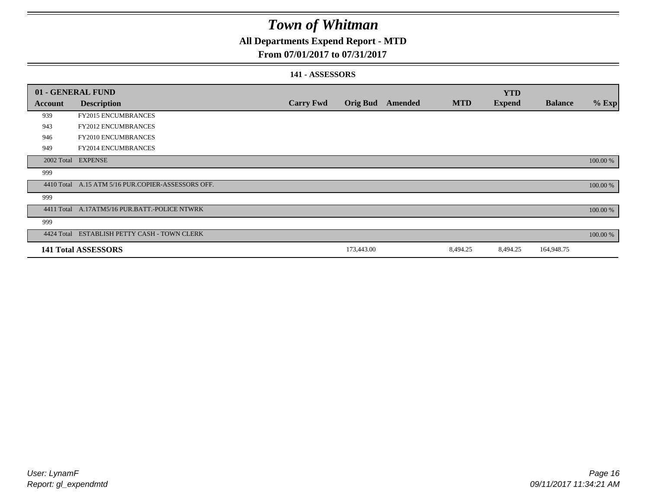### **All Departments Expend Report - MTD**

#### **From 07/01/2017 to 07/31/2017**

#### **141 - ASSESSORS**

|            | 01 - GENERAL FUND                                  |                  |                 |                |            | <b>YTD</b>    |                |          |
|------------|----------------------------------------------------|------------------|-----------------|----------------|------------|---------------|----------------|----------|
| Account    | <b>Description</b>                                 | <b>Carry Fwd</b> | <b>Orig Bud</b> | <b>Amended</b> | <b>MTD</b> | <b>Expend</b> | <b>Balance</b> | $%$ Exp  |
| 939        | <b>FY2015 ENCUMBRANCES</b>                         |                  |                 |                |            |               |                |          |
| 943        | <b>FY2012 ENCUMBRANCES</b>                         |                  |                 |                |            |               |                |          |
| 946        | <b>FY2010 ENCUMBRANCES</b>                         |                  |                 |                |            |               |                |          |
| 949        | FY2014 ENCUMBRANCES                                |                  |                 |                |            |               |                |          |
|            | 2002 Total EXPENSE                                 |                  |                 |                |            |               |                | 100.00 % |
| 999        |                                                    |                  |                 |                |            |               |                |          |
|            | 4410 Total A.15 ATM 5/16 PUR.COPIER-ASSESSORS OFF. |                  |                 |                |            |               |                | 100.00 % |
| 999        |                                                    |                  |                 |                |            |               |                |          |
|            | 4411 Total A.17ATM5/16 PUR.BATT.-POLICE NTWRK      |                  |                 |                |            |               |                | 100.00 % |
| 999        |                                                    |                  |                 |                |            |               |                |          |
| 4424 Total | ESTABLISH PETTY CASH - TOWN CLERK                  |                  |                 |                |            |               |                | 100.00 % |
|            | <b>141 Total ASSESSORS</b>                         |                  | 173,443.00      |                | 8,494.25   | 8,494.25      | 164,948.75     |          |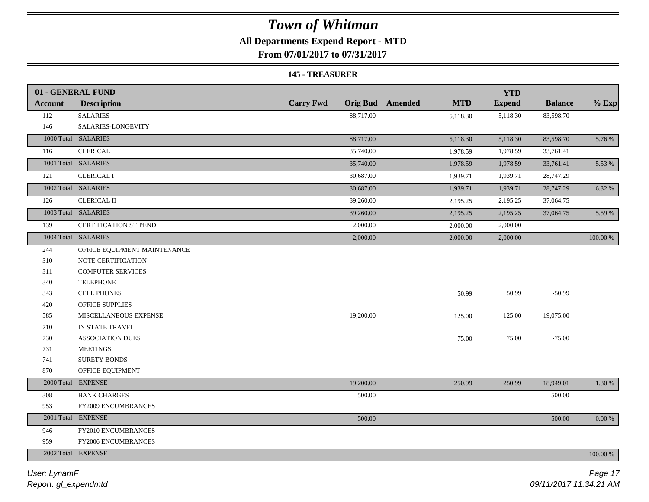### **All Departments Expend Report - MTD**

**From 07/01/2017 to 07/31/2017**

#### **145 - TREASURER**

|                | 01 - GENERAL FUND            |                  |                                       | <b>YTD</b>    |                |           |
|----------------|------------------------------|------------------|---------------------------------------|---------------|----------------|-----------|
| <b>Account</b> | <b>Description</b>           | <b>Carry Fwd</b> | <b>Orig Bud</b> Amended<br><b>MTD</b> | <b>Expend</b> | <b>Balance</b> | $%$ Exp   |
| 112            | <b>SALARIES</b>              | 88,717.00        | 5,118.30                              | 5,118.30      | 83,598.70      |           |
| 146            | SALARIES-LONGEVITY           |                  |                                       |               |                |           |
|                | 1000 Total SALARIES          | 88,717.00        | 5,118.30                              | 5,118.30      | 83,598.70      | 5.76 %    |
| 116            | <b>CLERICAL</b>              | 35,740.00        | 1,978.59                              | 1,978.59      | 33,761.41      |           |
|                | 1001 Total SALARIES          | 35,740.00        | 1,978.59                              | 1,978.59      | 33,761.41      | 5.53 %    |
| 121            | <b>CLERICAL I</b>            | 30,687.00        | 1,939.71                              | 1,939.71      | 28,747.29      |           |
|                | 1002 Total SALARIES          | 30,687.00        | 1,939.71                              | 1,939.71      | 28,747.29      | 6.32 %    |
| 126            | <b>CLERICAL II</b>           | 39,260.00        | 2,195.25                              | 2,195.25      | 37,064.75      |           |
|                | 1003 Total SALARIES          | 39,260.00        | 2,195.25                              | 2,195.25      | 37,064.75      | 5.59 %    |
| 139            | <b>CERTIFICATION STIPEND</b> | 2,000.00         | 2,000.00                              | 2,000.00      |                |           |
|                | 1004 Total SALARIES          | 2,000.00         | 2,000.00                              | 2,000.00      |                | 100.00 %  |
| 244            | OFFICE EQUIPMENT MAINTENANCE |                  |                                       |               |                |           |
| 310            | NOTE CERTIFICATION           |                  |                                       |               |                |           |
| 311            | <b>COMPUTER SERVICES</b>     |                  |                                       |               |                |           |
| 340            | <b>TELEPHONE</b>             |                  |                                       |               |                |           |
| 343            | <b>CELL PHONES</b>           |                  | 50.99                                 | 50.99         | $-50.99$       |           |
| 420            | <b>OFFICE SUPPLIES</b>       |                  |                                       |               |                |           |
| 585            | MISCELLANEOUS EXPENSE        | 19,200.00        | 125.00                                | 125.00        | 19,075.00      |           |
| 710            | IN STATE TRAVEL              |                  |                                       |               |                |           |
| 730            | <b>ASSOCIATION DUES</b>      |                  | 75.00                                 | 75.00         | $-75.00$       |           |
| 731            | <b>MEETINGS</b>              |                  |                                       |               |                |           |
| 741            | SURETY BONDS                 |                  |                                       |               |                |           |
| 870            | OFFICE EQUIPMENT             |                  |                                       |               |                |           |
|                | 2000 Total EXPENSE           | 19,200.00        | 250.99                                | 250.99        | 18,949.01      | 1.30 %    |
| 308            | <b>BANK CHARGES</b>          | 500.00           |                                       |               | 500.00         |           |
| 953            | FY2009 ENCUMBRANCES          |                  |                                       |               |                |           |
|                | 2001 Total EXPENSE           | 500.00           |                                       |               | 500.00         | $0.00 \%$ |
| 946            | FY2010 ENCUMBRANCES          |                  |                                       |               |                |           |
| 959            | FY2006 ENCUMBRANCES          |                  |                                       |               |                |           |
|                | 2002 Total EXPENSE           |                  |                                       |               |                | 100.00 %  |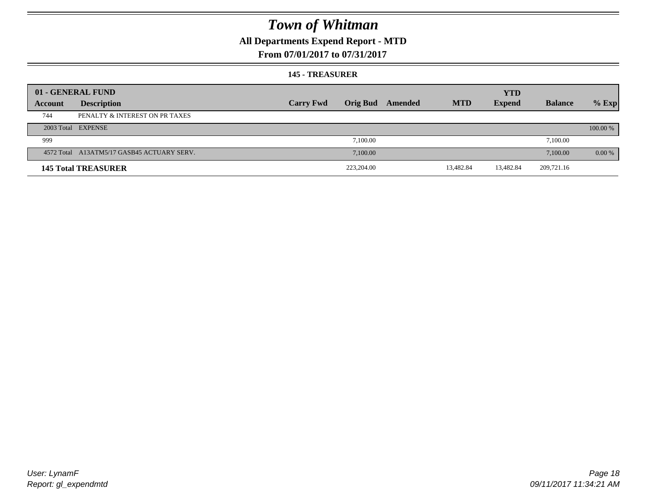### **All Departments Expend Report - MTD**

#### **From 07/01/2017 to 07/31/2017**

#### **145 - TREASURER**

|         | 01 - GENERAL FUND                          |                  |                 |         |            | <b>YTD</b>    |                |          |
|---------|--------------------------------------------|------------------|-----------------|---------|------------|---------------|----------------|----------|
| Account | <b>Description</b>                         | <b>Carry Fwd</b> | <b>Orig Bud</b> | Amended | <b>MTD</b> | <b>Expend</b> | <b>Balance</b> | $%$ Exp  |
| 744     | PENALTY & INTEREST ON PR TAXES             |                  |                 |         |            |               |                |          |
|         | 2003 Total EXPENSE                         |                  |                 |         |            |               |                | 100.00 % |
| 999     |                                            |                  | 7.100.00        |         |            |               | 7,100.00       |          |
|         | 4572 Total A13ATM5/17 GASB45 ACTUARY SERV. |                  | 7,100.00        |         |            |               | 7,100.00       | $0.00\%$ |
|         | <b>145 Total TREASURER</b>                 |                  | 223,204.00      |         | 13,482.84  | 13,482.84     | 209,721.16     |          |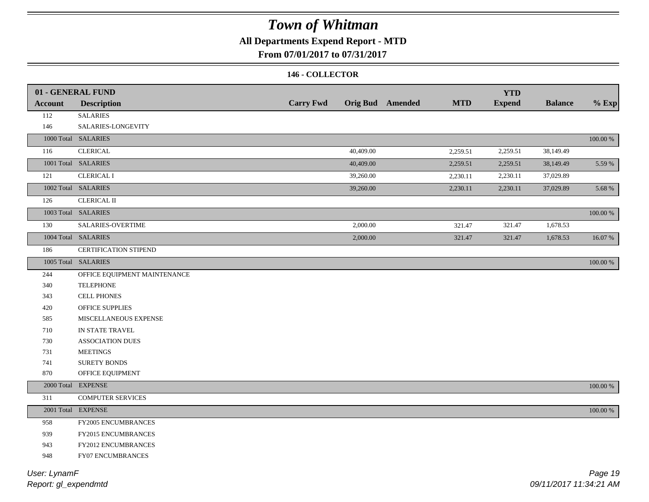### **All Departments Expend Report - MTD**

#### **From 07/01/2017 to 07/31/2017**

#### **146 - COLLECTOR**

| <b>Account</b> | 01 - GENERAL FUND<br><b>Description</b> | <b>Carry Fwd</b> |           | <b>Orig Bud</b> Amended | <b>MTD</b> | <b>YTD</b><br><b>Expend</b> | <b>Balance</b> | $%$ Exp     |
|----------------|-----------------------------------------|------------------|-----------|-------------------------|------------|-----------------------------|----------------|-------------|
| 112            | <b>SALARIES</b>                         |                  |           |                         |            |                             |                |             |
| 146            | SALARIES-LONGEVITY                      |                  |           |                         |            |                             |                |             |
|                | 1000 Total SALARIES                     |                  |           |                         |            |                             |                | $100.00~\%$ |
| 116            | <b>CLERICAL</b>                         |                  | 40,409.00 |                         | 2,259.51   | 2,259.51                    | 38,149.49      |             |
|                | 1001 Total SALARIES                     |                  | 40,409.00 |                         | 2,259.51   | 2,259.51                    | 38,149.49      | 5.59 %      |
| 121            | <b>CLERICAL I</b>                       |                  | 39,260.00 |                         |            | 2,230.11                    | 37,029.89      |             |
|                | 1002 Total SALARIES                     |                  |           |                         | 2,230.11   |                             |                |             |
|                |                                         |                  | 39,260.00 |                         | 2,230.11   | 2,230.11                    | 37,029.89      | 5.68 %      |
| 126            | <b>CLERICAL II</b>                      |                  |           |                         |            |                             |                |             |
|                | 1003 Total SALARIES                     |                  |           |                         |            |                             |                | 100.00 %    |
| 130            | SALARIES-OVERTIME                       |                  | 2,000.00  |                         | 321.47     | 321.47                      | 1,678.53       |             |
|                | 1004 Total SALARIES                     |                  | 2,000.00  |                         | 321.47     | 321.47                      | 1,678.53       | 16.07%      |
| 186            | <b>CERTIFICATION STIPEND</b>            |                  |           |                         |            |                             |                |             |
|                | 1005 Total SALARIES                     |                  |           |                         |            |                             |                | 100.00 %    |
| 244            | OFFICE EQUIPMENT MAINTENANCE            |                  |           |                         |            |                             |                |             |
| 340            | <b>TELEPHONE</b>                        |                  |           |                         |            |                             |                |             |
| 343            | <b>CELL PHONES</b>                      |                  |           |                         |            |                             |                |             |
| 420            | OFFICE SUPPLIES                         |                  |           |                         |            |                             |                |             |
| 585            | MISCELLANEOUS EXPENSE                   |                  |           |                         |            |                             |                |             |
| 710            | IN STATE TRAVEL                         |                  |           |                         |            |                             |                |             |
| 730            | <b>ASSOCIATION DUES</b>                 |                  |           |                         |            |                             |                |             |
| 731            | <b>MEETINGS</b>                         |                  |           |                         |            |                             |                |             |
| 741            | <b>SURETY BONDS</b>                     |                  |           |                         |            |                             |                |             |
| 870            | OFFICE EQUIPMENT                        |                  |           |                         |            |                             |                |             |
|                | 2000 Total EXPENSE                      |                  |           |                         |            |                             |                | 100.00 %    |
| 311            | <b>COMPUTER SERVICES</b>                |                  |           |                         |            |                             |                |             |
|                | 2001 Total EXPENSE                      |                  |           |                         |            |                             |                | $100.00~\%$ |
| 958            | FY2005 ENCUMBRANCES                     |                  |           |                         |            |                             |                |             |
| 939            | FY2015 ENCUMBRANCES                     |                  |           |                         |            |                             |                |             |
| 943            | FY2012 ENCUMBRANCES                     |                  |           |                         |            |                             |                |             |
| 948            | FY07 ENCUMBRANCES                       |                  |           |                         |            |                             |                |             |
|                |                                         |                  |           |                         |            |                             |                |             |

*Report: gl\_expendmtd User: LynamF*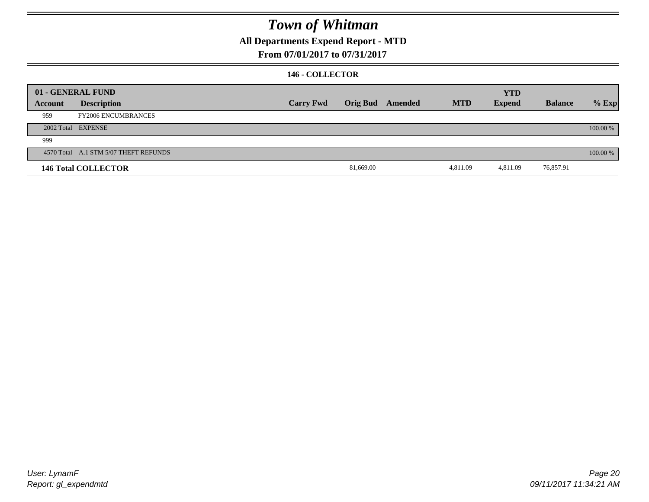### **All Departments Expend Report - MTD**

#### **From 07/01/2017 to 07/31/2017**

#### **146 - COLLECTOR**

|         | 01 - GENERAL FUND                     |                  |           |                  |            | <b>YTD</b>    |                |          |
|---------|---------------------------------------|------------------|-----------|------------------|------------|---------------|----------------|----------|
| Account | <b>Description</b>                    | <b>Carry Fwd</b> |           | Orig Bud Amended | <b>MTD</b> | <b>Expend</b> | <b>Balance</b> | $%$ Exp  |
| 959     | <b>FY2006 ENCUMBRANCES</b>            |                  |           |                  |            |               |                |          |
|         | 2002 Total EXPENSE                    |                  |           |                  |            |               |                | 100.00 % |
| 999     |                                       |                  |           |                  |            |               |                |          |
|         | 4570 Total A.1 STM 5/07 THEFT REFUNDS |                  |           |                  |            |               |                | 100.00 % |
|         | <b>146 Total COLLECTOR</b>            |                  | 81,669.00 |                  | 4,811.09   | 4,811.09      | 76,857.91      |          |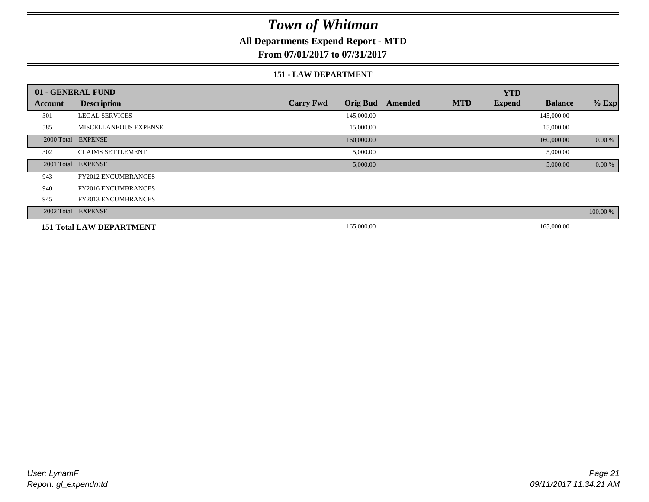### **All Departments Expend Report - MTD**

**From 07/01/2017 to 07/31/2017**

#### **151 - LAW DEPARTMENT**

|                | 01 - GENERAL FUND               |                                     |         | <b>YTD</b>                  |                |          |
|----------------|---------------------------------|-------------------------------------|---------|-----------------------------|----------------|----------|
| <b>Account</b> | <b>Description</b>              | <b>Orig Bud</b><br><b>Carry Fwd</b> | Amended | <b>MTD</b><br><b>Expend</b> | <b>Balance</b> | $%$ Exp  |
| 301            | <b>LEGAL SERVICES</b>           | 145,000.00                          |         |                             | 145,000.00     |          |
| 585            | <b>MISCELLANEOUS EXPENSE</b>    | 15,000.00                           |         |                             | 15,000.00      |          |
|                | 2000 Total EXPENSE              | 160,000.00                          |         |                             | 160,000.00     | 0.00 %   |
| 302            | <b>CLAIMS SETTLEMENT</b>        | 5,000.00                            |         |                             | 5,000.00       |          |
|                | 2001 Total EXPENSE              | 5,000.00                            |         |                             | 5,000.00       | 0.00 %   |
| 943            | <b>FY2012 ENCUMBRANCES</b>      |                                     |         |                             |                |          |
| 940            | <b>FY2016 ENCUMBRANCES</b>      |                                     |         |                             |                |          |
| 945            | FY2013 ENCUMBRANCES             |                                     |         |                             |                |          |
|                | 2002 Total EXPENSE              |                                     |         |                             |                | 100.00 % |
|                | <b>151 Total LAW DEPARTMENT</b> | 165,000.00                          |         |                             | 165,000.00     |          |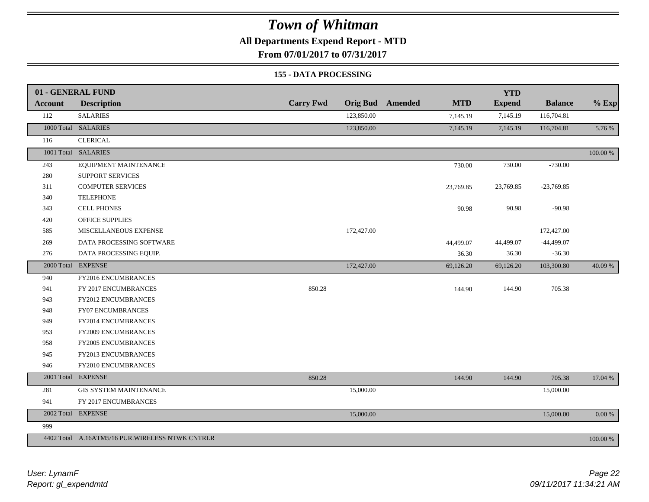### **All Departments Expend Report - MTD**

**From 07/01/2017 to 07/31/2017**

#### **155 - DATA PROCESSING**

|                | 01 - GENERAL FUND                               |                  |                 |                |            | <b>YTD</b>    |                |             |
|----------------|-------------------------------------------------|------------------|-----------------|----------------|------------|---------------|----------------|-------------|
| <b>Account</b> | <b>Description</b>                              | <b>Carry Fwd</b> | <b>Orig Bud</b> | <b>Amended</b> | <b>MTD</b> | <b>Expend</b> | <b>Balance</b> | $%$ Exp     |
| 112            | <b>SALARIES</b>                                 |                  | 123,850.00      |                | 7,145.19   | 7,145.19      | 116,704.81     |             |
|                | 1000 Total SALARIES                             |                  | 123,850.00      |                | 7,145.19   | 7,145.19      | 116,704.81     | 5.76 %      |
| 116            | <b>CLERICAL</b>                                 |                  |                 |                |            |               |                |             |
|                | 1001 Total SALARIES                             |                  |                 |                |            |               |                | $100.00~\%$ |
| 243            | EQUIPMENT MAINTENANCE                           |                  |                 |                | 730.00     | 730.00        | $-730.00$      |             |
| 280            | <b>SUPPORT SERVICES</b>                         |                  |                 |                |            |               |                |             |
| 311            | <b>COMPUTER SERVICES</b>                        |                  |                 |                | 23,769.85  | 23,769.85     | $-23,769.85$   |             |
| 340            | <b>TELEPHONE</b>                                |                  |                 |                |            |               |                |             |
| 343            | <b>CELL PHONES</b>                              |                  |                 |                | 90.98      | 90.98         | $-90.98$       |             |
| 420            | <b>OFFICE SUPPLIES</b>                          |                  |                 |                |            |               |                |             |
| 585            | MISCELLANEOUS EXPENSE                           |                  | 172,427.00      |                |            |               | 172,427.00     |             |
| 269            | DATA PROCESSING SOFTWARE                        |                  |                 |                | 44,499.07  | 44,499.07     | $-44,499.07$   |             |
| 276            | DATA PROCESSING EQUIP.                          |                  |                 |                | 36.30      | 36.30         | $-36.30$       |             |
|                | 2000 Total EXPENSE                              |                  | 172,427.00      |                | 69,126.20  | 69,126.20     | 103,300.80     | 40.09 %     |
| 940            | FY2016 ENCUMBRANCES                             |                  |                 |                |            |               |                |             |
| 941            | FY 2017 ENCUMBRANCES                            | 850.28           |                 |                | 144.90     | 144.90        | 705.38         |             |
| 943            | <b>FY2012 ENCUMBRANCES</b>                      |                  |                 |                |            |               |                |             |
| 948            | <b>FY07 ENCUMBRANCES</b>                        |                  |                 |                |            |               |                |             |
| 949            | FY2014 ENCUMBRANCES                             |                  |                 |                |            |               |                |             |
| 953            | FY2009 ENCUMBRANCES                             |                  |                 |                |            |               |                |             |
| 958            | FY2005 ENCUMBRANCES                             |                  |                 |                |            |               |                |             |
| 945            | FY2013 ENCUMBRANCES                             |                  |                 |                |            |               |                |             |
| 946            | FY2010 ENCUMBRANCES                             |                  |                 |                |            |               |                |             |
|                | 2001 Total EXPENSE                              | 850.28           |                 |                | 144.90     | 144.90        | 705.38         | 17.04 %     |
| 281            | <b>GIS SYSTEM MAINTENANCE</b>                   |                  | 15,000.00       |                |            |               | 15,000.00      |             |
| 941            | FY 2017 ENCUMBRANCES                            |                  |                 |                |            |               |                |             |
|                | 2002 Total EXPENSE                              |                  | 15,000.00       |                |            |               | 15,000.00      | $0.00\ \%$  |
| 999            |                                                 |                  |                 |                |            |               |                |             |
|                | 4402 Total A.16ATM5/16 PUR.WIRELESS NTWK CNTRLR |                  |                 |                |            |               |                | 100.00 %    |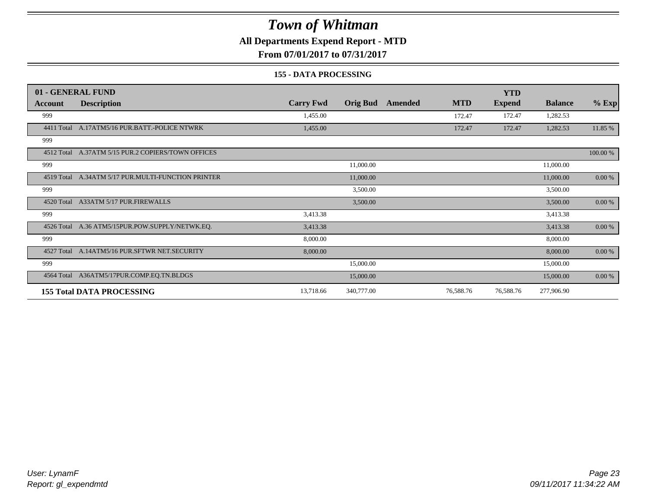### **All Departments Expend Report - MTD**

**From 07/01/2017 to 07/31/2017**

#### **155 - DATA PROCESSING**

|            | 01 - GENERAL FUND                                  |                  |                 |         |            | <b>YTD</b>    |                |           |
|------------|----------------------------------------------------|------------------|-----------------|---------|------------|---------------|----------------|-----------|
| Account    | <b>Description</b>                                 | <b>Carry Fwd</b> | <b>Orig Bud</b> | Amended | <b>MTD</b> | <b>Expend</b> | <b>Balance</b> | $%$ Exp   |
| 999        |                                                    | 1,455.00         |                 |         | 172.47     | 172.47        | 1,282.53       |           |
| 4411 Total | A.17ATM5/16 PUR.BATT.-POLICE NTWRK                 | 1,455.00         |                 |         | 172.47     | 172.47        | 1,282.53       | 11.85 %   |
| 999        |                                                    |                  |                 |         |            |               |                |           |
|            | 4512 Total A.37ATM 5/15 PUR.2 COPIERS/TOWN OFFICES |                  |                 |         |            |               |                | 100.00 %  |
| 999        |                                                    |                  | 11,000.00       |         |            |               | 11,000.00      |           |
| 4519 Total | A.34ATM 5/17 PUR.MULTI-FUNCTION PRINTER            |                  | 11,000.00       |         |            |               | 11,000.00      | 0.00 %    |
| 999        |                                                    |                  | 3,500.00        |         |            |               | 3,500.00       |           |
|            | 4520 Total A33ATM 5/17 PUR.FIREWALLS               |                  | 3,500.00        |         |            |               | 3,500.00       | $0.00 \%$ |
| 999        |                                                    | 3,413.38         |                 |         |            |               | 3,413.38       |           |
| 4526 Total | A.36 ATM5/15PUR.POW.SUPPLY/NETWK.EQ.               | 3,413.38         |                 |         |            |               | 3,413.38       | $0.00 \%$ |
| 999        |                                                    | 8,000.00         |                 |         |            |               | 8,000.00       |           |
|            | 4527 Total A.14ATM5/16 PUR.SFTWR NET.SECURITY      | 8,000.00         |                 |         |            |               | 8,000.00       | 0.00 %    |
| 999        |                                                    |                  | 15,000.00       |         |            |               | 15,000.00      |           |
|            | 4564 Total A36ATM5/17PUR.COMP.EQ.TN.BLDGS          |                  | 15,000.00       |         |            |               | 15,000.00      | $0.00 \%$ |
|            | <b>155 Total DATA PROCESSING</b>                   | 13,718.66        | 340,777.00      |         | 76,588.76  | 76,588.76     | 277,906.90     |           |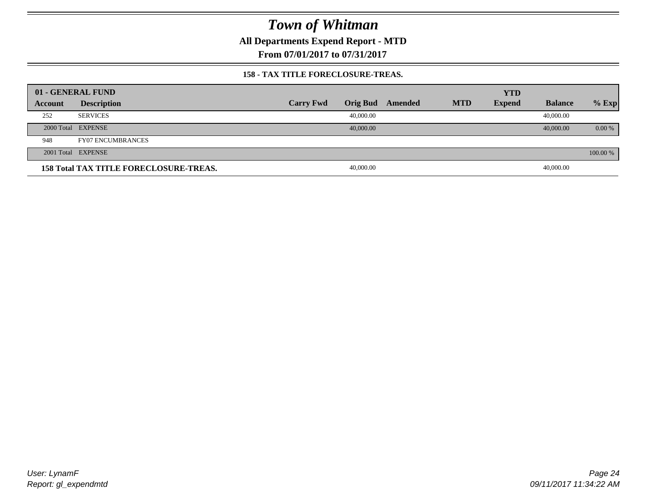**All Departments Expend Report - MTD**

**From 07/01/2017 to 07/31/2017**

#### **158 - TAX TITLE FORECLOSURE-TREAS.**

|         | 01 - GENERAL FUND                             |                  |                 |         |            | <b>YTD</b>    |                |          |
|---------|-----------------------------------------------|------------------|-----------------|---------|------------|---------------|----------------|----------|
| Account | <b>Description</b>                            | <b>Carry Fwd</b> | <b>Orig Bud</b> | Amended | <b>MTD</b> | <b>Expend</b> | <b>Balance</b> | $%$ Exp  |
| 252     | <b>SERVICES</b>                               |                  | 40,000.00       |         |            |               | 40,000.00      |          |
|         | 2000 Total EXPENSE                            |                  | 40,000.00       |         |            |               | 40,000.00      | 0.00 %   |
| 948     | <b>FY07 ENCUMBRANCES</b>                      |                  |                 |         |            |               |                |          |
|         | 2001 Total EXPENSE                            |                  |                 |         |            |               |                | 100.00 % |
|         | <b>158 Total TAX TITLE FORECLOSURE-TREAS.</b> |                  | 40,000.00       |         |            |               | 40,000.00      |          |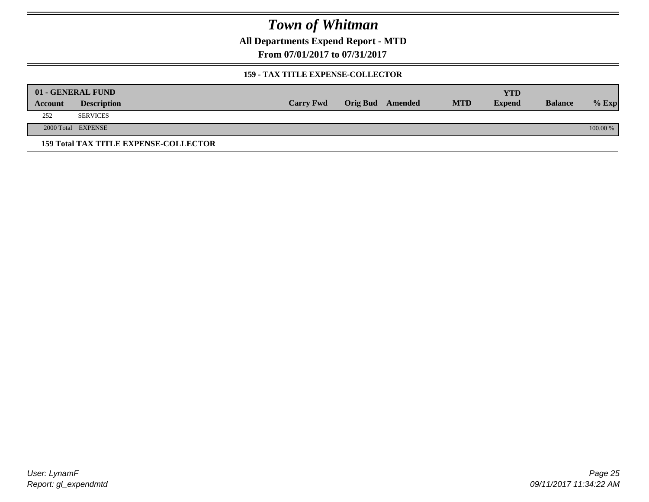**All Departments Expend Report - MTD**

**From 07/01/2017 to 07/31/2017**

#### **159 - TAX TITLE EXPENSE-COLLECTOR**

|         | 01 - GENERAL FUND                            |                  |                         |            | YTD           |                |          |
|---------|----------------------------------------------|------------------|-------------------------|------------|---------------|----------------|----------|
| Account | <b>Description</b>                           | <b>Carry Fwd</b> | <b>Orig Bud</b> Amended | <b>MTD</b> | <b>Expend</b> | <b>Balance</b> | $%$ Exp  |
| 252     | <b>SERVICES</b>                              |                  |                         |            |               |                |          |
|         | 2000 Total EXPENSE                           |                  |                         |            |               |                | 100.00 % |
|         | <b>159 Total TAX TITLE EXPENSE-COLLECTOR</b> |                  |                         |            |               |                |          |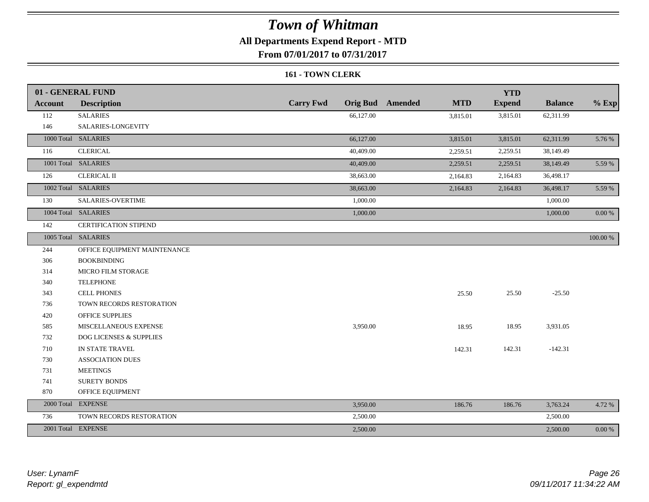### **All Departments Expend Report - MTD**

**From 07/01/2017 to 07/31/2017**

#### **161 - TOWN CLERK**

|                | 01 - GENERAL FUND                  |                  |           |                         |            | <b>YTD</b>    |                |             |
|----------------|------------------------------------|------------------|-----------|-------------------------|------------|---------------|----------------|-------------|
| <b>Account</b> | <b>Description</b>                 | <b>Carry Fwd</b> |           | <b>Orig Bud</b> Amended | <b>MTD</b> | <b>Expend</b> | <b>Balance</b> | $%$ Exp     |
| 112            | <b>SALARIES</b>                    |                  | 66,127.00 |                         | 3,815.01   | 3,815.01      | 62,311.99      |             |
| 146            | SALARIES-LONGEVITY                 |                  |           |                         |            |               |                |             |
|                | 1000 Total SALARIES                |                  | 66,127.00 |                         | 3,815.01   | 3,815.01      | 62,311.99      | 5.76 %      |
| 116            | <b>CLERICAL</b>                    |                  | 40,409.00 |                         | 2,259.51   | 2,259.51      | 38,149.49      |             |
|                | 1001 Total SALARIES                |                  | 40,409.00 |                         | 2,259.51   | 2,259.51      | 38,149.49      | 5.59 %      |
| 126            | <b>CLERICAL II</b>                 |                  | 38,663.00 |                         | 2,164.83   | 2,164.83      | 36,498.17      |             |
|                | 1002 Total SALARIES                |                  | 38,663.00 |                         | 2,164.83   | 2,164.83      | 36,498.17      | 5.59 %      |
| 130            | SALARIES-OVERTIME                  |                  | 1,000.00  |                         |            |               | 1,000.00       |             |
|                | 1004 Total SALARIES                |                  | 1,000.00  |                         |            |               | 1,000.00       | 0.00 %      |
| 142            | <b>CERTIFICATION STIPEND</b>       |                  |           |                         |            |               |                |             |
|                | 1005 Total SALARIES                |                  |           |                         |            |               |                | $100.00~\%$ |
| 244            | OFFICE EQUIPMENT MAINTENANCE       |                  |           |                         |            |               |                |             |
| 306            | <b>BOOKBINDING</b>                 |                  |           |                         |            |               |                |             |
| 314            | <b>MICRO FILM STORAGE</b>          |                  |           |                         |            |               |                |             |
| 340            | <b>TELEPHONE</b>                   |                  |           |                         |            |               |                |             |
| 343            | <b>CELL PHONES</b>                 |                  |           |                         | 25.50      | 25.50         | $-25.50$       |             |
| 736            | TOWN RECORDS RESTORATION           |                  |           |                         |            |               |                |             |
| 420            | <b>OFFICE SUPPLIES</b>             |                  |           |                         |            |               |                |             |
| 585            | MISCELLANEOUS EXPENSE              |                  | 3,950.00  |                         | 18.95      | 18.95         | 3,931.05       |             |
| 732            | <b>DOG LICENSES &amp; SUPPLIES</b> |                  |           |                         |            |               |                |             |
| 710            | IN STATE TRAVEL                    |                  |           |                         | 142.31     | 142.31        | $-142.31$      |             |
| 730            | <b>ASSOCIATION DUES</b>            |                  |           |                         |            |               |                |             |
| 731            | <b>MEETINGS</b>                    |                  |           |                         |            |               |                |             |
| 741            | <b>SURETY BONDS</b>                |                  |           |                         |            |               |                |             |
| 870            | OFFICE EQUIPMENT                   |                  |           |                         |            |               |                |             |
|                | 2000 Total EXPENSE                 |                  | 3,950.00  |                         | 186.76     | 186.76        | 3,763.24       | 4.72 %      |
| 736            | TOWN RECORDS RESTORATION           |                  | 2,500.00  |                         |            |               | 2,500.00       |             |
|                | 2001 Total EXPENSE                 |                  | 2,500.00  |                         |            |               | 2,500.00       | $0.00 \%$   |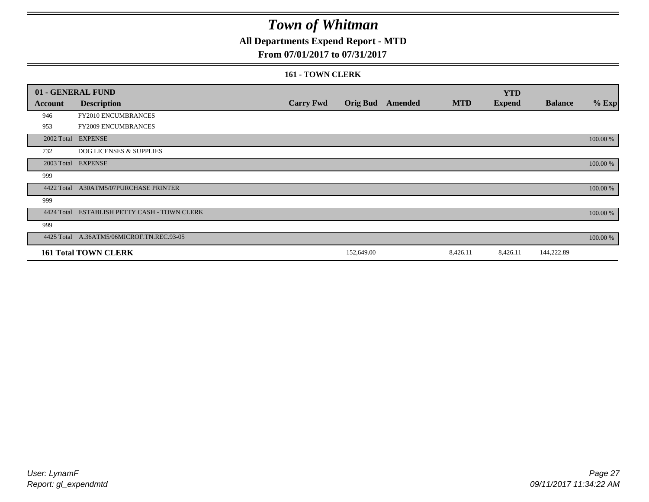### **All Departments Expend Report - MTD**

#### **From 07/01/2017 to 07/31/2017**

#### **161 - TOWN CLERK**

|            | 01 - GENERAL FUND                         |                  |                 |                |            | <b>YTD</b>    |                |          |
|------------|-------------------------------------------|------------------|-----------------|----------------|------------|---------------|----------------|----------|
| Account    | <b>Description</b>                        | <b>Carry Fwd</b> | <b>Orig Bud</b> | <b>Amended</b> | <b>MTD</b> | <b>Expend</b> | <b>Balance</b> | $%$ Exp  |
| 946        | FY2010 ENCUMBRANCES                       |                  |                 |                |            |               |                |          |
| 953        | FY2009 ENCUMBRANCES                       |                  |                 |                |            |               |                |          |
|            | 2002 Total EXPENSE                        |                  |                 |                |            |               |                | 100.00 % |
| 732        | <b>DOG LICENSES &amp; SUPPLIES</b>        |                  |                 |                |            |               |                |          |
|            | 2003 Total EXPENSE                        |                  |                 |                |            |               |                | 100.00 % |
| 999        |                                           |                  |                 |                |            |               |                |          |
| 4422 Total | A30ATM5/07PURCHASE PRINTER                |                  |                 |                |            |               |                | 100.00 % |
| 999        |                                           |                  |                 |                |            |               |                |          |
| 4424 Total | ESTABLISH PETTY CASH - TOWN CLERK         |                  |                 |                |            |               |                | 100.00 % |
| 999        |                                           |                  |                 |                |            |               |                |          |
|            | 4425 Total A.36ATM5/06MICROF.TN.REC.93-05 |                  |                 |                |            |               |                | 100.00 % |
|            | <b>161 Total TOWN CLERK</b>               |                  | 152,649.00      |                | 8,426.11   | 8,426.11      | 144,222.89     |          |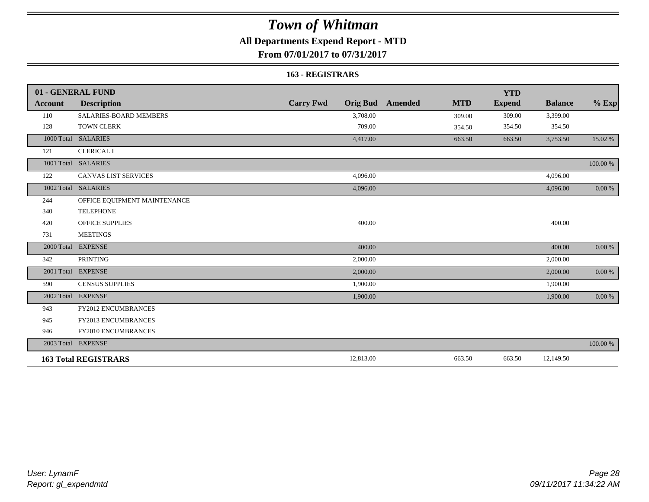### **All Departments Expend Report - MTD**

**From 07/01/2017 to 07/31/2017**

#### **163 - REGISTRARS**

|            | 01 - GENERAL FUND             |                  |                                       | <b>YTD</b>    |                |            |
|------------|-------------------------------|------------------|---------------------------------------|---------------|----------------|------------|
| Account    | <b>Description</b>            | <b>Carry Fwd</b> | <b>Orig Bud</b> Amended<br><b>MTD</b> | <b>Expend</b> | <b>Balance</b> | $%$ Exp    |
| 110        | <b>SALARIES-BOARD MEMBERS</b> | 3,708.00         | 309.00                                | 309.00        | 3,399.00       |            |
| 128        | <b>TOWN CLERK</b>             | 709.00           | 354.50                                | 354.50        | 354.50         |            |
|            | 1000 Total SALARIES           | 4,417.00         | 663.50                                | 663.50        | 3,753.50       | 15.02 %    |
| 121        | <b>CLERICAL I</b>             |                  |                                       |               |                |            |
|            | 1001 Total SALARIES           |                  |                                       |               |                | 100.00 %   |
| 122        | <b>CANVAS LIST SERVICES</b>   | 4,096.00         |                                       |               | 4,096.00       |            |
|            | 1002 Total SALARIES           | 4,096.00         |                                       |               | 4,096.00       | $0.00\ \%$ |
| 244        | OFFICE EQUIPMENT MAINTENANCE  |                  |                                       |               |                |            |
| 340        | <b>TELEPHONE</b>              |                  |                                       |               |                |            |
| 420        | <b>OFFICE SUPPLIES</b>        | 400.00           |                                       |               | 400.00         |            |
| 731        | <b>MEETINGS</b>               |                  |                                       |               |                |            |
| 2000 Total | <b>EXPENSE</b>                | 400.00           |                                       |               | 400.00         | $0.00 \%$  |
| 342        | <b>PRINTING</b>               | 2,000.00         |                                       |               | 2,000.00       |            |
|            | 2001 Total EXPENSE            | 2,000.00         |                                       |               | 2,000.00       | $0.00 \%$  |
| 590        | <b>CENSUS SUPPLIES</b>        | 1,900.00         |                                       |               | 1,900.00       |            |
| 2002 Total | <b>EXPENSE</b>                | 1,900.00         |                                       |               | 1,900.00       | 0.00 %     |
| 943        | <b>FY2012 ENCUMBRANCES</b>    |                  |                                       |               |                |            |
| 945        | FY2013 ENCUMBRANCES           |                  |                                       |               |                |            |
| 946        | FY2010 ENCUMBRANCES           |                  |                                       |               |                |            |
|            | 2003 Total EXPENSE            |                  |                                       |               |                | 100.00 %   |
|            | <b>163 Total REGISTRARS</b>   | 12,813.00        | 663.50                                | 663.50        | 12,149.50      |            |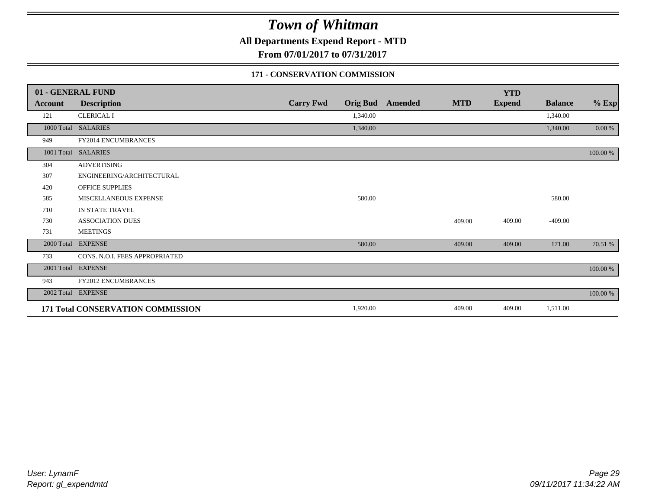**All Departments Expend Report - MTD**

**From 07/01/2017 to 07/31/2017**

#### **171 - CONSERVATION COMMISSION**

|            | 01 - GENERAL FUND                 |                  |                 |                |            | <b>YTD</b>    |                |          |
|------------|-----------------------------------|------------------|-----------------|----------------|------------|---------------|----------------|----------|
| Account    | <b>Description</b>                | <b>Carry Fwd</b> | <b>Orig Bud</b> | <b>Amended</b> | <b>MTD</b> | <b>Expend</b> | <b>Balance</b> | $%$ Exp  |
| 121        | <b>CLERICAL I</b>                 |                  | 1,340.00        |                |            |               | 1,340.00       |          |
|            | 1000 Total SALARIES               |                  | 1,340.00        |                |            |               | 1,340.00       | 0.00 %   |
| 949        | <b>FY2014 ENCUMBRANCES</b>        |                  |                 |                |            |               |                |          |
|            | 1001 Total SALARIES               |                  |                 |                |            |               |                | 100.00 % |
| 304        | <b>ADVERTISING</b>                |                  |                 |                |            |               |                |          |
| 307        | ENGINEERING/ARCHITECTURAL         |                  |                 |                |            |               |                |          |
| 420        | OFFICE SUPPLIES                   |                  |                 |                |            |               |                |          |
| 585        | MISCELLANEOUS EXPENSE             |                  | 580.00          |                |            |               | 580.00         |          |
| 710        | IN STATE TRAVEL                   |                  |                 |                |            |               |                |          |
| 730        | <b>ASSOCIATION DUES</b>           |                  |                 |                | 409.00     | 409.00        | $-409.00$      |          |
| 731        | <b>MEETINGS</b>                   |                  |                 |                |            |               |                |          |
| 2000 Total | <b>EXPENSE</b>                    |                  | 580.00          |                | 409.00     | 409.00        | 171.00         | 70.51 %  |
| 733        | CONS. N.O.I. FEES APPROPRIATED    |                  |                 |                |            |               |                |          |
| 2001 Total | <b>EXPENSE</b>                    |                  |                 |                |            |               |                | 100.00 % |
| 943        | FY2012 ENCUMBRANCES               |                  |                 |                |            |               |                |          |
| 2002 Total | <b>EXPENSE</b>                    |                  |                 |                |            |               |                | 100.00 % |
|            | 171 Total CONSERVATION COMMISSION |                  | 1,920.00        |                | 409.00     | 409.00        | 1,511.00       |          |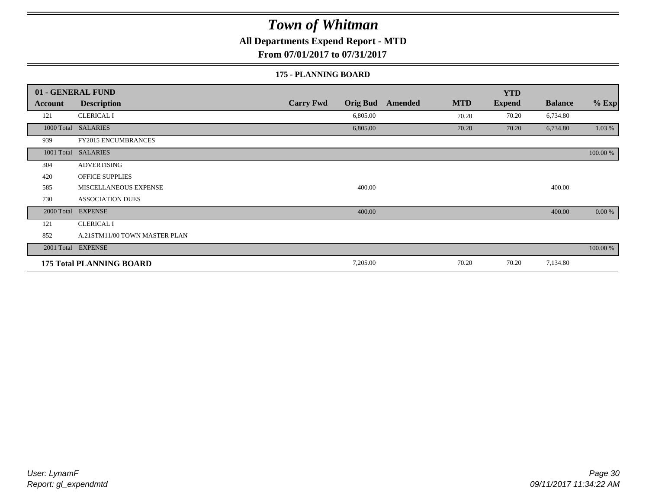### **All Departments Expend Report - MTD**

**From 07/01/2017 to 07/31/2017**

#### **175 - PLANNING BOARD**

|                | 01 - GENERAL FUND               |                                     |                       | <b>YTD</b>    |                |          |
|----------------|---------------------------------|-------------------------------------|-----------------------|---------------|----------------|----------|
| <b>Account</b> | <b>Description</b>              | <b>Carry Fwd</b><br><b>Orig Bud</b> | <b>MTD</b><br>Amended | <b>Expend</b> | <b>Balance</b> | $%$ Exp  |
| 121            | <b>CLERICAL I</b>               | 6,805.00                            | 70.20                 | 70.20         | 6,734.80       |          |
|                | 1000 Total SALARIES             | 6,805.00                            | 70.20                 | 70.20         | 6,734.80       | 1.03 %   |
| 939            | <b>FY2015 ENCUMBRANCES</b>      |                                     |                       |               |                |          |
| 1001 Total     | <b>SALARIES</b>                 |                                     |                       |               |                | 100.00 % |
| 304            | <b>ADVERTISING</b>              |                                     |                       |               |                |          |
| 420            | <b>OFFICE SUPPLIES</b>          |                                     |                       |               |                |          |
| 585            | MISCELLANEOUS EXPENSE           | 400.00                              |                       |               | 400.00         |          |
| 730            | <b>ASSOCIATION DUES</b>         |                                     |                       |               |                |          |
| 2000 Total     | <b>EXPENSE</b>                  | 400.00                              |                       |               | 400.00         | 0.00 %   |
| 121            | <b>CLERICAL I</b>               |                                     |                       |               |                |          |
| 852            | A.21STM11/00 TOWN MASTER PLAN   |                                     |                       |               |                |          |
|                | 2001 Total EXPENSE              |                                     |                       |               |                | 100.00 % |
|                | <b>175 Total PLANNING BOARD</b> | 7,205.00                            | 70.20                 | 70.20         | 7,134.80       |          |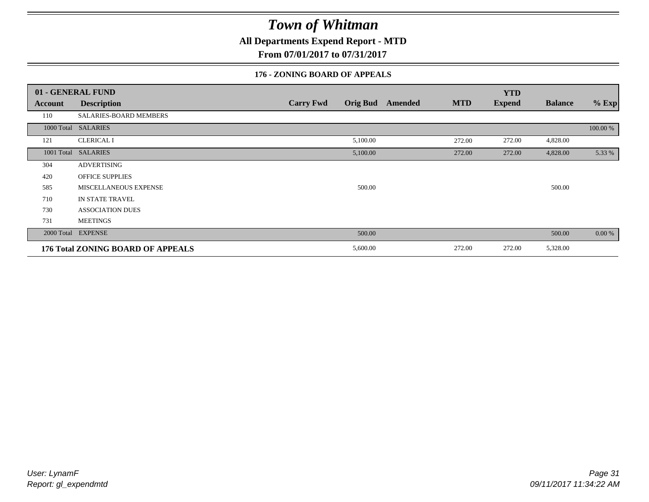**All Departments Expend Report - MTD**

**From 07/01/2017 to 07/31/2017**

#### **176 - ZONING BOARD OF APPEALS**

|            | 01 - GENERAL FUND                        |                  |                 |                |            | <b>YTD</b>    |                |          |
|------------|------------------------------------------|------------------|-----------------|----------------|------------|---------------|----------------|----------|
| Account    | <b>Description</b>                       | <b>Carry Fwd</b> | <b>Orig Bud</b> | <b>Amended</b> | <b>MTD</b> | <b>Expend</b> | <b>Balance</b> | $%$ Exp  |
| 110        | SALARIES-BOARD MEMBERS                   |                  |                 |                |            |               |                |          |
|            | 1000 Total SALARIES                      |                  |                 |                |            |               |                | 100.00 % |
| 121        | <b>CLERICAL I</b>                        |                  | 5,100.00        |                | 272.00     | 272.00        | 4,828.00       |          |
| 1001 Total | <b>SALARIES</b>                          |                  | 5,100.00        |                | 272.00     | 272.00        | 4,828.00       | 5.33 %   |
| 304        | <b>ADVERTISING</b>                       |                  |                 |                |            |               |                |          |
| 420        | <b>OFFICE SUPPLIES</b>                   |                  |                 |                |            |               |                |          |
| 585        | MISCELLANEOUS EXPENSE                    |                  | 500.00          |                |            |               | 500.00         |          |
| 710        | IN STATE TRAVEL                          |                  |                 |                |            |               |                |          |
| 730        | <b>ASSOCIATION DUES</b>                  |                  |                 |                |            |               |                |          |
| 731        | <b>MEETINGS</b>                          |                  |                 |                |            |               |                |          |
| 2000 Total | <b>EXPENSE</b>                           |                  | 500.00          |                |            |               | 500.00         | 0.00 %   |
|            | <b>176 Total ZONING BOARD OF APPEALS</b> |                  | 5,600.00        |                | 272.00     | 272.00        | 5,328.00       |          |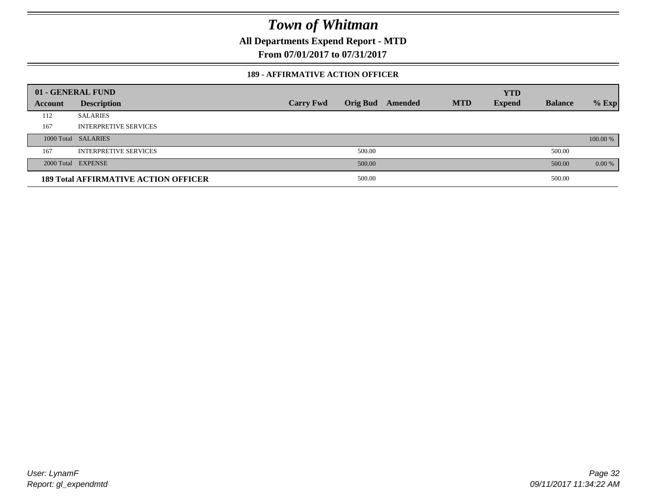**All Departments Expend Report - MTD**

**From 07/01/2017 to 07/31/2017**

#### **189 - AFFIRMATIVE ACTION OFFICER**

|         | 01 - GENERAL FUND                           |                  |        |                  |            | <b>YTD</b>    |                |          |
|---------|---------------------------------------------|------------------|--------|------------------|------------|---------------|----------------|----------|
| Account | <b>Description</b>                          | <b>Carry Fwd</b> |        | Orig Bud Amended | <b>MTD</b> | <b>Expend</b> | <b>Balance</b> | $%$ Exp  |
| 112     | <b>SALARIES</b>                             |                  |        |                  |            |               |                |          |
| 167     | <b>INTERPRETIVE SERVICES</b>                |                  |        |                  |            |               |                |          |
|         | 1000 Total SALARIES                         |                  |        |                  |            |               |                | 100.00 % |
| 167     | <b>INTERPRETIVE SERVICES</b>                |                  | 500.00 |                  |            |               | 500.00         |          |
|         | 2000 Total EXPENSE                          |                  | 500.00 |                  |            |               | 500.00         | 0.00 %   |
|         | <b>189 Total AFFIRMATIVE ACTION OFFICER</b> |                  | 500.00 |                  |            |               | 500.00         |          |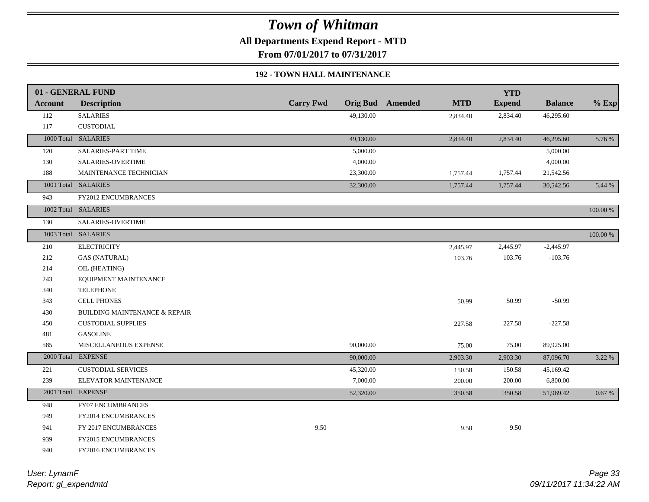**All Departments Expend Report - MTD**

**From 07/01/2017 to 07/31/2017**

#### **192 - TOWN HALL MAINTENANCE**

|            | 01 - GENERAL FUND                        |                  |           |                         |            | <b>YTD</b>    |                |          |
|------------|------------------------------------------|------------------|-----------|-------------------------|------------|---------------|----------------|----------|
| Account    | <b>Description</b>                       | <b>Carry Fwd</b> |           | <b>Orig Bud</b> Amended | <b>MTD</b> | <b>Expend</b> | <b>Balance</b> | $%$ Exp  |
| 112        | <b>SALARIES</b>                          |                  | 49,130.00 |                         | 2,834.40   | 2,834.40      | 46,295.60      |          |
| 117        | <b>CUSTODIAL</b>                         |                  |           |                         |            |               |                |          |
|            | 1000 Total SALARIES                      |                  | 49,130.00 |                         | 2,834.40   | 2,834.40      | 46,295.60      | 5.76 %   |
| 120        | <b>SALARIES-PART TIME</b>                |                  | 5,000.00  |                         |            |               | 5,000.00       |          |
| 130        | SALARIES-OVERTIME                        |                  | 4,000.00  |                         |            |               | 4,000.00       |          |
| 188        | MAINTENANCE TECHNICIAN                   |                  | 23,300.00 |                         | 1,757.44   | 1,757.44      | 21,542.56      |          |
|            | 1001 Total SALARIES                      |                  | 32,300.00 |                         | 1,757.44   | 1,757.44      | 30,542.56      | 5.44 %   |
| 943        | <b>FY2012 ENCUMBRANCES</b>               |                  |           |                         |            |               |                |          |
|            | 1002 Total SALARIES                      |                  |           |                         |            |               |                | 100.00 % |
| 130        | SALARIES-OVERTIME                        |                  |           |                         |            |               |                |          |
|            | 1003 Total SALARIES                      |                  |           |                         |            |               |                | 100.00 % |
| 210        | <b>ELECTRICITY</b>                       |                  |           |                         | 2,445.97   | 2,445.97      | $-2,445.97$    |          |
| 212        | <b>GAS (NATURAL)</b>                     |                  |           |                         | 103.76     | 103.76        | $-103.76$      |          |
| 214        | OIL (HEATING)                            |                  |           |                         |            |               |                |          |
| 243        | EQUIPMENT MAINTENANCE                    |                  |           |                         |            |               |                |          |
| 340        | <b>TELEPHONE</b>                         |                  |           |                         |            |               |                |          |
| 343        | <b>CELL PHONES</b>                       |                  |           |                         | 50.99      | 50.99         | $-50.99$       |          |
| 430        | <b>BUILDING MAINTENANCE &amp; REPAIR</b> |                  |           |                         |            |               |                |          |
| 450        | <b>CUSTODIAL SUPPLIES</b>                |                  |           |                         | 227.58     | 227.58        | $-227.58$      |          |
| 481        | <b>GASOLINE</b>                          |                  |           |                         |            |               |                |          |
| 585        | MISCELLANEOUS EXPENSE                    |                  | 90,000.00 |                         | 75.00      | 75.00         | 89,925.00      |          |
| 2000 Total | <b>EXPENSE</b>                           |                  | 90,000.00 |                         | 2,903.30   | 2,903.30      | 87,096.70      | 3.22 %   |
| 221        | <b>CUSTODIAL SERVICES</b>                |                  | 45,320.00 |                         | 150.58     | 150.58        | 45,169.42      |          |
| 239        | ELEVATOR MAINTENANCE                     |                  | 7,000.00  |                         | 200.00     | $200.00\,$    | 6,800.00       |          |
|            | 2001 Total EXPENSE                       |                  | 52,320.00 |                         | 350.58     | 350.58        | 51,969.42      | 0.67%    |
| 948        | <b>FY07 ENCUMBRANCES</b>                 |                  |           |                         |            |               |                |          |
| 949        | <b>FY2014 ENCUMBRANCES</b>               |                  |           |                         |            |               |                |          |
| 941        | FY 2017 ENCUMBRANCES                     | 9.50             |           |                         | 9.50       | 9.50          |                |          |
| 939        | FY2015 ENCUMBRANCES                      |                  |           |                         |            |               |                |          |
| 940        | FY2016 ENCUMBRANCES                      |                  |           |                         |            |               |                |          |
|            |                                          |                  |           |                         |            |               |                |          |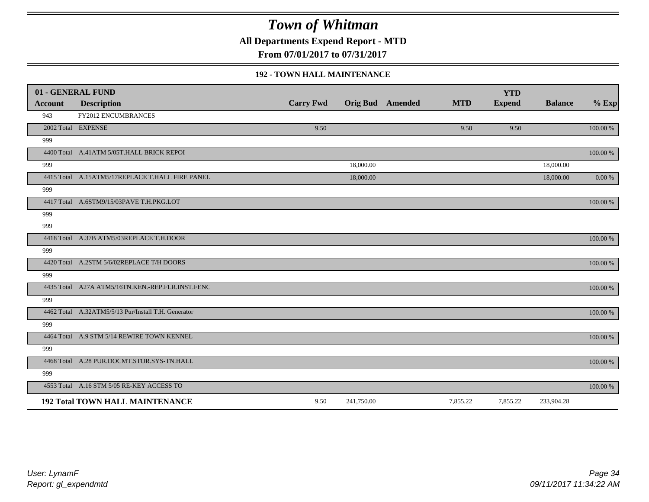**All Departments Expend Report - MTD**

**From 07/01/2017 to 07/31/2017**

#### **192 - TOWN HALL MAINTENANCE**

|                | 01 - GENERAL FUND                                   |                  |            |                         |            | <b>YTD</b>    |                |           |
|----------------|-----------------------------------------------------|------------------|------------|-------------------------|------------|---------------|----------------|-----------|
| <b>Account</b> | <b>Description</b>                                  | <b>Carry Fwd</b> |            | <b>Orig Bud</b> Amended | <b>MTD</b> | <b>Expend</b> | <b>Balance</b> | $%$ Exp   |
| 943            | <b>FY2012 ENCUMBRANCES</b>                          |                  |            |                         |            |               |                |           |
|                | 2002 Total EXPENSE                                  | 9.50             |            |                         | 9.50       | 9.50          |                | 100.00 %  |
| 999            |                                                     |                  |            |                         |            |               |                |           |
|                | 4400 Total A.41ATM 5/05T.HALL BRICK REPOI           |                  |            |                         |            |               |                | 100.00 %  |
| 999            |                                                     |                  | 18,000.00  |                         |            |               | 18,000.00      |           |
|                | 4415 Total A.15ATM5/17REPLACE T.HALL FIRE PANEL     |                  | 18,000.00  |                         |            |               | 18,000.00      | $0.00 \%$ |
| 999            |                                                     |                  |            |                         |            |               |                |           |
|                | 4417 Total A.6STM9/15/03PAVE T.H.PKG.LOT            |                  |            |                         |            |               |                | 100.00 %  |
| 999            |                                                     |                  |            |                         |            |               |                |           |
| 999            |                                                     |                  |            |                         |            |               |                |           |
|                | 4418 Total A.37B ATM5/03REPLACE T.H.DOOR            |                  |            |                         |            |               |                | 100.00 %  |
| 999            |                                                     |                  |            |                         |            |               |                |           |
|                | 4420 Total A.2STM 5/6/02REPLACE T/H DOORS           |                  |            |                         |            |               |                | 100.00 %  |
| 999            |                                                     |                  |            |                         |            |               |                |           |
|                | 4435 Total A27A ATM5/16TN.KEN.-REP.FLR.INST.FENC    |                  |            |                         |            |               |                | 100.00 %  |
| 999            |                                                     |                  |            |                         |            |               |                |           |
|                | 4462 Total A.32ATM5/5/13 Pur/Install T.H. Generator |                  |            |                         |            |               |                | 100.00 %  |
| 999            |                                                     |                  |            |                         |            |               |                |           |
|                | 4464 Total A.9 STM 5/14 REWIRE TOWN KENNEL          |                  |            |                         |            |               |                | 100.00 %  |
| 999            |                                                     |                  |            |                         |            |               |                |           |
|                | 4468 Total A.28 PUR.DOCMT.STOR.SYS-TN.HALL          |                  |            |                         |            |               |                | 100.00 %  |
| 999            |                                                     |                  |            |                         |            |               |                |           |
|                | 4553 Total A.16 STM 5/05 RE-KEY ACCESS TO           |                  |            |                         |            |               |                | 100.00 %  |
|                | <b>192 Total TOWN HALL MAINTENANCE</b>              | 9.50             | 241,750.00 |                         | 7,855.22   | 7,855.22      | 233,904.28     |           |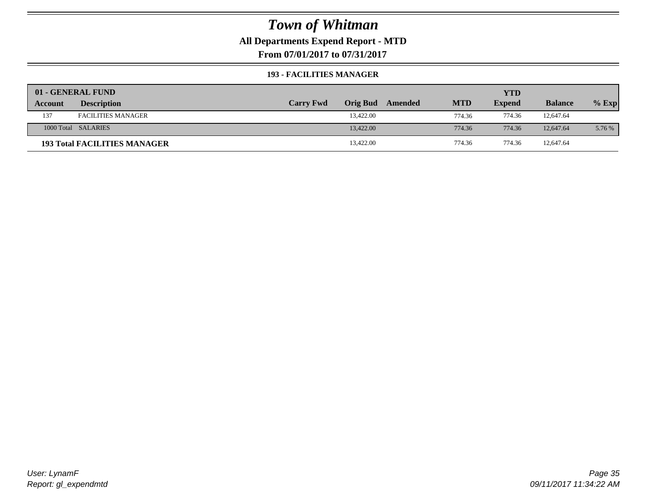### **All Departments Expend Report - MTD**

**From 07/01/2017 to 07/31/2017**

#### **193 - FACILITIES MANAGER**

|         | 01 - GENERAL FUND                   |                  |                 |         |            | <b>YTD</b>    |                |         |
|---------|-------------------------------------|------------------|-----------------|---------|------------|---------------|----------------|---------|
| Account | <b>Description</b>                  | <b>Carry Fwd</b> | <b>Orig Bud</b> | Amended | <b>MTD</b> | <b>Expend</b> | <b>Balance</b> | $%$ Exp |
| 137     | <b>FACILITIES MANAGER</b>           |                  | 13.422.00       |         | 774.36     | 774.36        | 12,647.64      |         |
|         | 1000 Total SALARIES                 |                  | 13,422.00       |         | 774.36     | 774.36        | 12,647.64      | 5.76 %  |
|         | <b>193 Total FACILITIES MANAGER</b> |                  | 13,422.00       |         | 774.36     | 774.36        | 12,647.64      |         |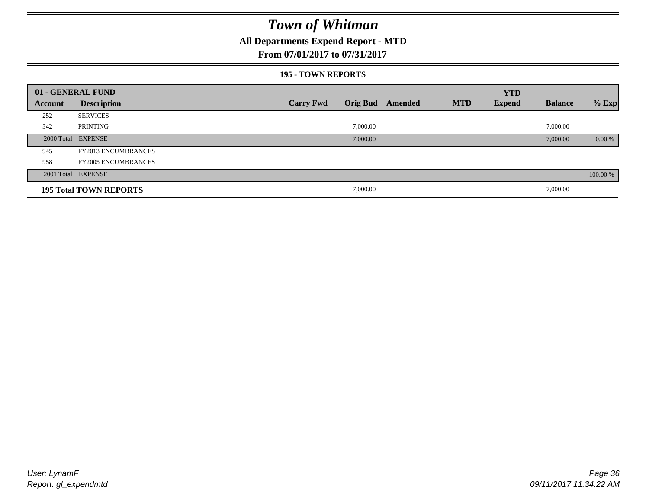### **All Departments Expend Report - MTD**

#### **From 07/01/2017 to 07/31/2017**

#### **195 - TOWN REPORTS**

|         | 01 - GENERAL FUND             |                  |          |                         |            | <b>YTD</b>    |                |          |
|---------|-------------------------------|------------------|----------|-------------------------|------------|---------------|----------------|----------|
| Account | <b>Description</b>            | <b>Carry Fwd</b> |          | <b>Orig Bud</b> Amended | <b>MTD</b> | <b>Expend</b> | <b>Balance</b> | $%$ Exp  |
| 252     | <b>SERVICES</b>               |                  |          |                         |            |               |                |          |
| 342     | PRINTING                      |                  | 7,000.00 |                         |            |               | 7,000.00       |          |
|         | 2000 Total EXPENSE            |                  | 7,000.00 |                         |            |               | 7,000.00       | $0.00\%$ |
| 945     | <b>FY2013 ENCUMBRANCES</b>    |                  |          |                         |            |               |                |          |
| 958     | <b>FY2005 ENCUMBRANCES</b>    |                  |          |                         |            |               |                |          |
|         | 2001 Total EXPENSE            |                  |          |                         |            |               |                | 100.00 % |
|         | <b>195 Total TOWN REPORTS</b> |                  | 7,000.00 |                         |            |               | 7,000.00       |          |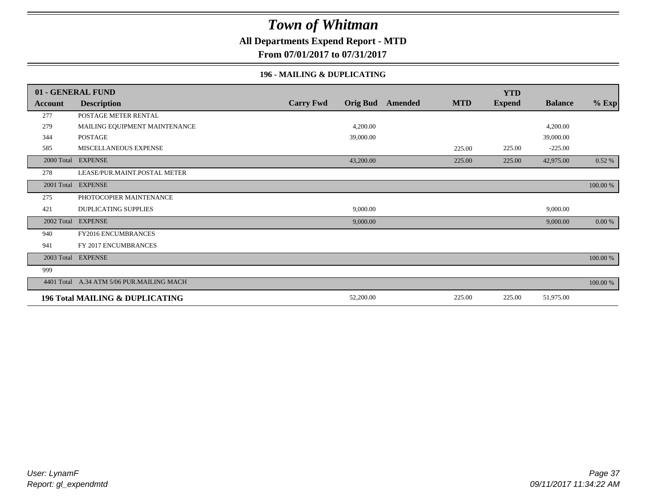### **All Departments Expend Report - MTD**

**From 07/01/2017 to 07/31/2017**

#### **196 - MAILING & DUPLICATING**

|            | 01 - GENERAL FUND                          |                                     |         | <b>YTD</b>                  |                |          |
|------------|--------------------------------------------|-------------------------------------|---------|-----------------------------|----------------|----------|
| Account    | <b>Description</b>                         | <b>Carry Fwd</b><br><b>Orig Bud</b> | Amended | <b>MTD</b><br><b>Expend</b> | <b>Balance</b> | $%$ Exp  |
| 277        | POSTAGE METER RENTAL                       |                                     |         |                             |                |          |
| 279        | MAILING EQUIPMENT MAINTENANCE              | 4,200.00                            |         |                             | 4,200.00       |          |
| 344        | <b>POSTAGE</b>                             | 39,000.00                           |         |                             | 39,000.00      |          |
| 585        | MISCELLANEOUS EXPENSE                      |                                     |         | 225.00<br>225.00            | $-225.00$      |          |
| 2000 Total | <b>EXPENSE</b>                             | 43,200.00                           |         | 225.00<br>225.00            | 42,975.00      | 0.52 %   |
| 278        | LEASE/PUR.MAINT.POSTAL METER               |                                     |         |                             |                |          |
| 2001 Total | <b>EXPENSE</b>                             |                                     |         |                             |                | 100.00 % |
| 275        | PHOTOCOPIER MAINTENANCE                    |                                     |         |                             |                |          |
| 421        | <b>DUPLICATING SUPPLIES</b>                | 9,000.00                            |         |                             | 9,000.00       |          |
| 2002 Total | <b>EXPENSE</b>                             | 9,000.00                            |         |                             | 9,000.00       | 0.00 %   |
| 940        | FY2016 ENCUMBRANCES                        |                                     |         |                             |                |          |
| 941        | FY 2017 ENCUMBRANCES                       |                                     |         |                             |                |          |
|            | 2003 Total EXPENSE                         |                                     |         |                             |                | 100.00 % |
| 999        |                                            |                                     |         |                             |                |          |
|            | 4401 Total A.34 ATM 5/06 PUR.MAILING MACH  |                                     |         |                             |                | 100.00 % |
|            | <b>196 Total MAILING &amp; DUPLICATING</b> | 52,200.00                           |         | 225.00<br>225.00            | 51,975.00      |          |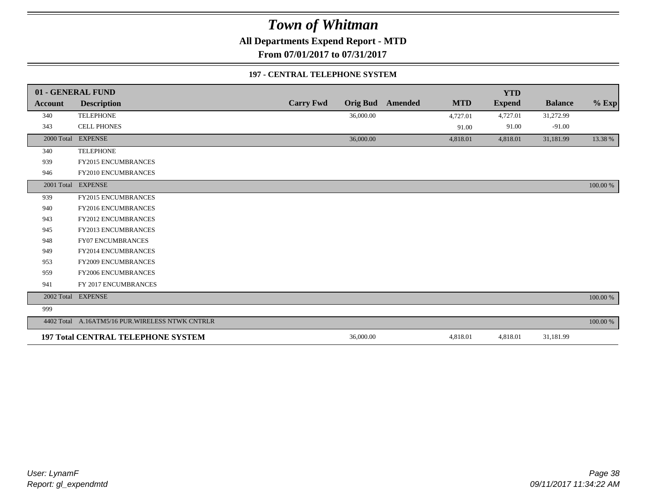**All Departments Expend Report - MTD**

**From 07/01/2017 to 07/31/2017**

#### **197 - CENTRAL TELEPHONE SYSTEM**

|            | 01 - GENERAL FUND                                |                  |                 |         |            | <b>YTD</b>    |                |             |
|------------|--------------------------------------------------|------------------|-----------------|---------|------------|---------------|----------------|-------------|
| Account    | <b>Description</b>                               | <b>Carry Fwd</b> | <b>Orig Bud</b> | Amended | <b>MTD</b> | <b>Expend</b> | <b>Balance</b> | $%$ Exp     |
| 340        | <b>TELEPHONE</b>                                 |                  | 36,000.00       |         | 4,727.01   | 4,727.01      | 31,272.99      |             |
| 343        | <b>CELL PHONES</b>                               |                  |                 |         | 91.00      | 91.00         | $-91.00$       |             |
| 2000 Total | <b>EXPENSE</b>                                   |                  | 36,000.00       |         | 4,818.01   | 4,818.01      | 31,181.99      | 13.38 %     |
| 340        | <b>TELEPHONE</b>                                 |                  |                 |         |            |               |                |             |
| 939        | FY2015 ENCUMBRANCES                              |                  |                 |         |            |               |                |             |
| 946        | FY2010 ENCUMBRANCES                              |                  |                 |         |            |               |                |             |
|            | 2001 Total EXPENSE                               |                  |                 |         |            |               |                | 100.00 %    |
| 939        | FY2015 ENCUMBRANCES                              |                  |                 |         |            |               |                |             |
| 940        | <b>FY2016 ENCUMBRANCES</b>                       |                  |                 |         |            |               |                |             |
| 943        | <b>FY2012 ENCUMBRANCES</b>                       |                  |                 |         |            |               |                |             |
| 945        | FY2013 ENCUMBRANCES                              |                  |                 |         |            |               |                |             |
| 948        | <b>FY07 ENCUMBRANCES</b>                         |                  |                 |         |            |               |                |             |
| 949        | FY2014 ENCUMBRANCES                              |                  |                 |         |            |               |                |             |
| 953        | <b>FY2009 ENCUMBRANCES</b>                       |                  |                 |         |            |               |                |             |
| 959        | FY2006 ENCUMBRANCES                              |                  |                 |         |            |               |                |             |
| 941        | FY 2017 ENCUMBRANCES                             |                  |                 |         |            |               |                |             |
|            | 2002 Total EXPENSE                               |                  |                 |         |            |               |                | $100.00~\%$ |
| 999        |                                                  |                  |                 |         |            |               |                |             |
|            | 4402 Total A.16ATM5/16 PUR. WIRELESS NTWK CNTRLR |                  |                 |         |            |               |                | 100.00 %    |
|            | <b>197 Total CENTRAL TELEPHONE SYSTEM</b>        |                  | 36,000.00       |         | 4,818.01   | 4,818.01      | 31,181.99      |             |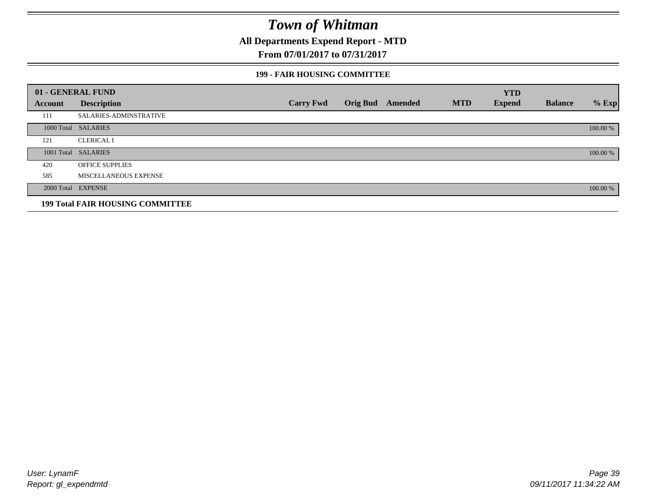**All Departments Expend Report - MTD**

### **From 07/01/2017 to 07/31/2017**

#### **199 - FAIR HOUSING COMMITTEE**

|         | 01 - GENERAL FUND                       |                  |                         |            | <b>YTD</b>    |                |          |
|---------|-----------------------------------------|------------------|-------------------------|------------|---------------|----------------|----------|
| Account | <b>Description</b>                      | <b>Carry Fwd</b> | <b>Orig Bud</b> Amended | <b>MTD</b> | <b>Expend</b> | <b>Balance</b> | $%$ Exp  |
| 111     | <b>SALARIES-ADMINSTRATIVE</b>           |                  |                         |            |               |                |          |
|         | 1000 Total SALARIES                     |                  |                         |            |               |                | 100.00 % |
| 121     | <b>CLERICAL I</b>                       |                  |                         |            |               |                |          |
|         | 1001 Total SALARIES                     |                  |                         |            |               |                | 100.00 % |
| 420     | <b>OFFICE SUPPLIES</b>                  |                  |                         |            |               |                |          |
| 585     | MISCELLANEOUS EXPENSE                   |                  |                         |            |               |                |          |
|         | 2000 Total EXPENSE                      |                  |                         |            |               |                | 100.00 % |
|         | <b>199 Total FAIR HOUSING COMMITTEE</b> |                  |                         |            |               |                |          |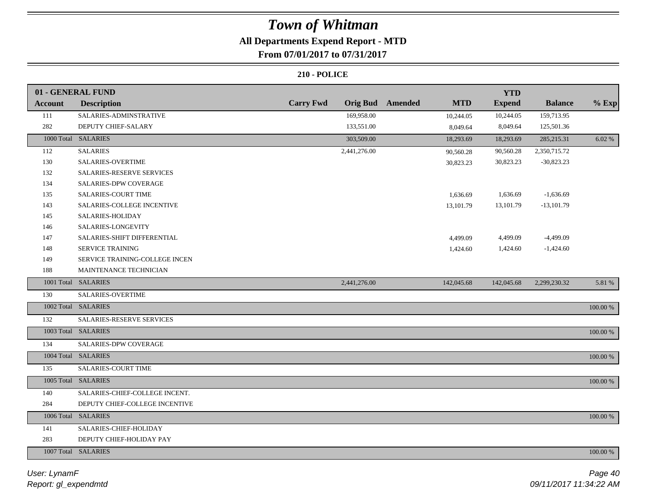## **All Departments Expend Report - MTD**

### **From 07/01/2017 to 07/31/2017**

|                | 01 - GENERAL FUND                |                                     |                              | <b>YTD</b>    |                |             |
|----------------|----------------------------------|-------------------------------------|------------------------------|---------------|----------------|-------------|
| <b>Account</b> | <b>Description</b>               | <b>Carry Fwd</b><br><b>Orig Bud</b> | <b>Amended</b><br><b>MTD</b> | <b>Expend</b> | <b>Balance</b> | $%$ Exp     |
| 111            | SALARIES-ADMINSTRATIVE           | 169,958.00                          | 10,244.05                    | 10,244.05     | 159,713.95     |             |
| 282            | DEPUTY CHIEF-SALARY              | 133,551.00                          | 8,049.64                     | 8,049.64      | 125,501.36     |             |
|                | 1000 Total SALARIES              | 303,509.00                          | 18,293.69                    | 18,293.69     | 285, 215. 31   | 6.02 %      |
| 112            | <b>SALARIES</b>                  | 2,441,276.00                        | 90,560.28                    | 90,560.28     | 2,350,715.72   |             |
| 130            | SALARIES-OVERTIME                |                                     | 30,823.23                    | 30,823.23     | $-30,823.23$   |             |
| 132            | <b>SALARIES-RESERVE SERVICES</b> |                                     |                              |               |                |             |
| 134            | <b>SALARIES-DPW COVERAGE</b>     |                                     |                              |               |                |             |
| 135            | <b>SALARIES-COURT TIME</b>       |                                     | 1,636.69                     | 1,636.69      | $-1,636.69$    |             |
| 143            | SALARIES-COLLEGE INCENTIVE       |                                     | 13,101.79                    | 13,101.79     | $-13,101.79$   |             |
| 145            | SALARIES-HOLIDAY                 |                                     |                              |               |                |             |
| 146            | SALARIES-LONGEVITY               |                                     |                              |               |                |             |
| 147            | SALARIES-SHIFT DIFFERENTIAL      |                                     | 4,499.09                     | 4,499.09      | $-4,499.09$    |             |
| 148            | SERVICE TRAINING                 |                                     | 1,424.60                     | 1,424.60      | $-1,424.60$    |             |
| 149            | SERVICE TRAINING-COLLEGE INCEN   |                                     |                              |               |                |             |
| 188            | MAINTENANCE TECHNICIAN           |                                     |                              |               |                |             |
|                | 1001 Total SALARIES              | 2,441,276.00                        | 142,045.68                   | 142,045.68    | 2,299,230.32   | 5.81 %      |
| 130            | SALARIES-OVERTIME                |                                     |                              |               |                |             |
|                | 1002 Total SALARIES              |                                     |                              |               |                | 100.00 %    |
| 132            | SALARIES-RESERVE SERVICES        |                                     |                              |               |                |             |
|                | 1003 Total SALARIES              |                                     |                              |               |                | $100.00~\%$ |
| 134            | SALARIES-DPW COVERAGE            |                                     |                              |               |                |             |
|                | 1004 Total SALARIES              |                                     |                              |               |                | 100.00 %    |
| 135            | SALARIES-COURT TIME              |                                     |                              |               |                |             |
|                | 1005 Total SALARIES              |                                     |                              |               |                | 100.00 %    |
| 140            | SALARIES-CHIEF-COLLEGE INCENT.   |                                     |                              |               |                |             |
| 284            | DEPUTY CHIEF-COLLEGE INCENTIVE   |                                     |                              |               |                |             |
|                | 1006 Total SALARIES              |                                     |                              |               |                | 100.00 %    |
| 141            | SALARIES-CHIEF-HOLIDAY           |                                     |                              |               |                |             |
| 283            | DEPUTY CHIEF-HOLIDAY PAY         |                                     |                              |               |                |             |
|                | 1007 Total SALARIES              |                                     |                              |               |                | 100.00 %    |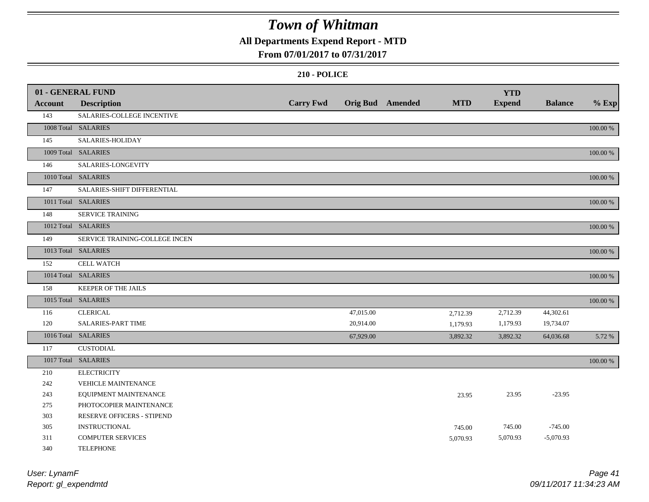## **All Departments Expend Report - MTD**

### **From 07/01/2017 to 07/31/2017**

#### **210 - POLICE**

|                | 01 - GENERAL FUND              |                  |           |                         |            | <b>YTD</b>    |                |          |
|----------------|--------------------------------|------------------|-----------|-------------------------|------------|---------------|----------------|----------|
| <b>Account</b> | <b>Description</b>             | <b>Carry Fwd</b> |           | <b>Orig Bud</b> Amended | <b>MTD</b> | <b>Expend</b> | <b>Balance</b> | $%$ Exp  |
| 143            | SALARIES-COLLEGE INCENTIVE     |                  |           |                         |            |               |                |          |
|                | 1008 Total SALARIES            |                  |           |                         |            |               |                | 100.00 % |
| 145            | SALARIES-HOLIDAY               |                  |           |                         |            |               |                |          |
|                | 1009 Total SALARIES            |                  |           |                         |            |               |                | 100.00 % |
| 146            | SALARIES-LONGEVITY             |                  |           |                         |            |               |                |          |
|                | 1010 Total SALARIES            |                  |           |                         |            |               |                | 100.00 % |
| 147            | SALARIES-SHIFT DIFFERENTIAL    |                  |           |                         |            |               |                |          |
|                | 1011 Total SALARIES            |                  |           |                         |            |               |                | 100.00 % |
| 148            | <b>SERVICE TRAINING</b>        |                  |           |                         |            |               |                |          |
|                | 1012 Total SALARIES            |                  |           |                         |            |               |                | 100.00 % |
| 149            | SERVICE TRAINING-COLLEGE INCEN |                  |           |                         |            |               |                |          |
|                | 1013 Total SALARIES            |                  |           |                         |            |               |                | 100.00 % |
| 152            | CELL WATCH                     |                  |           |                         |            |               |                |          |
|                | 1014 Total SALARIES            |                  |           |                         |            |               |                | 100.00 % |
| 158            | KEEPER OF THE JAILS            |                  |           |                         |            |               |                |          |
|                | 1015 Total SALARIES            |                  |           |                         |            |               |                | 100.00 % |
| 116            | <b>CLERICAL</b>                |                  | 47,015.00 |                         | 2,712.39   | 2,712.39      | 44,302.61      |          |
| 120            | SALARIES-PART TIME             |                  | 20,914.00 |                         | 1,179.93   | 1,179.93      | 19,734.07      |          |
|                | 1016 Total SALARIES            |                  | 67,929.00 |                         | 3,892.32   | 3,892.32      | 64,036.68      | 5.72 %   |
| 117            | <b>CUSTODIAL</b>               |                  |           |                         |            |               |                |          |
|                | 1017 Total SALARIES            |                  |           |                         |            |               |                | 100.00 % |
| 210            | <b>ELECTRICITY</b>             |                  |           |                         |            |               |                |          |
| 242            | <b>VEHICLE MAINTENANCE</b>     |                  |           |                         |            |               |                |          |
| 243            | EQUIPMENT MAINTENANCE          |                  |           |                         | 23.95      | 23.95         | $-23.95$       |          |
| 275            | PHOTOCOPIER MAINTENANCE        |                  |           |                         |            |               |                |          |
| 303            | RESERVE OFFICERS - STIPEND     |                  |           |                         |            |               |                |          |
| 305            | <b>INSTRUCTIONAL</b>           |                  |           |                         | 745.00     | 745.00        | $-745.00$      |          |
| 311            | <b>COMPUTER SERVICES</b>       |                  |           |                         | 5,070.93   | 5,070.93      | $-5,070.93$    |          |
| 340            | <b>TELEPHONE</b>               |                  |           |                         |            |               |                |          |

*Report: gl\_expendmtd User: LynamF*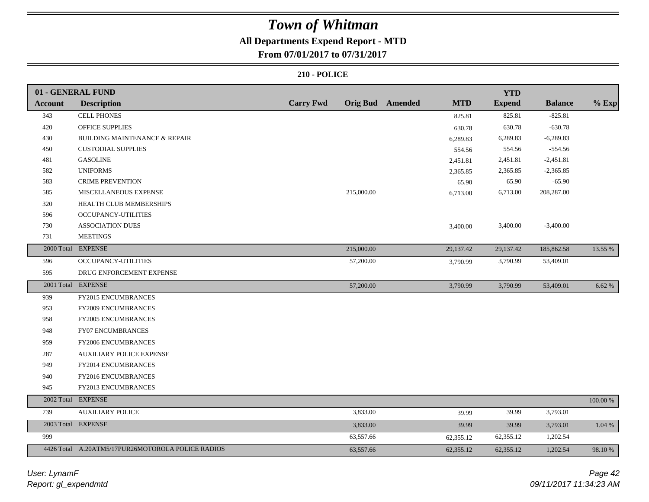## **All Departments Expend Report - MTD**

### **From 07/01/2017 to 07/31/2017**

|                | 01 - GENERAL FUND                                 |                  |            |                         |            | <b>YTD</b>    |                |          |
|----------------|---------------------------------------------------|------------------|------------|-------------------------|------------|---------------|----------------|----------|
| <b>Account</b> | <b>Description</b>                                | <b>Carry Fwd</b> |            | <b>Orig Bud</b> Amended | <b>MTD</b> | <b>Expend</b> | <b>Balance</b> | $%$ Exp  |
| 343            | <b>CELL PHONES</b>                                |                  |            |                         | 825.81     | 825.81        | $-825.81$      |          |
| 420            | <b>OFFICE SUPPLIES</b>                            |                  |            |                         | 630.78     | 630.78        | $-630.78$      |          |
| 430            | BUILDING MAINTENANCE & REPAIR                     |                  |            |                         | 6,289.83   | 6,289.83      | $-6,289.83$    |          |
| 450            | <b>CUSTODIAL SUPPLIES</b>                         |                  |            |                         | 554.56     | 554.56        | $-554.56$      |          |
| 481            | <b>GASOLINE</b>                                   |                  |            |                         | 2,451.81   | 2,451.81      | $-2,451.81$    |          |
| 582            | <b>UNIFORMS</b>                                   |                  |            |                         | 2,365.85   | 2,365.85      | $-2,365.85$    |          |
| 583            | <b>CRIME PREVENTION</b>                           |                  |            |                         | 65.90      | 65.90         | $-65.90$       |          |
| 585            | MISCELLANEOUS EXPENSE                             |                  | 215,000.00 |                         | 6,713.00   | 6,713.00      | 208,287.00     |          |
| 320            | HEALTH CLUB MEMBERSHIPS                           |                  |            |                         |            |               |                |          |
| 596            | <b>OCCUPANCY-UTILITIES</b>                        |                  |            |                         |            |               |                |          |
| 730            | <b>ASSOCIATION DUES</b>                           |                  |            |                         | 3,400.00   | 3,400.00      | $-3,400.00$    |          |
| 731            | <b>MEETINGS</b>                                   |                  |            |                         |            |               |                |          |
|                | 2000 Total EXPENSE                                |                  | 215,000.00 |                         | 29,137.42  | 29,137.42     | 185,862.58     | 13.55 %  |
| 596            | OCCUPANCY-UTILITIES                               |                  | 57,200.00  |                         | 3,790.99   | 3,790.99      | 53,409.01      |          |
| 595            | DRUG ENFORCEMENT EXPENSE                          |                  |            |                         |            |               |                |          |
|                | 2001 Total EXPENSE                                |                  | 57,200.00  |                         | 3,790.99   | 3,790.99      | 53,409.01      | 6.62 %   |
| 939            | FY2015 ENCUMBRANCES                               |                  |            |                         |            |               |                |          |
| 953            | <b>FY2009 ENCUMBRANCES</b>                        |                  |            |                         |            |               |                |          |
| 958            | FY2005 ENCUMBRANCES                               |                  |            |                         |            |               |                |          |
| 948            | <b>FY07 ENCUMBRANCES</b>                          |                  |            |                         |            |               |                |          |
| 959            | <b>FY2006 ENCUMBRANCES</b>                        |                  |            |                         |            |               |                |          |
| 287            | <b>AUXILIARY POLICE EXPENSE</b>                   |                  |            |                         |            |               |                |          |
| 949            | FY2014 ENCUMBRANCES                               |                  |            |                         |            |               |                |          |
| 940            | FY2016 ENCUMBRANCES                               |                  |            |                         |            |               |                |          |
| 945            | FY2013 ENCUMBRANCES                               |                  |            |                         |            |               |                |          |
|                | 2002 Total EXPENSE                                |                  |            |                         |            |               |                | 100.00 % |
| 739            | <b>AUXILIARY POLICE</b>                           |                  | 3,833.00   |                         | 39.99      | 39.99         | 3,793.01       |          |
|                | 2003 Total EXPENSE                                |                  | 3,833.00   |                         | 39.99      | 39.99         | 3,793.01       | 1.04%    |
| 999            |                                                   |                  | 63,557.66  |                         | 62,355.12  | 62,355.12     | 1,202.54       |          |
|                | 4426 Total A.20ATM5/17PUR26MOTOROLA POLICE RADIOS |                  | 63,557.66  |                         | 62,355.12  | 62,355.12     | 1,202.54       | 98.10 %  |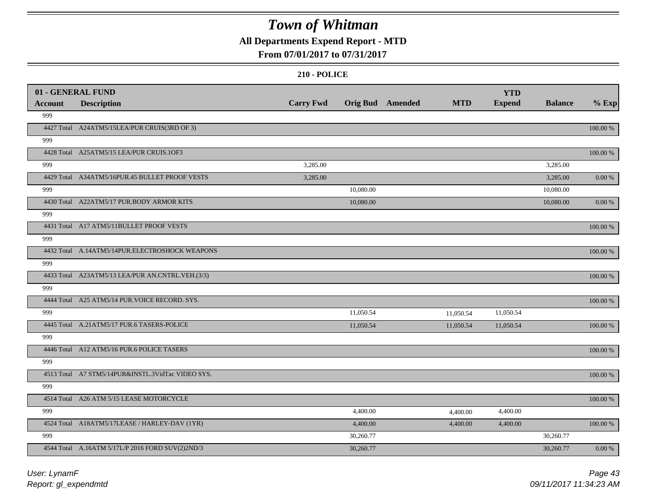## **All Departments Expend Report - MTD**

### **From 07/01/2017 to 07/31/2017**

|                | 01 - GENERAL FUND                                 |                  |                  |            | <b>YTD</b>    |                |            |
|----------------|---------------------------------------------------|------------------|------------------|------------|---------------|----------------|------------|
| <b>Account</b> | <b>Description</b>                                | <b>Carry Fwd</b> | Orig Bud Amended | <b>MTD</b> | <b>Expend</b> | <b>Balance</b> | $%$ Exp    |
| 999            |                                                   |                  |                  |            |               |                |            |
|                | 4427 Total A24ATM5/15LEA/PUR CRUIS(3RD OF 3)      |                  |                  |            |               |                | 100.00 %   |
| 999            |                                                   |                  |                  |            |               |                |            |
|                | 4428 Total A25ATM5/15 LEA/PUR CRUIS.1OF3          |                  |                  |            |               |                | 100.00 %   |
| 999            |                                                   | 3,285.00         |                  |            |               | 3,285.00       |            |
|                | 4429 Total A34ATM5/16PUR.45 BULLET PROOF VESTS    | 3,285.00         |                  |            |               | 3,285.00       | $0.00\ \%$ |
| 999            |                                                   |                  | 10,080.00        |            |               | 10,080.00      |            |
|                | 4430 Total A22ATM5/17 PUR.BODY ARMOR KITS         |                  | 10,080.00        |            |               | 10,080.00      | 0.00 %     |
| 999            |                                                   |                  |                  |            |               |                |            |
|                | 4431 Total A17 ATM5/11BULLET PROOF VESTS          |                  |                  |            |               |                | 100.00 %   |
| 999            |                                                   |                  |                  |            |               |                |            |
|                | 4432 Total A.14ATM5/14PUR.ELECTROSHOCK WEAPONS    |                  |                  |            |               |                | 100.00 %   |
| 999            |                                                   |                  |                  |            |               |                |            |
|                | 4433 Total A23ATM5/13 LEA/PUR AN.CNTRL.VEH.(3/3)  |                  |                  |            |               |                | 100.00 %   |
| 999            |                                                   |                  |                  |            |               |                |            |
|                | 4444 Total A25 ATM5/14 PUR. VOICE RECORD. SYS.    |                  |                  |            |               |                | 100.00 %   |
| 999            |                                                   |                  | 11,050.54        | 11,050.54  | 11,050.54     |                |            |
|                | 4445 Total A.21ATM5/17 PUR.6 TASERS-POLICE        |                  | 11,050.54        | 11,050.54  | 11,050.54     |                | 100.00 %   |
| 999            |                                                   |                  |                  |            |               |                |            |
|                | 4446 Total A12 ATM5/16 PUR.6 POLICE TASERS        |                  |                  |            |               |                | 100.00 %   |
| 999            |                                                   |                  |                  |            |               |                |            |
|                | 4513 Total A7 STM5/14PUR&INSTL.3VidTac VIDEO SYS. |                  |                  |            |               |                | 100.00 %   |
| 999            |                                                   |                  |                  |            |               |                |            |
|                | 4514 Total A26 ATM 5/15 LEASE MOTORCYCLE          |                  |                  |            |               |                | 100.00 %   |
| 999            |                                                   |                  | 4,400.00         | 4,400.00   | 4,400.00      |                |            |
|                | 4524 Total A18ATM5/17LEASE / HARLEY-DAV (1YR)     |                  | 4,400.00         | 4,400.00   | 4,400.00      |                | 100.00 %   |
| 999            |                                                   |                  | 30,260.77        |            |               | 30,260.77      |            |
|                | 4544 Total A.16ATM 5/17L/P 2016 FORD SUV(2)2ND/3  |                  | 30,260.77        |            |               | 30,260.77      | $0.00\ \%$ |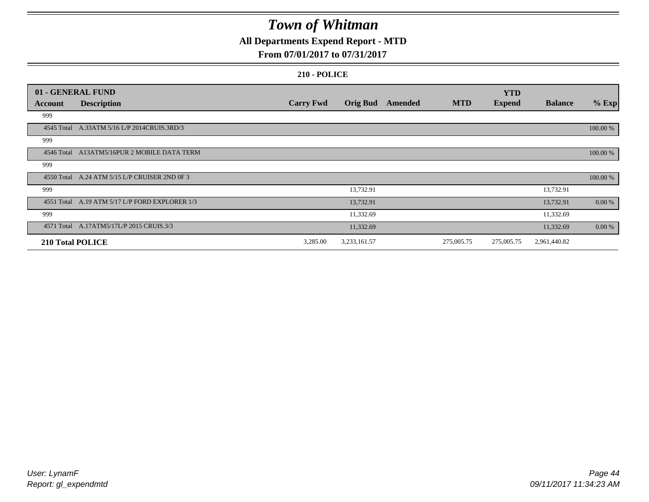## **All Departments Expend Report - MTD**

### **From 07/01/2017 to 07/31/2017**

|         | 01 - GENERAL FUND                              |                  |                 |         |            | <b>YTD</b>    |                |           |
|---------|------------------------------------------------|------------------|-----------------|---------|------------|---------------|----------------|-----------|
| Account | <b>Description</b>                             | <b>Carry Fwd</b> | <b>Orig Bud</b> | Amended | <b>MTD</b> | <b>Expend</b> | <b>Balance</b> | $%$ Exp   |
| 999     |                                                |                  |                 |         |            |               |                |           |
|         | 4545 Total A.33ATM 5/16 L/P 2014CRUIS.3RD/3    |                  |                 |         |            |               |                | 100.00 %  |
| 999     |                                                |                  |                 |         |            |               |                |           |
|         | 4546 Total A13ATM5/16PUR 2 MOBILE DATA TERM    |                  |                 |         |            |               |                | 100.00 %  |
| 999     |                                                |                  |                 |         |            |               |                |           |
|         | 4550 Total A.24 ATM 5/15 L/P CRUISER 2ND 0F 3  |                  |                 |         |            |               |                | 100.00 %  |
| 999     |                                                |                  | 13,732.91       |         |            |               | 13,732.91      |           |
|         | 4551 Total A.19 ATM 5/17 L/P FORD EXPLORER 1/3 |                  | 13,732.91       |         |            |               | 13,732.91      | 0.00 %    |
| 999     |                                                |                  | 11,332.69       |         |            |               | 11,332.69      |           |
|         | 4571 Total A.17ATM5/17L/P 2015 CRUIS.3/3       |                  | 11,332.69       |         |            |               | 11,332.69      | $0.00 \%$ |
|         | <b>210 Total POLICE</b>                        | 3,285.00         | 3,233,161.57    |         | 275,005.75 | 275,005.75    | 2,961,440.82   |           |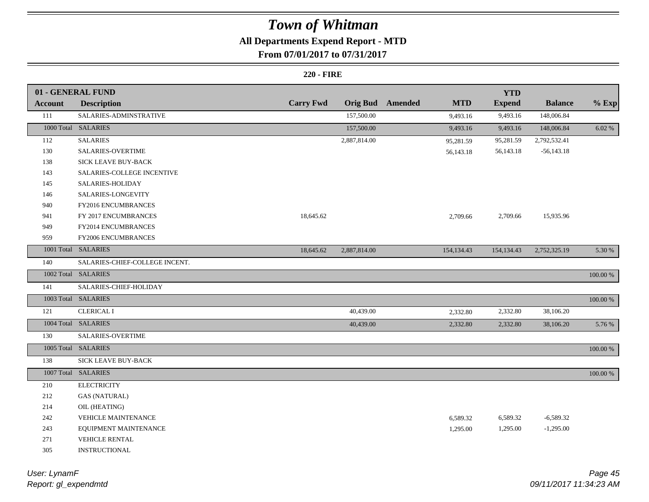## **All Departments Expend Report - MTD**

### **From 07/01/2017 to 07/31/2017**

#### **220 - FIRE**

|                | 01 - GENERAL FUND              |                  |                 |         |            | <b>YTD</b>    |                |             |
|----------------|--------------------------------|------------------|-----------------|---------|------------|---------------|----------------|-------------|
| <b>Account</b> | <b>Description</b>             | <b>Carry Fwd</b> | <b>Orig Bud</b> | Amended | <b>MTD</b> | <b>Expend</b> | <b>Balance</b> | $%$ Exp     |
| 111            | SALARIES-ADMINSTRATIVE         |                  | 157,500.00      |         | 9,493.16   | 9,493.16      | 148,006.84     |             |
|                | 1000 Total SALARIES            |                  | 157,500.00      |         | 9,493.16   | 9,493.16      | 148,006.84     | 6.02 %      |
| 112            | <b>SALARIES</b>                |                  | 2,887,814.00    |         | 95,281.59  | 95,281.59     | 2,792,532.41   |             |
| 130            | <b>SALARIES-OVERTIME</b>       |                  |                 |         | 56,143.18  | 56,143.18     | $-56,143.18$   |             |
| 138            | SICK LEAVE BUY-BACK            |                  |                 |         |            |               |                |             |
| 143            | SALARIES-COLLEGE INCENTIVE     |                  |                 |         |            |               |                |             |
| 145            | SALARIES-HOLIDAY               |                  |                 |         |            |               |                |             |
| 146            | SALARIES-LONGEVITY             |                  |                 |         |            |               |                |             |
| 940            | FY2016 ENCUMBRANCES            |                  |                 |         |            |               |                |             |
| 941            | FY 2017 ENCUMBRANCES           | 18,645.62        |                 |         | 2,709.66   | 2,709.66      | 15,935.96      |             |
| 949            | FY2014 ENCUMBRANCES            |                  |                 |         |            |               |                |             |
| 959            | FY2006 ENCUMBRANCES            |                  |                 |         |            |               |                |             |
|                | 1001 Total SALARIES            | 18,645.62        | 2,887,814.00    |         | 154,134.43 | 154,134.43    | 2,752,325.19   | 5.30 %      |
| 140            | SALARIES-CHIEF-COLLEGE INCENT. |                  |                 |         |            |               |                |             |
|                | 1002 Total SALARIES            |                  |                 |         |            |               |                | 100.00 %    |
| 141            | SALARIES-CHIEF-HOLIDAY         |                  |                 |         |            |               |                |             |
|                | 1003 Total SALARIES            |                  |                 |         |            |               |                | $100.00~\%$ |
| 121            | <b>CLERICAL I</b>              |                  | 40,439.00       |         | 2,332.80   | 2,332.80      | 38,106.20      |             |
|                | 1004 Total SALARIES            |                  | 40,439.00       |         | 2,332.80   | 2,332.80      | 38,106.20      | 5.76 %      |
| 130            | SALARIES-OVERTIME              |                  |                 |         |            |               |                |             |
|                | 1005 Total SALARIES            |                  |                 |         |            |               |                | $100.00~\%$ |
| 138            | SICK LEAVE BUY-BACK            |                  |                 |         |            |               |                |             |
|                | 1007 Total SALARIES            |                  |                 |         |            |               |                | $100.00~\%$ |
| 210            | <b>ELECTRICITY</b>             |                  |                 |         |            |               |                |             |
| 212            | <b>GAS (NATURAL)</b>           |                  |                 |         |            |               |                |             |
| 214            | OIL (HEATING)                  |                  |                 |         |            |               |                |             |
| 242            | <b>VEHICLE MAINTENANCE</b>     |                  |                 |         | 6,589.32   | 6,589.32      | $-6,589.32$    |             |
| 243            | EQUIPMENT MAINTENANCE          |                  |                 |         | 1,295.00   | 1,295.00      | $-1,295.00$    |             |
| 271            | <b>VEHICLE RENTAL</b>          |                  |                 |         |            |               |                |             |
| 305            | <b>INSTRUCTIONAL</b>           |                  |                 |         |            |               |                |             |

*Report: gl\_expendmtd User: LynamF*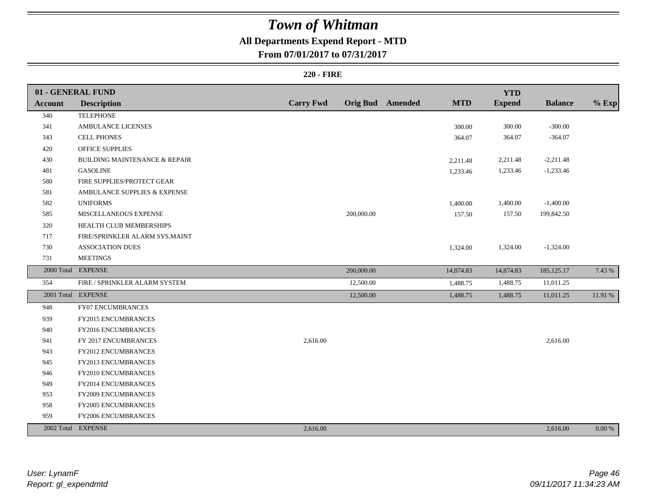## **All Departments Expend Report - MTD**

### **From 07/01/2017 to 07/31/2017**

#### **220 - FIRE**

|                | 01 - GENERAL FUND                        |                  |            |                         |            | <b>YTD</b>    |                |            |
|----------------|------------------------------------------|------------------|------------|-------------------------|------------|---------------|----------------|------------|
| <b>Account</b> | <b>Description</b>                       | <b>Carry Fwd</b> |            | <b>Orig Bud</b> Amended | <b>MTD</b> | <b>Expend</b> | <b>Balance</b> | $%$ Exp    |
| 340            | <b>TELEPHONE</b>                         |                  |            |                         |            |               |                |            |
| 341            | <b>AMBULANCE LICENSES</b>                |                  |            |                         | 300.00     | 300.00        | $-300.00$      |            |
| 343            | <b>CELL PHONES</b>                       |                  |            |                         | 364.07     | 364.07        | $-364.07$      |            |
| 420            | <b>OFFICE SUPPLIES</b>                   |                  |            |                         |            |               |                |            |
| 430            | <b>BUILDING MAINTENANCE &amp; REPAIR</b> |                  |            |                         | 2,211.48   | 2,211.48      | $-2,211.48$    |            |
| 481            | <b>GASOLINE</b>                          |                  |            |                         | 1,233.46   | 1,233.46      | $-1,233.46$    |            |
| 580            | FIRE SUPPLIES/PROTECT GEAR               |                  |            |                         |            |               |                |            |
| 581            | AMBULANCE SUPPLIES & EXPENSE             |                  |            |                         |            |               |                |            |
| 582            | <b>UNIFORMS</b>                          |                  |            |                         | 1,400.00   | 1,400.00      | $-1,400.00$    |            |
| 585            | MISCELLANEOUS EXPENSE                    |                  | 200,000.00 |                         | 157.50     | 157.50        | 199,842.50     |            |
| 320            | HEALTH CLUB MEMBERSHIPS                  |                  |            |                         |            |               |                |            |
| 717            | FIRE/SPRINKLER ALARM SYS.MAINT           |                  |            |                         |            |               |                |            |
| 730            | <b>ASSOCIATION DUES</b>                  |                  |            |                         | 1,324.00   | 1,324.00      | $-1,324.00$    |            |
| 731            | <b>MEETINGS</b>                          |                  |            |                         |            |               |                |            |
|                | 2000 Total EXPENSE                       |                  | 200,000.00 |                         | 14,874.83  | 14,874.83     | 185, 125. 17   | 7.43 %     |
| 354            | FIRE / SPRINKLER ALARM SYSTEM            |                  | 12,500.00  |                         | 1,488.75   | 1,488.75      | 11,011.25      |            |
|                | 2001 Total EXPENSE                       |                  | 12,500.00  |                         | 1,488.75   | 1,488.75      | 11,011.25      | 11.91 %    |
| 948            | FY07 ENCUMBRANCES                        |                  |            |                         |            |               |                |            |
| 939            | FY2015 ENCUMBRANCES                      |                  |            |                         |            |               |                |            |
| 940            | FY2016 ENCUMBRANCES                      |                  |            |                         |            |               |                |            |
| 941            | FY 2017 ENCUMBRANCES                     | 2,616.00         |            |                         |            |               | 2,616.00       |            |
| 943            | FY2012 ENCUMBRANCES                      |                  |            |                         |            |               |                |            |
| 945            | FY2013 ENCUMBRANCES                      |                  |            |                         |            |               |                |            |
| 946            | FY2010 ENCUMBRANCES                      |                  |            |                         |            |               |                |            |
| 949            | <b>FY2014 ENCUMBRANCES</b>               |                  |            |                         |            |               |                |            |
| 953            | FY2009 ENCUMBRANCES                      |                  |            |                         |            |               |                |            |
| 958            | FY2005 ENCUMBRANCES                      |                  |            |                         |            |               |                |            |
| 959            | FY2006 ENCUMBRANCES                      |                  |            |                         |            |               |                |            |
|                | 2002 Total EXPENSE                       | 2,616.00         |            |                         |            |               | 2,616.00       | $0.00\ \%$ |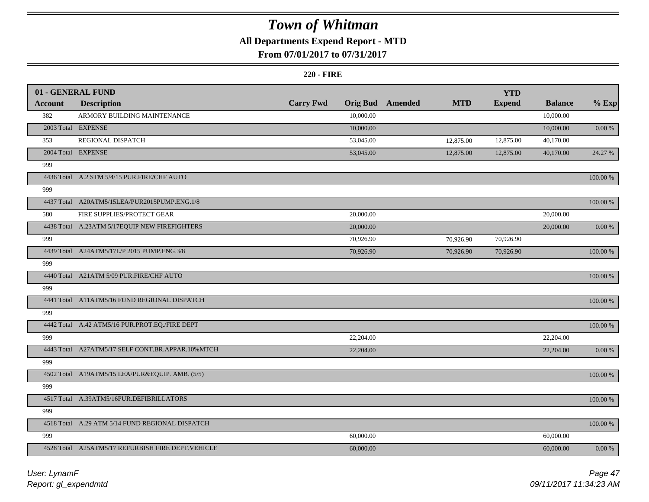## **All Departments Expend Report - MTD**

### **From 07/01/2017 to 07/31/2017**

#### **220 - FIRE**

|         | 01 - GENERAL FUND                                  |                  |                 |         |            | <b>YTD</b>    |                |             |
|---------|----------------------------------------------------|------------------|-----------------|---------|------------|---------------|----------------|-------------|
| Account | <b>Description</b>                                 | <b>Carry Fwd</b> | <b>Orig Bud</b> | Amended | <b>MTD</b> | <b>Expend</b> | <b>Balance</b> | $%$ Exp     |
| 382     | ARMORY BUILDING MAINTENANCE                        |                  | 10,000.00       |         |            |               | 10,000.00      |             |
|         | 2003 Total EXPENSE                                 |                  | 10,000.00       |         |            |               | 10,000.00      | $0.00\ \%$  |
| 353     | REGIONAL DISPATCH                                  |                  | 53,045.00       |         | 12,875.00  | 12,875.00     | 40,170.00      |             |
|         | 2004 Total EXPENSE                                 |                  | 53,045.00       |         | 12,875.00  | 12,875.00     | 40,170.00      | 24.27 %     |
| 999     |                                                    |                  |                 |         |            |               |                |             |
|         | 4436 Total A.2 STM 5/4/15 PUR.FIRE/CHF AUTO        |                  |                 |         |            |               |                | 100.00 %    |
| 999     |                                                    |                  |                 |         |            |               |                |             |
|         | 4437 Total A20ATM5/15LEA/PUR2015PUMP.ENG.1/8       |                  |                 |         |            |               |                | 100.00 %    |
| 580     | FIRE SUPPLIES/PROTECT GEAR                         |                  | 20,000.00       |         |            |               | 20,000.00      |             |
|         | 4438 Total A.23ATM 5/17EQUIP NEW FIREFIGHTERS      |                  | 20,000.00       |         |            |               | 20,000.00      | 0.00 %      |
| 999     |                                                    |                  | 70,926.90       |         | 70,926.90  | 70,926.90     |                |             |
|         | 4439 Total A24ATM5/17L/P 2015 PUMP.ENG.3/8         |                  | 70,926.90       |         | 70,926.90  | 70,926.90     |                | 100.00 %    |
| 999     |                                                    |                  |                 |         |            |               |                |             |
|         | 4440 Total A21ATM 5/09 PUR.FIRE/CHF AUTO           |                  |                 |         |            |               |                | $100.00~\%$ |
| 999     |                                                    |                  |                 |         |            |               |                |             |
|         | 4441 Total A11ATM5/16 FUND REGIONAL DISPATCH       |                  |                 |         |            |               |                | 100.00 %    |
| 999     |                                                    |                  |                 |         |            |               |                |             |
|         | 4442 Total A.42 ATM5/16 PUR.PROT.EQ./FIRE DEPT     |                  |                 |         |            |               |                | 100.00 %    |
| 999     |                                                    |                  | 22,204.00       |         |            |               | 22,204.00      |             |
|         | 4443 Total A27ATM5/17 SELF CONT.BR.APPAR.10%MTCH   |                  | 22,204.00       |         |            |               | 22,204.00      | 0.00 %      |
| 999     |                                                    |                  |                 |         |            |               |                |             |
|         | 4502 Total A19ATM5/15 LEA/PUR&EQUIP. AMB. (5/5)    |                  |                 |         |            |               |                | 100.00 %    |
| 999     |                                                    |                  |                 |         |            |               |                |             |
|         | 4517 Total A.39ATM5/16PUR.DEFIBRILLATORS           |                  |                 |         |            |               |                | 100.00 %    |
| 999     |                                                    |                  |                 |         |            |               |                |             |
|         | 4518 Total A.29 ATM 5/14 FUND REGIONAL DISPATCH    |                  |                 |         |            |               |                | $100.00~\%$ |
| 999     |                                                    |                  | 60,000.00       |         |            |               | 60,000.00      |             |
|         | 4528 Total A25ATM5/17 REFURBISH FIRE DEPT. VEHICLE |                  | 60,000.00       |         |            |               | 60,000.00      | $0.00~\%$   |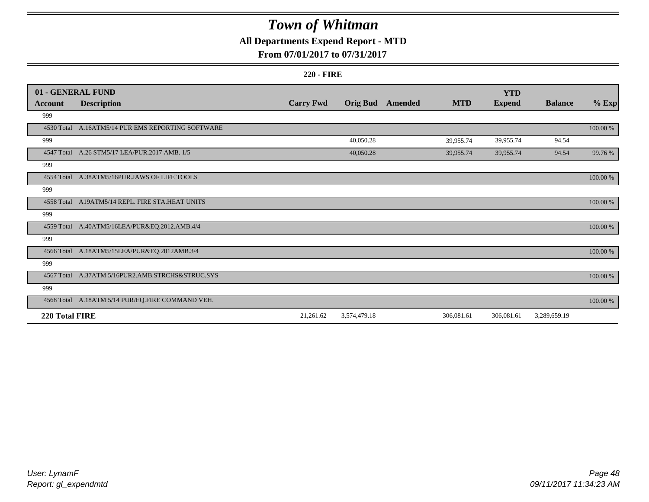## **All Departments Expend Report - MTD**

### **From 07/01/2017 to 07/31/2017**

#### **220 - FIRE**

|                | 01 - GENERAL FUND                                 |                  |                 |         |            | <b>YTD</b>    |                |             |
|----------------|---------------------------------------------------|------------------|-----------------|---------|------------|---------------|----------------|-------------|
| <b>Account</b> | <b>Description</b>                                | <b>Carry Fwd</b> | <b>Orig Bud</b> | Amended | <b>MTD</b> | <b>Expend</b> | <b>Balance</b> | $%$ Exp     |
| 999            |                                                   |                  |                 |         |            |               |                |             |
|                | 4530 Total A.16ATM5/14 PUR EMS REPORTING SOFTWARE |                  |                 |         |            |               |                | 100.00 %    |
| 999            |                                                   |                  | 40,050.28       |         | 39,955.74  | 39,955.74     | 94.54          |             |
| 4547 Total     | A.26 STM5/17 LEA/PUR.2017 AMB. 1/5                |                  | 40,050.28       |         | 39,955.74  | 39,955.74     | 94.54          | 99.76 %     |
| 999            |                                                   |                  |                 |         |            |               |                |             |
|                | 4554 Total A.38ATM5/16PUR.JAWS OF LIFE TOOLS      |                  |                 |         |            |               |                | $100.00~\%$ |
| 999            |                                                   |                  |                 |         |            |               |                |             |
|                | 4558 Total A19ATM5/14 REPL. FIRE STA.HEAT UNITS   |                  |                 |         |            |               |                | 100.00 %    |
| 999            |                                                   |                  |                 |         |            |               |                |             |
|                | 4559 Total A.40ATM5/16LEA/PUR&EQ.2012.AMB.4/4     |                  |                 |         |            |               |                | 100.00 %    |
| 999            |                                                   |                  |                 |         |            |               |                |             |
|                | 4566 Total A.18ATM5/15LEA/PUR&EQ.2012AMB.3/4      |                  |                 |         |            |               |                | 100.00 %    |
| 999            |                                                   |                  |                 |         |            |               |                |             |
|                | 4567 Total A.37ATM 5/16PUR2.AMB.STRCHS&STRUC.SYS  |                  |                 |         |            |               |                | $100.00~\%$ |
| 999            |                                                   |                  |                 |         |            |               |                |             |
|                | 4568 Total A.18ATM 5/14 PUR/EQ.FIRE COMMAND VEH.  |                  |                 |         |            |               |                | $100.00~\%$ |
| 220 Total FIRE |                                                   | 21,261.62        | 3,574,479.18    |         | 306,081.61 | 306,081.61    | 3,289,659.19   |             |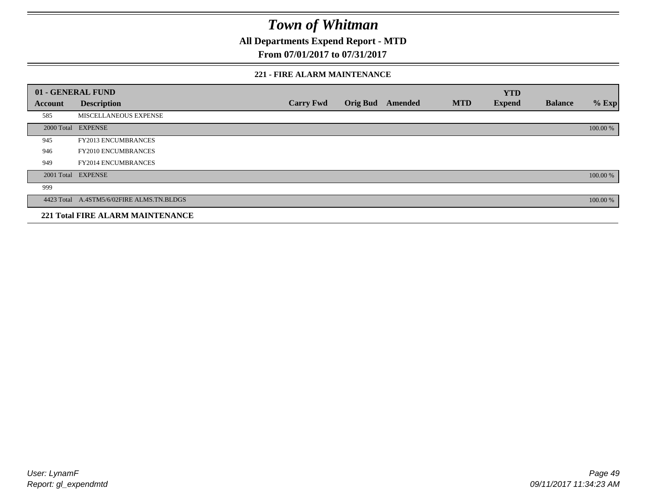**All Departments Expend Report - MTD**

**From 07/01/2017 to 07/31/2017**

#### **221 - FIRE ALARM MAINTENANCE**

|                | 01 - GENERAL FUND                         |                  |                 |                |            | <b>YTD</b>    |                |          |
|----------------|-------------------------------------------|------------------|-----------------|----------------|------------|---------------|----------------|----------|
| <b>Account</b> | <b>Description</b>                        | <b>Carry Fwd</b> | <b>Orig Bud</b> | <b>Amended</b> | <b>MTD</b> | <b>Expend</b> | <b>Balance</b> | $%$ Exp  |
| 585            | MISCELLANEOUS EXPENSE                     |                  |                 |                |            |               |                |          |
|                | 2000 Total EXPENSE                        |                  |                 |                |            |               |                | 100.00 % |
| 945            | FY2013 ENCUMBRANCES                       |                  |                 |                |            |               |                |          |
| 946            | FY2010 ENCUMBRANCES                       |                  |                 |                |            |               |                |          |
| 949            | <b>FY2014 ENCUMBRANCES</b>                |                  |                 |                |            |               |                |          |
|                | 2001 Total EXPENSE                        |                  |                 |                |            |               |                | 100.00 % |
| 999            |                                           |                  |                 |                |            |               |                |          |
|                | 4423 Total A.4STM5/6/02FIRE ALMS.TN.BLDGS |                  |                 |                |            |               |                | 100.00 % |
|                | <b>221 Total FIRE ALARM MAINTENANCE</b>   |                  |                 |                |            |               |                |          |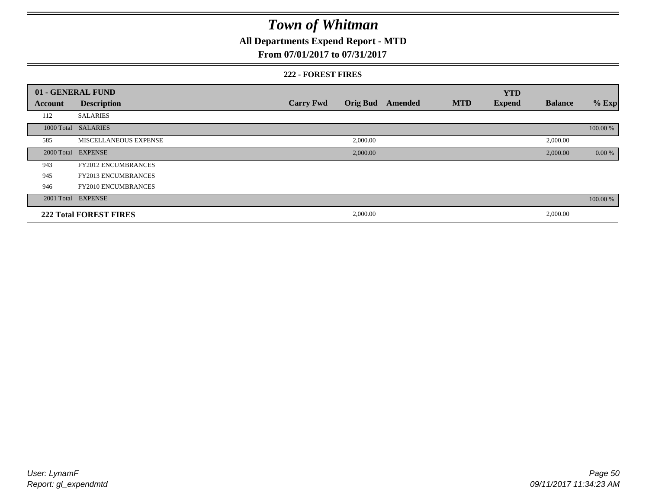## **All Departments Expend Report - MTD**

#### **From 07/01/2017 to 07/31/2017**

#### **222 - FOREST FIRES**

|                | 01 - GENERAL FUND             |                  |                 |                |            | <b>YTD</b>    |                |          |
|----------------|-------------------------------|------------------|-----------------|----------------|------------|---------------|----------------|----------|
| <b>Account</b> | <b>Description</b>            | <b>Carry Fwd</b> | <b>Orig Bud</b> | <b>Amended</b> | <b>MTD</b> | <b>Expend</b> | <b>Balance</b> | $%$ Exp  |
| 112            | <b>SALARIES</b>               |                  |                 |                |            |               |                |          |
|                | 1000 Total SALARIES           |                  |                 |                |            |               |                | 100.00 % |
| 585            | <b>MISCELLANEOUS EXPENSE</b>  |                  | 2,000.00        |                |            |               | 2,000.00       |          |
| 2000 Total     | <b>EXPENSE</b>                |                  | 2,000.00        |                |            |               | 2,000.00       | 0.00 %   |
| 943            | <b>FY2012 ENCUMBRANCES</b>    |                  |                 |                |            |               |                |          |
| 945            | <b>FY2013 ENCUMBRANCES</b>    |                  |                 |                |            |               |                |          |
| 946            | <b>FY2010 ENCUMBRANCES</b>    |                  |                 |                |            |               |                |          |
|                | 2001 Total EXPENSE            |                  |                 |                |            |               |                | 100.00 % |
|                | <b>222 Total FOREST FIRES</b> |                  | 2,000.00        |                |            |               | 2,000.00       |          |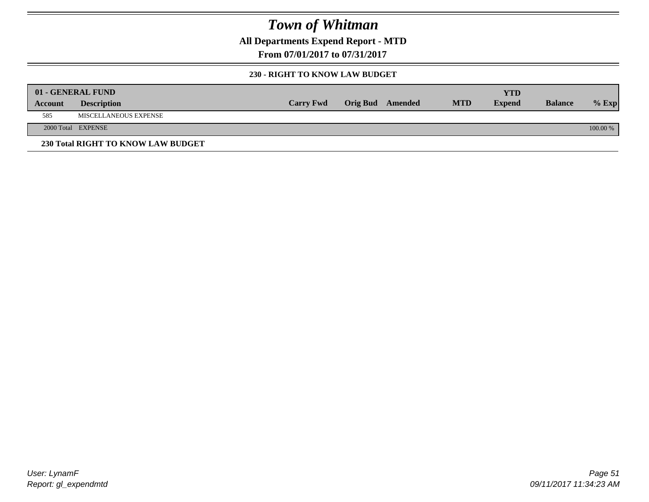**All Departments Expend Report - MTD**

**From 07/01/2017 to 07/31/2017**

#### **230 - RIGHT TO KNOW LAW BUDGET**

|         | 01 - GENERAL FUND                  |                  |                         |            | YTD           |                |            |
|---------|------------------------------------|------------------|-------------------------|------------|---------------|----------------|------------|
| Account | <b>Description</b>                 | <b>Carry Fwd</b> | <b>Orig Bud</b> Amended | <b>MTD</b> | <b>Expend</b> | <b>Balance</b> | $%$ Exp    |
| 585     | MISCELLANEOUS EXPENSE              |                  |                         |            |               |                |            |
|         | 2000 Total EXPENSE                 |                  |                         |            |               |                | $100.00\%$ |
|         | 230 Total RIGHT TO KNOW LAW BUDGET |                  |                         |            |               |                |            |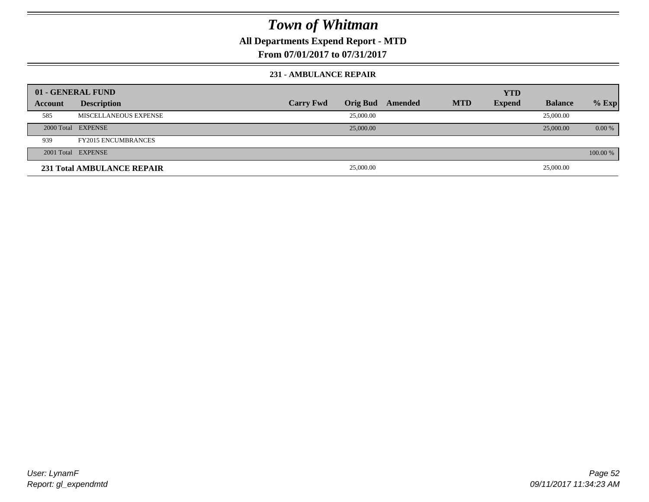**All Departments Expend Report - MTD**

**From 07/01/2017 to 07/31/2017**

#### **231 - AMBULANCE REPAIR**

| 01 - GENERAL FUND |                                   |                  |           |                  |            | <b>YTD</b>    |                |          |
|-------------------|-----------------------------------|------------------|-----------|------------------|------------|---------------|----------------|----------|
| Account           | <b>Description</b>                | <b>Carry Fwd</b> |           | Orig Bud Amended | <b>MTD</b> | <b>Expend</b> | <b>Balance</b> | $%$ Exp  |
| 585               | MISCELLANEOUS EXPENSE             |                  | 25,000.00 |                  |            |               | 25,000.00      |          |
|                   | 2000 Total EXPENSE                |                  | 25,000.00 |                  |            |               | 25,000.00      | 0.00 %   |
| 939               | <b>FY2015 ENCUMBRANCES</b>        |                  |           |                  |            |               |                |          |
|                   | 2001 Total EXPENSE                |                  |           |                  |            |               |                | 100.00 % |
|                   | <b>231 Total AMBULANCE REPAIR</b> |                  | 25,000.00 |                  |            |               | 25,000.00      |          |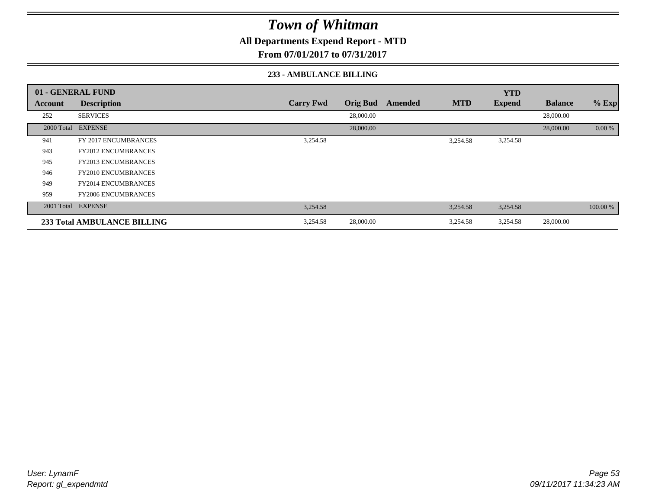**All Departments Expend Report - MTD**

**From 07/01/2017 to 07/31/2017**

#### **233 - AMBULANCE BILLING**

|            | 01 - GENERAL FUND           |                  |                 |         |            | <b>YTD</b>    |                |          |
|------------|-----------------------------|------------------|-----------------|---------|------------|---------------|----------------|----------|
| Account    | <b>Description</b>          | <b>Carry Fwd</b> | <b>Orig Bud</b> | Amended | <b>MTD</b> | <b>Expend</b> | <b>Balance</b> | $%$ Exp  |
| 252        | <b>SERVICES</b>             |                  | 28,000.00       |         |            |               | 28,000.00      |          |
| 2000 Total | <b>EXPENSE</b>              |                  | 28,000.00       |         |            |               | 28,000.00      | 0.00 %   |
| 941        | FY 2017 ENCUMBRANCES        | 3,254.58         |                 |         | 3,254.58   | 3,254.58      |                |          |
| 943        | <b>FY2012 ENCUMBRANCES</b>  |                  |                 |         |            |               |                |          |
| 945        | <b>FY2013 ENCUMBRANCES</b>  |                  |                 |         |            |               |                |          |
| 946        | <b>FY2010 ENCUMBRANCES</b>  |                  |                 |         |            |               |                |          |
| 949        | <b>FY2014 ENCUMBRANCES</b>  |                  |                 |         |            |               |                |          |
| 959        | FY2006 ENCUMBRANCES         |                  |                 |         |            |               |                |          |
|            | 2001 Total EXPENSE          | 3,254.58         |                 |         | 3,254.58   | 3,254.58      |                | 100.00 % |
|            | 233 Total AMBULANCE BILLING | 3,254.58         | 28,000.00       |         | 3,254.58   | 3,254.58      | 28,000.00      |          |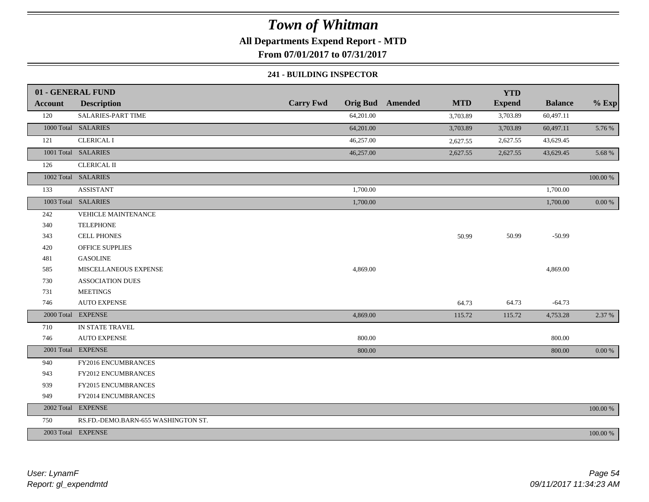**All Departments Expend Report - MTD**

**From 07/01/2017 to 07/31/2017**

#### **241 - BUILDING INSPECTOR**

|                | 01 - GENERAL FUND                   |                  |           |                         |            | <b>YTD</b>    |                |            |
|----------------|-------------------------------------|------------------|-----------|-------------------------|------------|---------------|----------------|------------|
| <b>Account</b> | <b>Description</b>                  | <b>Carry Fwd</b> |           | <b>Orig Bud</b> Amended | <b>MTD</b> | <b>Expend</b> | <b>Balance</b> | $%$ Exp    |
| 120            | SALARIES-PART TIME                  |                  | 64,201.00 |                         | 3,703.89   | 3,703.89      | 60,497.11      |            |
|                | 1000 Total SALARIES                 |                  | 64,201.00 |                         | 3,703.89   | 3,703.89      | 60,497.11      | 5.76 %     |
| 121            | <b>CLERICAL I</b>                   |                  | 46,257.00 |                         | 2,627.55   | 2,627.55      | 43,629.45      |            |
|                | 1001 Total SALARIES                 |                  | 46,257.00 |                         | 2,627.55   | 2,627.55      | 43,629.45      | 5.68 %     |
| 126            | <b>CLERICAL II</b>                  |                  |           |                         |            |               |                |            |
|                | 1002 Total SALARIES                 |                  |           |                         |            |               |                | 100.00 %   |
| 133            | <b>ASSISTANT</b>                    |                  | 1,700.00  |                         |            |               | 1,700.00       |            |
|                | 1003 Total SALARIES                 |                  | 1,700.00  |                         |            |               | 1,700.00       | $0.00\,\%$ |
| 242            | VEHICLE MAINTENANCE                 |                  |           |                         |            |               |                |            |
| 340            | <b>TELEPHONE</b>                    |                  |           |                         |            |               |                |            |
| 343            | <b>CELL PHONES</b>                  |                  |           |                         | 50.99      | 50.99         | $-50.99$       |            |
| 420            | <b>OFFICE SUPPLIES</b>              |                  |           |                         |            |               |                |            |
| 481            | <b>GASOLINE</b>                     |                  |           |                         |            |               |                |            |
| 585            | MISCELLANEOUS EXPENSE               |                  | 4,869.00  |                         |            |               | 4,869.00       |            |
| 730            | <b>ASSOCIATION DUES</b>             |                  |           |                         |            |               |                |            |
| 731            | <b>MEETINGS</b>                     |                  |           |                         |            |               |                |            |
| 746            | <b>AUTO EXPENSE</b>                 |                  |           |                         | 64.73      | 64.73         | $-64.73$       |            |
|                | 2000 Total EXPENSE                  |                  | 4,869.00  |                         | 115.72     | 115.72        | 4,753.28       | 2.37 %     |
| 710            | IN STATE TRAVEL                     |                  |           |                         |            |               |                |            |
| 746            | <b>AUTO EXPENSE</b>                 |                  | 800.00    |                         |            |               | 800.00         |            |
|                | 2001 Total EXPENSE                  |                  | 800.00    |                         |            |               | 800.00         | 0.00 %     |
| 940            | FY2016 ENCUMBRANCES                 |                  |           |                         |            |               |                |            |
| 943            | FY2012 ENCUMBRANCES                 |                  |           |                         |            |               |                |            |
| 939            | FY2015 ENCUMBRANCES                 |                  |           |                         |            |               |                |            |
| 949            | FY2014 ENCUMBRANCES                 |                  |           |                         |            |               |                |            |
|                | 2002 Total EXPENSE                  |                  |           |                         |            |               |                | 100.00 %   |
| 750            | RS.FD.-DEMO.BARN-655 WASHINGTON ST. |                  |           |                         |            |               |                |            |
|                | 2003 Total EXPENSE                  |                  |           |                         |            |               |                | 100.00 %   |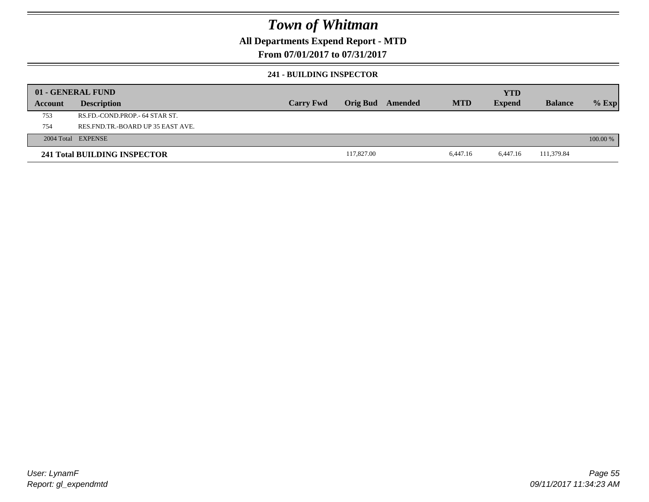### **All Departments Expend Report - MTD**

### **From 07/01/2017 to 07/31/2017**

#### **241 - BUILDING INSPECTOR**

|         | 01 - GENERAL FUND                     |                  |            |         |            | <b>YTD</b>    |                |            |
|---------|---------------------------------------|------------------|------------|---------|------------|---------------|----------------|------------|
| Account | <b>Description</b>                    | <b>Carry Fwd</b> | Orig Bud   | Amended | <b>MTD</b> | <b>Expend</b> | <b>Balance</b> | $%$ Exp    |
| 753     | RS.FD.-COND.PROP.- 64 STAR ST.        |                  |            |         |            |               |                |            |
| 754     | RES. FND. TR. - BOARD UP 35 EAST AVE. |                  |            |         |            |               |                |            |
|         | 2004 Total EXPENSE                    |                  |            |         |            |               |                | $100.00\%$ |
|         | 241 Total BUILDING INSPECTOR          |                  | 117,827.00 |         | 6,447.16   | 6,447.16      | 111,379.84     |            |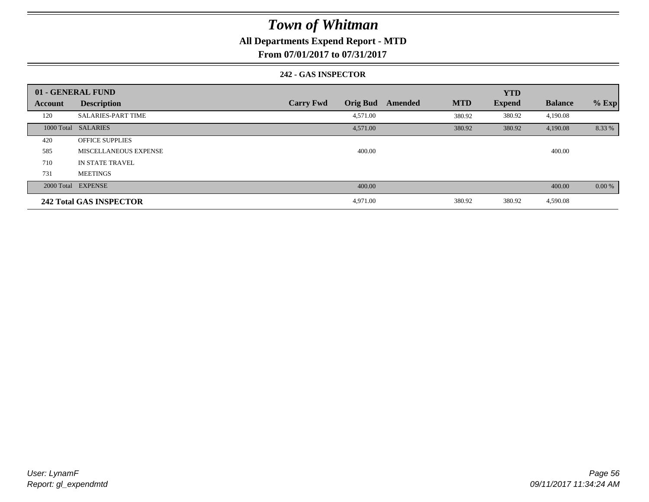### **All Departments Expend Report - MTD**

**From 07/01/2017 to 07/31/2017**

#### **242 - GAS INSPECTOR**

|                | 01 - GENERAL FUND              |                                     |                       | <b>YTD</b>    |                |         |
|----------------|--------------------------------|-------------------------------------|-----------------------|---------------|----------------|---------|
| <b>Account</b> | <b>Description</b>             | <b>Orig Bud</b><br><b>Carry Fwd</b> | <b>MTD</b><br>Amended | <b>Expend</b> | <b>Balance</b> | $%$ Exp |
| 120            | <b>SALARIES-PART TIME</b>      | 4,571.00                            | 380.92                | 380.92        | 4,190.08       |         |
|                | 1000 Total SALARIES            | 4,571.00                            | 380.92                | 380.92        | 4,190.08       | 8.33 %  |
| 420            | <b>OFFICE SUPPLIES</b>         |                                     |                       |               |                |         |
| 585            | <b>MISCELLANEOUS EXPENSE</b>   | 400.00                              |                       |               | 400.00         |         |
| 710            | IN STATE TRAVEL                |                                     |                       |               |                |         |
| 731            | <b>MEETINGS</b>                |                                     |                       |               |                |         |
|                | 2000 Total EXPENSE             | 400.00                              |                       |               | 400.00         | 0.00 %  |
|                | <b>242 Total GAS INSPECTOR</b> | 4,971.00                            | 380.92                | 380.92        | 4,590.08       |         |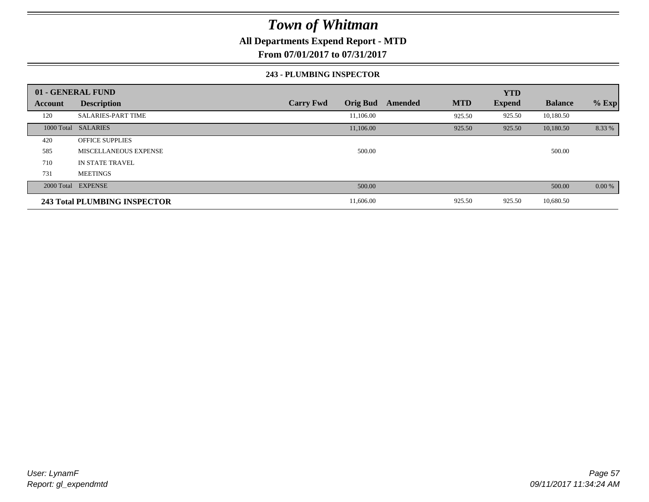### **All Departments Expend Report - MTD**

**From 07/01/2017 to 07/31/2017**

#### **243 - PLUMBING INSPECTOR**

|                | 01 - GENERAL FUND                   |                                     |                       | <b>YTD</b>    |                |         |
|----------------|-------------------------------------|-------------------------------------|-----------------------|---------------|----------------|---------|
| <b>Account</b> | <b>Description</b>                  | <b>Carry Fwd</b><br><b>Orig Bud</b> | <b>MTD</b><br>Amended | <b>Expend</b> | <b>Balance</b> | $%$ Exp |
| 120            | <b>SALARIES-PART TIME</b>           | 11,106.00                           | 925.50                | 925.50        | 10,180.50      |         |
|                | 1000 Total SALARIES                 | 11,106.00                           | 925.50                | 925.50        | 10,180.50      | 8.33 %  |
| 420            | <b>OFFICE SUPPLIES</b>              |                                     |                       |               |                |         |
| 585            | MISCELLANEOUS EXPENSE               | 500.00                              |                       |               | 500.00         |         |
| 710            | IN STATE TRAVEL                     |                                     |                       |               |                |         |
| 731            | <b>MEETINGS</b>                     |                                     |                       |               |                |         |
|                | 2000 Total EXPENSE                  | 500.00                              |                       |               | 500.00         | 0.00 %  |
|                | <b>243 Total PLUMBING INSPECTOR</b> | 11,606.00                           | 925.50                | 925.50        | 10,680.50      |         |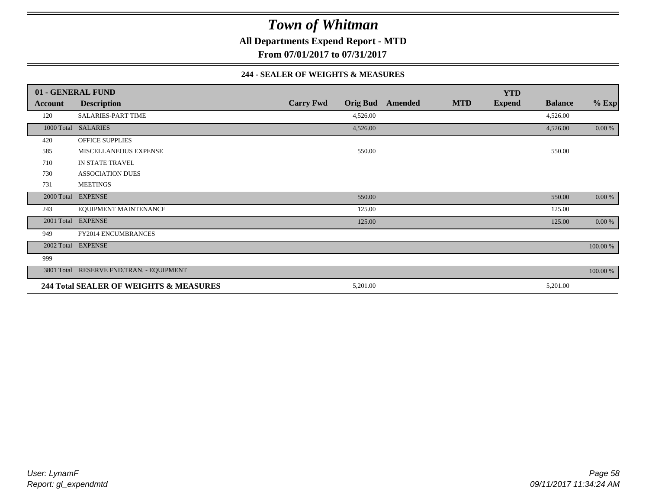**All Departments Expend Report - MTD**

**From 07/01/2017 to 07/31/2017**

#### **244 - SEALER OF WEIGHTS & MEASURES**

|                | 01 - GENERAL FUND                        |                  |                 |         |            | <b>YTD</b>    |                |          |
|----------------|------------------------------------------|------------------|-----------------|---------|------------|---------------|----------------|----------|
| <b>Account</b> | <b>Description</b>                       | <b>Carry Fwd</b> | <b>Orig Bud</b> | Amended | <b>MTD</b> | <b>Expend</b> | <b>Balance</b> | $%$ Exp  |
| 120            | SALARIES-PART TIME                       |                  | 4,526.00        |         |            |               | 4,526.00       |          |
|                | 1000 Total SALARIES                      |                  | 4,526.00        |         |            |               | 4,526.00       | 0.00 %   |
| 420            | <b>OFFICE SUPPLIES</b>                   |                  |                 |         |            |               |                |          |
| 585            | MISCELLANEOUS EXPENSE                    |                  | 550.00          |         |            |               | 550.00         |          |
| 710            | IN STATE TRAVEL                          |                  |                 |         |            |               |                |          |
| 730            | <b>ASSOCIATION DUES</b>                  |                  |                 |         |            |               |                |          |
| 731            | <b>MEETINGS</b>                          |                  |                 |         |            |               |                |          |
| 2000 Total     | <b>EXPENSE</b>                           |                  | 550.00          |         |            |               | 550.00         | 0.00 %   |
| 243            | EQUIPMENT MAINTENANCE                    |                  | 125.00          |         |            |               | 125.00         |          |
| 2001 Total     | <b>EXPENSE</b>                           |                  | 125.00          |         |            |               | 125.00         | 0.00 %   |
| 949            | <b>FY2014 ENCUMBRANCES</b>               |                  |                 |         |            |               |                |          |
|                | 2002 Total EXPENSE                       |                  |                 |         |            |               |                | 100.00 % |
| 999            |                                          |                  |                 |         |            |               |                |          |
|                | 3801 Total RESERVE FND.TRAN. - EQUIPMENT |                  |                 |         |            |               |                | 100.00 % |
|                | 244 Total SEALER OF WEIGHTS & MEASURES   |                  | 5,201.00        |         |            |               | 5,201.00       |          |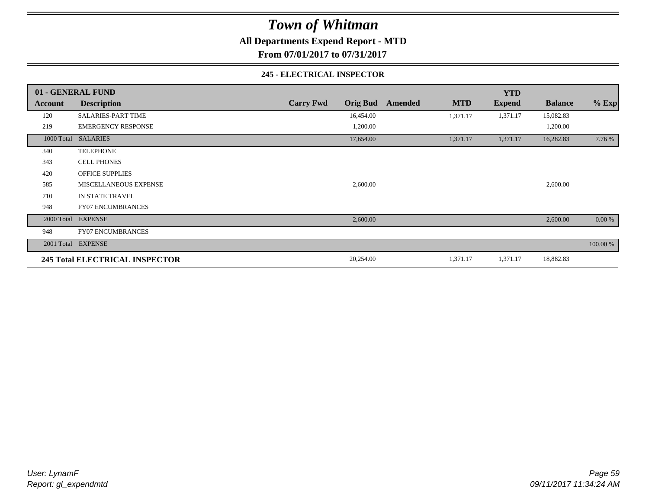**All Departments Expend Report - MTD**

**From 07/01/2017 to 07/31/2017**

#### **245 - ELECTRICAL INSPECTOR**

|         | 01 - GENERAL FUND                     |                                     |                       | <b>YTD</b>    |                |          |
|---------|---------------------------------------|-------------------------------------|-----------------------|---------------|----------------|----------|
| Account | <b>Description</b>                    | <b>Orig Bud</b><br><b>Carry Fwd</b> | <b>MTD</b><br>Amended | <b>Expend</b> | <b>Balance</b> | $%$ Exp  |
| 120     | <b>SALARIES-PART TIME</b>             | 16,454.00                           | 1,371.17              | 1,371.17      | 15,082.83      |          |
| 219     | <b>EMERGENCY RESPONSE</b>             | 1,200.00                            |                       |               | 1,200.00       |          |
|         | 1000 Total SALARIES                   | 17,654.00                           | 1,371.17              | 1,371.17      | 16,282.83      | 7.76 %   |
| 340     | <b>TELEPHONE</b>                      |                                     |                       |               |                |          |
| 343     | <b>CELL PHONES</b>                    |                                     |                       |               |                |          |
| 420     | <b>OFFICE SUPPLIES</b>                |                                     |                       |               |                |          |
| 585     | MISCELLANEOUS EXPENSE                 | 2,600.00                            |                       |               | 2,600.00       |          |
| 710     | IN STATE TRAVEL                       |                                     |                       |               |                |          |
| 948     | <b>FY07 ENCUMBRANCES</b>              |                                     |                       |               |                |          |
|         | 2000 Total EXPENSE                    | 2,600.00                            |                       |               | 2,600.00       | 0.00 %   |
| 948     | <b>FY07 ENCUMBRANCES</b>              |                                     |                       |               |                |          |
|         | 2001 Total EXPENSE                    |                                     |                       |               |                | 100.00 % |
|         | <b>245 Total ELECTRICAL INSPECTOR</b> | 20,254.00                           | 1,371.17              | 1,371.17      | 18,882.83      |          |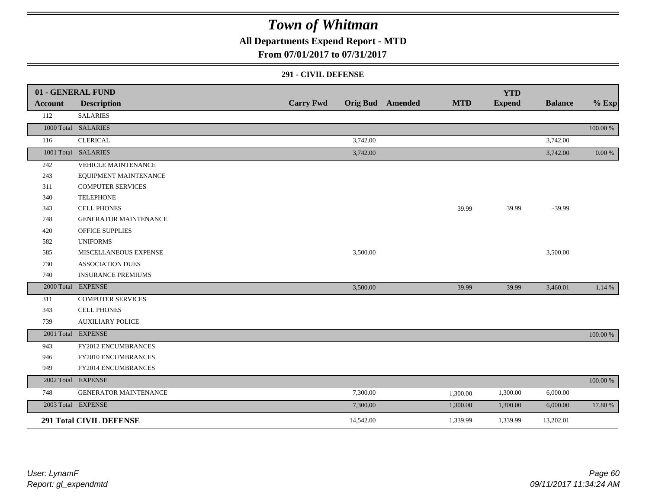## **All Departments Expend Report - MTD**

### **From 07/01/2017 to 07/31/2017**

#### **291 - CIVIL DEFENSE**

|         | 01 - GENERAL FUND              |                  |           |                         |            | <b>YTD</b>    |                |            |
|---------|--------------------------------|------------------|-----------|-------------------------|------------|---------------|----------------|------------|
| Account | <b>Description</b>             | <b>Carry Fwd</b> |           | <b>Orig Bud</b> Amended | <b>MTD</b> | <b>Expend</b> | <b>Balance</b> | $%$ Exp    |
| 112     | <b>SALARIES</b>                |                  |           |                         |            |               |                |            |
|         | 1000 Total SALARIES            |                  |           |                         |            |               |                | 100.00 %   |
| 116     | <b>CLERICAL</b>                |                  | 3,742.00  |                         |            |               | 3,742.00       |            |
|         | 1001 Total SALARIES            |                  | 3,742.00  |                         |            |               | 3,742.00       | $0.00\,\%$ |
| 242     | VEHICLE MAINTENANCE            |                  |           |                         |            |               |                |            |
| 243     | EQUIPMENT MAINTENANCE          |                  |           |                         |            |               |                |            |
| 311     | <b>COMPUTER SERVICES</b>       |                  |           |                         |            |               |                |            |
| 340     | <b>TELEPHONE</b>               |                  |           |                         |            |               |                |            |
| 343     | <b>CELL PHONES</b>             |                  |           |                         | 39.99      | 39.99         | $-39.99$       |            |
| 748     | <b>GENERATOR MAINTENANCE</b>   |                  |           |                         |            |               |                |            |
| 420     | <b>OFFICE SUPPLIES</b>         |                  |           |                         |            |               |                |            |
| 582     | <b>UNIFORMS</b>                |                  |           |                         |            |               |                |            |
| 585     | MISCELLANEOUS EXPENSE          |                  | 3,500.00  |                         |            |               | 3,500.00       |            |
| 730     | <b>ASSOCIATION DUES</b>        |                  |           |                         |            |               |                |            |
| 740     | <b>INSURANCE PREMIUMS</b>      |                  |           |                         |            |               |                |            |
|         | 2000 Total EXPENSE             |                  | 3,500.00  |                         | 39.99      | 39.99         | 3,460.01       | 1.14 %     |
| 311     | <b>COMPUTER SERVICES</b>       |                  |           |                         |            |               |                |            |
| 343     | <b>CELL PHONES</b>             |                  |           |                         |            |               |                |            |
| 739     | <b>AUXILIARY POLICE</b>        |                  |           |                         |            |               |                |            |
|         | 2001 Total EXPENSE             |                  |           |                         |            |               |                | 100.00 %   |
| 943     | FY2012 ENCUMBRANCES            |                  |           |                         |            |               |                |            |
| 946     | FY2010 ENCUMBRANCES            |                  |           |                         |            |               |                |            |
| 949     | FY2014 ENCUMBRANCES            |                  |           |                         |            |               |                |            |
|         | 2002 Total EXPENSE             |                  |           |                         |            |               |                | 100.00 %   |
| 748     | GENERATOR MAINTENANCE          |                  | 7,300.00  |                         | 1,300.00   | 1,300.00      | 6,000.00       |            |
|         | 2003 Total EXPENSE             |                  | 7,300.00  |                         | 1,300.00   | 1,300.00      | 6,000.00       | 17.80 %    |
|         | <b>291 Total CIVIL DEFENSE</b> |                  | 14,542.00 |                         | 1,339.99   | 1,339.99      | 13,202.01      |            |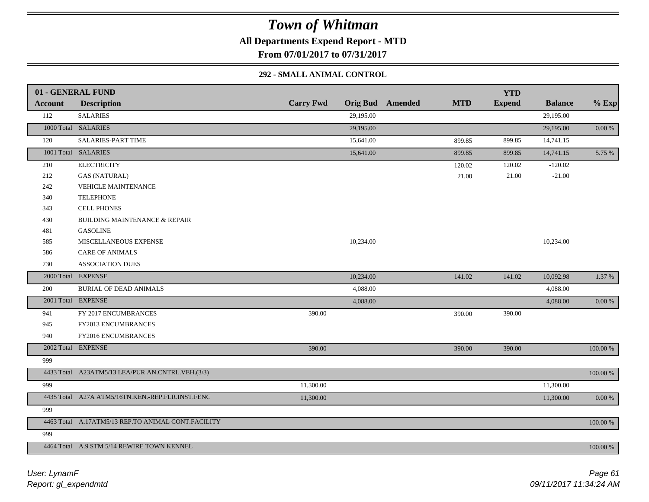**All Departments Expend Report - MTD**

**From 07/01/2017 to 07/31/2017**

### **292 - SMALL ANIMAL CONTROL**

|                | 01 - GENERAL FUND                                  |                  |           |                         |            | <b>YTD</b>    |                |           |
|----------------|----------------------------------------------------|------------------|-----------|-------------------------|------------|---------------|----------------|-----------|
| <b>Account</b> | <b>Description</b>                                 | <b>Carry Fwd</b> |           | <b>Orig Bud</b> Amended | <b>MTD</b> | <b>Expend</b> | <b>Balance</b> | $%$ Exp   |
| 112            | <b>SALARIES</b>                                    |                  | 29,195.00 |                         |            |               | 29,195.00      |           |
|                | 1000 Total SALARIES                                |                  | 29,195.00 |                         |            |               | 29,195.00      | 0.00 %    |
| 120            | SALARIES-PART TIME                                 |                  | 15,641.00 |                         | 899.85     | 899.85        | 14,741.15      |           |
|                | 1001 Total SALARIES                                |                  | 15,641.00 |                         | 899.85     | 899.85        | 14,741.15      | 5.75 %    |
| 210            | <b>ELECTRICITY</b>                                 |                  |           |                         | 120.02     | 120.02        | $-120.02$      |           |
| 212            | <b>GAS (NATURAL)</b>                               |                  |           |                         | 21.00      | 21.00         | $-21.00$       |           |
| 242            | <b>VEHICLE MAINTENANCE</b>                         |                  |           |                         |            |               |                |           |
| 340            | <b>TELEPHONE</b>                                   |                  |           |                         |            |               |                |           |
| 343            | <b>CELL PHONES</b>                                 |                  |           |                         |            |               |                |           |
| 430            | <b>BUILDING MAINTENANCE &amp; REPAIR</b>           |                  |           |                         |            |               |                |           |
| 481            | <b>GASOLINE</b>                                    |                  |           |                         |            |               |                |           |
| 585            | MISCELLANEOUS EXPENSE                              |                  | 10,234.00 |                         |            |               | 10,234.00      |           |
| 586            | <b>CARE OF ANIMALS</b>                             |                  |           |                         |            |               |                |           |
| 730            | <b>ASSOCIATION DUES</b>                            |                  |           |                         |            |               |                |           |
|                | 2000 Total EXPENSE                                 |                  | 10,234.00 |                         | 141.02     | 141.02        | 10,092.98      | 1.37 %    |
| 200            | <b>BURIAL OF DEAD ANIMALS</b>                      |                  | 4,088.00  |                         |            |               | 4,088.00       |           |
|                | 2001 Total EXPENSE                                 |                  | 4,088.00  |                         |            |               | 4,088.00       | 0.00 %    |
| 941            | FY 2017 ENCUMBRANCES                               | 390.00           |           |                         | 390.00     | 390.00        |                |           |
| 945            | FY2013 ENCUMBRANCES                                |                  |           |                         |            |               |                |           |
| 940            | FY2016 ENCUMBRANCES                                |                  |           |                         |            |               |                |           |
|                | 2002 Total EXPENSE                                 | 390.00           |           |                         | 390.00     | 390.00        |                | 100.00 %  |
| 999            |                                                    |                  |           |                         |            |               |                |           |
|                | 4433 Total A23ATM5/13 LEA/PUR AN.CNTRL.VEH.(3/3)   |                  |           |                         |            |               |                | 100.00 %  |
| 999            |                                                    | 11,300.00        |           |                         |            |               | 11,300.00      |           |
|                | 4435 Total A27A ATM5/16TN.KEN.-REP.FLR.INST.FENC   | 11,300.00        |           |                         |            |               | 11,300.00      | $0.00 \%$ |
| 999            |                                                    |                  |           |                         |            |               |                |           |
|                | 4463 Total A.17ATM5/13 REP.TO ANIMAL CONT.FACILITY |                  |           |                         |            |               |                | 100.00 %  |
| 999            |                                                    |                  |           |                         |            |               |                |           |
|                | 4464 Total A.9 STM 5/14 REWIRE TOWN KENNEL         |                  |           |                         |            |               |                | 100.00 %  |
|                |                                                    |                  |           |                         |            |               |                |           |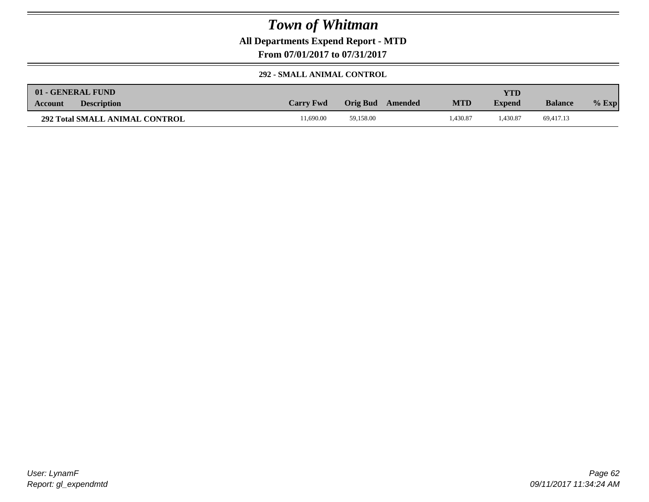**All Departments Expend Report - MTD**

**From 07/01/2017 to 07/31/2017**

#### **292 - SMALL ANIMAL CONTROL**

|                | 01 - GENERAL FUND                     |                  |           |         |            | YTD           |                |         |
|----------------|---------------------------------------|------------------|-----------|---------|------------|---------------|----------------|---------|
| <b>Account</b> | <b>Description</b>                    | <b>Carry Fwd</b> | Orig Bud  | Amended | <b>MTD</b> | <b>Expend</b> | <b>Balance</b> | $%$ Exp |
|                | <b>292 Total SMALL ANIMAL CONTROL</b> | 1.690.00         | 59.158.00 |         | .430.87    | .430.87       | 69,417.13      |         |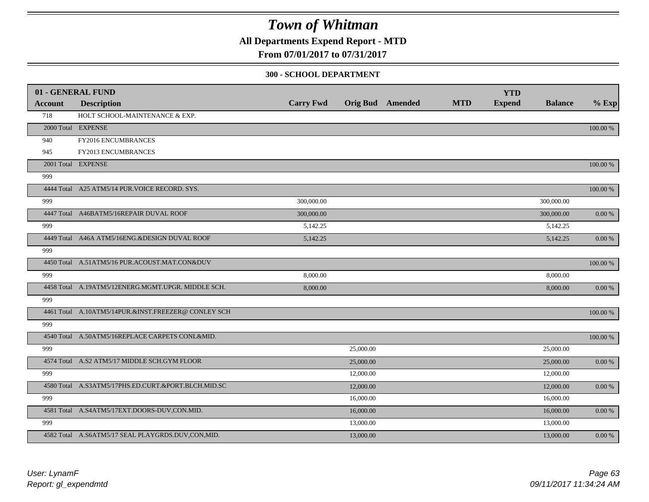**All Departments Expend Report - MTD**

**From 07/01/2017 to 07/31/2017**

#### **300 - SCHOOL DEPARTMENT**

|         | 01 - GENERAL FUND                                   |                  |           |                         |            | <b>YTD</b>    |                |            |
|---------|-----------------------------------------------------|------------------|-----------|-------------------------|------------|---------------|----------------|------------|
| Account | <b>Description</b>                                  | <b>Carry Fwd</b> |           | <b>Orig Bud</b> Amended | <b>MTD</b> | <b>Expend</b> | <b>Balance</b> | $%$ Exp    |
| 718     | HOLT SCHOOL-MAINTENANCE & EXP.                      |                  |           |                         |            |               |                |            |
|         | 2000 Total EXPENSE                                  |                  |           |                         |            |               |                | 100.00 %   |
| 940     | FY2016 ENCUMBRANCES                                 |                  |           |                         |            |               |                |            |
| 945     | FY2013 ENCUMBRANCES                                 |                  |           |                         |            |               |                |            |
|         | 2001 Total EXPENSE                                  |                  |           |                         |            |               |                | 100.00 %   |
| 999     |                                                     |                  |           |                         |            |               |                |            |
|         | 4444 Total A25 ATM5/14 PUR. VOICE RECORD. SYS.      |                  |           |                         |            |               |                | 100.00 %   |
| 999     |                                                     | 300,000.00       |           |                         |            |               | 300,000.00     |            |
|         | 4447 Total A46BATM5/16REPAIR DUVAL ROOF             | 300,000.00       |           |                         |            |               | 300,000.00     | $0.00\ \%$ |
| 999     |                                                     | 5,142.25         |           |                         |            |               | 5,142.25       |            |
|         | 4449 Total A46A ATM5/16ENG.&DESIGN DUVAL ROOF       | 5,142.25         |           |                         |            |               | 5,142.25       | $0.00\ \%$ |
| 999     |                                                     |                  |           |                         |            |               |                |            |
|         | 4450 Total A.51ATM5/16 PUR.ACOUST.MAT.CON&DUV       |                  |           |                         |            |               |                | 100.00 %   |
| 999     |                                                     | 8,000.00         |           |                         |            |               | 8,000.00       |            |
|         | 4458 Total A.19ATM5/12ENERG.MGMT.UPGR. MIDDLE SCH.  | 8,000.00         |           |                         |            |               | 8,000.00       | $0.00\ \%$ |
| 999     |                                                     |                  |           |                         |            |               |                |            |
|         | 4461 Total A.10ATM5/14PUR.&INST.FREEZER@CONLEY SCH  |                  |           |                         |            |               |                | 100.00 %   |
| 999     |                                                     |                  |           |                         |            |               |                |            |
|         | 4540 Total A.50ATM5/16REPLACE CARPETS CONL&MID.     |                  |           |                         |            |               |                | 100.00 %   |
| 999     |                                                     |                  | 25,000.00 |                         |            |               | 25,000.00      |            |
|         | 4574 Total A.S2 ATM5/17 MIDDLE SCH.GYM FLOOR        |                  | 25,000.00 |                         |            |               | 25,000.00      | $0.00\ \%$ |
| 999     |                                                     |                  | 12,000.00 |                         |            |               | 12,000.00      |            |
|         | 4580 Total A.S3ATM5/17PHS.ED.CURT.&PORT.BLCH.MID.SC |                  | 12,000.00 |                         |            |               | 12,000.00      | $0.00\ \%$ |
| 999     |                                                     |                  | 16,000.00 |                         |            |               | 16,000.00      |            |
|         | 4581 Total A.S4ATM5/17EXT.DOORS-DUV,CON.MID.        |                  | 16,000.00 |                         |            |               | 16,000.00      | 0.00 %     |
| 999     |                                                     |                  | 13,000.00 |                         |            |               | 13,000.00      |            |
|         | 4582 Total A.S6ATM5/17 SEAL PLAYGRDS.DUV,CON,MID.   |                  | 13,000.00 |                         |            |               | 13,000.00      | $0.00\ \%$ |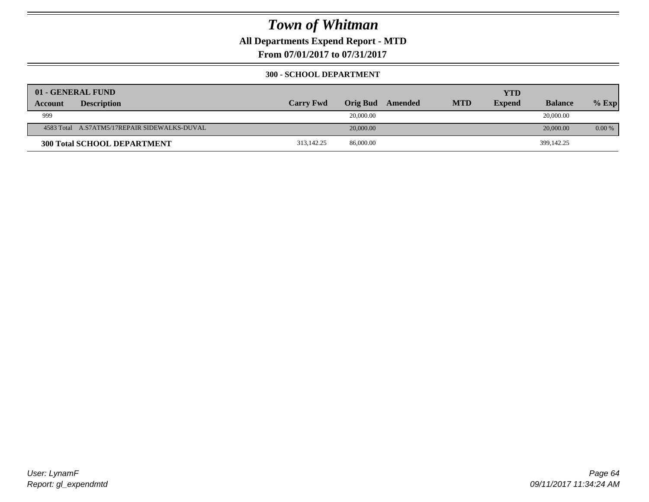**All Departments Expend Report - MTD**

**From 07/01/2017 to 07/31/2017**

#### **300 - SCHOOL DEPARTMENT**

|                | 01 - GENERAL FUND                            |                  |                 |         |            | <b>YTD</b>    |                |          |
|----------------|----------------------------------------------|------------------|-----------------|---------|------------|---------------|----------------|----------|
| <b>Account</b> | <b>Description</b>                           | <b>Carry Fwd</b> | <b>Orig Bud</b> | Amended | <b>MTD</b> | <b>Expend</b> | <b>Balance</b> | $%$ Exp  |
| 999            |                                              |                  | 20,000.00       |         |            |               | 20,000.00      |          |
|                | 4583 Total A.S7ATM5/17REPAIR SIDEWALKS-DUVAL |                  | 20,000.00       |         |            |               | 20,000.00      | $0.00\%$ |
|                | <b>300 Total SCHOOL DEPARTMENT</b>           | 313,142.25       | 86,000.00       |         |            |               | 399,142.25     |          |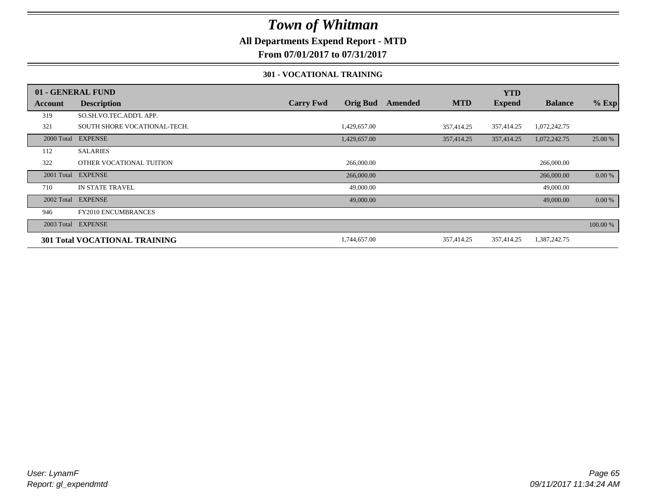### **All Departments Expend Report - MTD**

**From 07/01/2017 to 07/31/2017**

#### **301 - VOCATIONAL TRAINING**

|                | 01 - GENERAL FUND                    |                  |                 |         |            | <b>YTD</b>    |                |          |
|----------------|--------------------------------------|------------------|-----------------|---------|------------|---------------|----------------|----------|
| <b>Account</b> | <b>Description</b>                   | <b>Carry Fwd</b> | <b>Orig Bud</b> | Amended | <b>MTD</b> | <b>Expend</b> | <b>Balance</b> | $%$ Exp  |
| 319            | SO.SH.VO.TEC.ADD'L APP.              |                  |                 |         |            |               |                |          |
| 321            | SOUTH SHORE VOCATIONAL-TECH.         |                  | 1,429,657.00    |         | 357,414.25 | 357,414.25    | 1,072,242.75   |          |
| 2000 Total     | <b>EXPENSE</b>                       |                  | 1,429,657.00    |         | 357,414.25 | 357,414.25    | 1,072,242.75   | 25.00 %  |
| 112            | <b>SALARIES</b>                      |                  |                 |         |            |               |                |          |
| 322            | OTHER VOCATIONAL TUITION             |                  | 266,000.00      |         |            |               | 266,000.00     |          |
| 2001 Total     | <b>EXPENSE</b>                       |                  | 266,000.00      |         |            |               | 266,000.00     | 0.00 %   |
| 710            | <b>IN STATE TRAVEL</b>               |                  | 49,000.00       |         |            |               | 49,000.00      |          |
| 2002 Total     | <b>EXPENSE</b>                       |                  | 49,000.00       |         |            |               | 49,000.00      | 0.00 %   |
| 946            | <b>FY2010 ENCUMBRANCES</b>           |                  |                 |         |            |               |                |          |
|                | 2003 Total EXPENSE                   |                  |                 |         |            |               |                | 100.00 % |
|                | <b>301 Total VOCATIONAL TRAINING</b> |                  | 1,744,657.00    |         | 357,414.25 | 357,414.25    | 1,387,242.75   |          |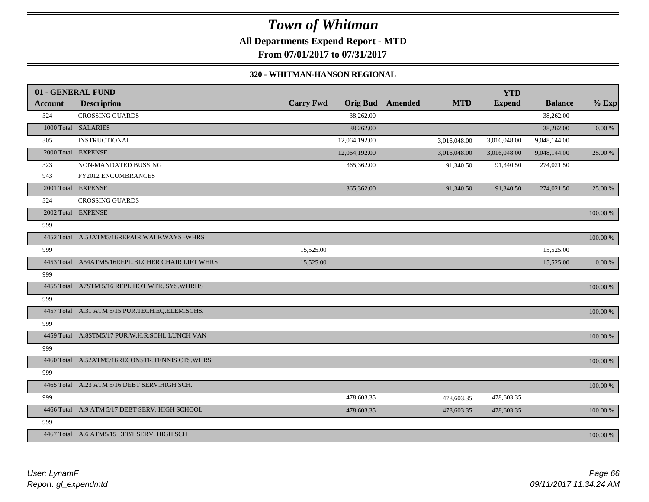## *Town of Whitman* **All Departments Expend Report - MTD**

**From 07/01/2017 to 07/31/2017**

#### **320 - WHITMAN-HANSON REGIONAL**

|                | 01 - GENERAL FUND                                |                  |               |                         |              | <b>YTD</b>    |                |             |
|----------------|--------------------------------------------------|------------------|---------------|-------------------------|--------------|---------------|----------------|-------------|
| <b>Account</b> | <b>Description</b>                               | <b>Carry Fwd</b> |               | <b>Orig Bud</b> Amended | <b>MTD</b>   | <b>Expend</b> | <b>Balance</b> | $%$ Exp     |
| 324            | <b>CROSSING GUARDS</b>                           |                  | 38,262.00     |                         |              |               | 38,262.00      |             |
|                | 1000 Total SALARIES                              |                  | 38,262.00     |                         |              |               | 38,262.00      | $0.00 \%$   |
| 305            | <b>INSTRUCTIONAL</b>                             |                  | 12,064,192.00 |                         | 3,016,048.00 | 3,016,048.00  | 9,048,144.00   |             |
|                | 2000 Total EXPENSE                               |                  | 12,064,192.00 |                         | 3,016,048.00 | 3,016,048.00  | 9,048,144.00   | 25.00 %     |
| 323            | NON-MANDATED BUSSING                             |                  | 365,362.00    |                         | 91,340.50    | 91,340.50     | 274,021.50     |             |
| 943            | FY2012 ENCUMBRANCES                              |                  |               |                         |              |               |                |             |
|                | 2001 Total EXPENSE                               |                  | 365,362.00    |                         | 91,340.50    | 91,340.50     | 274,021.50     | 25.00 %     |
| 324            | <b>CROSSING GUARDS</b>                           |                  |               |                         |              |               |                |             |
|                | 2002 Total EXPENSE                               |                  |               |                         |              |               |                | 100.00 %    |
| 999            |                                                  |                  |               |                         |              |               |                |             |
|                | 4452 Total A.53ATM5/16REPAIR WALKWAYS -WHRS      |                  |               |                         |              |               |                | 100.00 %    |
| 999            |                                                  | 15,525.00        |               |                         |              |               | 15,525.00      |             |
|                | 4453 Total A54ATM5/16REPL.BLCHER CHAIR LIFT WHRS | 15,525.00        |               |                         |              |               | 15,525.00      | $0.00~\%$   |
| 999            |                                                  |                  |               |                         |              |               |                |             |
|                | 4455 Total A7STM 5/16 REPL.HOT WTR. SYS.WHRHS    |                  |               |                         |              |               |                | 100.00 %    |
| 999            |                                                  |                  |               |                         |              |               |                |             |
|                | 4457 Total A.31 ATM 5/15 PUR.TECH.EQ.ELEM.SCHS.  |                  |               |                         |              |               |                | 100.00 %    |
| 999            |                                                  |                  |               |                         |              |               |                |             |
|                | 4459 Total A.8STM5/17 PUR.W.H.R.SCHL LUNCH VAN   |                  |               |                         |              |               |                | 100.00 %    |
| 999            |                                                  |                  |               |                         |              |               |                |             |
|                | 4460 Total A.52ATM5/16RECONSTR.TENNIS CTS.WHRS   |                  |               |                         |              |               |                | $100.00~\%$ |
| 999            |                                                  |                  |               |                         |              |               |                |             |
|                | 4465 Total A.23 ATM 5/16 DEBT SERV.HIGH SCH.     |                  |               |                         |              |               |                | 100.00 %    |
| 999            |                                                  |                  | 478,603.35    |                         | 478,603.35   | 478,603.35    |                |             |
|                | 4466 Total A.9 ATM 5/17 DEBT SERV. HIGH SCHOOL   |                  | 478,603.35    |                         | 478,603.35   | 478,603.35    |                | 100.00 %    |
| 999            |                                                  |                  |               |                         |              |               |                |             |
|                | 4467 Total A.6 ATM5/15 DEBT SERV. HIGH SCH       |                  |               |                         |              |               |                | 100.00 %    |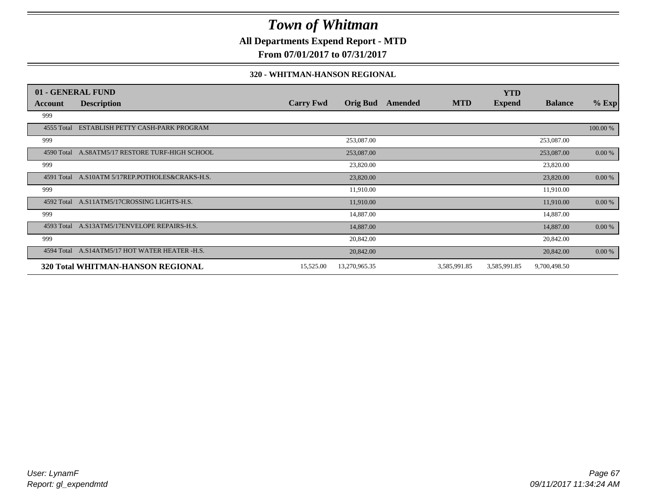### **All Departments Expend Report - MTD**

**From 07/01/2017 to 07/31/2017**

#### **320 - WHITMAN-HANSON REGIONAL**

|                | 01 - GENERAL FUND                               |                  |                 |         |              | <b>YTD</b>    |                |           |
|----------------|-------------------------------------------------|------------------|-----------------|---------|--------------|---------------|----------------|-----------|
| <b>Account</b> | <b>Description</b>                              | <b>Carry Fwd</b> | <b>Orig Bud</b> | Amended | <b>MTD</b>   | <b>Expend</b> | <b>Balance</b> | $%$ Exp   |
| 999            |                                                 |                  |                 |         |              |               |                |           |
| 4555 Total     | ESTABLISH PETTY CASH-PARK PROGRAM               |                  |                 |         |              |               |                | 100.00 %  |
| 999            |                                                 |                  | 253,087.00      |         |              |               | 253,087.00     |           |
|                | 4590 Total A.S8ATM5/17 RESTORE TURF-HIGH SCHOOL |                  | 253,087.00      |         |              |               | 253,087.00     | $0.00 \%$ |
| 999            |                                                 |                  | 23,820.00       |         |              |               | 23,820.00      |           |
| 4591 Total     | A.S10ATM 5/17REP.POTHOLES&CRAKS-H.S.            |                  | 23,820.00       |         |              |               | 23,820.00      | $0.00 \%$ |
| 999            |                                                 |                  | 11,910.00       |         |              |               | 11,910.00      |           |
| 4592 Total     | A.S11ATM5/17CROSSING LIGHTS-H.S.                |                  | 11,910.00       |         |              |               | 11,910.00      | 0.00 %    |
| 999            |                                                 |                  | 14,887.00       |         |              |               | 14,887.00      |           |
|                | 4593 Total A.S13ATM5/17ENVELOPE REPAIRS-H.S.    |                  | 14,887.00       |         |              |               | 14,887.00      | $0.00 \%$ |
| 999            |                                                 |                  | 20,842.00       |         |              |               | 20,842.00      |           |
|                | 4594 Total A.S14ATM5/17 HOT WATER HEATER -H.S.  |                  | 20,842.00       |         |              |               | 20,842.00      | 0.00 %    |
|                | 320 Total WHITMAN-HANSON REGIONAL               | 15,525.00        | 13,270,965.35   |         | 3,585,991.85 | 3,585,991.85  | 9,700,498.50   |           |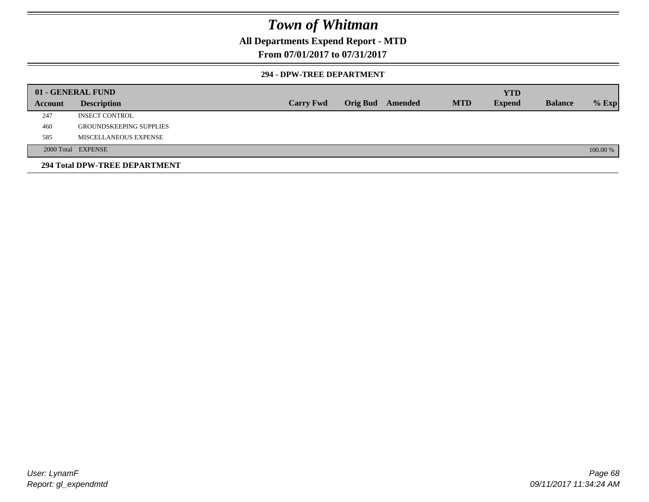### **All Departments Expend Report - MTD**

### **From 07/01/2017 to 07/31/2017**

#### **294 - DPW-TREE DEPARTMENT**

|         | 01 - GENERAL FUND              |                  |                         |            | <b>YTD</b>    |                |          |
|---------|--------------------------------|------------------|-------------------------|------------|---------------|----------------|----------|
| Account | <b>Description</b>             | <b>Carry Fwd</b> | <b>Orig Bud</b> Amended | <b>MTD</b> | <b>Expend</b> | <b>Balance</b> | $%$ Exp  |
| 247     | <b>INSECT CONTROL</b>          |                  |                         |            |               |                |          |
| 460     | <b>GROUNDSKEEPING SUPPLIES</b> |                  |                         |            |               |                |          |
| 585     | MISCELLANEOUS EXPENSE          |                  |                         |            |               |                |          |
|         | 2000 Total EXPENSE             |                  |                         |            |               |                | 100.00 % |
|         | 294 Total DPW-TREE DEPARTMENT  |                  |                         |            |               |                |          |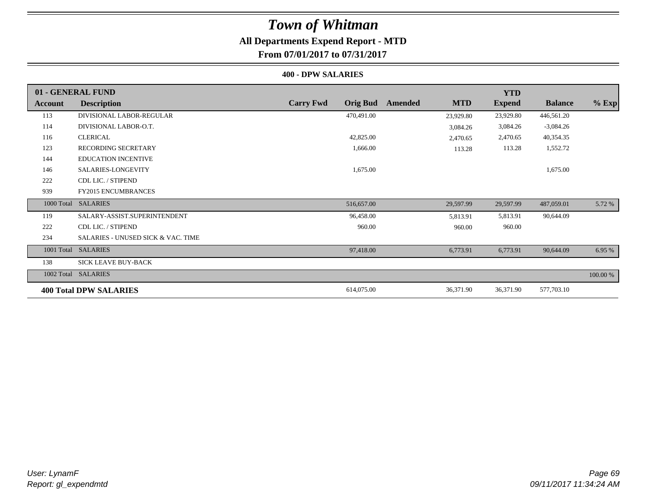## **All Departments Expend Report - MTD**

**From 07/01/2017 to 07/31/2017**

#### **400 - DPW SALARIES**

|            | 01 - GENERAL FUND                  |                                     |                       | <b>YTD</b>    |                |          |
|------------|------------------------------------|-------------------------------------|-----------------------|---------------|----------------|----------|
| Account    | <b>Description</b>                 | <b>Carry Fwd</b><br><b>Orig Bud</b> | <b>MTD</b><br>Amended | <b>Expend</b> | <b>Balance</b> | $%$ Exp  |
| 113        | DIVISIONAL LABOR-REGULAR           | 470,491.00                          | 23,929.80             | 23,929.80     | 446,561.20     |          |
| 114        | DIVISIONAL LABOR-O.T.              |                                     | 3,084.26              | 3,084.26      | $-3,084.26$    |          |
| 116        | <b>CLERICAL</b>                    | 42,825.00                           | 2,470.65              | 2,470.65      | 40,354.35      |          |
| 123        | RECORDING SECRETARY                | 1,666.00                            | 113.28                | 113.28        | 1,552.72       |          |
| 144        | <b>EDUCATION INCENTIVE</b>         |                                     |                       |               |                |          |
| 146        | SALARIES-LONGEVITY                 | 1,675.00                            |                       |               | 1,675.00       |          |
| 222        | CDL LIC. / STIPEND                 |                                     |                       |               |                |          |
| 939        | <b>FY2015 ENCUMBRANCES</b>         |                                     |                       |               |                |          |
|            | 1000 Total SALARIES                | 516,657.00                          | 29,597.99             | 29,597.99     | 487,059.01     | 5.72 %   |
| 119        | SALARY-ASSIST.SUPERINTENDENT       | 96,458.00                           | 5,813.91              | 5,813.91      | 90,644.09      |          |
| 222        | CDL LIC. / STIPEND                 | 960.00                              | 960.00                | 960.00        |                |          |
| 234        | SALARIES - UNUSED SICK & VAC. TIME |                                     |                       |               |                |          |
| 1001 Total | <b>SALARIES</b>                    | 97,418.00                           | 6,773.91              | 6,773.91      | 90,644.09      | 6.95 %   |
| 138        | SICK LEAVE BUY-BACK                |                                     |                       |               |                |          |
|            | 1002 Total SALARIES                |                                     |                       |               |                | 100.00 % |
|            | <b>400 Total DPW SALARIES</b>      | 614,075.00                          | 36,371.90             | 36,371.90     | 577,703.10     |          |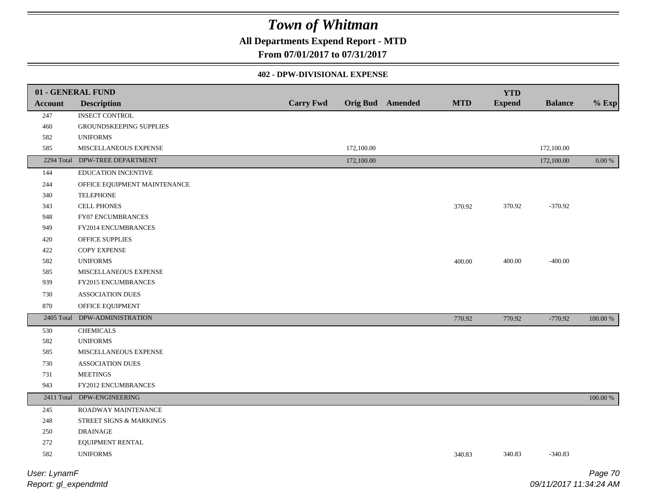## **All Departments Expend Report - MTD**

## **From 07/01/2017 to 07/31/2017**

#### **402 - DPW-DIVISIONAL EXPENSE**

| 01 - GENERAL FUND |                                |                  |                  |            | <b>YTD</b>    |                |             |
|-------------------|--------------------------------|------------------|------------------|------------|---------------|----------------|-------------|
| <b>Account</b>    | <b>Description</b>             | <b>Carry Fwd</b> | Orig Bud Amended | <b>MTD</b> | <b>Expend</b> | <b>Balance</b> | $%$ Exp     |
| 247               | <b>INSECT CONTROL</b>          |                  |                  |            |               |                |             |
| $460\,$           | GROUNDSKEEPING SUPPLIES        |                  |                  |            |               |                |             |
| 582               | <b>UNIFORMS</b>                |                  |                  |            |               |                |             |
| 585               | MISCELLANEOUS EXPENSE          |                  | 172,100.00       |            |               | 172,100.00     |             |
|                   | 2294 Total DPW-TREE DEPARTMENT |                  | 172,100.00       |            |               | 172,100.00     | $0.00\%$    |
| 144               | <b>EDUCATION INCENTIVE</b>     |                  |                  |            |               |                |             |
| 244               | OFFICE EQUIPMENT MAINTENANCE   |                  |                  |            |               |                |             |
| 340               | <b>TELEPHONE</b>               |                  |                  |            |               |                |             |
| 343               | <b>CELL PHONES</b>             |                  |                  | 370.92     | 370.92        | $-370.92$      |             |
| 948               | FY07 ENCUMBRANCES              |                  |                  |            |               |                |             |
| 949               | FY2014 ENCUMBRANCES            |                  |                  |            |               |                |             |
| 420               | OFFICE SUPPLIES                |                  |                  |            |               |                |             |
| 422               | COPY EXPENSE                   |                  |                  |            |               |                |             |
| 582               | <b>UNIFORMS</b>                |                  |                  | 400.00     | 400.00        | $-400.00$      |             |
| 585               | MISCELLANEOUS EXPENSE          |                  |                  |            |               |                |             |
| 939               | FY2015 ENCUMBRANCES            |                  |                  |            |               |                |             |
| 730               | <b>ASSOCIATION DUES</b>        |                  |                  |            |               |                |             |
| 870               | OFFICE EQUIPMENT               |                  |                  |            |               |                |             |
| 2405 Total        | DPW-ADMINISTRATION             |                  |                  | 770.92     | 770.92        | $-770.92$      | $100.00~\%$ |
| 530               | <b>CHEMICALS</b>               |                  |                  |            |               |                |             |
| 582               | <b>UNIFORMS</b>                |                  |                  |            |               |                |             |
| 585               | MISCELLANEOUS EXPENSE          |                  |                  |            |               |                |             |
| 730               | <b>ASSOCIATION DUES</b>        |                  |                  |            |               |                |             |
| 731               | <b>MEETINGS</b>                |                  |                  |            |               |                |             |
| 943               | FY2012 ENCUMBRANCES            |                  |                  |            |               |                |             |
|                   | 2411 Total DPW-ENGINEERING     |                  |                  |            |               |                | $100.00\%$  |
| 245               | ROADWAY MAINTENANCE            |                  |                  |            |               |                |             |
| 248               | STREET SIGNS & MARKINGS        |                  |                  |            |               |                |             |
| $250\,$           | <b>DRAINAGE</b>                |                  |                  |            |               |                |             |
| 272               | EQUIPMENT RENTAL               |                  |                  |            |               |                |             |
| 582               | <b>UNIFORMS</b>                |                  |                  | 340.83     | 340.83        | $-340.83$      |             |
| User: LynamF      |                                |                  |                  |            |               |                | Page 70     |

*Report: gl\_expendmtd*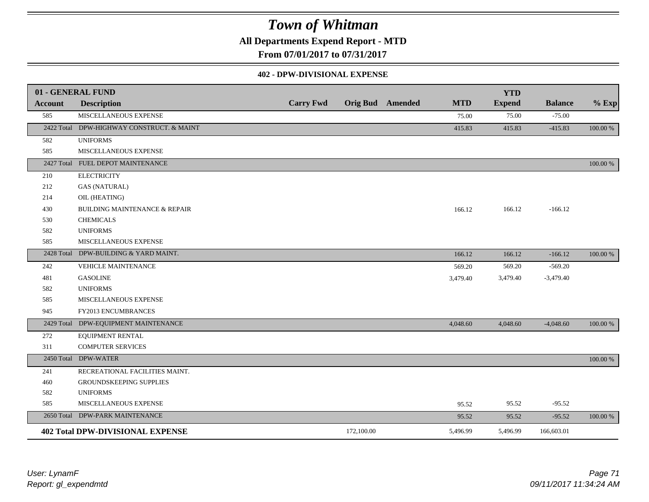**All Departments Expend Report - MTD**

**From 07/01/2017 to 07/31/2017**

#### **402 - DPW-DIVISIONAL EXPENSE**

|                | 01 - GENERAL FUND                         |                  |            |                         |            | <b>YTD</b>    |                |          |
|----------------|-------------------------------------------|------------------|------------|-------------------------|------------|---------------|----------------|----------|
| <b>Account</b> | <b>Description</b>                        | <b>Carry Fwd</b> |            | <b>Orig Bud</b> Amended | <b>MTD</b> | <b>Expend</b> | <b>Balance</b> | $%$ Exp  |
| 585            | MISCELLANEOUS EXPENSE                     |                  |            |                         | 75.00      | 75.00         | $-75.00$       |          |
|                | 2422 Total DPW-HIGHWAY CONSTRUCT. & MAINT |                  |            |                         | 415.83     | 415.83        | $-415.83$      | 100.00 % |
| 582            | <b>UNIFORMS</b>                           |                  |            |                         |            |               |                |          |
| 585            | MISCELLANEOUS EXPENSE                     |                  |            |                         |            |               |                |          |
|                | 2427 Total FUEL DEPOT MAINTENANCE         |                  |            |                         |            |               |                | 100.00 % |
| 210            | <b>ELECTRICITY</b>                        |                  |            |                         |            |               |                |          |
| 212            | <b>GAS (NATURAL)</b>                      |                  |            |                         |            |               |                |          |
| 214            | OIL (HEATING)                             |                  |            |                         |            |               |                |          |
| 430            | <b>BUILDING MAINTENANCE &amp; REPAIR</b>  |                  |            |                         | 166.12     | 166.12        | $-166.12$      |          |
| 530            | <b>CHEMICALS</b>                          |                  |            |                         |            |               |                |          |
| 582            | <b>UNIFORMS</b>                           |                  |            |                         |            |               |                |          |
| 585            | MISCELLANEOUS EXPENSE                     |                  |            |                         |            |               |                |          |
| 2428 Total     | DPW-BUILDING & YARD MAINT.                |                  |            |                         | 166.12     | 166.12        | $-166.12$      | 100.00 % |
| 242            | <b>VEHICLE MAINTENANCE</b>                |                  |            |                         | 569.20     | 569.20        | $-569.20$      |          |
| 481            | <b>GASOLINE</b>                           |                  |            |                         | 3,479.40   | 3,479.40      | $-3,479.40$    |          |
| 582            | <b>UNIFORMS</b>                           |                  |            |                         |            |               |                |          |
| 585            | MISCELLANEOUS EXPENSE                     |                  |            |                         |            |               |                |          |
| 945            | FY2013 ENCUMBRANCES                       |                  |            |                         |            |               |                |          |
|                | 2429 Total DPW-EQUIPMENT MAINTENANCE      |                  |            |                         | 4,048.60   | 4,048.60      | $-4,048.60$    | 100.00 % |
| 272            | EQUIPMENT RENTAL                          |                  |            |                         |            |               |                |          |
| 311            | <b>COMPUTER SERVICES</b>                  |                  |            |                         |            |               |                |          |
|                | 2450 Total DPW-WATER                      |                  |            |                         |            |               |                | 100.00 % |
| 241            | RECREATIONAL FACILITIES MAINT.            |                  |            |                         |            |               |                |          |
| 460            | GROUNDSKEEPING SUPPLIES                   |                  |            |                         |            |               |                |          |
| 582            | <b>UNIFORMS</b>                           |                  |            |                         |            |               |                |          |
| 585            | MISCELLANEOUS EXPENSE                     |                  |            |                         | 95.52      | 95.52         | $-95.52$       |          |
|                | 2650 Total DPW-PARK MAINTENANCE           |                  |            |                         | 95.52      | 95.52         | $-95.52$       | 100.00 % |
|                | <b>402 Total DPW-DIVISIONAL EXPENSE</b>   |                  | 172,100.00 |                         | 5,496.99   | 5,496.99      | 166,603.01     |          |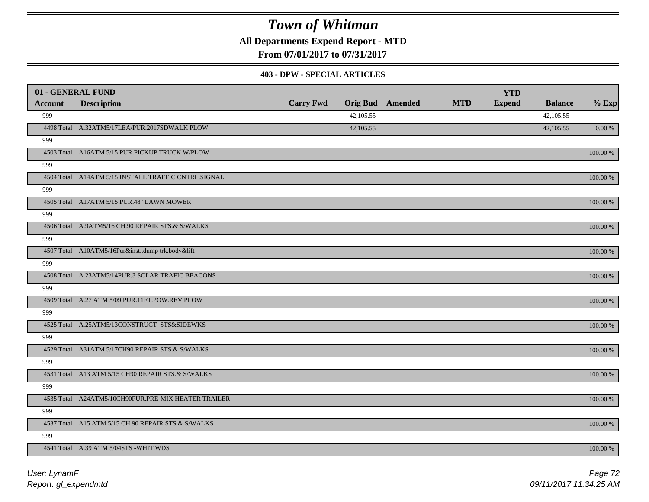**All Departments Expend Report - MTD**

**From 07/01/2017 to 07/31/2017**

#### **403 - DPW - SPECIAL ARTICLES**

| 01 - GENERAL FUND |                                                     |                  |           |                         |            | <b>YTD</b>    |                |             |
|-------------------|-----------------------------------------------------|------------------|-----------|-------------------------|------------|---------------|----------------|-------------|
| Account           | <b>Description</b>                                  | <b>Carry Fwd</b> |           | <b>Orig Bud</b> Amended | <b>MTD</b> | <b>Expend</b> | <b>Balance</b> | $%$ Exp     |
| 999               |                                                     |                  | 42,105.55 |                         |            |               | 42,105.55      |             |
|                   | 4498 Total A.32ATM5/17LEA/PUR.2017SDWALK PLOW       |                  | 42,105.55 |                         |            |               | 42,105.55      | $0.00\,\%$  |
| 999               |                                                     |                  |           |                         |            |               |                |             |
|                   | 4503 Total A16ATM 5/15 PUR.PICKUP TRUCK W/PLOW      |                  |           |                         |            |               |                | $100.00~\%$ |
| 999               |                                                     |                  |           |                         |            |               |                |             |
|                   | 4504 Total A14ATM 5/15 INSTALL TRAFFIC CNTRL.SIGNAL |                  |           |                         |            |               |                | 100.00 %    |
| 999               |                                                     |                  |           |                         |            |               |                |             |
|                   | 4505 Total A17ATM 5/15 PUR.48" LAWN MOWER           |                  |           |                         |            |               |                | 100.00 %    |
| 999               |                                                     |                  |           |                         |            |               |                |             |
|                   | 4506 Total A.9ATM5/16 CH.90 REPAIR STS.& S/WALKS    |                  |           |                         |            |               |                | 100.00 %    |
| 999               |                                                     |                  |           |                         |            |               |                |             |
|                   | 4507 Total A10ATM5/16Pur&instdump trk.body&lift     |                  |           |                         |            |               |                | 100.00 %    |
| 999               |                                                     |                  |           |                         |            |               |                |             |
|                   | 4508 Total A.23ATM5/14PUR.3 SOLAR TRAFIC BEACONS    |                  |           |                         |            |               |                | 100.00 %    |
| 999               |                                                     |                  |           |                         |            |               |                |             |
|                   | 4509 Total A.27 ATM 5/09 PUR.11FT.POW.REV.PLOW      |                  |           |                         |            |               |                | 100.00 %    |
| 999               |                                                     |                  |           |                         |            |               |                |             |
|                   | 4525 Total A.25ATM5/13CONSTRUCT STS&SIDEWKS         |                  |           |                         |            |               |                | 100.00 %    |
| 999               |                                                     |                  |           |                         |            |               |                |             |
|                   | 4529 Total A31ATM 5/17CH90 REPAIR STS.& S/WALKS     |                  |           |                         |            |               |                | 100.00 %    |
| 999               |                                                     |                  |           |                         |            |               |                |             |
|                   | 4531 Total A13 ATM 5/15 CH90 REPAIR STS.& S/WALKS   |                  |           |                         |            |               |                | 100.00 %    |
| 999               |                                                     |                  |           |                         |            |               |                |             |
|                   | 4535 Total A24ATM5/10CH90PUR.PRE-MIX HEATER TRAILER |                  |           |                         |            |               |                | $100.00~\%$ |
| 999               |                                                     |                  |           |                         |            |               |                |             |
|                   | 4537 Total A15 ATM 5/15 CH 90 REPAIR STS.& S/WALKS  |                  |           |                         |            |               |                | 100.00 %    |
| 999               |                                                     |                  |           |                         |            |               |                |             |
|                   | 4541 Total A.39 ATM 5/04STS - WHIT. WDS             |                  |           |                         |            |               |                | 100.00 %    |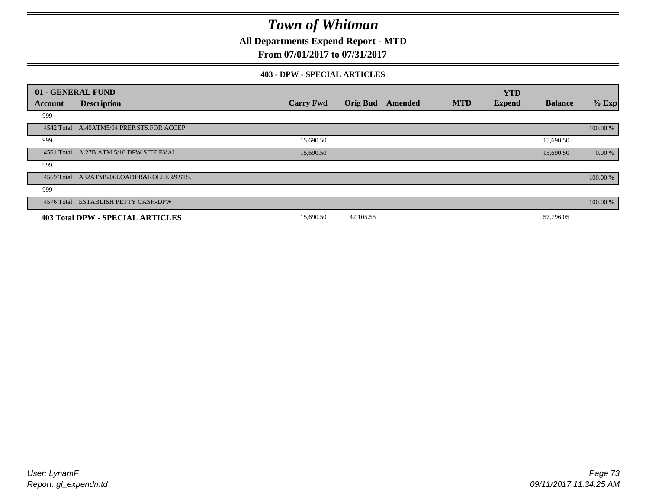**All Departments Expend Report - MTD**

### **From 07/01/2017 to 07/31/2017**

#### **403 - DPW - SPECIAL ARTICLES**

| 01 - GENERAL FUND |                                           |                  |                 |         |            | <b>YTD</b>    |                |          |
|-------------------|-------------------------------------------|------------------|-----------------|---------|------------|---------------|----------------|----------|
| Account           | <b>Description</b>                        | <b>Carry Fwd</b> | <b>Orig Bud</b> | Amended | <b>MTD</b> | <b>Expend</b> | <b>Balance</b> | $%$ Exp  |
| 999               |                                           |                  |                 |         |            |               |                |          |
|                   | 4542 Total A.40ATM5/04 PREP.STS.FOR ACCEP |                  |                 |         |            |               |                | 100.00 % |
| 999               |                                           | 15,690.50        |                 |         |            |               | 15,690.50      |          |
|                   | 4561 Total A.27B ATM 5/16 DPW SITE EVAL.  | 15,690.50        |                 |         |            |               | 15,690.50      | 0.00 %   |
| 999               |                                           |                  |                 |         |            |               |                |          |
|                   | 4569 Total A32ATM5/06LOADER&ROLLER&STS.   |                  |                 |         |            |               |                | 100.00 % |
| 999               |                                           |                  |                 |         |            |               |                |          |
|                   | 4576 Total ESTABLISH PETTY CASH-DPW       |                  |                 |         |            |               |                | 100.00 % |
|                   | <b>403 Total DPW - SPECIAL ARTICLES</b>   | 15,690.50        | 42,105.55       |         |            |               | 57,796.05      |          |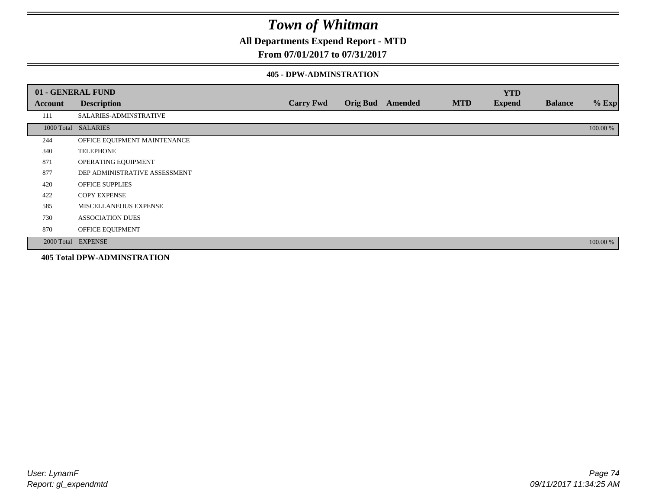### **All Departments Expend Report - MTD**

### **From 07/01/2017 to 07/31/2017**

#### **405 - DPW-ADMINSTRATION**

|         | 01 - GENERAL FUND                  |                  |                  |            | <b>YTD</b>    |                |          |
|---------|------------------------------------|------------------|------------------|------------|---------------|----------------|----------|
| Account | <b>Description</b>                 | <b>Carry Fwd</b> | Orig Bud Amended | <b>MTD</b> | <b>Expend</b> | <b>Balance</b> | $%$ Exp  |
| 111     | SALARIES-ADMINSTRATIVE             |                  |                  |            |               |                |          |
|         | 1000 Total SALARIES                |                  |                  |            |               |                | 100.00 % |
| 244     | OFFICE EQUIPMENT MAINTENANCE       |                  |                  |            |               |                |          |
| 340     | <b>TELEPHONE</b>                   |                  |                  |            |               |                |          |
| 871     | OPERATING EQUIPMENT                |                  |                  |            |               |                |          |
| 877     | DEP ADMINISTRATIVE ASSESSMENT      |                  |                  |            |               |                |          |
| 420     | <b>OFFICE SUPPLIES</b>             |                  |                  |            |               |                |          |
| 422     | <b>COPY EXPENSE</b>                |                  |                  |            |               |                |          |
| 585     | MISCELLANEOUS EXPENSE              |                  |                  |            |               |                |          |
| 730     | <b>ASSOCIATION DUES</b>            |                  |                  |            |               |                |          |
| 870     | OFFICE EQUIPMENT                   |                  |                  |            |               |                |          |
|         | 2000 Total EXPENSE                 |                  |                  |            |               |                | 100.00 % |
|         | <b>405 Total DPW-ADMINSTRATION</b> |                  |                  |            |               |                |          |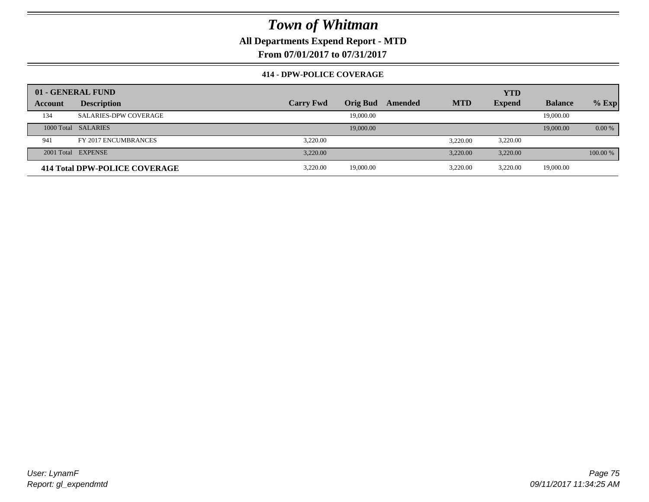**All Departments Expend Report - MTD**

**From 07/01/2017 to 07/31/2017**

### **414 - DPW-POLICE COVERAGE**

|         | 01 - GENERAL FUND             |                  |                 |         |            | <b>YTD</b>    |                |          |
|---------|-------------------------------|------------------|-----------------|---------|------------|---------------|----------------|----------|
| Account | <b>Description</b>            | <b>Carry Fwd</b> | <b>Orig Bud</b> | Amended | <b>MTD</b> | <b>Expend</b> | <b>Balance</b> | $%$ Exp  |
| 134     | <b>SALARIES-DPW COVERAGE</b>  |                  | 19,000.00       |         |            |               | 19,000.00      |          |
|         | 1000 Total SALARIES           |                  | 19,000.00       |         |            |               | 19,000.00      | $0.00\%$ |
| 941     | FY 2017 ENCUMBRANCES          | 3.220.00         |                 |         | 3.220.00   | 3,220.00      |                |          |
|         | 2001 Total EXPENSE            | 3.220.00         |                 |         | 3.220.00   | 3.220.00      |                | 100.00 % |
|         | 414 Total DPW-POLICE COVERAGE | 3.220.00         | 19,000.00       |         | 3.220.00   | 3.220.00      | 19,000.00      |          |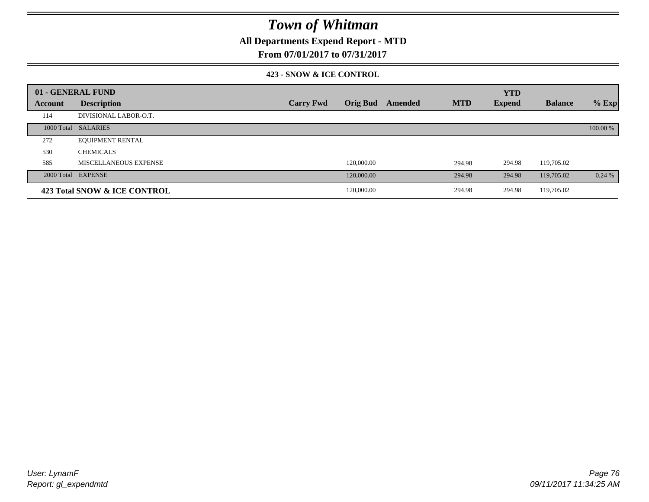**All Departments Expend Report - MTD**

### **From 07/01/2017 to 07/31/2017**

#### **423 - SNOW & ICE CONTROL**

|                | 01 - GENERAL FUND            |                  |                 |         |            | <b>YTD</b>    |                |          |
|----------------|------------------------------|------------------|-----------------|---------|------------|---------------|----------------|----------|
| <b>Account</b> | <b>Description</b>           | <b>Carry Fwd</b> | <b>Orig Bud</b> | Amended | <b>MTD</b> | <b>Expend</b> | <b>Balance</b> | $%$ Exp  |
| 114            | DIVISIONAL LABOR-O.T.        |                  |                 |         |            |               |                |          |
|                | 1000 Total SALARIES          |                  |                 |         |            |               |                | 100.00 % |
| 272            | <b>EQUIPMENT RENTAL</b>      |                  |                 |         |            |               |                |          |
| 530            | <b>CHEMICALS</b>             |                  |                 |         |            |               |                |          |
| 585            | <b>MISCELLANEOUS EXPENSE</b> |                  | 120,000.00      |         | 294.98     | 294.98        | 119,705.02     |          |
|                | 2000 Total EXPENSE           |                  | 120,000.00      |         | 294.98     | 294.98        | 119,705.02     | 0.24%    |
|                | 423 Total SNOW & ICE CONTROL |                  | 120,000.00      |         | 294.98     | 294.98        | 119,705.02     |          |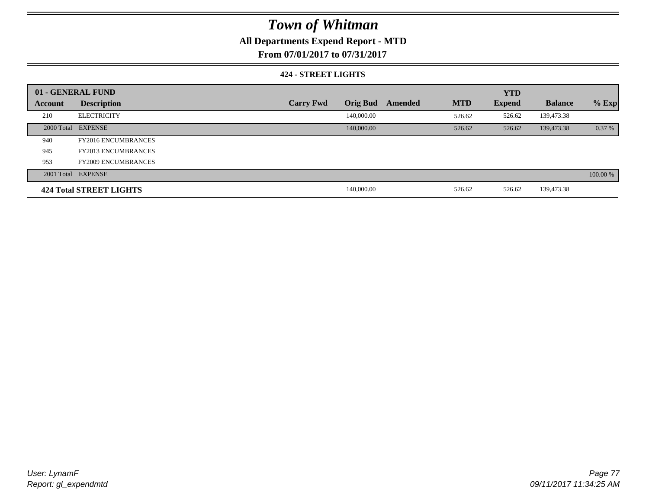## **All Departments Expend Report - MTD**

**From 07/01/2017 to 07/31/2017**

#### **424 - STREET LIGHTS**

|         | 01 - GENERAL FUND              |                  |                 |         |            | <b>YTD</b>    |                |          |
|---------|--------------------------------|------------------|-----------------|---------|------------|---------------|----------------|----------|
| Account | <b>Description</b>             | <b>Carry Fwd</b> | <b>Orig Bud</b> | Amended | <b>MTD</b> | <b>Expend</b> | <b>Balance</b> | $%$ Exp  |
| 210     | <b>ELECTRICITY</b>             |                  | 140,000.00      |         | 526.62     | 526.62        | 139,473.38     |          |
|         | 2000 Total EXPENSE             |                  | 140,000.00      |         | 526.62     | 526.62        | 139,473.38     | 0.37%    |
| 940     | <b>FY2016 ENCUMBRANCES</b>     |                  |                 |         |            |               |                |          |
| 945     | <b>FY2013 ENCUMBRANCES</b>     |                  |                 |         |            |               |                |          |
| 953     | <b>FY2009 ENCUMBRANCES</b>     |                  |                 |         |            |               |                |          |
|         | 2001 Total EXPENSE             |                  |                 |         |            |               |                | 100.00 % |
|         | <b>424 Total STREET LIGHTS</b> |                  | 140,000.00      |         | 526.62     | 526.62        | 139,473.38     |          |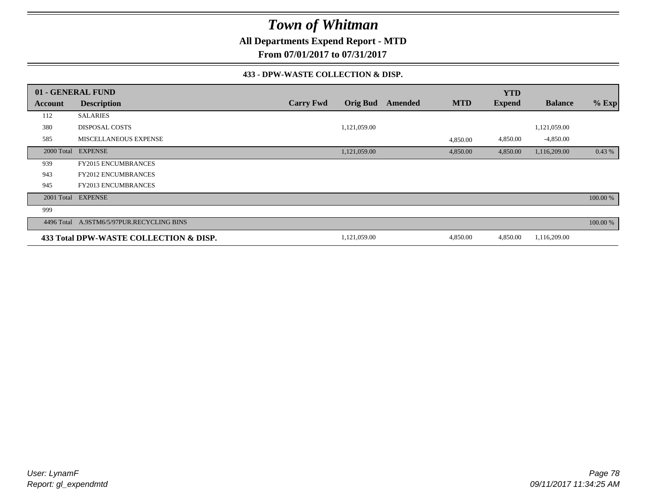**All Departments Expend Report - MTD**

**From 07/01/2017 to 07/31/2017**

#### **433 - DPW-WASTE COLLECTION & DISP.**

|                | 01 - GENERAL FUND                         |                  |                 |         |            | <b>YTD</b>    |                |          |
|----------------|-------------------------------------------|------------------|-----------------|---------|------------|---------------|----------------|----------|
| <b>Account</b> | <b>Description</b>                        | <b>Carry Fwd</b> | <b>Orig Bud</b> | Amended | <b>MTD</b> | <b>Expend</b> | <b>Balance</b> | $%$ Exp  |
| 112            | <b>SALARIES</b>                           |                  |                 |         |            |               |                |          |
| 380            | <b>DISPOSAL COSTS</b>                     |                  | 1,121,059.00    |         |            |               | 1,121,059.00   |          |
| 585            | <b>MISCELLANEOUS EXPENSE</b>              |                  |                 |         | 4,850.00   | 4,850.00      | $-4,850.00$    |          |
| 2000 Total     | <b>EXPENSE</b>                            |                  | 1,121,059.00    |         | 4,850.00   | 4,850.00      | 1,116,209.00   | 0.43%    |
| 939            | <b>FY2015 ENCUMBRANCES</b>                |                  |                 |         |            |               |                |          |
| 943            | <b>FY2012 ENCUMBRANCES</b>                |                  |                 |         |            |               |                |          |
| 945            | FY2013 ENCUMBRANCES                       |                  |                 |         |            |               |                |          |
| 2001 Total     | <b>EXPENSE</b>                            |                  |                 |         |            |               |                | 100.00 % |
| 999            |                                           |                  |                 |         |            |               |                |          |
|                | 4496 Total A.9STM6/5/97PUR.RECYCLING BINS |                  |                 |         |            |               |                | 100.00 % |
|                | 433 Total DPW-WASTE COLLECTION & DISP.    |                  | 1,121,059.00    |         | 4,850.00   | 4,850.00      | 1,116,209.00   |          |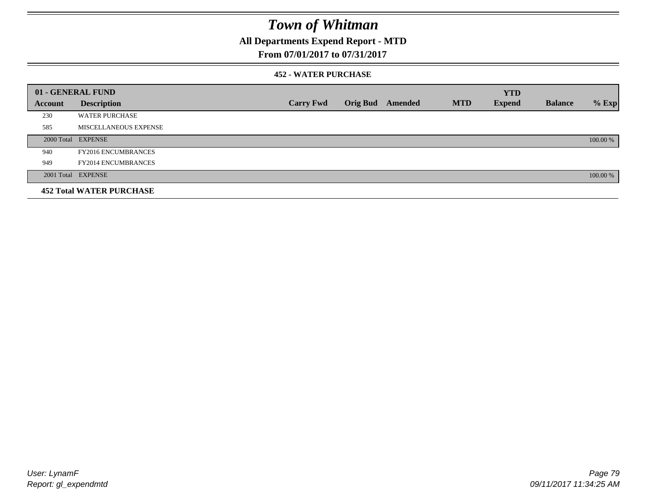## **All Departments Expend Report - MTD**

### **From 07/01/2017 to 07/31/2017**

#### **452 - WATER PURCHASE**

|         | 01 - GENERAL FUND               |                  |                 |         |            | <b>YTD</b>    |                |          |
|---------|---------------------------------|------------------|-----------------|---------|------------|---------------|----------------|----------|
| Account | <b>Description</b>              | <b>Carry Fwd</b> | <b>Orig Bud</b> | Amended | <b>MTD</b> | <b>Expend</b> | <b>Balance</b> | $%$ Exp  |
| 230     | <b>WATER PURCHASE</b>           |                  |                 |         |            |               |                |          |
| 585     | MISCELLANEOUS EXPENSE           |                  |                 |         |            |               |                |          |
|         | 2000 Total EXPENSE              |                  |                 |         |            |               |                | 100.00 % |
| 940     | <b>FY2016 ENCUMBRANCES</b>      |                  |                 |         |            |               |                |          |
| 949     | <b>FY2014 ENCUMBRANCES</b>      |                  |                 |         |            |               |                |          |
|         | 2001 Total EXPENSE              |                  |                 |         |            |               |                | 100.00 % |
|         | <b>452 Total WATER PURCHASE</b> |                  |                 |         |            |               |                |          |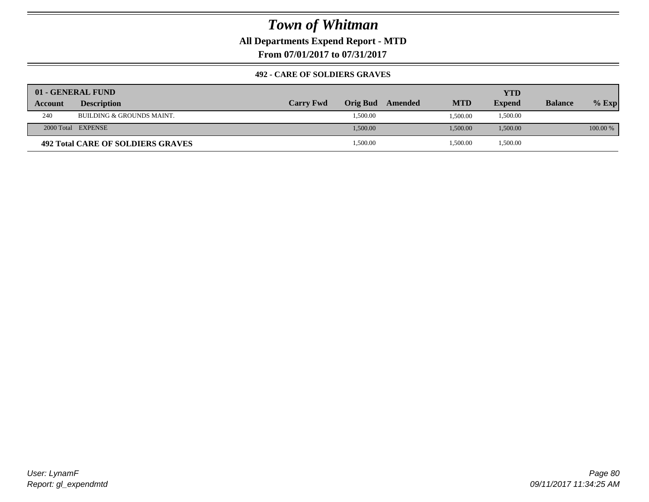**All Departments Expend Report - MTD**

**From 07/01/2017 to 07/31/2017**

### **492 - CARE OF SOLDIERS GRAVES**

|         | 01 - GENERAL FUND                    |                  |          |         |            | YTD           |                |          |
|---------|--------------------------------------|------------------|----------|---------|------------|---------------|----------------|----------|
| Account | <b>Description</b>                   | <b>Carry Fwd</b> | Orig Bud | Amended | <b>MTD</b> | <b>Expend</b> | <b>Balance</b> | $%$ Exp  |
| 240     | <b>BUILDING &amp; GROUNDS MAINT.</b> |                  | 1,500.00 |         | 1.500.00   | 1,500.00      |                |          |
|         | 2000 Total EXPENSE                   |                  | 1.500.00 |         | 1.500.00   | 1,500.00      |                | 100.00 % |
|         | 492 Total CARE OF SOLDIERS GRAVES    |                  | 1,500.00 |         | 1,500.00   | 1,500.00      |                |          |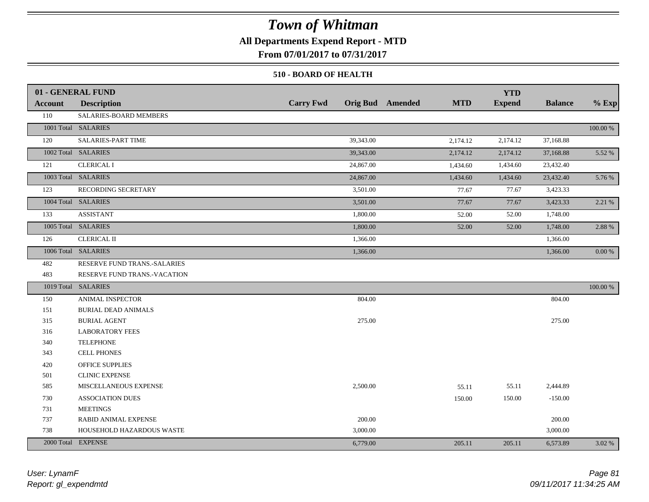### **All Departments Expend Report - MTD**

**From 07/01/2017 to 07/31/2017**

#### **510 - BOARD OF HEALTH**

|                | 01 - GENERAL FUND            |                  |                                       | <b>YTD</b>    |                |            |
|----------------|------------------------------|------------------|---------------------------------------|---------------|----------------|------------|
| <b>Account</b> | <b>Description</b>           | <b>Carry Fwd</b> | <b>Orig Bud</b> Amended<br><b>MTD</b> | <b>Expend</b> | <b>Balance</b> | $%$ Exp    |
| 110            | SALARIES-BOARD MEMBERS       |                  |                                       |               |                |            |
|                | 1001 Total SALARIES          |                  |                                       |               |                | 100.00 %   |
| 120            | SALARIES-PART TIME           | 39,343.00        | 2,174.12                              | 2,174.12      | 37,168.88      |            |
|                | 1002 Total SALARIES          | 39,343.00        | 2,174.12                              | 2,174.12      | 37,168.88      | 5.52 %     |
| 121            | <b>CLERICAL I</b>            | 24,867.00        | 1,434.60                              | 1,434.60      | 23,432.40      |            |
|                | 1003 Total SALARIES          | 24,867.00        | 1,434.60                              | 1,434.60      | 23,432.40      | 5.76 %     |
| 123            | RECORDING SECRETARY          | 3,501.00         | 77.67                                 | 77.67         | 3,423.33       |            |
|                | 1004 Total SALARIES          | 3,501.00         | 77.67                                 | 77.67         | 3,423.33       | 2.21 %     |
| 133            | <b>ASSISTANT</b>             | 1,800.00         | 52.00                                 | 52.00         | 1,748.00       |            |
|                | 1005 Total SALARIES          | 1,800.00         | 52.00                                 | 52.00         | 1,748.00       | 2.88 %     |
| 126            | <b>CLERICAL II</b>           | 1,366.00         |                                       |               | 1,366.00       |            |
|                | 1006 Total SALARIES          | 1,366.00         |                                       |               | 1,366.00       | $0.00\ \%$ |
| 482            | RESERVE FUND TRANS.-SALARIES |                  |                                       |               |                |            |
| 483            | RESERVE FUND TRANS.-VACATION |                  |                                       |               |                |            |
|                | 1019 Total SALARIES          |                  |                                       |               |                | 100.00 %   |
| 150            | <b>ANIMAL INSPECTOR</b>      | 804.00           |                                       |               | 804.00         |            |
| 151            | <b>BURIAL DEAD ANIMALS</b>   |                  |                                       |               |                |            |
| 315            | <b>BURIAL AGENT</b>          | 275.00           |                                       |               | 275.00         |            |
| 316            | <b>LABORATORY FEES</b>       |                  |                                       |               |                |            |
| 340            | <b>TELEPHONE</b>             |                  |                                       |               |                |            |
| 343            | <b>CELL PHONES</b>           |                  |                                       |               |                |            |
| 420            | <b>OFFICE SUPPLIES</b>       |                  |                                       |               |                |            |
| 501            | <b>CLINIC EXPENSE</b>        |                  |                                       |               |                |            |
| 585            | MISCELLANEOUS EXPENSE        | 2,500.00         | 55.11                                 | 55.11         | 2,444.89       |            |
| 730            | <b>ASSOCIATION DUES</b>      |                  | 150.00                                | 150.00        | $-150.00$      |            |
| 731            | <b>MEETINGS</b>              |                  |                                       |               |                |            |
| 737            | RABID ANIMAL EXPENSE         | 200.00           |                                       |               | 200.00         |            |
| 738            | HOUSEHOLD HAZARDOUS WASTE    | 3,000.00         |                                       |               | 3,000.00       |            |
|                | 2000 Total EXPENSE           | 6,779.00         | 205.11                                | 205.11        | 6,573.89       | 3.02 %     |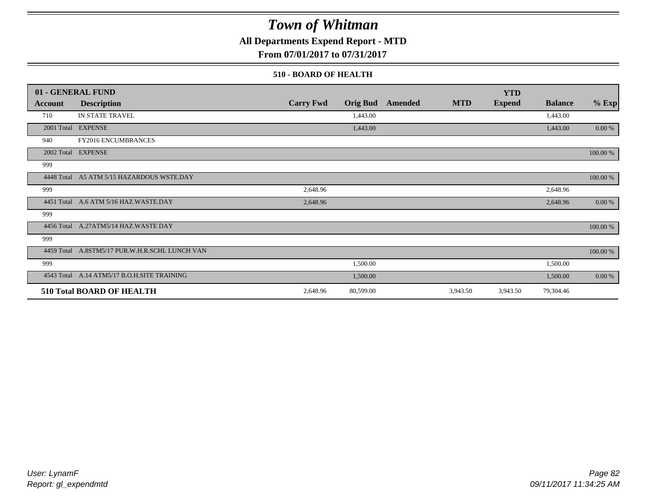### **All Departments Expend Report - MTD**

**From 07/01/2017 to 07/31/2017**

#### **510 - BOARD OF HEALTH**

|                | 01 - GENERAL FUND                              |                  |                 |                |            | <b>YTD</b>    |                |          |
|----------------|------------------------------------------------|------------------|-----------------|----------------|------------|---------------|----------------|----------|
| <b>Account</b> | <b>Description</b>                             | <b>Carry Fwd</b> | <b>Orig Bud</b> | <b>Amended</b> | <b>MTD</b> | <b>Expend</b> | <b>Balance</b> | $%$ Exp  |
| 710            | IN STATE TRAVEL                                |                  | 1,443.00        |                |            |               | 1,443.00       |          |
|                | 2001 Total EXPENSE                             |                  | 1,443.00        |                |            |               | 1,443.00       | 0.00 %   |
| 940            | FY2016 ENCUMBRANCES                            |                  |                 |                |            |               |                |          |
|                | 2002 Total EXPENSE                             |                  |                 |                |            |               |                | 100.00 % |
| 999            |                                                |                  |                 |                |            |               |                |          |
|                | 4448 Total A5 ATM 5/15 HAZARDOUS WSTE.DAY      |                  |                 |                |            |               |                | 100.00 % |
| 999            |                                                | 2,648.96         |                 |                |            |               | 2,648.96       |          |
|                | 4451 Total A.6 ATM 5/16 HAZ.WASTE.DAY          | 2,648.96         |                 |                |            |               | 2,648.96       | 0.00 %   |
| 999            |                                                |                  |                 |                |            |               |                |          |
|                | 4456 Total A.27ATM5/14 HAZ.WASTE DAY           |                  |                 |                |            |               |                | 100.00 % |
| 999            |                                                |                  |                 |                |            |               |                |          |
|                | 4459 Total A.8STM5/17 PUR.W.H.R.SCHL LUNCH VAN |                  |                 |                |            |               |                | 100.00 % |
| 999            |                                                |                  | 1,500.00        |                |            |               | 1,500.00       |          |
|                | 4543 Total A.14 ATM5/17 B.O.H.SITE TRAINING    |                  | 1,500.00        |                |            |               | 1,500.00       | 0.00 %   |
|                | <b>510 Total BOARD OF HEALTH</b>               | 2,648.96         | 80,599.00       |                | 3,943.50   | 3,943.50      | 79,304.46      |          |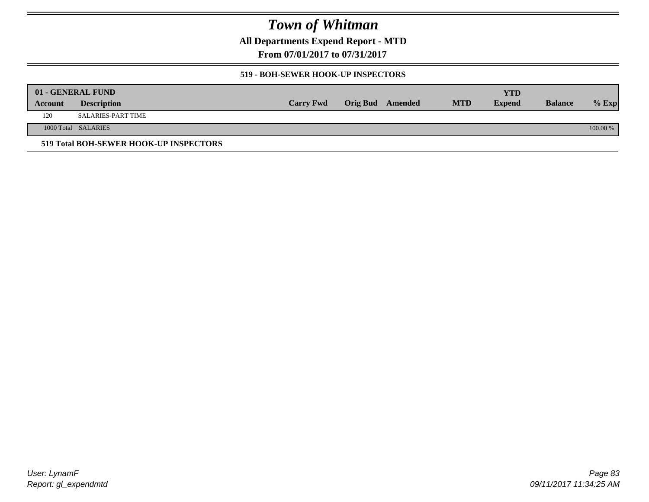**All Departments Expend Report - MTD**

**From 07/01/2017 to 07/31/2017**

#### **519 - BOH-SEWER HOOK-UP INSPECTORS**

|         | 01 - GENERAL FUND                      |                  |                  |            | YTD           |                |          |
|---------|----------------------------------------|------------------|------------------|------------|---------------|----------------|----------|
| Account | <b>Description</b>                     | <b>Carry Fwd</b> | Orig Bud Amended | <b>MTD</b> | <b>Expend</b> | <b>Balance</b> | $%$ Exp  |
| 120     | SALARIES-PART TIME                     |                  |                  |            |               |                |          |
|         | 1000 Total SALARIES                    |                  |                  |            |               |                | 100.00 % |
|         | 519 Total BOH-SEWER HOOK-UP INSPECTORS |                  |                  |            |               |                |          |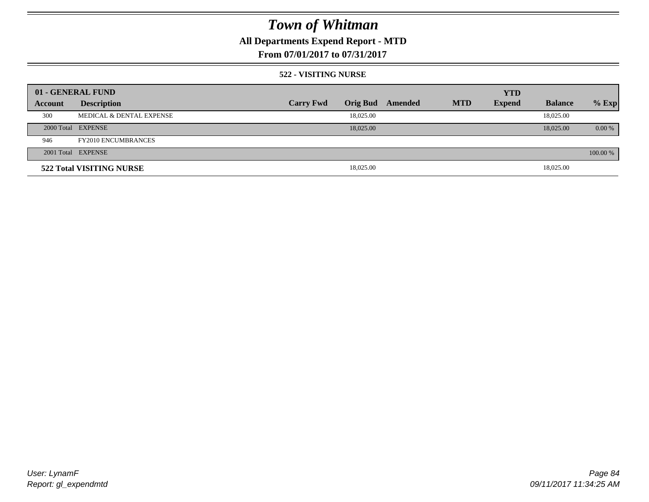## **All Departments Expend Report - MTD**

### **From 07/01/2017 to 07/31/2017**

#### **522 - VISITING NURSE**

| 01 - GENERAL FUND |                            |                  |                 |         |            | <b>YTD</b>    |                |          |
|-------------------|----------------------------|------------------|-----------------|---------|------------|---------------|----------------|----------|
| Account           | <b>Description</b>         | <b>Carry Fwd</b> | <b>Orig Bud</b> | Amended | <b>MTD</b> | <b>Expend</b> | <b>Balance</b> | $%$ Exp  |
| 300               | MEDICAL & DENTAL EXPENSE   |                  | 18,025.00       |         |            |               | 18,025.00      |          |
|                   | 2000 Total EXPENSE         |                  | 18,025,00       |         |            |               | 18,025.00      | $0.00\%$ |
| 946               | <b>FY2010 ENCUMBRANCES</b> |                  |                 |         |            |               |                |          |
|                   | 2001 Total EXPENSE         |                  |                 |         |            |               |                | 100.00 % |
|                   | 522 Total VISITING NURSE   |                  | 18,025.00       |         |            |               | 18,025.00      |          |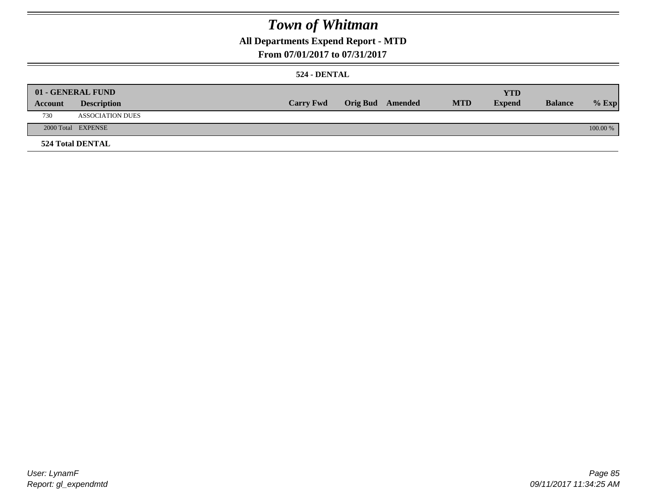## **All Departments Expend Report - MTD**

### **From 07/01/2017 to 07/31/2017**

#### **524 - DENTAL**

|         | 01 - GENERAL FUND       |                  |                  |            | <b>YTD</b>    |                |          |
|---------|-------------------------|------------------|------------------|------------|---------------|----------------|----------|
| Account | <b>Description</b>      | <b>Carry Fwd</b> | Orig Bud Amended | <b>MTD</b> | <b>Expend</b> | <b>Balance</b> | $%$ Exp  |
| 730     | <b>ASSOCIATION DUES</b> |                  |                  |            |               |                |          |
|         | 2000 Total EXPENSE      |                  |                  |            |               |                | 100.00 % |
|         | <b>524 Total DENTAL</b> |                  |                  |            |               |                |          |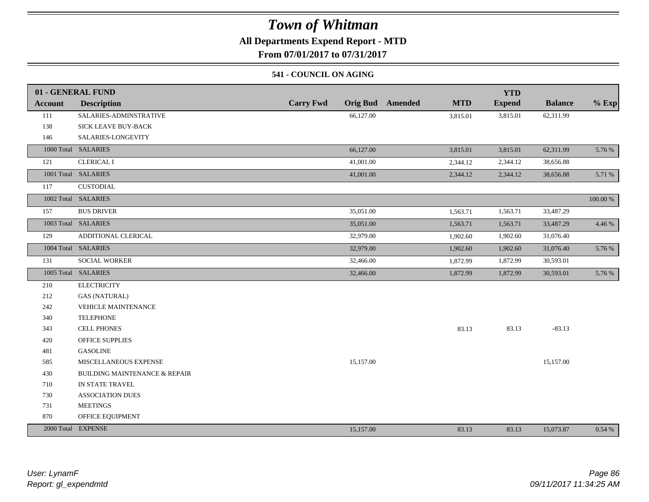### **All Departments Expend Report - MTD**

**From 07/01/2017 to 07/31/2017**

#### **541 - COUNCIL ON AGING**

|                | 01 - GENERAL FUND                        |                                     |                       | <b>YTD</b>    |                |             |
|----------------|------------------------------------------|-------------------------------------|-----------------------|---------------|----------------|-------------|
| <b>Account</b> | <b>Description</b>                       | <b>Carry Fwd</b><br><b>Orig Bud</b> | <b>MTD</b><br>Amended | <b>Expend</b> | <b>Balance</b> | $%$ Exp     |
| 111            | SALARIES-ADMINSTRATIVE                   | 66,127.00                           | 3,815.01              | 3,815.01      | 62,311.99      |             |
| 138            | SICK LEAVE BUY-BACK                      |                                     |                       |               |                |             |
| 146            | SALARIES-LONGEVITY                       |                                     |                       |               |                |             |
|                | 1000 Total SALARIES                      | 66,127.00                           | 3,815.01              | 3,815.01      | 62,311.99      | 5.76 %      |
| 121            | <b>CLERICAL I</b>                        | 41,001.00                           | 2,344.12              | 2,344.12      | 38,656.88      |             |
|                | 1001 Total SALARIES                      | 41,001.00                           | 2,344.12              | 2,344.12      | 38,656.88      | 5.71 %      |
| 117            | <b>CUSTODIAL</b>                         |                                     |                       |               |                |             |
|                | 1002 Total SALARIES                      |                                     |                       |               |                | $100.00~\%$ |
| 157            | <b>BUS DRIVER</b>                        | 35,051.00                           | 1,563.71              | 1,563.71      | 33,487.29      |             |
|                | 1003 Total SALARIES                      | 35,051.00                           | 1,563.71              | 1,563.71      | 33,487.29      | 4.46 %      |
| 129            | ADDITIONAL CLERICAL                      | 32,979.00                           | 1,902.60              | 1,902.60      | 31,076.40      |             |
|                | 1004 Total SALARIES                      | 32,979.00                           | 1,902.60              | 1,902.60      | 31,076.40      | 5.76 %      |
| 131            | SOCIAL WORKER                            | 32,466.00                           | 1,872.99              | 1,872.99      | 30,593.01      |             |
|                | 1005 Total SALARIES                      | 32,466.00                           | 1,872.99              | 1,872.99      | 30,593.01      | 5.76 %      |
| 210            | <b>ELECTRICITY</b>                       |                                     |                       |               |                |             |
| 212            | <b>GAS (NATURAL)</b>                     |                                     |                       |               |                |             |
| 242            | <b>VEHICLE MAINTENANCE</b>               |                                     |                       |               |                |             |
| 340            | <b>TELEPHONE</b>                         |                                     |                       |               |                |             |
| 343            | <b>CELL PHONES</b>                       |                                     | 83.13                 | 83.13         | $-83.13$       |             |
| 420            | <b>OFFICE SUPPLIES</b>                   |                                     |                       |               |                |             |
| 481            | <b>GASOLINE</b>                          |                                     |                       |               |                |             |
| 585            | MISCELLANEOUS EXPENSE                    | 15,157.00                           |                       |               | 15,157.00      |             |
| 430            | <b>BUILDING MAINTENANCE &amp; REPAIR</b> |                                     |                       |               |                |             |
| 710            | IN STATE TRAVEL                          |                                     |                       |               |                |             |
| 730            | <b>ASSOCIATION DUES</b>                  |                                     |                       |               |                |             |
| 731            | <b>MEETINGS</b>                          |                                     |                       |               |                |             |
| 870            | OFFICE EQUIPMENT                         |                                     |                       |               |                |             |
|                | 2000 Total EXPENSE                       | 15,157.00                           | 83.13                 | 83.13         | 15,073.87      | 0.54%       |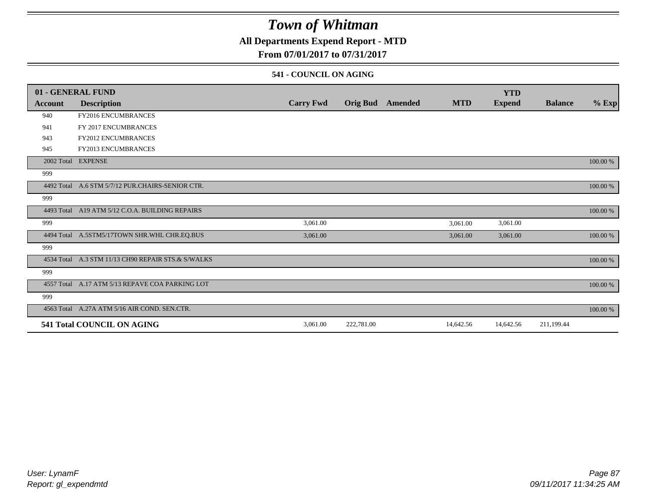### **All Departments Expend Report - MTD**

### **From 07/01/2017 to 07/31/2017**

#### **541 - COUNCIL ON AGING**

|            | 01 - GENERAL FUND                                  |                  |                 |         |            | <b>YTD</b>    |                |          |
|------------|----------------------------------------------------|------------------|-----------------|---------|------------|---------------|----------------|----------|
| Account    | <b>Description</b>                                 | <b>Carry Fwd</b> | <b>Orig Bud</b> | Amended | <b>MTD</b> | <b>Expend</b> | <b>Balance</b> | $%$ Exp  |
| 940        | FY2016 ENCUMBRANCES                                |                  |                 |         |            |               |                |          |
| 941        | FY 2017 ENCUMBRANCES                               |                  |                 |         |            |               |                |          |
| 943        | <b>FY2012 ENCUMBRANCES</b>                         |                  |                 |         |            |               |                |          |
| 945        | <b>FY2013 ENCUMBRANCES</b>                         |                  |                 |         |            |               |                |          |
|            | 2002 Total EXPENSE                                 |                  |                 |         |            |               |                | 100.00 % |
| 999        |                                                    |                  |                 |         |            |               |                |          |
| 4492 Total | A.6 STM 5/7/12 PUR.CHAIRS-SENIOR CTR.              |                  |                 |         |            |               |                | 100.00 % |
| 999        |                                                    |                  |                 |         |            |               |                |          |
|            | 4493 Total A19 ATM 5/12 C.O.A. BUILDING REPAIRS    |                  |                 |         |            |               |                | 100.00 % |
| 999        |                                                    | 3,061.00         |                 |         | 3,061.00   | 3,061.00      |                |          |
|            | 4494 Total A.5STM5/17TOWN SHR.WHL CHR.EQ.BUS       | 3,061.00         |                 |         | 3,061.00   | 3,061.00      |                | 100.00 % |
| 999        |                                                    |                  |                 |         |            |               |                |          |
|            | 4534 Total A.3 STM 11/13 CH90 REPAIR STS.& S/WALKS |                  |                 |         |            |               |                | 100.00 % |
| 999        |                                                    |                  |                 |         |            |               |                |          |
|            | 4557 Total A.17 ATM 5/13 REPAVE COA PARKING LOT    |                  |                 |         |            |               |                | 100.00 % |
| 999        |                                                    |                  |                 |         |            |               |                |          |
|            | 4563 Total A.27A ATM 5/16 AIR COND. SEN.CTR.       |                  |                 |         |            |               |                | 100.00 % |
|            | 541 Total COUNCIL ON AGING                         | 3,061.00         | 222,781.00      |         | 14,642.56  | 14,642.56     | 211,199.44     |          |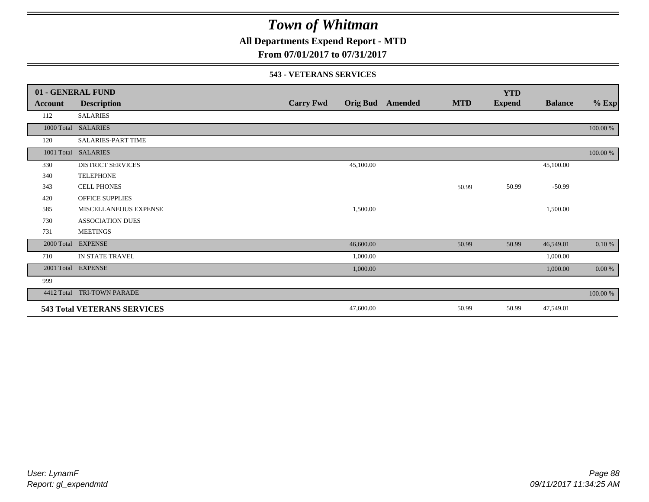**All Departments Expend Report - MTD**

**From 07/01/2017 to 07/31/2017**

#### **543 - VETERANS SERVICES**

|            | 01 - GENERAL FUND                  |                  |           |                         |            | <b>YTD</b>    |                |           |
|------------|------------------------------------|------------------|-----------|-------------------------|------------|---------------|----------------|-----------|
| Account    | <b>Description</b>                 | <b>Carry Fwd</b> |           | <b>Orig Bud</b> Amended | <b>MTD</b> | <b>Expend</b> | <b>Balance</b> | $%$ Exp   |
| 112        | <b>SALARIES</b>                    |                  |           |                         |            |               |                |           |
| 1000 Total | <b>SALARIES</b>                    |                  |           |                         |            |               |                | 100.00 %  |
| 120        | SALARIES-PART TIME                 |                  |           |                         |            |               |                |           |
| 1001 Total | <b>SALARIES</b>                    |                  |           |                         |            |               |                | 100.00 %  |
| 330        | <b>DISTRICT SERVICES</b>           |                  | 45,100.00 |                         |            |               | 45,100.00      |           |
| 340        | <b>TELEPHONE</b>                   |                  |           |                         |            |               |                |           |
| 343        | <b>CELL PHONES</b>                 |                  |           |                         | 50.99      | 50.99         | $-50.99$       |           |
| 420        | <b>OFFICE SUPPLIES</b>             |                  |           |                         |            |               |                |           |
| 585        | MISCELLANEOUS EXPENSE              |                  | 1,500.00  |                         |            |               | 1,500.00       |           |
| 730        | <b>ASSOCIATION DUES</b>            |                  |           |                         |            |               |                |           |
| 731        | <b>MEETINGS</b>                    |                  |           |                         |            |               |                |           |
| 2000 Total | <b>EXPENSE</b>                     |                  | 46,600.00 |                         | 50.99      | 50.99         | 46,549.01      | $0.10 \%$ |
| 710        | IN STATE TRAVEL                    |                  | 1,000.00  |                         |            |               | 1,000.00       |           |
| 2001 Total | <b>EXPENSE</b>                     |                  | 1,000.00  |                         |            |               | 1,000.00       | 0.00 %    |
| 999        |                                    |                  |           |                         |            |               |                |           |
| 4412 Total | TRI-TOWN PARADE                    |                  |           |                         |            |               |                | 100.00 %  |
|            | <b>543 Total VETERANS SERVICES</b> |                  | 47,600.00 |                         | 50.99      | 50.99         | 47,549.01      |           |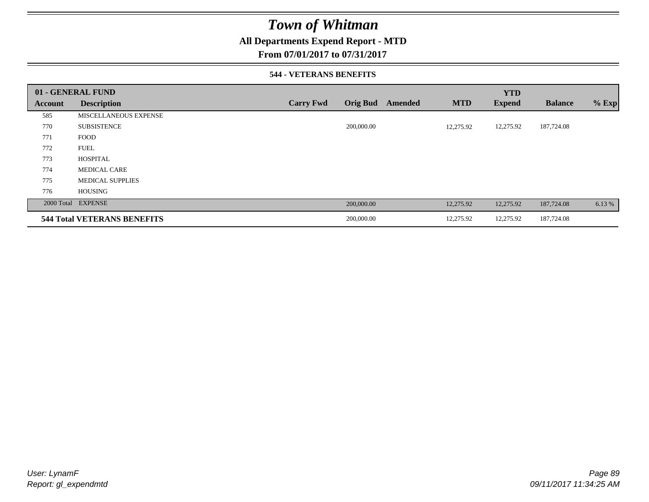### **All Departments Expend Report - MTD**

**From 07/01/2017 to 07/31/2017**

#### **544 - VETERANS BENEFITS**

|         | 01 - GENERAL FUND                  |                  |                            |            | <b>YTD</b>    |                |         |
|---------|------------------------------------|------------------|----------------------------|------------|---------------|----------------|---------|
| Account | <b>Description</b>                 | <b>Carry Fwd</b> | <b>Orig Bud</b><br>Amended | <b>MTD</b> | <b>Expend</b> | <b>Balance</b> | $%$ Exp |
| 585     | <b>MISCELLANEOUS EXPENSE</b>       |                  |                            |            |               |                |         |
| 770     | <b>SUBSISTENCE</b>                 |                  | 200,000.00                 | 12,275.92  | 12,275.92     | 187,724.08     |         |
| 771     | <b>FOOD</b>                        |                  |                            |            |               |                |         |
| 772     | <b>FUEL</b>                        |                  |                            |            |               |                |         |
| 773     | <b>HOSPITAL</b>                    |                  |                            |            |               |                |         |
| 774     | <b>MEDICAL CARE</b>                |                  |                            |            |               |                |         |
| 775     | <b>MEDICAL SUPPLIES</b>            |                  |                            |            |               |                |         |
| 776     | <b>HOUSING</b>                     |                  |                            |            |               |                |         |
|         | 2000 Total EXPENSE                 |                  | 200,000.00                 | 12,275.92  | 12,275.92     | 187,724.08     | 6.13 %  |
|         | <b>544 Total VETERANS BENEFITS</b> |                  | 200,000.00                 | 12,275.92  | 12,275.92     | 187,724.08     |         |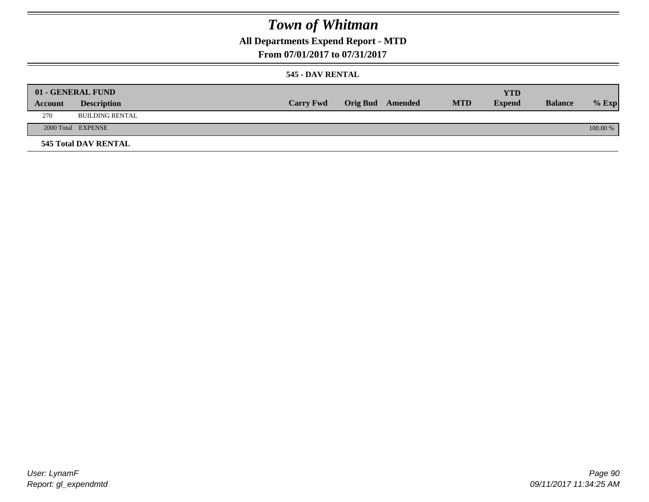## **All Departments Expend Report - MTD**

### **From 07/01/2017 to 07/31/2017**

### **545 - DAV RENTAL**

|         | 01 - GENERAL FUND           |                  |                         |            | <b>YTD</b>    |                |          |
|---------|-----------------------------|------------------|-------------------------|------------|---------------|----------------|----------|
| Account | <b>Description</b>          | <b>Carry Fwd</b> | <b>Orig Bud</b> Amended | <b>MTD</b> | <b>Expend</b> | <b>Balance</b> | $%$ Exp  |
| 270     | BUILDING RENTAL             |                  |                         |            |               |                |          |
|         | 2000 Total EXPENSE          |                  |                         |            |               |                | 100.00 % |
|         | <b>545 Total DAV RENTAL</b> |                  |                         |            |               |                |          |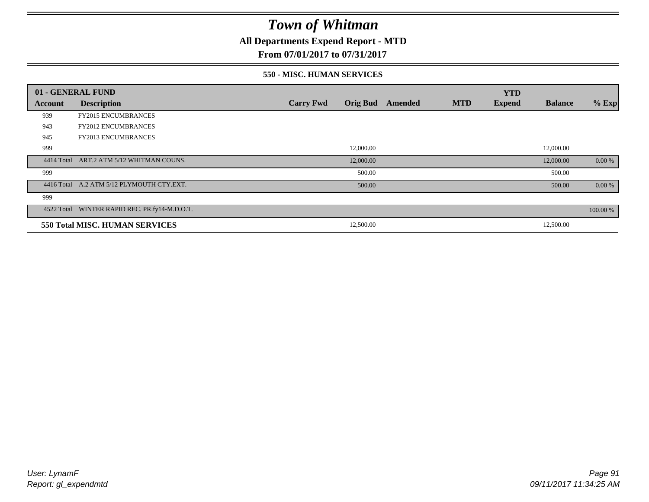### **All Departments Expend Report - MTD**

### **From 07/01/2017 to 07/31/2017**

#### **550 - MISC. HUMAN SERVICES**

|         | 01 - GENERAL FUND                             |                  |                 |                |            | <b>YTD</b>    |                |          |
|---------|-----------------------------------------------|------------------|-----------------|----------------|------------|---------------|----------------|----------|
| Account | <b>Description</b>                            | <b>Carry Fwd</b> | <b>Orig Bud</b> | <b>Amended</b> | <b>MTD</b> | <b>Expend</b> | <b>Balance</b> | $%$ Exp  |
| 939     | <b>FY2015 ENCUMBRANCES</b>                    |                  |                 |                |            |               |                |          |
| 943     | <b>FY2012 ENCUMBRANCES</b>                    |                  |                 |                |            |               |                |          |
| 945     | <b>FY2013 ENCUMBRANCES</b>                    |                  |                 |                |            |               |                |          |
| 999     |                                               |                  | 12,000.00       |                |            |               | 12,000.00      |          |
|         | 4414 Total ART.2 ATM 5/12 WHITMAN COUNS.      |                  | 12,000.00       |                |            |               | 12,000.00      | 0.00 %   |
| 999     |                                               |                  | 500.00          |                |            |               | 500.00         |          |
|         | 4416 Total A.2 ATM 5/12 PLYMOUTH CTY.EXT.     |                  | 500.00          |                |            |               | 500.00         | 0.00 %   |
| 999     |                                               |                  |                 |                |            |               |                |          |
|         | 4522 Total WINTER RAPID REC. PR.fy14-M.D.O.T. |                  |                 |                |            |               |                | 100.00 % |
|         | 550 Total MISC. HUMAN SERVICES                |                  | 12,500.00       |                |            |               | 12,500.00      |          |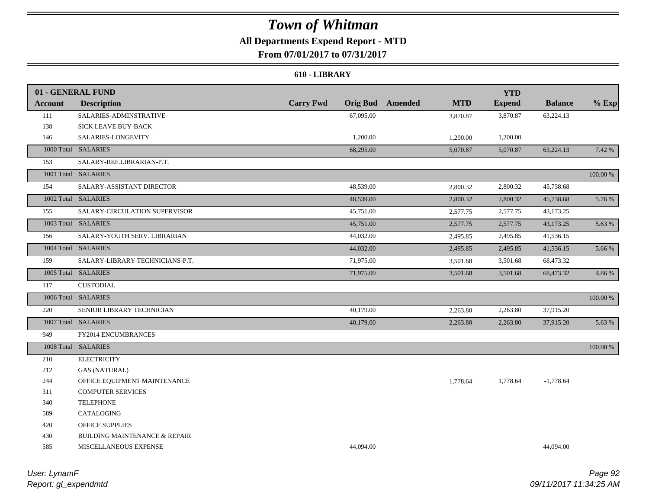## **All Departments Expend Report - MTD**

**From 07/01/2017 to 07/31/2017**

#### **610 - LIBRARY**

|                | 01 - GENERAL FUND                        |                                     |                       | <b>YTD</b>    |                |          |
|----------------|------------------------------------------|-------------------------------------|-----------------------|---------------|----------------|----------|
| <b>Account</b> | <b>Description</b>                       | <b>Carry Fwd</b><br><b>Orig Bud</b> | <b>MTD</b><br>Amended | <b>Expend</b> | <b>Balance</b> | $%$ Exp  |
| 111            | SALARIES-ADMINSTRATIVE                   | 67,095.00                           | 3,870.87              | 3,870.87      | 63,224.13      |          |
| 138            | SICK LEAVE BUY-BACK                      |                                     |                       |               |                |          |
| 146            | SALARIES-LONGEVITY                       | 1,200.00                            | 1,200.00              | 1,200.00      |                |          |
|                | 1000 Total SALARIES                      | 68,295.00                           | 5,070.87              | 5,070.87      | 63,224.13      | 7.42 %   |
| 153            | SALARY-REF.LIBRARIAN-P.T.                |                                     |                       |               |                |          |
|                | 1001 Total SALARIES                      |                                     |                       |               |                | 100.00 % |
| 154            | SALARY-ASSISTANT DIRECTOR                | 48,539.00                           | 2,800.32              | 2,800.32      | 45,738.68      |          |
|                | 1002 Total SALARIES                      | 48,539.00                           | 2,800.32              | 2,800.32      | 45,738.68      | 5.76 %   |
| 155            | SALARY-CIRCULATION SUPERVISOR            | 45,751.00                           | 2,577.75              | 2,577.75      | 43,173.25      |          |
|                | 1003 Total SALARIES                      | 45,751.00                           | 2,577.75              | 2,577.75      | 43,173.25      | 5.63 %   |
| 156            | SALARY-YOUTH SERV. LIBRARIAN             | 44,032.00                           | 2,495.85              | 2,495.85      | 41,536.15      |          |
|                | 1004 Total SALARIES                      | 44,032.00                           | 2,495.85              | 2,495.85      | 41,536.15      | 5.66 %   |
| 159            | SALARY-LIBRARY TECHNICIANS-P.T.          | 71,975.00                           | 3,501.68              | 3,501.68      | 68,473.32      |          |
|                | 1005 Total SALARIES                      | 71,975.00                           | 3,501.68              | 3,501.68      | 68,473.32      | 4.86 %   |
| 117            | <b>CUSTODIAL</b>                         |                                     |                       |               |                |          |
|                | 1006 Total SALARIES                      |                                     |                       |               |                | 100.00 % |
| 220            | SENIOR LIBRARY TECHNICIAN                | 40,179.00                           | 2,263.80              | 2,263.80      | 37,915.20      |          |
|                | 1007 Total SALARIES                      | 40,179.00                           | 2,263.80              | 2,263.80      | 37,915.20      | 5.63 %   |
| 949            | FY2014 ENCUMBRANCES                      |                                     |                       |               |                |          |
|                | 1008 Total SALARIES                      |                                     |                       |               |                | 100.00 % |
| 210            | <b>ELECTRICITY</b>                       |                                     |                       |               |                |          |
| 212            | <b>GAS (NATURAL)</b>                     |                                     |                       |               |                |          |
| 244            | OFFICE EQUIPMENT MAINTENANCE             |                                     | 1,778.64              | 1,778.64      | $-1,778.64$    |          |
| 311            | <b>COMPUTER SERVICES</b>                 |                                     |                       |               |                |          |
| 340            | <b>TELEPHONE</b>                         |                                     |                       |               |                |          |
| 589            | CATALOGING                               |                                     |                       |               |                |          |
| 420            | <b>OFFICE SUPPLIES</b>                   |                                     |                       |               |                |          |
| 430            | <b>BUILDING MAINTENANCE &amp; REPAIR</b> |                                     |                       |               |                |          |
| 585            | MISCELLANEOUS EXPENSE                    | 44,094.00                           |                       |               | 44,094.00      |          |
|                |                                          |                                     |                       |               |                |          |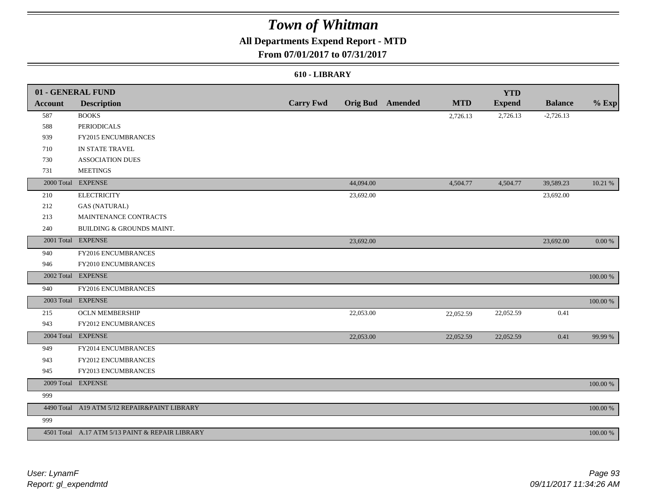## **All Departments Expend Report - MTD**

### **From 07/01/2017 to 07/31/2017**

#### **610 - LIBRARY**

|                | 01 - GENERAL FUND                               |                  |           |                         |            | <b>YTD</b>    |                |          |
|----------------|-------------------------------------------------|------------------|-----------|-------------------------|------------|---------------|----------------|----------|
| <b>Account</b> | <b>Description</b>                              | <b>Carry Fwd</b> |           | <b>Orig Bud</b> Amended | <b>MTD</b> | <b>Expend</b> | <b>Balance</b> | $%$ Exp  |
| 587            | <b>BOOKS</b>                                    |                  |           |                         | 2,726.13   | 2,726.13      | $-2,726.13$    |          |
| 588            | <b>PERIODICALS</b>                              |                  |           |                         |            |               |                |          |
| 939            | <b>FY2015 ENCUMBRANCES</b>                      |                  |           |                         |            |               |                |          |
| 710            | IN STATE TRAVEL                                 |                  |           |                         |            |               |                |          |
| 730            | <b>ASSOCIATION DUES</b>                         |                  |           |                         |            |               |                |          |
| 731            | <b>MEETINGS</b>                                 |                  |           |                         |            |               |                |          |
|                | 2000 Total EXPENSE                              |                  | 44,094.00 |                         | 4,504.77   | 4,504.77      | 39,589.23      | 10.21 %  |
| 210            | <b>ELECTRICITY</b>                              |                  | 23,692.00 |                         |            |               | 23,692.00      |          |
| 212            | <b>GAS (NATURAL)</b>                            |                  |           |                         |            |               |                |          |
| 213            | MAINTENANCE CONTRACTS                           |                  |           |                         |            |               |                |          |
| 240            | BUILDING & GROUNDS MAINT.                       |                  |           |                         |            |               |                |          |
|                | 2001 Total EXPENSE                              |                  | 23,692.00 |                         |            |               | 23,692.00      | 0.00 %   |
| 940            | FY2016 ENCUMBRANCES                             |                  |           |                         |            |               |                |          |
| 946            | FY2010 ENCUMBRANCES                             |                  |           |                         |            |               |                |          |
|                | 2002 Total EXPENSE                              |                  |           |                         |            |               |                | 100.00 % |
| 940            | FY2016 ENCUMBRANCES                             |                  |           |                         |            |               |                |          |
|                | 2003 Total EXPENSE                              |                  |           |                         |            |               |                | 100.00 % |
| 215            | <b>OCLN MEMBERSHIP</b>                          |                  | 22,053.00 |                         | 22,052.59  | 22,052.59     | 0.41           |          |
| 943            | FY2012 ENCUMBRANCES                             |                  |           |                         |            |               |                |          |
|                | 2004 Total EXPENSE                              |                  | 22,053.00 |                         | 22,052.59  | 22,052.59     | 0.41           | 99.99 %  |
| 949            | FY2014 ENCUMBRANCES                             |                  |           |                         |            |               |                |          |
| 943            | FY2012 ENCUMBRANCES                             |                  |           |                         |            |               |                |          |
| 945            | FY2013 ENCUMBRANCES                             |                  |           |                         |            |               |                |          |
|                | 2009 Total EXPENSE                              |                  |           |                         |            |               |                | 100.00 % |
| 999            |                                                 |                  |           |                         |            |               |                |          |
|                | 4490 Total A19 ATM 5/12 REPAIR&PAINT LIBRARY    |                  |           |                         |            |               |                | 100.00 % |
| 999            |                                                 |                  |           |                         |            |               |                |          |
|                | 4501 Total A.17 ATM 5/13 PAINT & REPAIR LIBRARY |                  |           |                         |            |               |                | 100.00 % |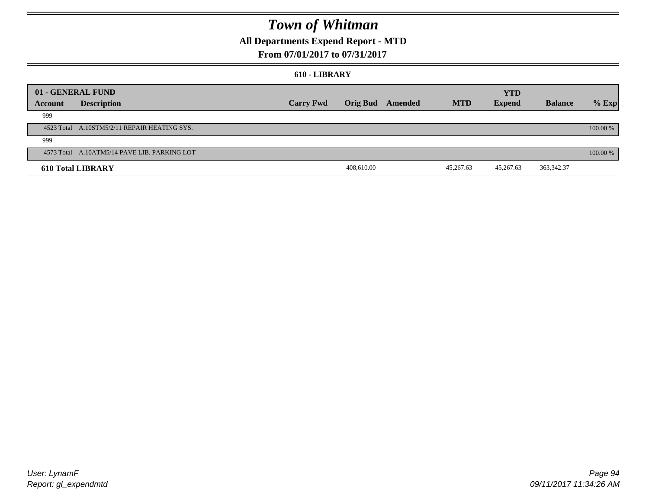## **All Departments Expend Report - MTD**

### **From 07/01/2017 to 07/31/2017**

#### **610 - LIBRARY**

|         | 01 - GENERAL FUND                            |                  |            |                  |            | <b>YTD</b>    |                |          |
|---------|----------------------------------------------|------------------|------------|------------------|------------|---------------|----------------|----------|
| Account | <b>Description</b>                           | <b>Carry Fwd</b> |            | Orig Bud Amended | <b>MTD</b> | <b>Expend</b> | <b>Balance</b> | $%$ Exp  |
| 999     |                                              |                  |            |                  |            |               |                |          |
|         | 4523 Total A.10STM5/2/11 REPAIR HEATING SYS. |                  |            |                  |            |               |                | 100.00 % |
| 999     |                                              |                  |            |                  |            |               |                |          |
|         | 4573 Total A.10ATM5/14 PAVE LIB. PARKING LOT |                  |            |                  |            |               |                | 100.00 % |
|         | <b>610 Total LIBRARY</b>                     |                  | 408,610.00 |                  | 45,267.63  | 45,267.63     | 363, 342. 37   |          |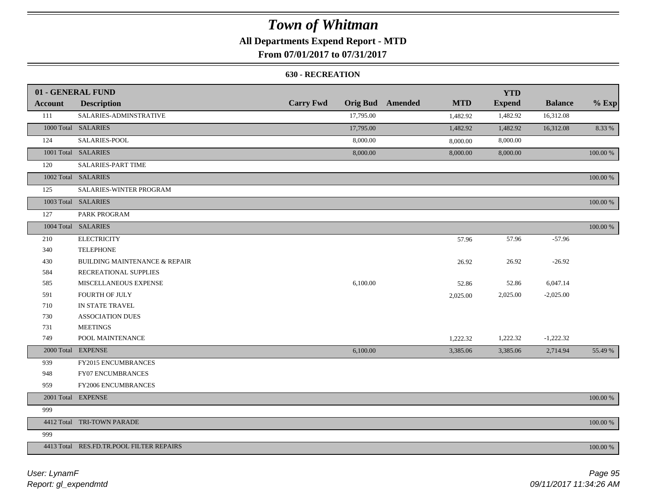## **All Departments Expend Report - MTD**

**From 07/01/2017 to 07/31/2017**

#### **630 - RECREATION**

|                | 01 - GENERAL FUND                        |                  |           |                         |            | <b>YTD</b>    |                |             |
|----------------|------------------------------------------|------------------|-----------|-------------------------|------------|---------------|----------------|-------------|
| <b>Account</b> | <b>Description</b>                       | <b>Carry Fwd</b> |           | <b>Orig Bud</b> Amended | <b>MTD</b> | <b>Expend</b> | <b>Balance</b> | $%$ Exp     |
| 111            | SALARIES-ADMINSTRATIVE                   |                  | 17,795.00 |                         | 1,482.92   | 1,482.92      | 16,312.08      |             |
|                | 1000 Total SALARIES                      |                  | 17,795.00 |                         | 1,482.92   | 1,482.92      | 16,312.08      | 8.33 %      |
| 124            | SALARIES-POOL                            |                  | 8,000.00  |                         | 8,000.00   | 8,000.00      |                |             |
|                | 1001 Total SALARIES                      |                  | 8,000.00  |                         | 8,000.00   | 8,000.00      |                | 100.00 %    |
| 120            | <b>SALARIES-PART TIME</b>                |                  |           |                         |            |               |                |             |
|                | 1002 Total SALARIES                      |                  |           |                         |            |               |                | 100.00 %    |
| 125            | SALARIES-WINTER PROGRAM                  |                  |           |                         |            |               |                |             |
|                | 1003 Total SALARIES                      |                  |           |                         |            |               |                | 100.00 %    |
| 127            | PARK PROGRAM                             |                  |           |                         |            |               |                |             |
|                | 1004 Total SALARIES                      |                  |           |                         |            |               |                | 100.00 %    |
| 210            | <b>ELECTRICITY</b>                       |                  |           |                         | 57.96      | 57.96         | $-57.96$       |             |
| 340            | <b>TELEPHONE</b>                         |                  |           |                         |            |               |                |             |
| 430            | <b>BUILDING MAINTENANCE &amp; REPAIR</b> |                  |           |                         | 26.92      | 26.92         | $-26.92$       |             |
| 584            | RECREATIONAL SUPPLIES                    |                  |           |                         |            |               |                |             |
| 585            | MISCELLANEOUS EXPENSE                    |                  | 6,100.00  |                         | 52.86      | 52.86         | 6,047.14       |             |
| 591            | FOURTH OF JULY                           |                  |           |                         | 2,025.00   | 2,025.00      | $-2,025.00$    |             |
| 710            | IN STATE TRAVEL                          |                  |           |                         |            |               |                |             |
| 730            | <b>ASSOCIATION DUES</b>                  |                  |           |                         |            |               |                |             |
| 731            | <b>MEETINGS</b>                          |                  |           |                         |            |               |                |             |
| 749            | POOL MAINTENANCE                         |                  |           |                         | 1,222.32   | 1,222.32      | $-1,222.32$    |             |
|                | 2000 Total EXPENSE                       |                  | 6,100.00  |                         | 3,385.06   | 3,385.06      | 2,714.94       | 55.49 %     |
| 939            | FY2015 ENCUMBRANCES                      |                  |           |                         |            |               |                |             |
| 948            | FY07 ENCUMBRANCES                        |                  |           |                         |            |               |                |             |
| 959            | FY2006 ENCUMBRANCES                      |                  |           |                         |            |               |                |             |
|                | 2001 Total EXPENSE                       |                  |           |                         |            |               |                | $100.00~\%$ |
| 999            |                                          |                  |           |                         |            |               |                |             |
|                | 4412 Total TRI-TOWN PARADE               |                  |           |                         |            |               |                | 100.00 %    |
| 999            |                                          |                  |           |                         |            |               |                |             |
|                | 4413 Total RES.FD.TR.POOL FILTER REPAIRS |                  |           |                         |            |               |                | 100.00 %    |

*Report: gl\_expendmtd User: LynamF*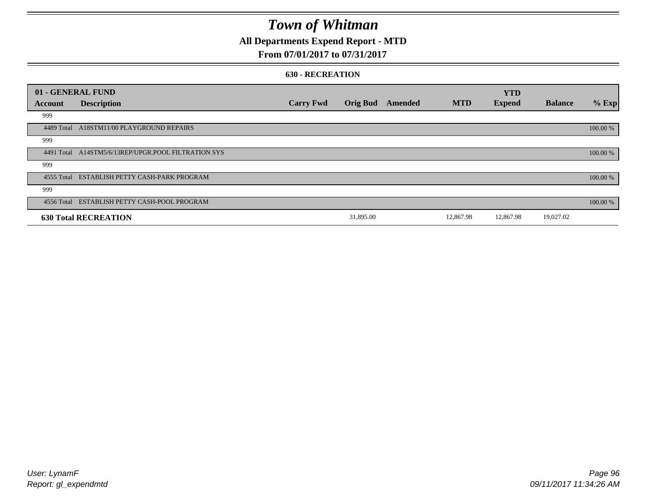## **All Departments Expend Report - MTD**

### **From 07/01/2017 to 07/31/2017**

#### **630 - RECREATION**

| 01 - GENERAL FUND |                                              |                  |                 |         |            | <b>YTD</b>    |                |          |
|-------------------|----------------------------------------------|------------------|-----------------|---------|------------|---------------|----------------|----------|
| Account           | <b>Description</b>                           | <b>Carry Fwd</b> | <b>Orig Bud</b> | Amended | <b>MTD</b> | <b>Expend</b> | <b>Balance</b> | % Exp    |
| 999               |                                              |                  |                 |         |            |               |                |          |
| 4489 Total        | A18STM11/00 PLAYGROUND REPAIRS               |                  |                 |         |            |               |                | 100.00 % |
| 999               |                                              |                  |                 |         |            |               |                |          |
| 4491 Total        | A14STM5/6/13REP/UPGR.POOL FILTRATION SYS     |                  |                 |         |            |               |                | 100.00 % |
| 999               |                                              |                  |                 |         |            |               |                |          |
|                   | 4555 Total ESTABLISH PETTY CASH-PARK PROGRAM |                  |                 |         |            |               |                | 100.00 % |
| 999               |                                              |                  |                 |         |            |               |                |          |
|                   | 4556 Total ESTABLISH PETTY CASH-POOL PROGRAM |                  |                 |         |            |               |                | 100.00 % |
|                   | <b>630 Total RECREATION</b>                  |                  | 31,895.00       |         | 12,867.98  | 12,867.98     | 19,027.02      |          |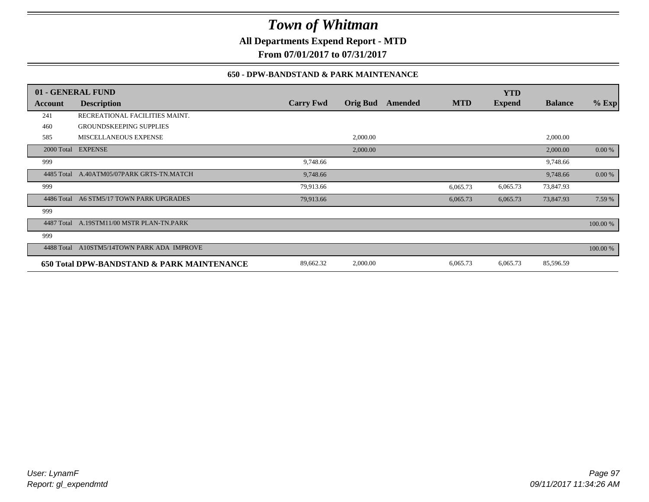**All Departments Expend Report - MTD**

**From 07/01/2017 to 07/31/2017**

### **650 - DPW-BANDSTAND & PARK MAINTENANCE**

|            | 01 - GENERAL FUND                          |                  |                 |         |            | <b>YTD</b>    |                |          |
|------------|--------------------------------------------|------------------|-----------------|---------|------------|---------------|----------------|----------|
| Account    | <b>Description</b>                         | <b>Carry Fwd</b> | <b>Orig Bud</b> | Amended | <b>MTD</b> | <b>Expend</b> | <b>Balance</b> | $%$ Exp  |
| 241        | RECREATIONAL FACILITIES MAINT.             |                  |                 |         |            |               |                |          |
| 460        | <b>GROUNDSKEEPING SUPPLIES</b>             |                  |                 |         |            |               |                |          |
| 585        | MISCELLANEOUS EXPENSE                      |                  | 2,000.00        |         |            |               | 2,000.00       |          |
|            | 2000 Total EXPENSE                         |                  | 2,000.00        |         |            |               | 2,000.00       | 0.00 %   |
| 999        |                                            | 9,748.66         |                 |         |            |               | 9,748.66       |          |
| 4485 Total | A.40ATM05/07PARK GRTS-TN.MATCH             | 9,748.66         |                 |         |            |               | 9,748.66       | 0.00 %   |
| 999        |                                            | 79,913.66        |                 |         | 6,065.73   | 6,065.73      | 73,847.93      |          |
| 4486 Total | A6 STM5/17 TOWN PARK UPGRADES              | 79,913.66        |                 |         | 6,065.73   | 6,065.73      | 73,847.93      | 7.59 %   |
| 999        |                                            |                  |                 |         |            |               |                |          |
| 4487 Total | A.19STM11/00 MSTR PLAN-TN.PARK             |                  |                 |         |            |               |                | 100.00 % |
| 999        |                                            |                  |                 |         |            |               |                |          |
| 4488 Total | A10STM5/14TOWN PARK ADA IMPROVE            |                  |                 |         |            |               |                | 100.00 % |
|            | 650 Total DPW-BANDSTAND & PARK MAINTENANCE | 89,662.32        | 2,000.00        |         | 6,065.73   | 6,065.73      | 85,596.59      |          |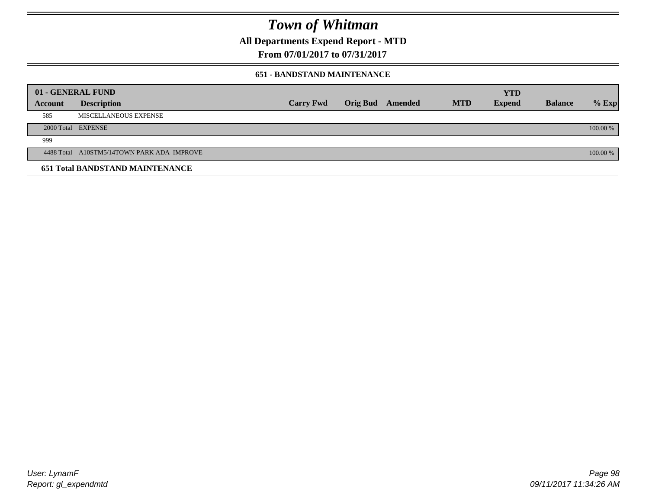**All Departments Expend Report - MTD**

**From 07/01/2017 to 07/31/2017**

#### **651 - BANDSTAND MAINTENANCE**

| 01 - GENERAL FUND |                                            |                  |                         |            | <b>YTD</b>    |                |          |
|-------------------|--------------------------------------------|------------------|-------------------------|------------|---------------|----------------|----------|
| <b>Account</b>    | <b>Description</b>                         | <b>Carry Fwd</b> | <b>Orig Bud</b> Amended | <b>MTD</b> | <b>Expend</b> | <b>Balance</b> | $%$ Exp  |
| 585               | MISCELLANEOUS EXPENSE                      |                  |                         |            |               |                |          |
|                   | 2000 Total EXPENSE                         |                  |                         |            |               |                | 100.00 % |
| 999               |                                            |                  |                         |            |               |                |          |
|                   | 4488 Total A10STM5/14TOWN PARK ADA IMPROVE |                  |                         |            |               |                | 100.00 % |
|                   | <b>651 Total BANDSTAND MAINTENANCE</b>     |                  |                         |            |               |                |          |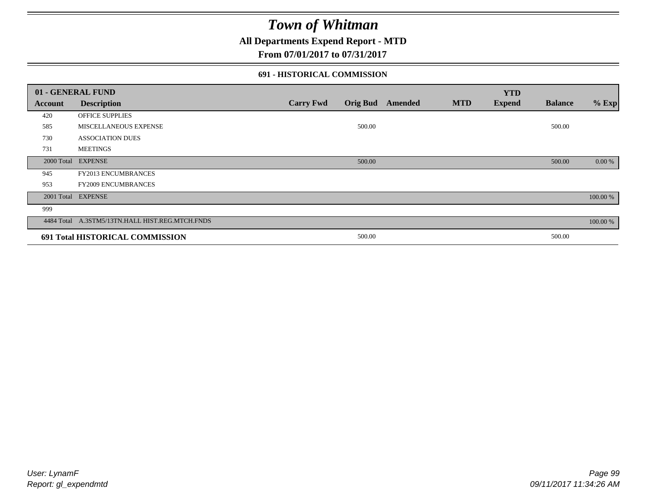### **All Departments Expend Report - MTD**

### **From 07/01/2017 to 07/31/2017**

#### **691 - HISTORICAL COMMISSION**

| 01 - GENERAL FUND |                                                 |                  |                 |         |            | <b>YTD</b>    |                |          |
|-------------------|-------------------------------------------------|------------------|-----------------|---------|------------|---------------|----------------|----------|
| Account           | <b>Description</b>                              | <b>Carry Fwd</b> | <b>Orig Bud</b> | Amended | <b>MTD</b> | <b>Expend</b> | <b>Balance</b> | $%$ Exp  |
| 420               | OFFICE SUPPLIES                                 |                  |                 |         |            |               |                |          |
| 585               | MISCELLANEOUS EXPENSE                           |                  | 500.00          |         |            |               | 500.00         |          |
| 730               | <b>ASSOCIATION DUES</b>                         |                  |                 |         |            |               |                |          |
| 731               | <b>MEETINGS</b>                                 |                  |                 |         |            |               |                |          |
| 2000 Total        | <b>EXPENSE</b>                                  |                  | 500.00          |         |            |               | 500.00         | 0.00 %   |
| 945               | <b>FY2013 ENCUMBRANCES</b>                      |                  |                 |         |            |               |                |          |
| 953               | <b>FY2009 ENCUMBRANCES</b>                      |                  |                 |         |            |               |                |          |
|                   | 2001 Total EXPENSE                              |                  |                 |         |            |               |                | 100.00 % |
| 999               |                                                 |                  |                 |         |            |               |                |          |
|                   | 4484 Total A.3STM5/13TN.HALL HIST.REG.MTCH.FNDS |                  |                 |         |            |               |                | 100.00 % |
|                   | 691 Total HISTORICAL COMMISSION                 |                  | 500.00          |         |            |               | 500.00         |          |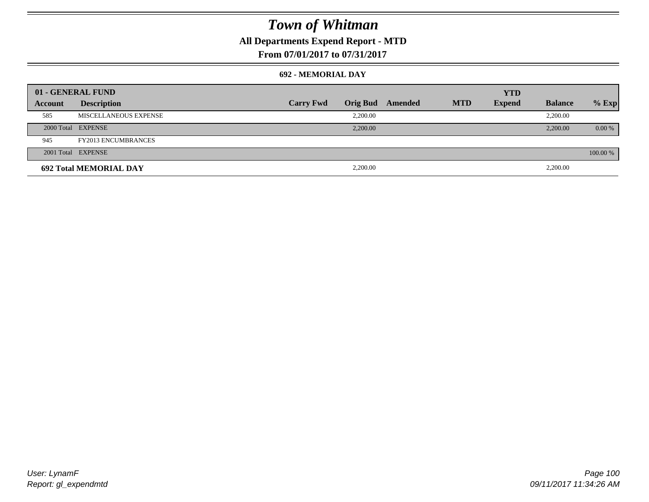## **All Departments Expend Report - MTD**

**From 07/01/2017 to 07/31/2017**

#### **692 - MEMORIAL DAY**

|         | 01 - GENERAL FUND             |                  |                 |         |            | <b>YTD</b>    |                |          |
|---------|-------------------------------|------------------|-----------------|---------|------------|---------------|----------------|----------|
| Account | <b>Description</b>            | <b>Carry Fwd</b> | <b>Orig Bud</b> | Amended | <b>MTD</b> | <b>Expend</b> | <b>Balance</b> | $%$ Exp  |
| 585     | MISCELLANEOUS EXPENSE         |                  | 2.200.00        |         |            |               | 2,200.00       |          |
|         | 2000 Total EXPENSE            |                  | 2,200.00        |         |            |               | 2,200.00       | 0.00 %   |
| 945     | <b>FY2013 ENCUMBRANCES</b>    |                  |                 |         |            |               |                |          |
|         | 2001 Total EXPENSE            |                  |                 |         |            |               |                | 100.00 % |
|         | <b>692 Total MEMORIAL DAY</b> |                  | 2,200.00        |         |            |               | 2,200.00       |          |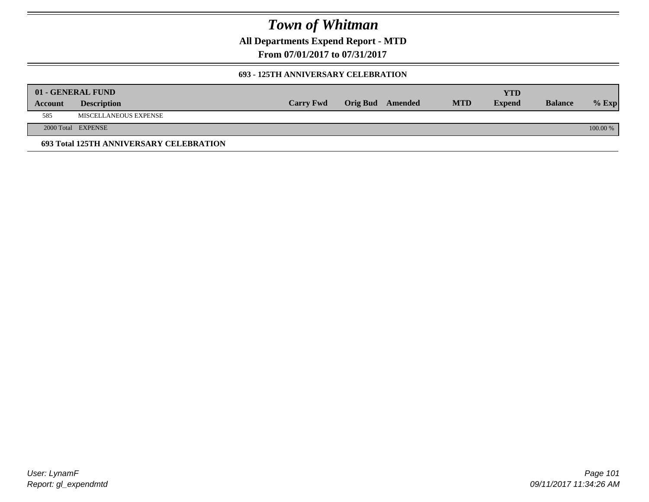**All Departments Expend Report - MTD**

**From 07/01/2017 to 07/31/2017**

#### **693 - 125TH ANNIVERSARY CELEBRATION**

|         | 01 - GENERAL FUND                       |                  |                         |            | YTD           |                |          |
|---------|-----------------------------------------|------------------|-------------------------|------------|---------------|----------------|----------|
| Account | <b>Description</b>                      | <b>Carry Fwd</b> | <b>Orig Bud</b> Amended | <b>MTD</b> | <b>Expend</b> | <b>Balance</b> | $%$ Exp  |
| 585     | MISCELLANEOUS EXPENSE                   |                  |                         |            |               |                |          |
|         | 2000 Total EXPENSE                      |                  |                         |            |               |                | 100.00 % |
|         | 693 Total 125TH ANNIVERSARY CELEBRATION |                  |                         |            |               |                |          |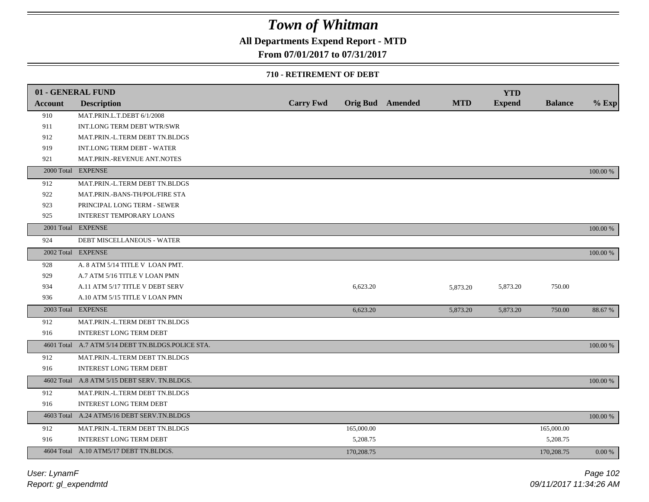### **All Departments Expend Report - MTD**

### **From 07/01/2017 to 07/31/2017**

#### **710 - RETIREMENT OF DEBT**

|                | 01 - GENERAL FUND                                 |                  |            |                  |            | <b>YTD</b>    |                |          |
|----------------|---------------------------------------------------|------------------|------------|------------------|------------|---------------|----------------|----------|
| <b>Account</b> | <b>Description</b>                                | <b>Carry Fwd</b> |            | Orig Bud Amended | <b>MTD</b> | <b>Expend</b> | <b>Balance</b> | $%$ Exp  |
| 910            | MAT.PRIN.L.T.DEBT 6/1/2008                        |                  |            |                  |            |               |                |          |
| 911            | INT.LONG TERM DEBT WTR/SWR                        |                  |            |                  |            |               |                |          |
| 912            | MAT.PRIN.-L.TERM DEBT TN.BLDGS                    |                  |            |                  |            |               |                |          |
| 919            | <b>INT.LONG TERM DEBT - WATER</b>                 |                  |            |                  |            |               |                |          |
| 921            | MAT.PRIN.-REVENUE ANT.NOTES                       |                  |            |                  |            |               |                |          |
| 2000 Total     | <b>EXPENSE</b>                                    |                  |            |                  |            |               |                | 100.00 % |
| 912            | MAT.PRIN.-L.TERM DEBT TN.BLDGS                    |                  |            |                  |            |               |                |          |
| 922            | MAT.PRIN.-BANS-TH/POL/FIRE STA                    |                  |            |                  |            |               |                |          |
| 923            | PRINCIPAL LONG TERM - SEWER                       |                  |            |                  |            |               |                |          |
| 925            | <b>INTEREST TEMPORARY LOANS</b>                   |                  |            |                  |            |               |                |          |
|                | 2001 Total EXPENSE                                |                  |            |                  |            |               |                | 100.00 % |
| 924            | <b>DEBT MISCELLANEOUS - WATER</b>                 |                  |            |                  |            |               |                |          |
|                | 2002 Total EXPENSE                                |                  |            |                  |            |               |                | 100.00 % |
| 928            | A. 8 ATM 5/14 TITLE V LOAN PMT.                   |                  |            |                  |            |               |                |          |
| 929            | A.7 ATM 5/16 TITLE V LOAN PMN                     |                  |            |                  |            |               |                |          |
| 934            | A.11 ATM 5/17 TITLE V DEBT SERV                   |                  | 6,623.20   |                  | 5,873.20   | 5,873.20      | 750.00         |          |
| 936            | A.10 ATM 5/15 TITLE V LOAN PMN                    |                  |            |                  |            |               |                |          |
|                | 2003 Total EXPENSE                                |                  | 6,623.20   |                  | 5,873.20   | 5,873.20      | 750.00         | 88.67 %  |
| 912            | MAT.PRIN.-L.TERM DEBT TN.BLDGS                    |                  |            |                  |            |               |                |          |
| 916            | <b>INTEREST LONG TERM DEBT</b>                    |                  |            |                  |            |               |                |          |
|                | 4601 Total A.7 ATM 5/14 DEBT TN.BLDGS.POLICE STA. |                  |            |                  |            |               |                | 100.00 % |
| 912            | MAT.PRIN.-L.TERM DEBT TN.BLDGS                    |                  |            |                  |            |               |                |          |
| 916            | <b>INTEREST LONG TERM DEBT</b>                    |                  |            |                  |            |               |                |          |
|                | 4602 Total A.8 ATM 5/15 DEBT SERV. TN.BLDGS.      |                  |            |                  |            |               |                | 100.00 % |
| 912            | MAT.PRIN.-L.TERM DEBT TN.BLDGS                    |                  |            |                  |            |               |                |          |
| 916            | <b>INTEREST LONG TERM DEBT</b>                    |                  |            |                  |            |               |                |          |
|                | 4603 Total A.24 ATM5/16 DEBT SERV.TN.BLDGS        |                  |            |                  |            |               |                | 100.00 % |
| 912            | MAT.PRIN.-L.TERM DEBT TN.BLDGS                    |                  | 165,000.00 |                  |            |               | 165,000.00     |          |
| 916            | INTEREST LONG TERM DEBT                           |                  | 5,208.75   |                  |            |               | 5,208.75       |          |
|                | 4604 Total A.10 ATM5/17 DEBT TN.BLDGS.            |                  | 170,208.75 |                  |            |               | 170,208.75     | 0.00 %   |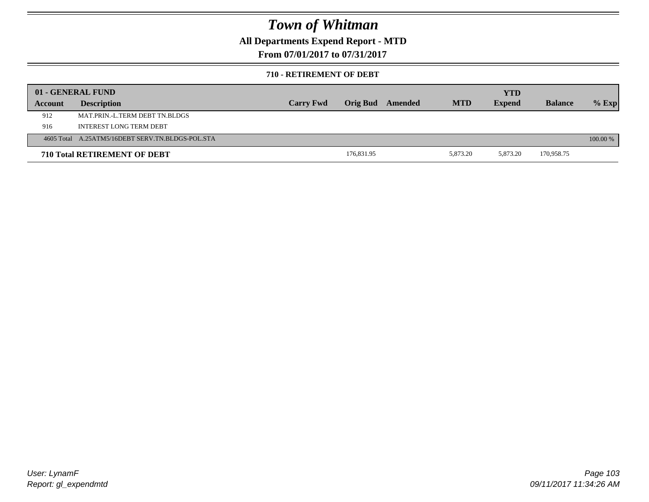### **All Departments Expend Report - MTD**

**From 07/01/2017 to 07/31/2017**

#### **710 - RETIREMENT OF DEBT**

|         | 01 - GENERAL FUND                                |                  |                 |         |            | <b>YTD</b>    |                |          |
|---------|--------------------------------------------------|------------------|-----------------|---------|------------|---------------|----------------|----------|
| Account | <b>Description</b>                               | <b>Carry Fwd</b> | <b>Orig Bud</b> | Amended | <b>MTD</b> | <b>Expend</b> | <b>Balance</b> | $%$ Exp  |
| 912     | MAT PRIN -L TERM DEBT TN BLDGS                   |                  |                 |         |            |               |                |          |
| 916     | INTEREST LONG TERM DEBT                          |                  |                 |         |            |               |                |          |
|         | 4605 Total A.25ATM5/16DEBT SERV.TN.BLDGS-POL.STA |                  |                 |         |            |               |                | 100.00 % |
|         | <b>710 Total RETIREMENT OF DEBT</b>              |                  | 176,831.95      |         | 5,873.20   | 5,873.20      | 170,958.75     |          |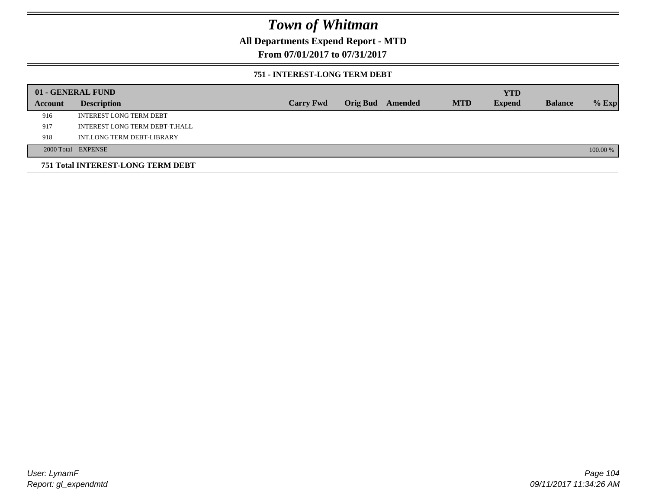### **All Departments Expend Report - MTD**

### **From 07/01/2017 to 07/31/2017**

#### **751 - INTEREST-LONG TERM DEBT**

|         | 01 - GENERAL FUND                 |                  |  |                  |            | <b>YTD</b>    |                |          |
|---------|-----------------------------------|------------------|--|------------------|------------|---------------|----------------|----------|
| Account | <b>Description</b>                | <b>Carry Fwd</b> |  | Orig Bud Amended | <b>MTD</b> | <b>Expend</b> | <b>Balance</b> | $%$ Exp  |
| 916     | <b>INTEREST LONG TERM DEBT</b>    |                  |  |                  |            |               |                |          |
| 917     | INTEREST LONG TERM DEBT-T.HALL    |                  |  |                  |            |               |                |          |
| 918     | INT.LONG TERM DEBT-LIBRARY        |                  |  |                  |            |               |                |          |
|         | 2000 Total EXPENSE                |                  |  |                  |            |               |                | 100.00 % |
|         | 751 Total INTEREST-LONG TERM DEBT |                  |  |                  |            |               |                |          |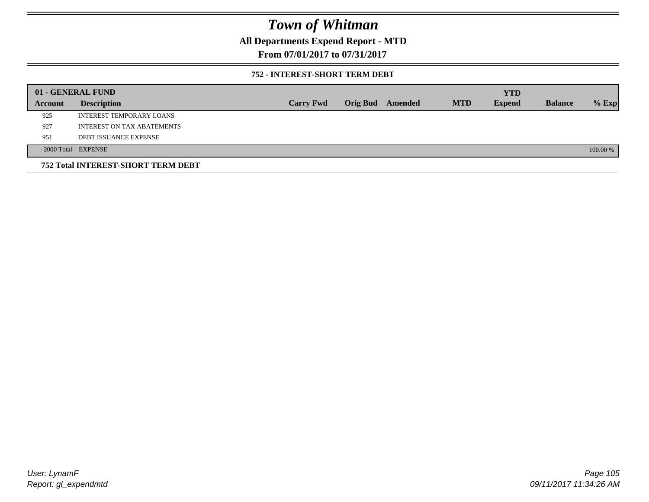### **All Departments Expend Report - MTD**

**From 07/01/2017 to 07/31/2017**

#### **752 - INTEREST-SHORT TERM DEBT**

|                | 01 - GENERAL FUND                  |                  |                 |         |            | <b>YTD</b>    |                |          |
|----------------|------------------------------------|------------------|-----------------|---------|------------|---------------|----------------|----------|
| <b>Account</b> | <b>Description</b>                 | <b>Carry Fwd</b> | <b>Orig Bud</b> | Amended | <b>MTD</b> | <b>Expend</b> | <b>Balance</b> | $%$ Exp  |
| 925            | INTEREST TEMPORARY LOANS           |                  |                 |         |            |               |                |          |
| 927            | <b>INTEREST ON TAX ABATEMENTS</b>  |                  |                 |         |            |               |                |          |
| 951            | <b>DEBT ISSUANCE EXPENSE</b>       |                  |                 |         |            |               |                |          |
|                | 2000 Total EXPENSE                 |                  |                 |         |            |               |                | 100.00 % |
|                | 752 Total INTEREST-SHORT TERM DEBT |                  |                 |         |            |               |                |          |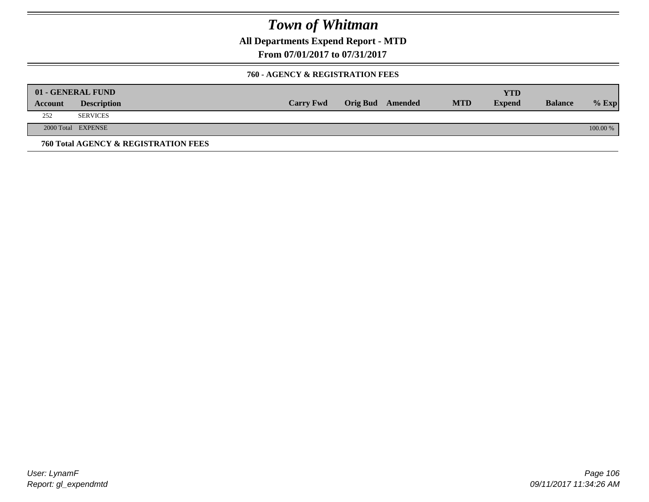**All Departments Expend Report - MTD**

**From 07/01/2017 to 07/31/2017**

#### **760 - AGENCY & REGISTRATION FEES**

|         | 01 - GENERAL FUND                    |                  |                  |            | YTD           |                |          |
|---------|--------------------------------------|------------------|------------------|------------|---------------|----------------|----------|
| Account | <b>Description</b>                   | <b>Carry Fwd</b> | Orig Bud Amended | <b>MTD</b> | <b>Expend</b> | <b>Balance</b> | $%$ Exp  |
| 252     | <b>SERVICES</b>                      |                  |                  |            |               |                |          |
|         | 2000 Total EXPENSE                   |                  |                  |            |               |                | 100.00 % |
|         | 760 Total AGENCY & REGISTRATION FEES |                  |                  |            |               |                |          |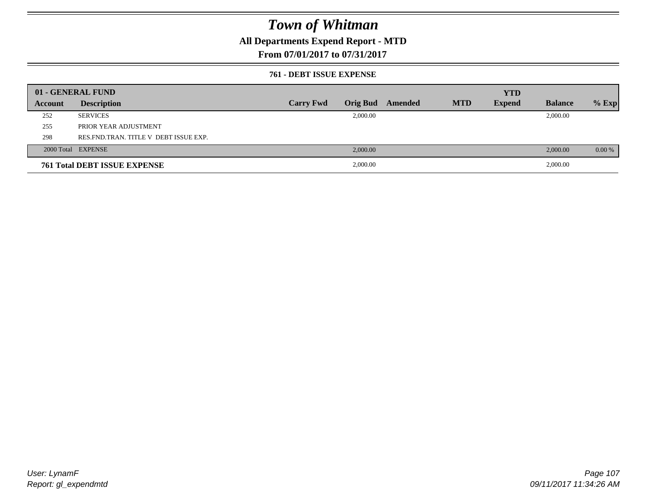### **All Departments Expend Report - MTD**

### **From 07/01/2017 to 07/31/2017**

#### **761 - DEBT ISSUE EXPENSE**

|         | 01 - GENERAL FUND                       |                  |          |                  |            | <b>YTD</b>    |                |          |
|---------|-----------------------------------------|------------------|----------|------------------|------------|---------------|----------------|----------|
| Account | <b>Description</b>                      | <b>Carry Fwd</b> |          | Orig Bud Amended | <b>MTD</b> | <b>Expend</b> | <b>Balance</b> | $%$ Exp  |
| 252     | <b>SERVICES</b>                         |                  | 2,000.00 |                  |            |               | 2,000.00       |          |
| 255     | PRIOR YEAR ADJUSTMENT                   |                  |          |                  |            |               |                |          |
| 298     | RES. FND. TRAN. TITLE V DEBT ISSUE EXP. |                  |          |                  |            |               |                |          |
|         | 2000 Total EXPENSE                      |                  | 2,000.00 |                  |            |               | 2,000.00       | $0.00\%$ |
|         | <b>761 Total DEBT ISSUE EXPENSE</b>     |                  | 2,000.00 |                  |            |               | 2,000.00       |          |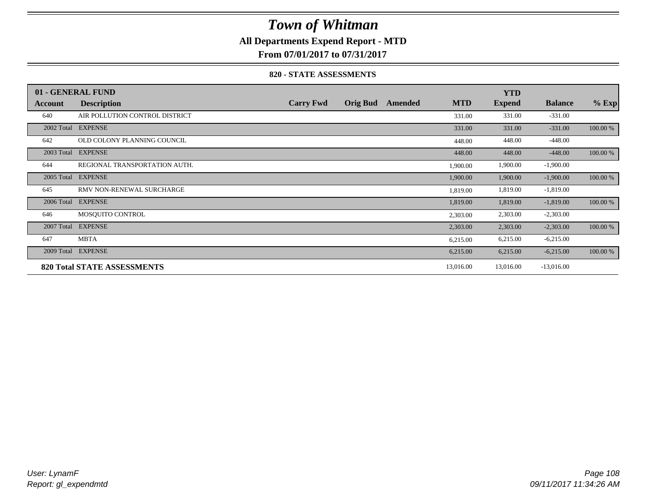### **All Departments Expend Report - MTD**

**From 07/01/2017 to 07/31/2017**

#### **820 - STATE ASSESSMENTS**

|            | 01 - GENERAL FUND                  |                  |                 |         |            | <b>YTD</b>    |                |          |
|------------|------------------------------------|------------------|-----------------|---------|------------|---------------|----------------|----------|
| Account    | <b>Description</b>                 | <b>Carry Fwd</b> | <b>Orig Bud</b> | Amended | <b>MTD</b> | <b>Expend</b> | <b>Balance</b> | $%$ Exp  |
| 640        | AIR POLLUTION CONTROL DISTRICT     |                  |                 |         | 331.00     | 331.00        | $-331.00$      |          |
| 2002 Total | <b>EXPENSE</b>                     |                  |                 |         | 331.00     | 331.00        | $-331.00$      | 100.00 % |
| 642        | OLD COLONY PLANNING COUNCIL        |                  |                 |         | 448.00     | 448.00        | $-448.00$      |          |
| 2003 Total | <b>EXPENSE</b>                     |                  |                 |         | 448.00     | 448.00        | $-448.00$      | 100.00 % |
| 644        | REGIONAL TRANSPORTATION AUTH.      |                  |                 |         | 1,900.00   | 1,900.00      | $-1,900.00$    |          |
| 2005 Total | <b>EXPENSE</b>                     |                  |                 |         | 1,900.00   | 1,900.00      | $-1,900.00$    | 100.00 % |
| 645        | RMV NON-RENEWAL SURCHARGE          |                  |                 |         | 1,819.00   | 1,819.00      | $-1,819.00$    |          |
| 2006 Total | <b>EXPENSE</b>                     |                  |                 |         | 1,819.00   | 1,819.00      | $-1,819.00$    | 100.00 % |
| 646        | MOSQUITO CONTROL                   |                  |                 |         | 2,303.00   | 2,303.00      | $-2,303.00$    |          |
| 2007 Total | <b>EXPENSE</b>                     |                  |                 |         | 2,303.00   | 2,303.00      | $-2,303.00$    | 100.00 % |
| 647        | <b>MBTA</b>                        |                  |                 |         | 6,215.00   | 6,215.00      | $-6,215.00$    |          |
| 2009 Total | <b>EXPENSE</b>                     |                  |                 |         | 6,215.00   | 6,215.00      | $-6,215.00$    | 100.00 % |
|            | <b>820 Total STATE ASSESSMENTS</b> |                  |                 |         | 13,016.00  | 13,016.00     | $-13,016.00$   |          |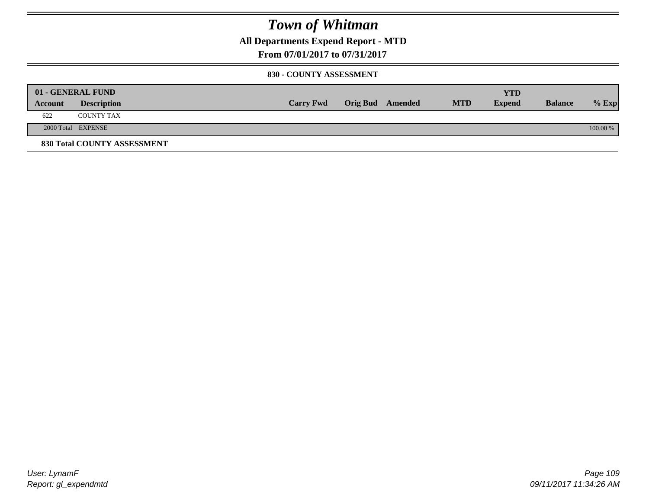**All Departments Expend Report - MTD**

**From 07/01/2017 to 07/31/2017**

#### **830 - COUNTY ASSESSMENT**

|         | 01 - GENERAL FUND                  |                  |                         |            | <b>YTD</b> |                |          |
|---------|------------------------------------|------------------|-------------------------|------------|------------|----------------|----------|
| Account | <b>Description</b>                 | <b>Carry Fwd</b> | <b>Orig Bud</b> Amended | <b>MTD</b> | Expend     | <b>Balance</b> | $%$ Exp  |
| 622     | <b>COUNTY TAX</b>                  |                  |                         |            |            |                |          |
|         | 2000 Total EXPENSE                 |                  |                         |            |            |                | 100.00 % |
|         | <b>830 Total COUNTY ASSESSMENT</b> |                  |                         |            |            |                |          |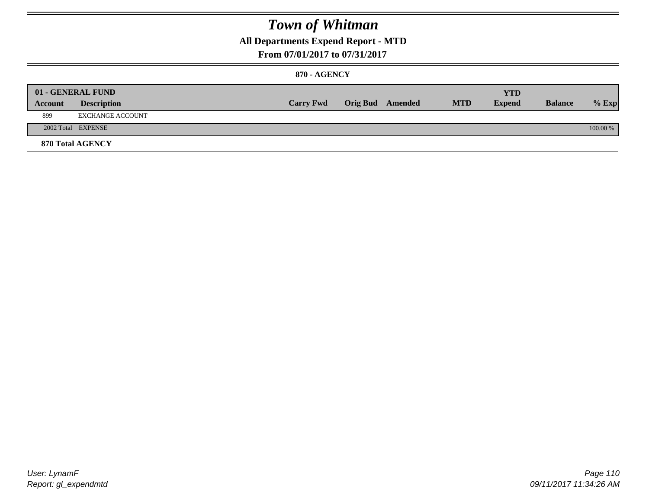### **All Departments Expend Report - MTD**

#### **From 07/01/2017 to 07/31/2017**

#### **870 - AGENCY**

| Account | 01 - GENERAL FUND<br><b>Description</b> | <b>Carry Fwd</b> | <b>Orig Bud</b> Amended | <b>MTD</b> | <b>YTD</b><br><b>Expend</b> | <b>Balance</b> | $%$ Exp  |
|---------|-----------------------------------------|------------------|-------------------------|------------|-----------------------------|----------------|----------|
| 899     | EXCHANGE ACCOUNT                        |                  |                         |            |                             |                |          |
|         | 2002 Total EXPENSE                      |                  |                         |            |                             |                | 100.00 % |
|         | <b>870 Total AGENCY</b>                 |                  |                         |            |                             |                |          |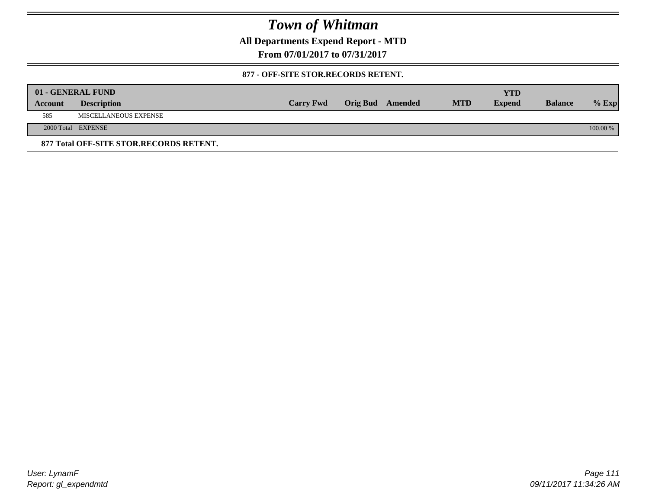**All Departments Expend Report - MTD**

**From 07/01/2017 to 07/31/2017**

#### **877 - OFF-SITE STOR.RECORDS RETENT.**

|         | 01 - GENERAL FUND                       |                  |                         |            | YTD           |                |          |
|---------|-----------------------------------------|------------------|-------------------------|------------|---------------|----------------|----------|
| Account | <b>Description</b>                      | <b>Carry Fwd</b> | <b>Orig Bud</b> Amended | <b>MTD</b> | <b>Expend</b> | <b>Balance</b> | $%$ Exp  |
| 585     | MISCELLANEOUS EXPENSE                   |                  |                         |            |               |                |          |
|         | 2000 Total EXPENSE                      |                  |                         |            |               |                | 100.00 % |
|         | 877 Total OFF-SITE STOR.RECORDS RETENT. |                  |                         |            |               |                |          |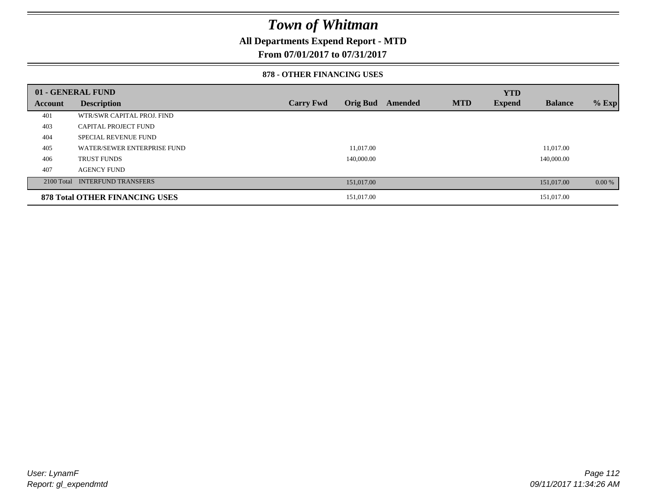### **All Departments Expend Report - MTD**

**From 07/01/2017 to 07/31/2017**

#### **878 - OTHER FINANCING USES**

|         | 01 - GENERAL FUND                     |                  |                 |         |            | <b>YTD</b>    |                |         |
|---------|---------------------------------------|------------------|-----------------|---------|------------|---------------|----------------|---------|
| Account | <b>Description</b>                    | <b>Carry Fwd</b> | <b>Orig Bud</b> | Amended | <b>MTD</b> | <b>Expend</b> | <b>Balance</b> | $%$ Exp |
| 401     | WTR/SWR CAPITAL PROJ. FIND            |                  |                 |         |            |               |                |         |
| 403     | <b>CAPITAL PROJECT FUND</b>           |                  |                 |         |            |               |                |         |
| 404     | <b>SPECIAL REVENUE FUND</b>           |                  |                 |         |            |               |                |         |
| 405     | WATER/SEWER ENTERPRISE FUND           |                  | 11.017.00       |         |            |               | 11.017.00      |         |
| 406     | <b>TRUST FUNDS</b>                    |                  | 140,000.00      |         |            |               | 140,000.00     |         |
| 407     | <b>AGENCY FUND</b>                    |                  |                 |         |            |               |                |         |
|         | 2100 Total INTERFUND TRANSFERS        |                  | 151,017.00      |         |            |               | 151,017.00     | 0.00 %  |
|         | <b>878 Total OTHER FINANCING USES</b> |                  | 151,017.00      |         |            |               | 151,017.00     |         |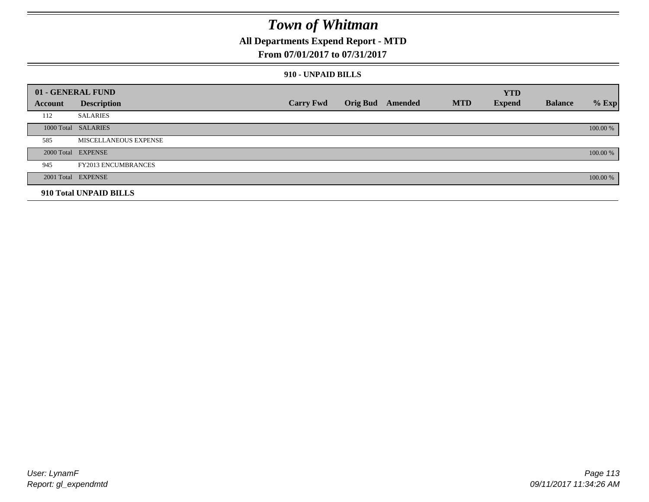### **All Departments Expend Report - MTD**

#### **From 07/01/2017 to 07/31/2017**

#### **910 - UNPAID BILLS**

|         | 01 - GENERAL FUND            |                  |                  |            | <b>YTD</b>    |                |          |
|---------|------------------------------|------------------|------------------|------------|---------------|----------------|----------|
| Account | <b>Description</b>           | <b>Carry Fwd</b> | Orig Bud Amended | <b>MTD</b> | <b>Expend</b> | <b>Balance</b> | $%$ Exp  |
| 112     | <b>SALARIES</b>              |                  |                  |            |               |                |          |
|         | 1000 Total SALARIES          |                  |                  |            |               |                | 100.00 % |
| 585     | <b>MISCELLANEOUS EXPENSE</b> |                  |                  |            |               |                |          |
|         | 2000 Total EXPENSE           |                  |                  |            |               |                | 100.00 % |
| 945     | <b>FY2013 ENCUMBRANCES</b>   |                  |                  |            |               |                |          |
|         | 2001 Total EXPENSE           |                  |                  |            |               |                | 100.00 % |
|         | 910 Total UNPAID BILLS       |                  |                  |            |               |                |          |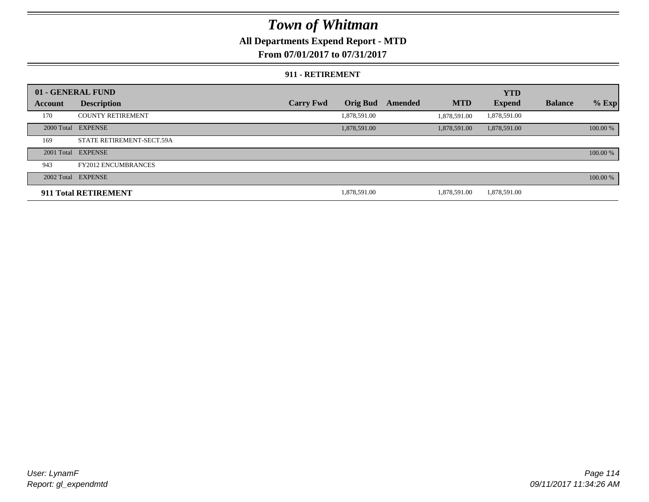### **All Departments Expend Report - MTD**

**From 07/01/2017 to 07/31/2017**

#### **911 - RETIREMENT**

|         | 01 - GENERAL FUND          |                  |                 |         |              | <b>YTD</b>    |                |          |
|---------|----------------------------|------------------|-----------------|---------|--------------|---------------|----------------|----------|
| Account | <b>Description</b>         | <b>Carry Fwd</b> | <b>Orig Bud</b> | Amended | <b>MTD</b>   | <b>Expend</b> | <b>Balance</b> | $%$ Exp  |
| 170     | <b>COUNTY RETIREMENT</b>   |                  | 1,878,591.00    |         | 1.878.591.00 | 1,878,591.00  |                |          |
|         | 2000 Total EXPENSE         |                  | 1,878,591.00    |         | 1,878,591.00 | 1,878,591.00  |                | 100.00 % |
| 169     | STATE RETIREMENT-SECT.59A  |                  |                 |         |              |               |                |          |
|         | 2001 Total EXPENSE         |                  |                 |         |              |               |                | 100.00 % |
| 943     | <b>FY2012 ENCUMBRANCES</b> |                  |                 |         |              |               |                |          |
|         | 2002 Total EXPENSE         |                  |                 |         |              |               |                | 100.00 % |
|         | 911 Total RETIREMENT       |                  | 1.878.591.00    |         | 1.878.591.00 | 1,878,591.00  |                |          |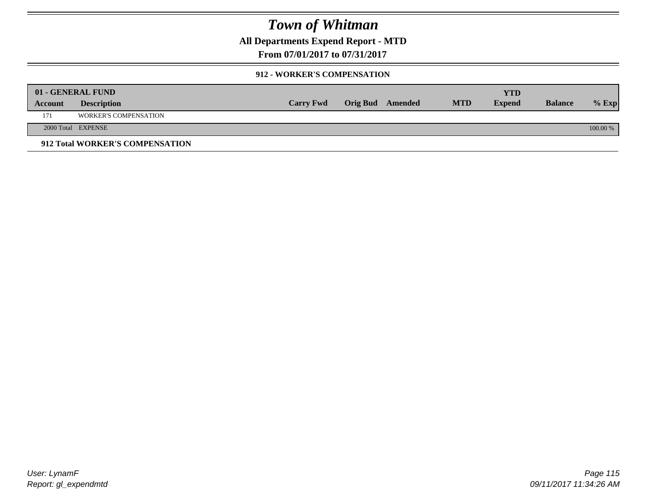**All Departments Expend Report - MTD**

**From 07/01/2017 to 07/31/2017**

#### **912 - WORKER'S COMPENSATION**

|         | 01 - GENERAL FUND               |                  |                  |            | <b>YTD</b>    |                |          |
|---------|---------------------------------|------------------|------------------|------------|---------------|----------------|----------|
| Account | <b>Description</b>              | <b>Carry Fwd</b> | Orig Bud Amended | <b>MTD</b> | <b>Expend</b> | <b>Balance</b> | $%$ Exp  |
| 171     | <b>WORKER'S COMPENSATION</b>    |                  |                  |            |               |                |          |
|         | 2000 Total EXPENSE              |                  |                  |            |               |                | 100.00 % |
|         | 912 Total WORKER'S COMPENSATION |                  |                  |            |               |                |          |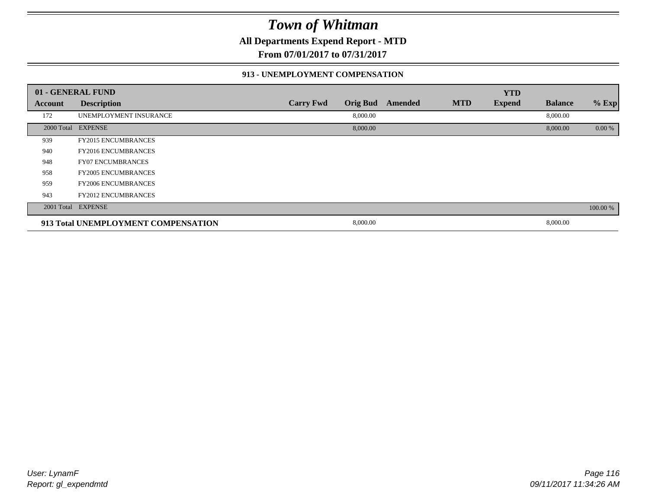**All Departments Expend Report - MTD**

**From 07/01/2017 to 07/31/2017**

#### **913 - UNEMPLOYMENT COMPENSATION**

|         | 01 - GENERAL FUND                   |                  |                 |         |            | <b>YTD</b>    |                |          |
|---------|-------------------------------------|------------------|-----------------|---------|------------|---------------|----------------|----------|
| Account | <b>Description</b>                  | <b>Carry Fwd</b> | <b>Orig Bud</b> | Amended | <b>MTD</b> | <b>Expend</b> | <b>Balance</b> | % Exp    |
| 172     | UNEMPLOYMENT INSURANCE              |                  | 8,000.00        |         |            |               | 8,000.00       |          |
|         | 2000 Total EXPENSE                  |                  | 8,000.00        |         |            |               | 8,000.00       | 0.00 %   |
| 939     | <b>FY2015 ENCUMBRANCES</b>          |                  |                 |         |            |               |                |          |
| 940     | <b>FY2016 ENCUMBRANCES</b>          |                  |                 |         |            |               |                |          |
| 948     | <b>FY07 ENCUMBRANCES</b>            |                  |                 |         |            |               |                |          |
| 958     | <b>FY2005 ENCUMBRANCES</b>          |                  |                 |         |            |               |                |          |
| 959     | <b>FY2006 ENCUMBRANCES</b>          |                  |                 |         |            |               |                |          |
| 943     | <b>FY2012 ENCUMBRANCES</b>          |                  |                 |         |            |               |                |          |
|         | 2001 Total EXPENSE                  |                  |                 |         |            |               |                | 100.00 % |
|         | 913 Total UNEMPLOYMENT COMPENSATION |                  | 8,000.00        |         |            |               | 8,000.00       |          |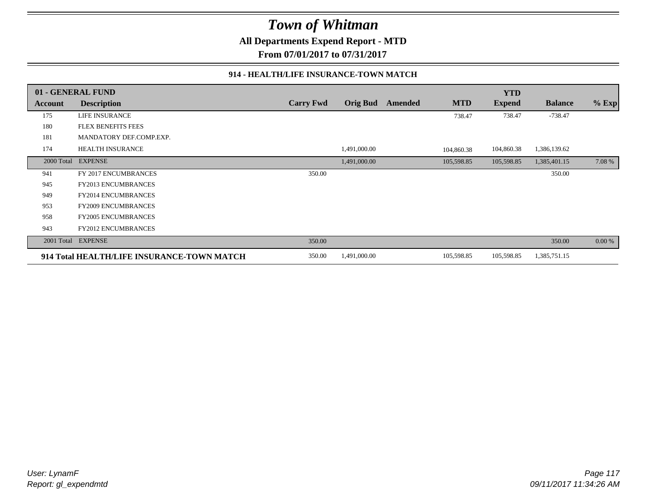**All Departments Expend Report - MTD**

**From 07/01/2017 to 07/31/2017**

#### **914 - HEALTH/LIFE INSURANCE-TOWN MATCH**

|            | 01 - GENERAL FUND                          |                  |                 |         |            | <b>YTD</b>    |                |         |
|------------|--------------------------------------------|------------------|-----------------|---------|------------|---------------|----------------|---------|
| Account    | <b>Description</b>                         | <b>Carry Fwd</b> | <b>Orig Bud</b> | Amended | <b>MTD</b> | <b>Expend</b> | <b>Balance</b> | $%$ Exp |
| 175        | LIFE INSURANCE                             |                  |                 |         | 738.47     | 738.47        | $-738.47$      |         |
| 180        | <b>FLEX BENEFITS FEES</b>                  |                  |                 |         |            |               |                |         |
| 181        | MANDATORY DEF.COMP.EXP.                    |                  |                 |         |            |               |                |         |
| 174        | <b>HEALTH INSURANCE</b>                    |                  | 1,491,000.00    |         | 104,860.38 | 104,860.38    | 1,386,139.62   |         |
| 2000 Total | <b>EXPENSE</b>                             |                  | 1,491,000.00    |         | 105,598.85 | 105,598.85    | 1,385,401.15   | 7.08 %  |
| 941        | FY 2017 ENCUMBRANCES                       | 350.00           |                 |         |            |               | 350.00         |         |
| 945        | FY2013 ENCUMBRANCES                        |                  |                 |         |            |               |                |         |
| 949        | <b>FY2014 ENCUMBRANCES</b>                 |                  |                 |         |            |               |                |         |
| 953        | <b>FY2009 ENCUMBRANCES</b>                 |                  |                 |         |            |               |                |         |
| 958        | <b>FY2005 ENCUMBRANCES</b>                 |                  |                 |         |            |               |                |         |
| 943        | <b>FY2012 ENCUMBRANCES</b>                 |                  |                 |         |            |               |                |         |
| 2001 Total | <b>EXPENSE</b>                             | 350.00           |                 |         |            |               | 350.00         | 0.00 %  |
|            | 914 Total HEALTH/LIFE INSURANCE-TOWN MATCH | 350.00           | 1,491,000.00    |         | 105,598.85 | 105,598.85    | 1,385,751.15   |         |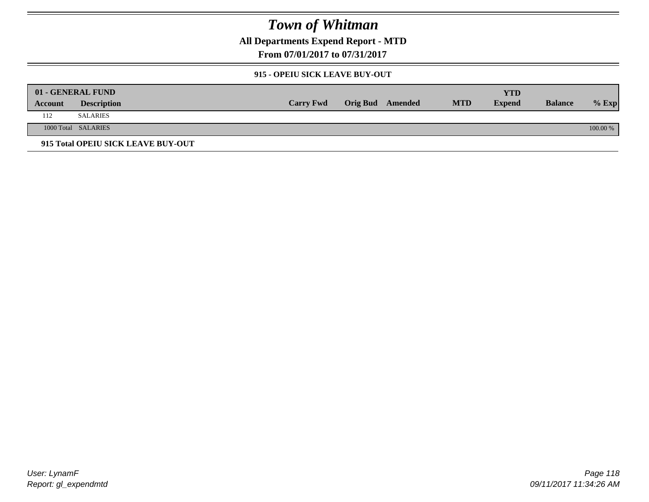**All Departments Expend Report - MTD**

**From 07/01/2017 to 07/31/2017**

#### **915 - OPEIU SICK LEAVE BUY-OUT**

|         | 01 - GENERAL FUND                  |                  |                         |            | YTD           |                |          |
|---------|------------------------------------|------------------|-------------------------|------------|---------------|----------------|----------|
| Account | <b>Description</b>                 | <b>Carry Fwd</b> | <b>Orig Bud</b> Amended | <b>MTD</b> | <b>Expend</b> | <b>Balance</b> | $%$ Exp  |
| 112     | <b>SALARIES</b>                    |                  |                         |            |               |                |          |
|         | 1000 Total SALARIES                |                  |                         |            |               |                | 100.00 % |
|         | 915 Total OPEIU SICK LEAVE BUY-OUT |                  |                         |            |               |                |          |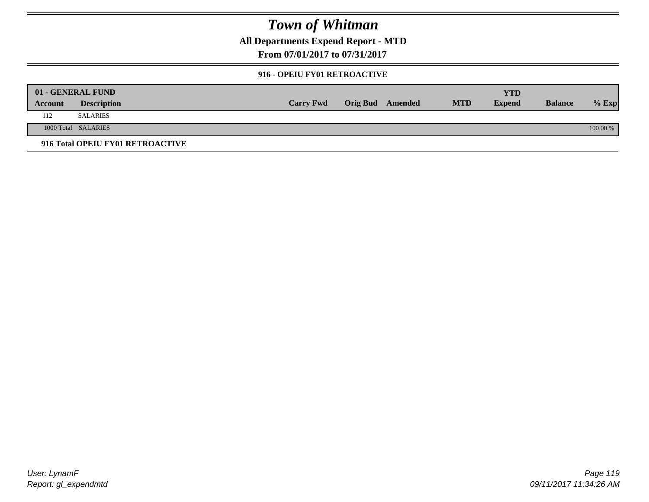**All Departments Expend Report - MTD**

**From 07/01/2017 to 07/31/2017**

#### **916 - OPEIU FY01 RETROACTIVE**

|         | 01 - GENERAL FUND                |                  |                  |            | YTD           |                |          |
|---------|----------------------------------|------------------|------------------|------------|---------------|----------------|----------|
| Account | <b>Description</b>               | <b>Carry Fwd</b> | Orig Bud Amended | <b>MTD</b> | <b>Expend</b> | <b>Balance</b> | $%$ Exp  |
| 112     | <b>SALARIES</b>                  |                  |                  |            |               |                |          |
|         | 1000 Total SALARIES              |                  |                  |            |               |                | 100.00 % |
|         | 916 Total OPEIU FY01 RETROACTIVE |                  |                  |            |               |                |          |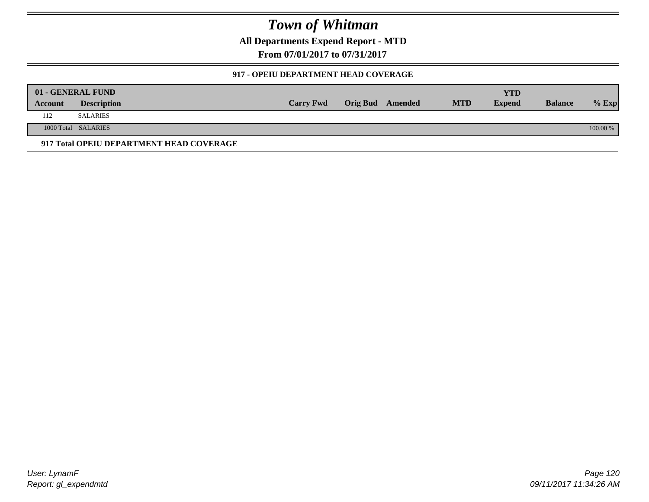**All Departments Expend Report - MTD**

**From 07/01/2017 to 07/31/2017**

#### **917 - OPEIU DEPARTMENT HEAD COVERAGE**

|         | 01 - GENERAL FUND                        |                  |                  |            | YTD           |                |          |
|---------|------------------------------------------|------------------|------------------|------------|---------------|----------------|----------|
| Account | <b>Description</b>                       | <b>Carry Fwd</b> | Orig Bud Amended | <b>MTD</b> | <b>Expend</b> | <b>Balance</b> | $%$ Exp  |
| 112     | <b>SALARIES</b>                          |                  |                  |            |               |                |          |
|         | 1000 Total SALARIES                      |                  |                  |            |               |                | 100.00 % |
|         | 917 Total OPEIU DEPARTMENT HEAD COVERAGE |                  |                  |            |               |                |          |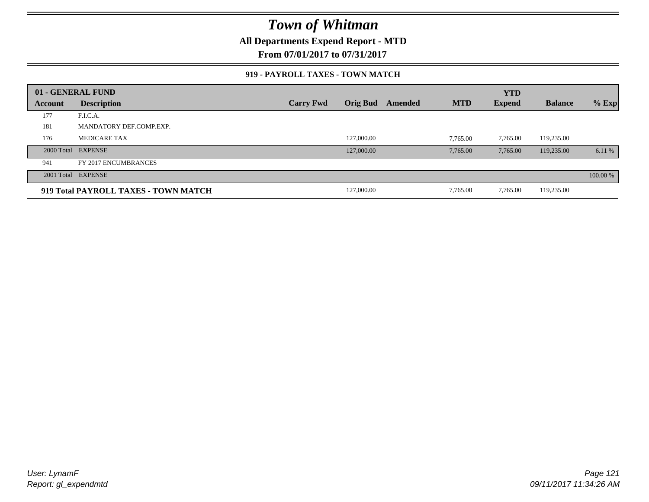**All Departments Expend Report - MTD**

**From 07/01/2017 to 07/31/2017**

#### **919 - PAYROLL TAXES - TOWN MATCH**

|         | 01 - GENERAL FUND                    |                  |                 |         |            | <b>YTD</b>    |                |          |
|---------|--------------------------------------|------------------|-----------------|---------|------------|---------------|----------------|----------|
| Account | <b>Description</b>                   | <b>Carry Fwd</b> | <b>Orig Bud</b> | Amended | <b>MTD</b> | <b>Expend</b> | <b>Balance</b> | $%$ Exp  |
| 177     | F.I.C.A.                             |                  |                 |         |            |               |                |          |
| 181     | MANDATORY DEF.COMP.EXP.              |                  |                 |         |            |               |                |          |
| 176     | <b>MEDICARE TAX</b>                  |                  | 127,000.00      |         | 7,765.00   | 7,765.00      | 119,235.00     |          |
|         | 2000 Total EXPENSE                   |                  | 127,000.00      |         | 7,765.00   | 7,765.00      | 119,235.00     | 6.11 %   |
| 941     | FY 2017 ENCUMBRANCES                 |                  |                 |         |            |               |                |          |
|         | 2001 Total EXPENSE                   |                  |                 |         |            |               |                | 100.00 % |
|         | 919 Total PAYROLL TAXES - TOWN MATCH |                  | 127,000.00      |         | 7,765.00   | 7,765.00      | 119,235.00     |          |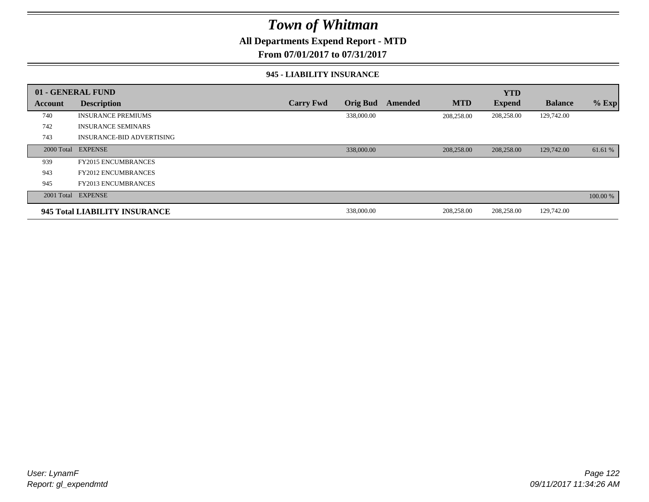### **All Departments Expend Report - MTD**

**From 07/01/2017 to 07/31/2017**

#### **945 - LIABILITY INSURANCE**

|         | 01 - GENERAL FUND                |                  |                 |         |            | <b>YTD</b>    |                |          |
|---------|----------------------------------|------------------|-----------------|---------|------------|---------------|----------------|----------|
| Account | <b>Description</b>               | <b>Carry Fwd</b> | <b>Orig Bud</b> | Amended | <b>MTD</b> | <b>Expend</b> | <b>Balance</b> | $%$ Exp  |
| 740     | <b>INSURANCE PREMIUMS</b>        |                  | 338,000.00      |         | 208,258.00 | 208,258.00    | 129,742.00     |          |
| 742     | <b>INSURANCE SEMINARS</b>        |                  |                 |         |            |               |                |          |
| 743     | <b>INSURANCE-BID ADVERTISING</b> |                  |                 |         |            |               |                |          |
|         | 2000 Total EXPENSE               |                  | 338,000.00      |         | 208,258.00 | 208,258.00    | 129,742.00     | 61.61 %  |
| 939     | <b>FY2015 ENCUMBRANCES</b>       |                  |                 |         |            |               |                |          |
| 943     | <b>FY2012 ENCUMBRANCES</b>       |                  |                 |         |            |               |                |          |
| 945     | <b>FY2013 ENCUMBRANCES</b>       |                  |                 |         |            |               |                |          |
|         | 2001 Total EXPENSE               |                  |                 |         |            |               |                | 100.00 % |
|         | 945 Total LIABILITY INSURANCE    |                  | 338,000.00      |         | 208,258.00 | 208,258.00    | 129,742.00     |          |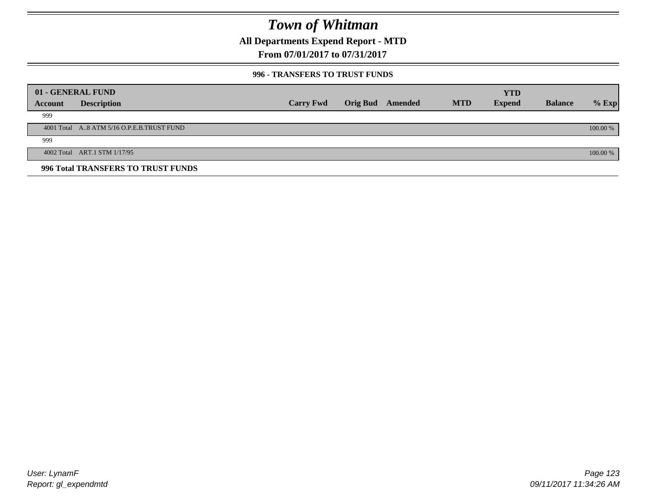**All Departments Expend Report - MTD**

**From 07/01/2017 to 07/31/2017**

#### **996 - TRANSFERS TO TRUST FUNDS**

|         | 01 - GENERAL FUND                         |                  |                 |         |            | <b>YTD</b>    |                |            |
|---------|-------------------------------------------|------------------|-----------------|---------|------------|---------------|----------------|------------|
| Account | <b>Description</b>                        | <b>Carry Fwd</b> | <b>Orig Bud</b> | Amended | <b>MTD</b> | <b>Expend</b> | <b>Balance</b> | $%$ Exp    |
| 999     |                                           |                  |                 |         |            |               |                |            |
|         | 4001 Total A8 ATM 5/16 O.P.E.B.TRUST FUND |                  |                 |         |            |               |                | $100.00\%$ |
| 999     |                                           |                  |                 |         |            |               |                |            |
|         | 4002 Total ART.1 STM 1/17/95              |                  |                 |         |            |               |                | 100.00 %   |
|         | 996 Total TRANSFERS TO TRUST FUNDS        |                  |                 |         |            |               |                |            |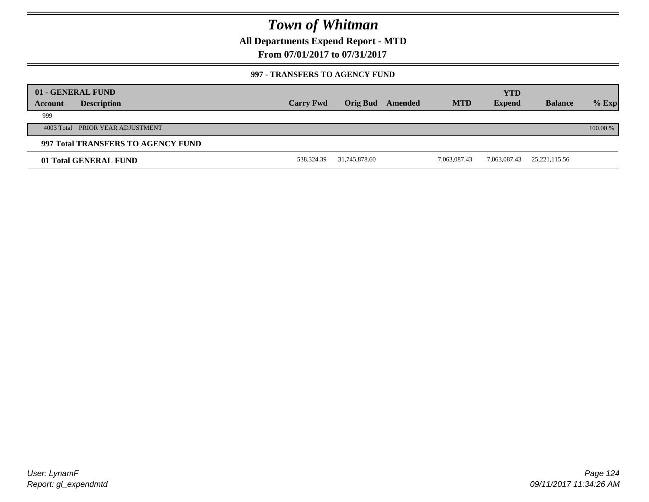**All Departments Expend Report - MTD**

**From 07/01/2017 to 07/31/2017**

#### **997 - TRANSFERS TO AGENCY FUND**

|         | 01 - GENERAL FUND                  |                  |               |         |              | <b>YTD</b>    |                 |          |
|---------|------------------------------------|------------------|---------------|---------|--------------|---------------|-----------------|----------|
| Account | <b>Description</b>                 | <b>Carry Fwd</b> | Orig Bud      | Amended | <b>MTD</b>   | <b>Expend</b> | <b>Balance</b>  | $%$ Exp  |
| 999     |                                    |                  |               |         |              |               |                 |          |
|         | 4003 Total PRIOR YEAR ADJUSTMENT   |                  |               |         |              |               |                 | 100.00 % |
|         | 997 Total TRANSFERS TO AGENCY FUND |                  |               |         |              |               |                 |          |
|         | 01 Total GENERAL FUND              | 538,324.39       | 31,745,878.60 |         | 7,063,087.43 | 7,063,087.43  | 25, 221, 115.56 |          |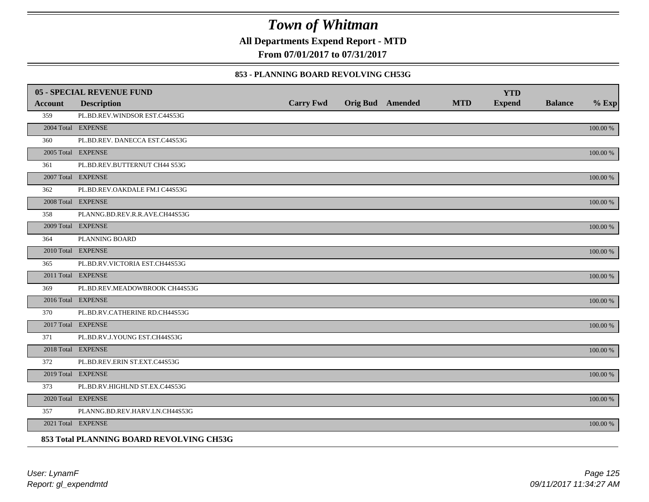**All Departments Expend Report - MTD**

**From 07/01/2017 to 07/31/2017**

#### **853 - PLANNING BOARD REVOLVING CH53G**

|         | <b>05 - SPECIAL REVENUE FUND</b>         |                  |                  |            | <b>YTD</b>    |                |             |
|---------|------------------------------------------|------------------|------------------|------------|---------------|----------------|-------------|
| Account | <b>Description</b>                       | <b>Carry Fwd</b> | Orig Bud Amended | <b>MTD</b> | <b>Expend</b> | <b>Balance</b> | $%$ Exp     |
| 359     | PL.BD.REV.WINDSOR EST.C44S53G            |                  |                  |            |               |                |             |
|         | 2004 Total EXPENSE                       |                  |                  |            |               |                | 100.00 %    |
| 360     | PL.BD.REV. DANECCA EST.C44S53G           |                  |                  |            |               |                |             |
|         | 2005 Total EXPENSE                       |                  |                  |            |               |                | 100.00 %    |
| 361     | PL.BD.REV.BUTTERNUT CH44 S53G            |                  |                  |            |               |                |             |
|         | 2007 Total EXPENSE                       |                  |                  |            |               |                | 100.00 %    |
| 362     | PL.BD.REV.OAKDALE FM.I C44S53G           |                  |                  |            |               |                |             |
|         | 2008 Total EXPENSE                       |                  |                  |            |               |                | $100.00~\%$ |
| 358     | PLANNG.BD.REV.R.R.AVE.CH44S53G           |                  |                  |            |               |                |             |
|         | 2009 Total EXPENSE                       |                  |                  |            |               |                | 100.00 %    |
| 364     | PLANNING BOARD                           |                  |                  |            |               |                |             |
|         | 2010 Total EXPENSE                       |                  |                  |            |               |                | $100.00~\%$ |
| 365     | PL.BD.RV.VICTORIA EST.CH44S53G           |                  |                  |            |               |                |             |
|         | 2011 Total EXPENSE                       |                  |                  |            |               |                | 100.00 %    |
| 369     | PL.BD.REV.MEADOWBROOK CH44S53G           |                  |                  |            |               |                |             |
|         | 2016 Total EXPENSE                       |                  |                  |            |               |                | 100.00 %    |
| 370     | PL.BD.RV.CATHERINE RD.CH44S53G           |                  |                  |            |               |                |             |
|         | 2017 Total EXPENSE                       |                  |                  |            |               |                | 100.00 %    |
| 371     | PL.BD.RV.J.YOUNG EST.CH44S53G            |                  |                  |            |               |                |             |
|         | 2018 Total EXPENSE                       |                  |                  |            |               |                | $100.00~\%$ |
| 372     | PL.BD.REV.ERIN ST.EXT.C44S53G            |                  |                  |            |               |                |             |
|         | 2019 Total EXPENSE                       |                  |                  |            |               |                | 100.00 %    |
| 373     | PL.BD.RV.HIGHLND ST.EX.C44S53G           |                  |                  |            |               |                |             |
|         | 2020 Total EXPENSE                       |                  |                  |            |               |                | 100.00 %    |
| 357     | PLANNG.BD.REV.HARV.LN.CH44S53G           |                  |                  |            |               |                |             |
|         | 2021 Total EXPENSE                       |                  |                  |            |               |                | 100.00 %    |
|         | 853 Total PLANNING BOARD REVOLVING CH53G |                  |                  |            |               |                |             |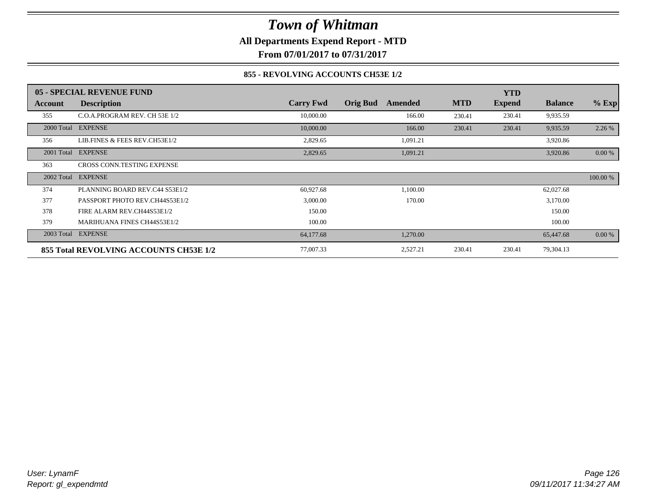**All Departments Expend Report - MTD**

**From 07/01/2017 to 07/31/2017**

#### **855 - REVOLVING ACCOUNTS CH53E 1/2**

|            | 05 - SPECIAL REVENUE FUND              |                  |                 |          |            | <b>YTD</b>    |                |          |
|------------|----------------------------------------|------------------|-----------------|----------|------------|---------------|----------------|----------|
| Account    | <b>Description</b>                     | <b>Carry Fwd</b> | <b>Orig Bud</b> | Amended  | <b>MTD</b> | <b>Expend</b> | <b>Balance</b> | $%$ Exp  |
| 355        | C.O.A.PROGRAM REV. CH 53E 1/2          | 10,000.00        |                 | 166.00   | 230.41     | 230.41        | 9,935.59       |          |
| 2000 Total | <b>EXPENSE</b>                         | 10,000.00        |                 | 166.00   | 230.41     | 230.41        | 9,935.59       | 2.26 %   |
| 356        | LIB.FINES & FEES REV.CH53E1/2          | 2,829.65         |                 | 1,091.21 |            |               | 3,920.86       |          |
| 2001 Total | <b>EXPENSE</b>                         | 2,829.65         |                 | 1,091.21 |            |               | 3,920.86       | 0.00 %   |
| 363        | CROSS CONN.TESTING EXPENSE             |                  |                 |          |            |               |                |          |
| 2002 Total | <b>EXPENSE</b>                         |                  |                 |          |            |               |                | 100.00 % |
| 374        | PLANNING BOARD REV.C44 S53E1/2         | 60,927.68        |                 | 1,100.00 |            |               | 62,027.68      |          |
| 377        | PASSPORT PHOTO REV.CH44S53E1/2         | 3,000.00         |                 | 170.00   |            |               | 3,170.00       |          |
| 378        | FIRE ALARM REV.CH44S53E1/2             | 150.00           |                 |          |            |               | 150.00         |          |
| 379        | <b>MARIHUANA FINES CH44S53E1/2</b>     | 100.00           |                 |          |            |               | 100.00         |          |
|            | 2003 Total EXPENSE                     | 64,177.68        |                 | 1,270.00 |            |               | 65,447.68      | 0.00 %   |
|            | 855 Total REVOLVING ACCOUNTS CH53E 1/2 | 77,007.33        |                 | 2,527.21 | 230.41     | 230.41        | 79,304.13      |          |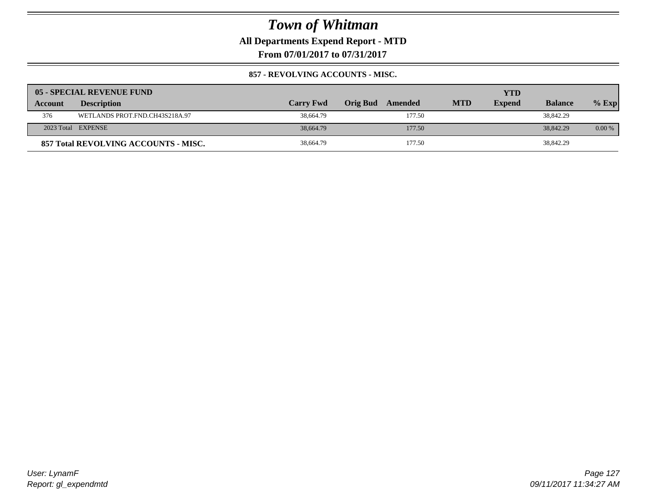**All Departments Expend Report - MTD**

**From 07/01/2017 to 07/31/2017**

#### **857 - REVOLVING ACCOUNTS - MISC.**

|                | 05 - SPECIAL REVENUE FUND            |                  |                     |            | YTD           |                |          |
|----------------|--------------------------------------|------------------|---------------------|------------|---------------|----------------|----------|
| <b>Account</b> | <b>Description</b>                   | <b>Carry Fwd</b> | Orig Bud<br>Amended | <b>MTD</b> | <b>Expend</b> | <b>Balance</b> | $%$ Exp  |
| 376            | WETLANDS PROT.FND.CH43S218A.97       | 38,664.79        | 177.50              |            |               | 38,842.29      |          |
|                | 2023 Total EXPENSE                   | 38,664.79        | 177.50              |            |               | 38,842.29      | $0.00\%$ |
|                | 857 Total REVOLVING ACCOUNTS - MISC. | 38,664.79        | 177.50              |            |               | 38,842.29      |          |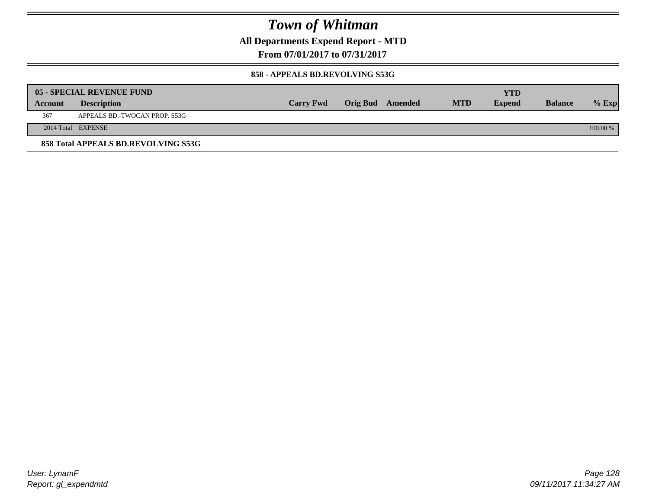**All Departments Expend Report - MTD**

**From 07/01/2017 to 07/31/2017**

#### **858 - APPEALS BD.REVOLVING S53G**

|         | 05 - SPECIAL REVENUE FUND           |                  |                  |            | YTD           |                |            |
|---------|-------------------------------------|------------------|------------------|------------|---------------|----------------|------------|
| Account | <b>Description</b>                  | <b>Carry Fwd</b> | Orig Bud Amended | <b>MTD</b> | <b>Expend</b> | <b>Balance</b> | $%$ Exp    |
| 367     | APPEALS BD.-TWOCAN PROP. S53G       |                  |                  |            |               |                |            |
|         | 2014 Total EXPENSE                  |                  |                  |            |               |                | $100.00\%$ |
|         | 858 Total APPEALS BD.REVOLVING S53G |                  |                  |            |               |                |            |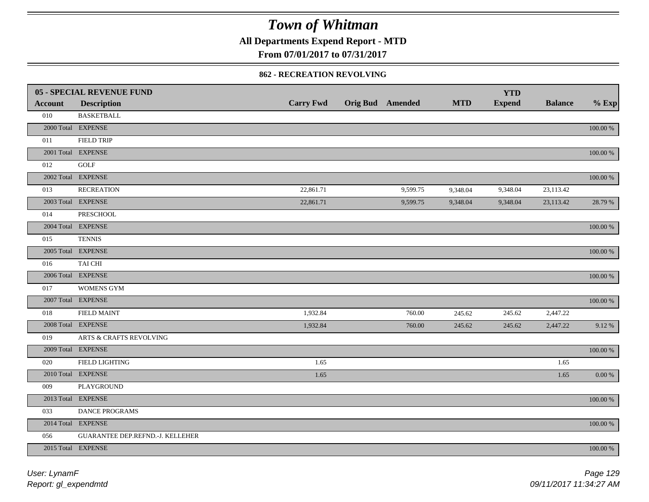**All Departments Expend Report - MTD**

**From 07/01/2017 to 07/31/2017**

#### **862 - RECREATION REVOLVING**

|                | <b>05 - SPECIAL REVENUE FUND</b>   |                  |                  |            | <b>YTD</b>    |                |             |
|----------------|------------------------------------|------------------|------------------|------------|---------------|----------------|-------------|
| <b>Account</b> | <b>Description</b>                 | <b>Carry Fwd</b> | Orig Bud Amended | <b>MTD</b> | <b>Expend</b> | <b>Balance</b> | $%$ Exp     |
| 010            | <b>BASKETBALL</b>                  |                  |                  |            |               |                |             |
|                | 2000 Total EXPENSE                 |                  |                  |            |               |                | $100.00~\%$ |
| 011            | <b>FIELD TRIP</b>                  |                  |                  |            |               |                |             |
|                | 2001 Total EXPENSE                 |                  |                  |            |               |                | 100.00 %    |
| 012            | GOLF                               |                  |                  |            |               |                |             |
|                | 2002 Total EXPENSE                 |                  |                  |            |               |                | 100.00 %    |
| 013            | <b>RECREATION</b>                  | 22,861.71        | 9,599.75         | 9,348.04   | 9,348.04      | 23,113.42      |             |
|                | 2003 Total EXPENSE                 | 22,861.71        | 9,599.75         | 9,348.04   | 9,348.04      | 23,113.42      | 28.79 %     |
| 014            | PRESCHOOL                          |                  |                  |            |               |                |             |
|                | 2004 Total EXPENSE                 |                  |                  |            |               |                | 100.00 %    |
| 015            | <b>TENNIS</b>                      |                  |                  |            |               |                |             |
|                | 2005 Total EXPENSE                 |                  |                  |            |               |                | 100.00 %    |
| 016            | TAI CHI                            |                  |                  |            |               |                |             |
|                | 2006 Total EXPENSE                 |                  |                  |            |               |                | 100.00 %    |
| 017            | WOMENS GYM                         |                  |                  |            |               |                |             |
|                | 2007 Total EXPENSE                 |                  |                  |            |               |                | $100.00~\%$ |
| 018            | <b>FIELD MAINT</b>                 | 1,932.84         | 760.00           | 245.62     | 245.62        | 2,447.22       |             |
|                | 2008 Total EXPENSE                 | 1,932.84         | 760.00           | 245.62     | 245.62        | 2,447.22       | 9.12%       |
| 019            | <b>ARTS &amp; CRAFTS REVOLVING</b> |                  |                  |            |               |                |             |
|                | 2009 Total EXPENSE                 |                  |                  |            |               |                | $100.00~\%$ |
| 020            | FIELD LIGHTING                     | 1.65             |                  |            |               | 1.65           |             |
|                | 2010 Total EXPENSE                 | 1.65             |                  |            |               | 1.65           | $0.00\,\%$  |
| 009            | PLAYGROUND                         |                  |                  |            |               |                |             |
|                | 2013 Total EXPENSE                 |                  |                  |            |               |                | $100.00~\%$ |
| 033            | DANCE PROGRAMS                     |                  |                  |            |               |                |             |
|                | 2014 Total EXPENSE                 |                  |                  |            |               |                | 100.00 %    |
| 056            | GUARANTEE DEP.REFND.-J. KELLEHER   |                  |                  |            |               |                |             |
|                | 2015 Total EXPENSE                 |                  |                  |            |               |                | 100.00 %    |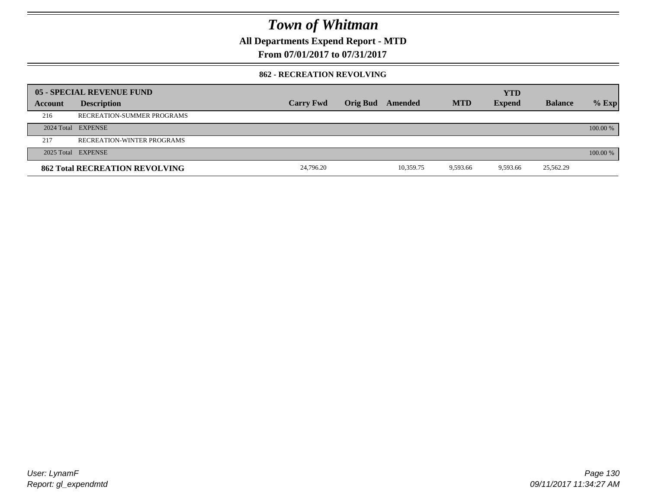**All Departments Expend Report - MTD**

**From 07/01/2017 to 07/31/2017**

#### **862 - RECREATION REVOLVING**

|         | 05 - SPECIAL REVENUE FUND             |                  |                  |           |            | <b>YTD</b>    |                |          |
|---------|---------------------------------------|------------------|------------------|-----------|------------|---------------|----------------|----------|
| Account | <b>Description</b>                    | <b>Carry Fwd</b> | Orig Bud Amended |           | <b>MTD</b> | <b>Expend</b> | <b>Balance</b> | $%$ Exp  |
| 216     | RECREATION-SUMMER PROGRAMS            |                  |                  |           |            |               |                |          |
|         | 2024 Total EXPENSE                    |                  |                  |           |            |               |                | 100.00 % |
| 217     | RECREATION-WINTER PROGRAMS            |                  |                  |           |            |               |                |          |
|         | 2025 Total EXPENSE                    |                  |                  |           |            |               |                | 100.00 % |
|         | <b>862 Total RECREATION REVOLVING</b> | 24,796.20        |                  | 10,359.75 | 9,593.66   | 9,593.66      | 25,562.29      |          |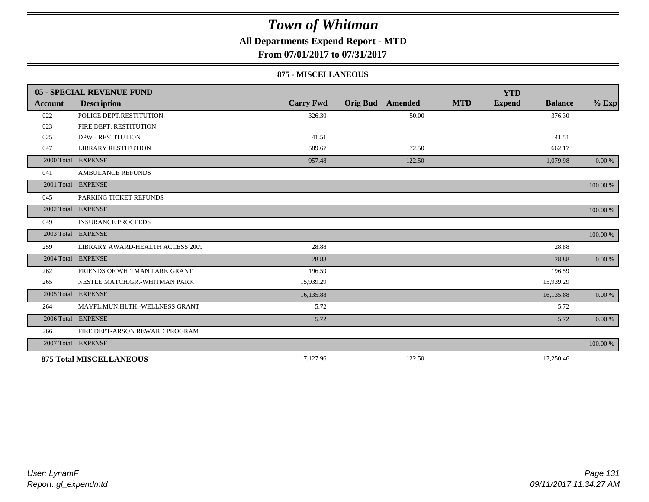### **All Departments Expend Report - MTD**

**From 07/01/2017 to 07/31/2017**

#### **875 - MISCELLANEOUS**

|            | 05 - SPECIAL REVENUE FUND        |                  |                         |            | <b>YTD</b>                      |          |
|------------|----------------------------------|------------------|-------------------------|------------|---------------------------------|----------|
| Account    | <b>Description</b>               | <b>Carry Fwd</b> | <b>Orig Bud</b> Amended | <b>MTD</b> | <b>Expend</b><br><b>Balance</b> | $%$ Exp  |
| 022        | POLICE DEPT.RESTITUTION          | 326.30           | 50.00                   |            | 376.30                          |          |
| 023        | FIRE DEPT. RESTITUTION           |                  |                         |            |                                 |          |
| 025        | <b>DPW - RESTITUTION</b>         | 41.51            |                         |            | 41.51                           |          |
| 047        | <b>LIBRARY RESTITUTION</b>       | 589.67           | 72.50                   |            | 662.17                          |          |
|            | 2000 Total EXPENSE               | 957.48           | 122.50                  |            | 1,079.98                        | 0.00 %   |
| 041        | <b>AMBULANCE REFUNDS</b>         |                  |                         |            |                                 |          |
|            | 2001 Total EXPENSE               |                  |                         |            |                                 | 100.00 % |
| 045        | PARKING TICKET REFUNDS           |                  |                         |            |                                 |          |
|            | 2002 Total EXPENSE               |                  |                         |            |                                 | 100.00 % |
| 049        | <b>INSURANCE PROCEEDS</b>        |                  |                         |            |                                 |          |
| 2003 Total | <b>EXPENSE</b>                   |                  |                         |            |                                 | 100.00 % |
| 259        | LIBRARY AWARD-HEALTH ACCESS 2009 | 28.88            |                         |            | 28.88                           |          |
|            | 2004 Total EXPENSE               | 28.88            |                         |            | 28.88                           | 0.00 %   |
| 262        | FRIENDS OF WHITMAN PARK GRANT    | 196.59           |                         |            | 196.59                          |          |
| 265        | NESTLE MATCH.GR.-WHITMAN PARK    | 15,939.29        |                         |            | 15,939.29                       |          |
|            | 2005 Total EXPENSE               | 16,135.88        |                         |            | 16,135.88                       | 0.00 %   |
| 264        | MAYFL.MUN.HLTH.-WELLNESS GRANT   | 5.72             |                         |            | 5.72                            |          |
|            | 2006 Total EXPENSE               | 5.72             |                         |            | 5.72                            | 0.00 %   |
| 266        | FIRE DEPT-ARSON REWARD PROGRAM   |                  |                         |            |                                 |          |
|            | 2007 Total EXPENSE               |                  |                         |            |                                 | 100.00 % |
|            | <b>875 Total MISCELLANEOUS</b>   | 17,127.96        | 122.50                  |            | 17,250.46                       |          |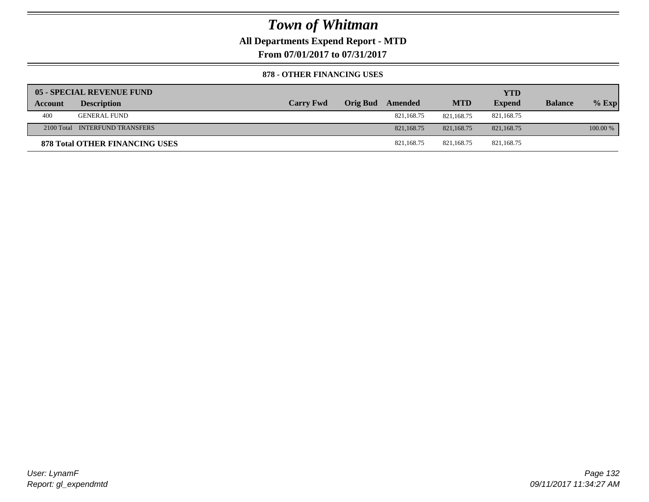### **All Departments Expend Report - MTD**

**From 07/01/2017 to 07/31/2017**

#### **878 - OTHER FINANCING USES**

|         | 05 - SPECIAL REVENUE FUND             |                  |                  |            | YTD           |                |          |
|---------|---------------------------------------|------------------|------------------|------------|---------------|----------------|----------|
| Account | <b>Description</b>                    | <b>Carry Fwd</b> | Orig Bud Amended | <b>MTD</b> | <b>Expend</b> | <b>Balance</b> | $%$ Exp  |
| 400     | <b>GENERAL FUND</b>                   |                  | 821,168.75       | 821.168.75 | 821,168.75    |                |          |
|         | 2100 Total INTERFUND TRANSFERS        |                  | 821,168.75       | 821.168.75 | 821.168.75    |                | 100.00 % |
|         | <b>878 Total OTHER FINANCING USES</b> |                  | 821.168.75       | 821.168.75 | 821,168.75    |                |          |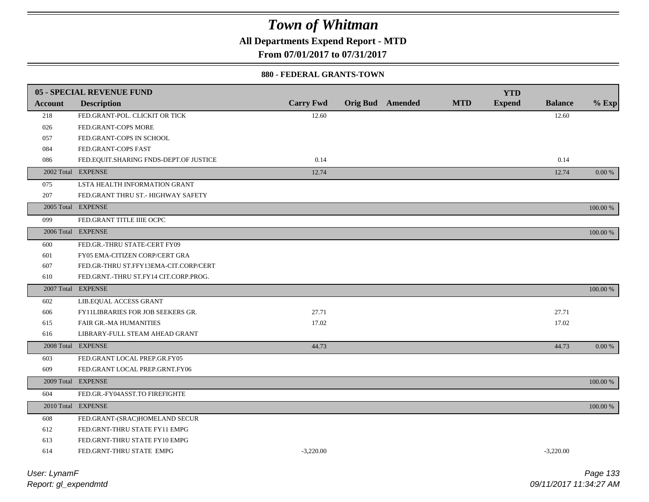**All Departments Expend Report - MTD**

**From 07/01/2017 to 07/31/2017**

#### **880 - FEDERAL GRANTS-TOWN**

|                | 05 - SPECIAL REVENUE FUND              |                  |                         |            | <b>YTD</b>    |                |             |
|----------------|----------------------------------------|------------------|-------------------------|------------|---------------|----------------|-------------|
| <b>Account</b> | <b>Description</b>                     | <b>Carry Fwd</b> | <b>Orig Bud</b> Amended | <b>MTD</b> | <b>Expend</b> | <b>Balance</b> | $%$ Exp     |
| 218            | FED.GRANT-POL. CLICKIT OR TICK         | 12.60            |                         |            |               | 12.60          |             |
| 026            | FED.GRANT-COPS MORE                    |                  |                         |            |               |                |             |
| 057            | FED.GRANT-COPS IN SCHOOL               |                  |                         |            |               |                |             |
| 084            | FED.GRANT-COPS FAST                    |                  |                         |            |               |                |             |
| 086            | FED.EQUIT.SHARING FNDS-DEPT.OF JUSTICE | 0.14             |                         |            |               | 0.14           |             |
|                | 2002 Total EXPENSE                     | 12.74            |                         |            |               | 12.74          | 0.00 %      |
| 075            | LSTA HEALTH INFORMATION GRANT          |                  |                         |            |               |                |             |
| 207            | FED.GRANT THRU ST.- HIGHWAY SAFETY     |                  |                         |            |               |                |             |
|                | 2005 Total EXPENSE                     |                  |                         |            |               |                | 100.00 %    |
| 099            | FED.GRANT TITLE IIIE OCPC              |                  |                         |            |               |                |             |
|                | 2006 Total EXPENSE                     |                  |                         |            |               |                | 100.00 %    |
| 600            | FED.GR.-THRU STATE-CERT FY09           |                  |                         |            |               |                |             |
| 601            | FY05 EMA-CITIZEN CORP/CERT GRA         |                  |                         |            |               |                |             |
| 607            | FED.GR-THRU ST.FFY13EMA-CIT.CORP/CERT  |                  |                         |            |               |                |             |
| 610            | FED.GRNT.-THRU ST.FY14 CIT.CORP.PROG.  |                  |                         |            |               |                |             |
|                | 2007 Total EXPENSE                     |                  |                         |            |               |                | 100.00 %    |
| 602            | LIB.EQUAL ACCESS GRANT                 |                  |                         |            |               |                |             |
| 606            | FY11LIBRARIES FOR JOB SEEKERS GR.      | 27.71            |                         |            |               | 27.71          |             |
| 615            | <b>FAIR GR.-MA HUMANITIES</b>          | 17.02            |                         |            |               | 17.02          |             |
| 616            | LIBRARY-FULL STEAM AHEAD GRANT         |                  |                         |            |               |                |             |
|                | 2008 Total EXPENSE                     | 44.73            |                         |            |               | 44.73          | $0.00 \%$   |
| 603            | FED.GRANT LOCAL PREP.GR.FY05           |                  |                         |            |               |                |             |
| 609            | FED.GRANT LOCAL PREP.GRNT.FY06         |                  |                         |            |               |                |             |
|                | 2009 Total EXPENSE                     |                  |                         |            |               |                | 100.00 %    |
| 604            | FED.GR.-FY04ASST.TO FIREFIGHTE         |                  |                         |            |               |                |             |
|                | 2010 Total EXPENSE                     |                  |                         |            |               |                | $100.00~\%$ |
| 608            | FED.GRANT-(SRAC)HOMELAND SECUR         |                  |                         |            |               |                |             |
| 612            | FED.GRNT-THRU STATE FY11 EMPG          |                  |                         |            |               |                |             |
| 613            | FED.GRNT-THRU STATE FY10 EMPG          |                  |                         |            |               |                |             |
| 614            | FED.GRNT-THRU STATE EMPG               | $-3,220.00$      |                         |            |               | $-3.220.00$    |             |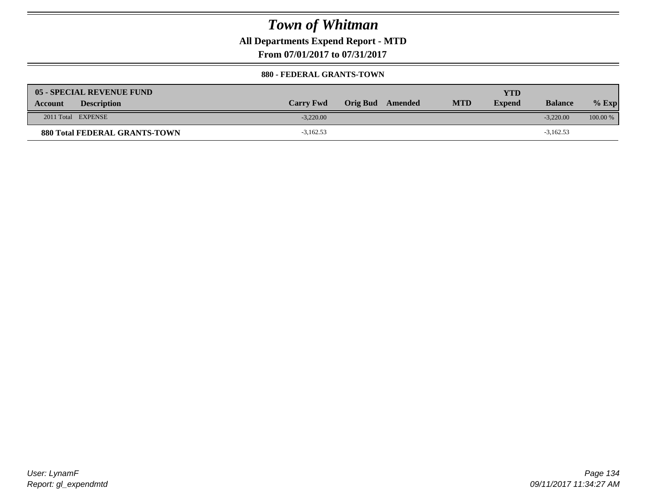### **All Departments Expend Report - MTD**

**From 07/01/2017 to 07/31/2017**

#### **880 - FEDERAL GRANTS-TOWN**

| 05 - SPECIAL REVENUE FUND<br><b>Description</b><br><b>Account</b> | <b>Carry Fwd</b> | Orig Bud<br>Amended | <b>MTD</b> | YTD<br><b>Expend</b> | <b>Balance</b> | $%$ Exp  |
|-------------------------------------------------------------------|------------------|---------------------|------------|----------------------|----------------|----------|
| 2011 Total EXPENSE                                                | $-3.220.00$      |                     |            |                      | $-3.220.00$    | 100.00 % |
| <b>880 Total FEDERAL GRANTS-TOWN</b>                              | $-3,162.53$      |                     |            |                      | $-3,162.53$    |          |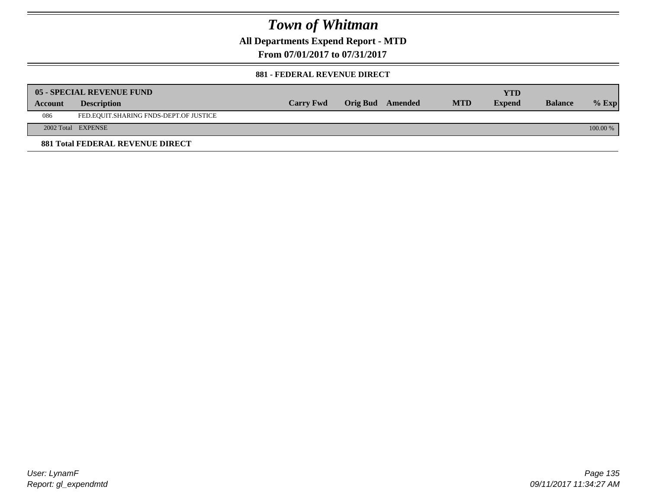**All Departments Expend Report - MTD**

**From 07/01/2017 to 07/31/2017**

#### **881 - FEDERAL REVENUE DIRECT**

|         | <b>05 - SPECIAL REVENUE FUND</b>       |                  |                  |            | <b>YTD</b>    |                |          |
|---------|----------------------------------------|------------------|------------------|------------|---------------|----------------|----------|
| Account | <b>Description</b>                     | <b>Carry Fwd</b> | Orig Bud Amended | <b>MTD</b> | <b>Expend</b> | <b>Balance</b> | $%$ Exp  |
| 086     | FED.EQUIT.SHARING FNDS-DEPT.OF JUSTICE |                  |                  |            |               |                |          |
|         | 2002 Total EXPENSE                     |                  |                  |            |               |                | 100.00 % |
|         | 881 Total FEDERAL REVENUE DIRECT       |                  |                  |            |               |                |          |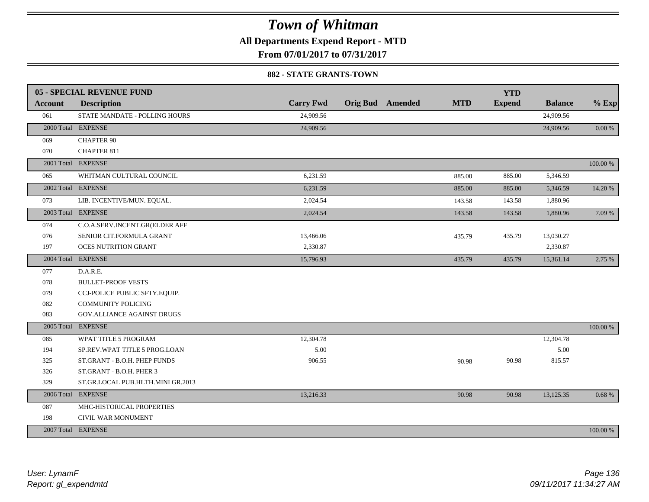**All Departments Expend Report - MTD**

**From 07/01/2017 to 07/31/2017**

#### **882 - STATE GRANTS-TOWN**

|                | 05 - SPECIAL REVENUE FUND         |                  |                         |            | <b>YTD</b>    |                |           |
|----------------|-----------------------------------|------------------|-------------------------|------------|---------------|----------------|-----------|
| <b>Account</b> | <b>Description</b>                | <b>Carry Fwd</b> | <b>Orig Bud</b> Amended | <b>MTD</b> | <b>Expend</b> | <b>Balance</b> | $%$ Exp   |
| 061            | STATE MANDATE - POLLING HOURS     | 24,909.56        |                         |            |               | 24,909.56      |           |
|                | 2000 Total EXPENSE                | 24,909.56        |                         |            |               | 24,909.56      | $0.00 \%$ |
| 069            | <b>CHAPTER 90</b>                 |                  |                         |            |               |                |           |
| 070            | <b>CHAPTER 811</b>                |                  |                         |            |               |                |           |
|                | 2001 Total EXPENSE                |                  |                         |            |               |                | 100.00 %  |
| 065            | WHITMAN CULTURAL COUNCIL          | 6,231.59         |                         | 885.00     | 885.00        | 5,346.59       |           |
|                | 2002 Total EXPENSE                | 6,231.59         |                         | 885.00     | 885.00        | 5,346.59       | 14.20 %   |
| 073            | LIB. INCENTIVE/MUN. EQUAL.        | 2,024.54         |                         | 143.58     | 143.58        | 1,880.96       |           |
|                | 2003 Total EXPENSE                | 2,024.54         |                         | 143.58     | 143.58        | 1,880.96       | 7.09 %    |
| 074            | C.O.A.SERV.INCENT.GR(ELDER AFF    |                  |                         |            |               |                |           |
| 076            | SENIOR CIT.FORMULA GRANT          | 13,466.06        |                         | 435.79     | 435.79        | 13,030.27      |           |
| 197            | <b>OCES NUTRITION GRANT</b>       | 2,330.87         |                         |            |               | 2,330.87       |           |
|                | 2004 Total EXPENSE                | 15,796.93        |                         | 435.79     | 435.79        | 15,361.14      | 2.75 %    |
| 077            | D.A.R.E.                          |                  |                         |            |               |                |           |
| 078            | <b>BULLET-PROOF VESTS</b>         |                  |                         |            |               |                |           |
| 079            | CCJ-POLICE PUBLIC SFTY.EQUIP.     |                  |                         |            |               |                |           |
| 082            | <b>COMMUNITY POLICING</b>         |                  |                         |            |               |                |           |
| 083            | GOV. ALLIANCE AGAINST DRUGS       |                  |                         |            |               |                |           |
|                | 2005 Total EXPENSE                |                  |                         |            |               |                | 100.00 %  |
| 085            | WPAT TITLE 5 PROGRAM              | 12,304.78        |                         |            |               | 12,304.78      |           |
| 194            | SP.REV.WPAT TITLE 5 PROG.LOAN     | 5.00             |                         |            |               | 5.00           |           |
| 325            | ST.GRANT - B.O.H. PHEP FUNDS      | 906.55           |                         | 90.98      | 90.98         | 815.57         |           |
| 326            | ST.GRANT - B.O.H. PHER 3          |                  |                         |            |               |                |           |
| 329            | ST.GR.LOCAL PUB.HLTH.MINI GR.2013 |                  |                         |            |               |                |           |
|                | 2006 Total EXPENSE                | 13,216.33        |                         | 90.98      | 90.98         | 13,125.35      | 0.68%     |
| 087            | MHC-HISTORICAL PROPERTIES         |                  |                         |            |               |                |           |
| 198            | CIVIL WAR MONUMENT                |                  |                         |            |               |                |           |
|                | 2007 Total EXPENSE                |                  |                         |            |               |                | 100.00 %  |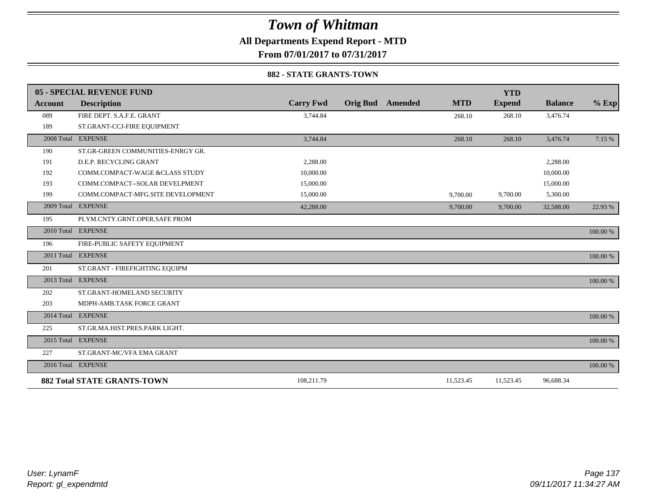**All Departments Expend Report - MTD**

**From 07/01/2017 to 07/31/2017**

#### **882 - STATE GRANTS-TOWN**

|                | 05 - SPECIAL REVENUE FUND          |                  |                            |            | <b>YTD</b>    |                |          |
|----------------|------------------------------------|------------------|----------------------------|------------|---------------|----------------|----------|
| <b>Account</b> | <b>Description</b>                 | <b>Carry Fwd</b> | <b>Orig Bud</b><br>Amended | <b>MTD</b> | <b>Expend</b> | <b>Balance</b> | $%$ Exp  |
| 089            | FIRE DEPT. S.A.F.E. GRANT          | 3,744.84         |                            | 268.10     | 268.10        | 3,476.74       |          |
| 189            | ST.GRANT-CCJ-FIRE EQUIPMENT        |                  |                            |            |               |                |          |
|                | 2008 Total EXPENSE                 | 3,744.84         |                            | 268.10     | 268.10        | 3,476.74       | 7.15 %   |
| 190            | ST.GR-GREEN COMMUNITIES-ENRGY GR.  |                  |                            |            |               |                |          |
| 191            | D.E.P. RECYCLING GRANT             | 2.288.00         |                            |            |               | 2,288.00       |          |
| 192            | COMM.COMPACT-WAGE &CLASS STUDY     | 10,000.00        |                            |            |               | 10,000.00      |          |
| 193            | COMM.COMPACT--SOLAR DEVELPMENT     | 15,000.00        |                            |            |               | 15,000.00      |          |
| 199            | COMM.COMPACT-MFG.SITE DEVELOPMENT  | 15,000.00        |                            | 9,700.00   | 9,700.00      | 5,300.00       |          |
| 2009 Total     | <b>EXPENSE</b>                     | 42,288.00        |                            | 9,700.00   | 9,700.00      | 32,588.00      | 22.93 %  |
| 195            | PLYM.CNTY.GRNT.OPER.SAFE PROM      |                  |                            |            |               |                |          |
|                | 2010 Total EXPENSE                 |                  |                            |            |               |                | 100.00 % |
| 196            | FIRE-PUBLIC SAFETY EQUIPMENT       |                  |                            |            |               |                |          |
|                | 2011 Total EXPENSE                 |                  |                            |            |               |                | 100.00 % |
| 201            | ST.GRANT - FIREFIGHTING EQUIPM     |                  |                            |            |               |                |          |
|                | 2013 Total EXPENSE                 |                  |                            |            |               |                | 100.00 % |
| 202            | ST.GRANT-HOMELAND SECURITY         |                  |                            |            |               |                |          |
| 203            | MDPH-AMB.TASK FORCE GRANT          |                  |                            |            |               |                |          |
|                | 2014 Total EXPENSE                 |                  |                            |            |               |                | 100.00 % |
| 225            | ST.GR.MA.HIST.PRES.PARK LIGHT.     |                  |                            |            |               |                |          |
|                | 2015 Total EXPENSE                 |                  |                            |            |               |                | 100.00 % |
| 227            | ST.GRANT-MC/VFA EMA GRANT          |                  |                            |            |               |                |          |
|                | 2016 Total EXPENSE                 |                  |                            |            |               |                | 100.00 % |
|                | <b>882 Total STATE GRANTS-TOWN</b> | 108,211.79       |                            | 11,523.45  | 11,523.45     | 96,688.34      |          |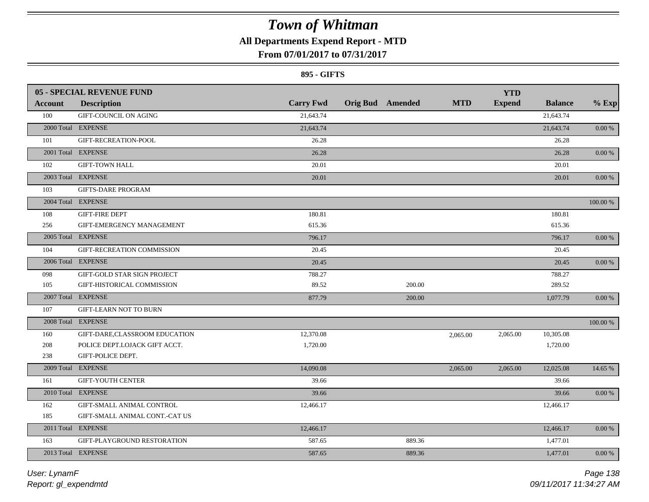### **All Departments Expend Report - MTD**

### **From 07/01/2017 to 07/31/2017**

#### **895 - GIFTS**

|         | <b>05 - SPECIAL REVENUE FUND</b> |                  |                         |            | <b>YTD</b>    |                |            |
|---------|----------------------------------|------------------|-------------------------|------------|---------------|----------------|------------|
| Account | <b>Description</b>               | <b>Carry Fwd</b> | <b>Orig Bud</b> Amended | <b>MTD</b> | <b>Expend</b> | <b>Balance</b> | $%$ Exp    |
| 100     | <b>GIFT-COUNCIL ON AGING</b>     | 21,643.74        |                         |            |               | 21,643.74      |            |
|         | 2000 Total EXPENSE               | 21,643.74        |                         |            |               | 21,643.74      | 0.00 %     |
| 101     | GIFT-RECREATION-POOL             | 26.28            |                         |            |               | 26.28          |            |
|         | 2001 Total EXPENSE               | 26.28            |                         |            |               | 26.28          | $0.00\,\%$ |
| 102     | <b>GIFT-TOWN HALL</b>            | 20.01            |                         |            |               | 20.01          |            |
|         | 2003 Total EXPENSE               | 20.01            |                         |            |               | 20.01          | 0.00 %     |
| 103     | <b>GIFTS-DARE PROGRAM</b>        |                  |                         |            |               |                |            |
|         | 2004 Total EXPENSE               |                  |                         |            |               |                | 100.00 %   |
| 108     | <b>GIFT-FIRE DEPT</b>            | 180.81           |                         |            |               | 180.81         |            |
| 256     | GIFT-EMERGENCY MANAGEMENT        | 615.36           |                         |            |               | 615.36         |            |
|         | 2005 Total EXPENSE               | 796.17           |                         |            |               | 796.17         | $0.00\,\%$ |
| 104     | GIFT-RECREATION COMMISSION       | 20.45            |                         |            |               | 20.45          |            |
|         | 2006 Total EXPENSE               | 20.45            |                         |            |               | 20.45          | $0.00\,\%$ |
| 098     | GIFT-GOLD STAR SIGN PROJECT      | 788.27           |                         |            |               | 788.27         |            |
| 105     | GIFT-HISTORICAL COMMISSION       | 89.52            | 200.00                  |            |               | 289.52         |            |
|         | 2007 Total EXPENSE               | 877.79           | 200.00                  |            |               | 1,077.79       | 0.00 %     |
| 107     | <b>GIFT-LEARN NOT TO BURN</b>    |                  |                         |            |               |                |            |
|         | 2008 Total EXPENSE               |                  |                         |            |               |                | 100.00 %   |
| 160     | GIFT-DARE, CLASSROOM EDUCATION   | 12,370.08        |                         | 2,065.00   | 2,065.00      | 10,305.08      |            |
| 208     | POLICE DEPT.LOJACK GIFT ACCT.    | 1,720.00         |                         |            |               | 1,720.00       |            |
| 238     | GIFT-POLICE DEPT.                |                  |                         |            |               |                |            |
|         | 2009 Total EXPENSE               | 14,090.08        |                         | 2,065.00   | 2,065.00      | 12,025.08      | 14.65 %    |
| 161     | <b>GIFT-YOUTH CENTER</b>         | 39.66            |                         |            |               | 39.66          |            |
|         | 2010 Total EXPENSE               | 39.66            |                         |            |               | 39.66          | 0.00 %     |
| 162     | GIFT-SMALL ANIMAL CONTROL        | 12,466.17        |                         |            |               | 12,466.17      |            |
| 185     | GIFT-SMALL ANIMAL CONT.-CAT US   |                  |                         |            |               |                |            |
|         | 2011 Total EXPENSE               | 12,466.17        |                         |            |               | 12,466.17      | 0.00 %     |
| 163     | GIFT-PLAYGROUND RESTORATION      | 587.65           | 889.36                  |            |               | 1,477.01       |            |
|         | 2013 Total EXPENSE               | 587.65           | 889.36                  |            |               | 1,477.01       | 0.00 %     |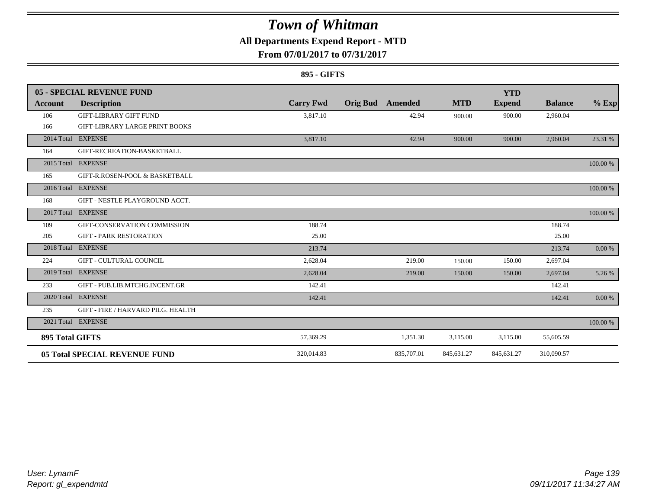### **All Departments Expend Report - MTD**

### **From 07/01/2017 to 07/31/2017**

#### **895 - GIFTS**

|                        | 05 - SPECIAL REVENUE FUND             |                  |                 |            |            | <b>YTD</b>    |                |          |
|------------------------|---------------------------------------|------------------|-----------------|------------|------------|---------------|----------------|----------|
| Account                | <b>Description</b>                    | <b>Carry Fwd</b> | <b>Orig Bud</b> | Amended    | <b>MTD</b> | <b>Expend</b> | <b>Balance</b> | $%$ Exp  |
| 106                    | <b>GIFT-LIBRARY GIFT FUND</b>         | 3,817.10         |                 | 42.94      | 900.00     | 900.00        | 2,960.04       |          |
| 166                    | <b>GIFT-LIBRARY LARGE PRINT BOOKS</b> |                  |                 |            |            |               |                |          |
|                        | 2014 Total EXPENSE                    | 3,817.10         |                 | 42.94      | 900.00     | 900.00        | 2,960.04       | 23.31 %  |
| 164                    | GIFT-RECREATION-BASKETBALL            |                  |                 |            |            |               |                |          |
|                        | 2015 Total EXPENSE                    |                  |                 |            |            |               |                | 100.00 % |
| 165                    | GIFT-R.ROSEN-POOL & BASKETBALL        |                  |                 |            |            |               |                |          |
|                        | 2016 Total EXPENSE                    |                  |                 |            |            |               |                | 100.00 % |
| 168                    | GIFT - NESTLE PLAYGROUND ACCT.        |                  |                 |            |            |               |                |          |
| 2017 Total             | <b>EXPENSE</b>                        |                  |                 |            |            |               |                | 100.00 % |
| 109                    | GIFT-CONSERVATION COMMISSION          | 188.74           |                 |            |            |               | 188.74         |          |
| 205                    | <b>GIFT - PARK RESTORATION</b>        | 25.00            |                 |            |            |               | 25.00          |          |
| 2018 Total             | <b>EXPENSE</b>                        | 213.74           |                 |            |            |               | 213.74         | 0.00 %   |
| 224                    | <b>GIFT - CULTURAL COUNCIL</b>        | 2,628.04         |                 | 219.00     | 150.00     | 150.00        | 2,697.04       |          |
|                        | 2019 Total EXPENSE                    | 2,628.04         |                 | 219.00     | 150.00     | 150.00        | 2,697.04       | 5.26 %   |
| 233                    | GIFT - PUB.LIB.MTCHG.INCENT.GR        | 142.41           |                 |            |            |               | 142.41         |          |
|                        | 2020 Total EXPENSE                    | 142.41           |                 |            |            |               | 142.41         | 0.00 %   |
| 235                    | GIFT - FIRE / HARVARD PILG. HEALTH    |                  |                 |            |            |               |                |          |
|                        | 2021 Total EXPENSE                    |                  |                 |            |            |               |                | 100.00 % |
| <b>895 Total GIFTS</b> |                                       | 57,369.29        |                 | 1,351.30   | 3,115.00   | 3,115.00      | 55,605.59      |          |
|                        | <b>05 Total SPECIAL REVENUE FUND</b>  | 320.014.83       |                 | 835,707.01 | 845,631.27 | 845,631.27    | 310,090.57     |          |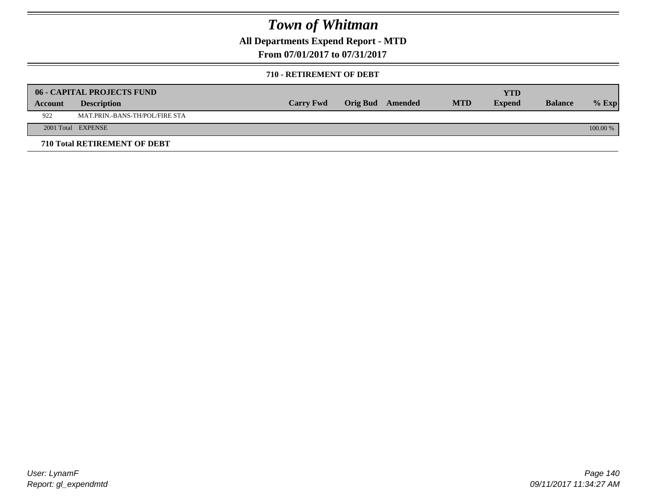**All Departments Expend Report - MTD**

**From 07/01/2017 to 07/31/2017**

#### **710 - RETIREMENT OF DEBT**

|         | <b>06 - CAPITAL PROJECTS FUND</b>   | <b>Carry Fwd</b> | Orig Bud Amended | <b>MTD</b> | <b>YTD</b><br><b>Expend</b> | <b>Balance</b> |            |
|---------|-------------------------------------|------------------|------------------|------------|-----------------------------|----------------|------------|
| Account | <b>Description</b>                  |                  |                  |            |                             |                | $%$ Exp    |
| 922     | MAT.PRIN.-BANS-TH/POL/FIRE STA      |                  |                  |            |                             |                |            |
|         | 2001 Total EXPENSE                  |                  |                  |            |                             |                | $100.00\%$ |
|         | <b>710 Total RETIREMENT OF DEBT</b> |                  |                  |            |                             |                |            |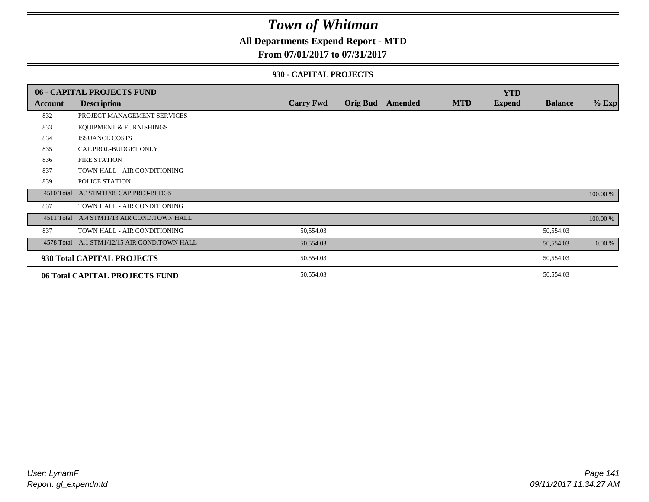### **All Departments Expend Report - MTD**

#### **From 07/01/2017 to 07/31/2017**

#### **930 - CAPITAL PROJECTS**

|         | 06 - CAPITAL PROJECTS FUND                   |                  |                 |         |            | <b>YTD</b>    |                |          |
|---------|----------------------------------------------|------------------|-----------------|---------|------------|---------------|----------------|----------|
| Account | <b>Description</b>                           | <b>Carry Fwd</b> | <b>Orig Bud</b> | Amended | <b>MTD</b> | <b>Expend</b> | <b>Balance</b> | $%$ Exp  |
| 832     | PROJECT MANAGEMENT SERVICES                  |                  |                 |         |            |               |                |          |
| 833     | <b>EQUIPMENT &amp; FURNISHINGS</b>           |                  |                 |         |            |               |                |          |
| 834     | <b>ISSUANCE COSTS</b>                        |                  |                 |         |            |               |                |          |
| 835     | CAP.PROJ.-BUDGET ONLY                        |                  |                 |         |            |               |                |          |
| 836     | <b>FIRE STATION</b>                          |                  |                 |         |            |               |                |          |
| 837     | TOWN HALL - AIR CONDITIONING                 |                  |                 |         |            |               |                |          |
| 839     | POLICE STATION                               |                  |                 |         |            |               |                |          |
|         | 4510 Total A.1STM11/08 CAP.PROJ-BLDGS        |                  |                 |         |            |               |                | 100.00 % |
| 837     | TOWN HALL - AIR CONDITIONING                 |                  |                 |         |            |               |                |          |
|         | 4511 Total A.4 STM11/13 AIR COND.TOWN HALL   |                  |                 |         |            |               |                | 100.00 % |
| 837     | TOWN HALL - AIR CONDITIONING                 | 50,554.03        |                 |         |            |               | 50,554.03      |          |
|         | 4578 Total A.1 STM1/12/15 AIR COND.TOWN HALL | 50,554.03        |                 |         |            |               | 50,554.03      | 0.00 %   |
|         | 930 Total CAPITAL PROJECTS                   | 50,554.03        |                 |         |            |               | 50,554.03      |          |
|         | 06 Total CAPITAL PROJECTS FUND               | 50,554.03        |                 |         |            |               | 50,554.03      |          |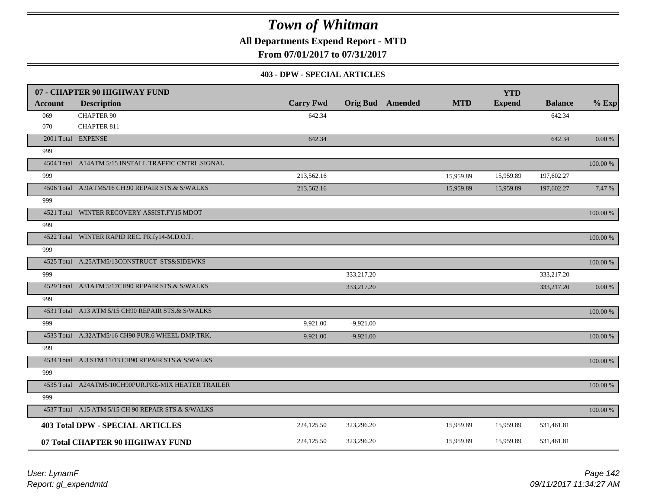**All Departments Expend Report - MTD**

**From 07/01/2017 to 07/31/2017**

#### **403 - DPW - SPECIAL ARTICLES**

|                | 07 - CHAPTER 90 HIGHWAY FUND                        |                  |             |                         |            | <b>YTD</b>    |                |           |
|----------------|-----------------------------------------------------|------------------|-------------|-------------------------|------------|---------------|----------------|-----------|
| <b>Account</b> | <b>Description</b>                                  | <b>Carry Fwd</b> |             | <b>Orig Bud</b> Amended | <b>MTD</b> | <b>Expend</b> | <b>Balance</b> | $%$ Exp   |
| 069            | <b>CHAPTER 90</b>                                   | 642.34           |             |                         |            |               | 642.34         |           |
| 070            | <b>CHAPTER 811</b>                                  |                  |             |                         |            |               |                |           |
|                | 2001 Total EXPENSE                                  | 642.34           |             |                         |            |               | 642.34         | $0.00~\%$ |
| 999            |                                                     |                  |             |                         |            |               |                |           |
|                | 4504 Total A14ATM 5/15 INSTALL TRAFFIC CNTRL.SIGNAL |                  |             |                         |            |               |                | 100.00 %  |
| 999            |                                                     | 213,562.16       |             |                         | 15,959.89  | 15,959.89     | 197,602.27     |           |
|                | 4506 Total A.9ATM5/16 CH.90 REPAIR STS.& S/WALKS    | 213,562.16       |             |                         | 15,959.89  | 15,959.89     | 197,602.27     | 7.47 %    |
| 999            |                                                     |                  |             |                         |            |               |                |           |
|                | 4521 Total WINTER RECOVERY ASSIST.FY15 MDOT         |                  |             |                         |            |               |                | 100.00 %  |
| 999            |                                                     |                  |             |                         |            |               |                |           |
|                | 4522 Total WINTER RAPID REC. PR.fy14-M.D.O.T.       |                  |             |                         |            |               |                | 100.00 %  |
| 999            |                                                     |                  |             |                         |            |               |                |           |
|                | 4525 Total A.25ATM5/13CONSTRUCT STS&SIDEWKS         |                  |             |                         |            |               |                | 100.00 %  |
| 999            |                                                     |                  | 333,217.20  |                         |            |               | 333,217.20     |           |
|                | 4529 Total A31ATM 5/17CH90 REPAIR STS.& S/WALKS     |                  | 333,217.20  |                         |            |               | 333,217.20     | 0.00 %    |
| 999            |                                                     |                  |             |                         |            |               |                |           |
|                | 4531 Total A13 ATM 5/15 CH90 REPAIR STS.& S/WALKS   |                  |             |                         |            |               |                | 100.00 %  |
| 999            |                                                     | 9,921.00         | $-9,921.00$ |                         |            |               |                |           |
|                | 4533 Total A.32ATM5/16 CH90 PUR.6 WHEEL DMP.TRK.    | 9,921.00         | $-9,921.00$ |                         |            |               |                | 100.00 %  |
| 999            |                                                     |                  |             |                         |            |               |                |           |
|                | 4534 Total A.3 STM 11/13 CH90 REPAIR STS.& S/WALKS  |                  |             |                         |            |               |                | 100.00 %  |
| 999            |                                                     |                  |             |                         |            |               |                |           |
|                | 4535 Total A24ATM5/10CH90PUR.PRE-MIX HEATER TRAILER |                  |             |                         |            |               |                | 100.00 %  |
| 999            |                                                     |                  |             |                         |            |               |                |           |
|                | 4537 Total A15 ATM 5/15 CH 90 REPAIR STS.& S/WALKS  |                  |             |                         |            |               |                | 100.00 %  |
|                | <b>403 Total DPW - SPECIAL ARTICLES</b>             | 224,125.50       | 323,296.20  |                         | 15,959.89  | 15,959.89     | 531,461.81     |           |
|                | 07 Total CHAPTER 90 HIGHWAY FUND                    | 224,125.50       | 323,296.20  |                         | 15,959.89  | 15,959.89     | 531,461.81     |           |

*Report: gl\_expendmtd User: LynamF*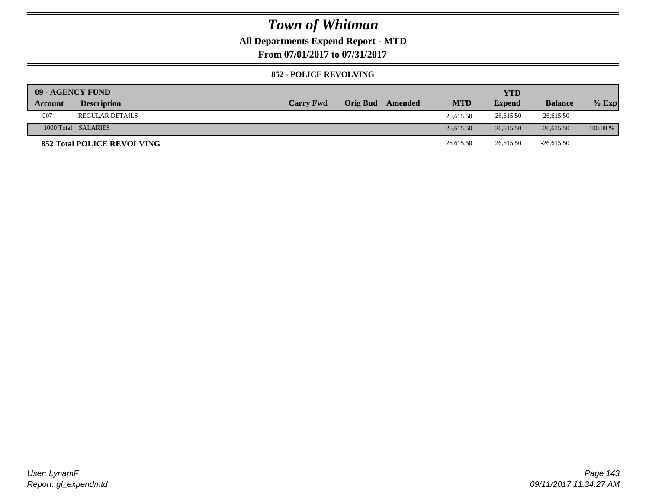### **All Departments Expend Report - MTD**

**From 07/01/2017 to 07/31/2017**

#### **852 - POLICE REVOLVING**

| 09 - AGENCY FUND |                                   |                  |                 |         |            | <b>YTD</b>    |                |            |
|------------------|-----------------------------------|------------------|-----------------|---------|------------|---------------|----------------|------------|
| Account          | <b>Description</b>                | <b>Carry Fwd</b> | <b>Orig Bud</b> | Amended | <b>MTD</b> | <b>Expend</b> | <b>Balance</b> | $%$ Exp    |
| 007              | <b>REGULAR DETAILS</b>            |                  |                 |         | 26,615.50  | 26,615.50     | $-26,615.50$   |            |
|                  | 1000 Total SALARIES               |                  |                 |         | 26,615.50  | 26,615.50     | $-26.615.50$   | $100.00\%$ |
|                  | <b>852 Total POLICE REVOLVING</b> |                  |                 |         | 26,615.50  | 26,615.50     | $-26,615.50$   |            |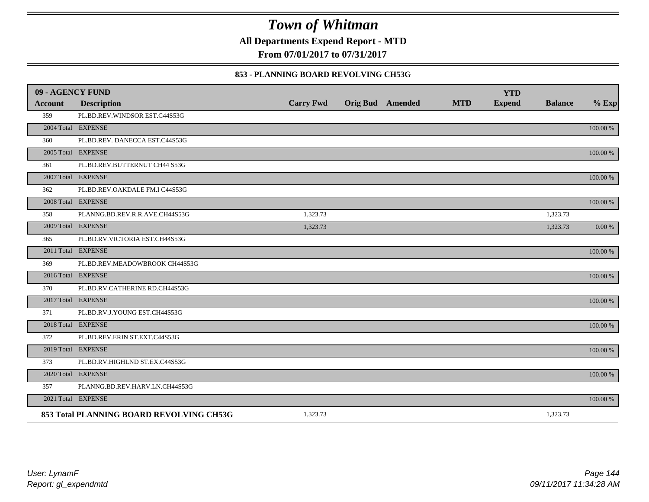**All Departments Expend Report - MTD**

**From 07/01/2017 to 07/31/2017**

#### **853 - PLANNING BOARD REVOLVING CH53G**

| 09 - AGENCY FUND |                                          |                  |                         |            | <b>YTD</b>    |                |          |
|------------------|------------------------------------------|------------------|-------------------------|------------|---------------|----------------|----------|
| <b>Account</b>   | <b>Description</b>                       | <b>Carry Fwd</b> | <b>Orig Bud</b> Amended | <b>MTD</b> | <b>Expend</b> | <b>Balance</b> | $%$ Exp  |
| 359              | PL.BD.REV.WINDSOR EST.C44S53G            |                  |                         |            |               |                |          |
|                  | 2004 Total EXPENSE                       |                  |                         |            |               |                | 100.00 % |
| 360              | PL.BD.REV. DANECCA EST.C44S53G           |                  |                         |            |               |                |          |
|                  | 2005 Total EXPENSE                       |                  |                         |            |               |                | 100.00 % |
| 361              | PL.BD.REV.BUTTERNUT CH44 S53G            |                  |                         |            |               |                |          |
|                  | 2007 Total EXPENSE                       |                  |                         |            |               |                | 100.00 % |
| 362              | PL.BD.REV.OAKDALE FM.I C44S53G           |                  |                         |            |               |                |          |
|                  | 2008 Total EXPENSE                       |                  |                         |            |               |                | 100.00 % |
| 358              | PLANNG.BD.REV.R.R.AVE.CH44S53G           | 1,323.73         |                         |            |               | 1,323.73       |          |
|                  | 2009 Total EXPENSE                       | 1,323.73         |                         |            |               | 1,323.73       | 0.00 %   |
| 365              | PL.BD.RV.VICTORIA EST.CH44S53G           |                  |                         |            |               |                |          |
|                  | 2011 Total EXPENSE                       |                  |                         |            |               |                | 100.00 % |
| 369              | PL.BD.REV.MEADOWBROOK CH44S53G           |                  |                         |            |               |                |          |
|                  | 2016 Total EXPENSE                       |                  |                         |            |               |                | 100.00 % |
| 370              | PL.BD.RV.CATHERINE RD.CH44S53G           |                  |                         |            |               |                |          |
|                  | 2017 Total EXPENSE                       |                  |                         |            |               |                | 100.00 % |
| 371              | PL.BD.RV.J.YOUNG EST.CH44S53G            |                  |                         |            |               |                |          |
|                  | 2018 Total EXPENSE                       |                  |                         |            |               |                | 100.00 % |
| 372              | PL.BD.REV.ERIN ST.EXT.C44S53G            |                  |                         |            |               |                |          |
|                  | 2019 Total EXPENSE                       |                  |                         |            |               |                | 100.00 % |
| 373              | PL.BD.RV.HIGHLND ST.EX.C44S53G           |                  |                         |            |               |                |          |
|                  | 2020 Total EXPENSE                       |                  |                         |            |               |                | 100.00 % |
| 357              | PLANNG.BD.REV.HARV.LN.CH44S53G           |                  |                         |            |               |                |          |
|                  | 2021 Total EXPENSE                       |                  |                         |            |               |                | 100.00 % |
|                  | 853 Total PLANNING BOARD REVOLVING CH53G | 1,323.73         |                         |            |               | 1,323.73       |          |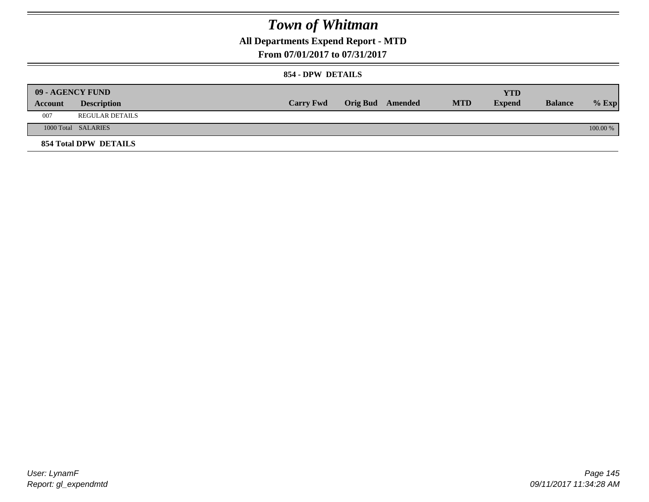## **All Departments Expend Report - MTD**

### **From 07/01/2017 to 07/31/2017**

### **854 - DPW DETAILS**

|         | <b>09 - AGENCY FUND</b> |                  |                         |            | YTD           |                |            |
|---------|-------------------------|------------------|-------------------------|------------|---------------|----------------|------------|
| Account | <b>Description</b>      | <b>Carry Fwd</b> | <b>Orig Bud</b> Amended | <b>MTD</b> | <b>Expend</b> | <b>Balance</b> | $%$ Exp    |
| 007     | REGULAR DETAILS         |                  |                         |            |               |                |            |
|         | 1000 Total SALARIES     |                  |                         |            |               |                | $100.00\%$ |
|         | 854 Total DPW DETAILS   |                  |                         |            |               |                |            |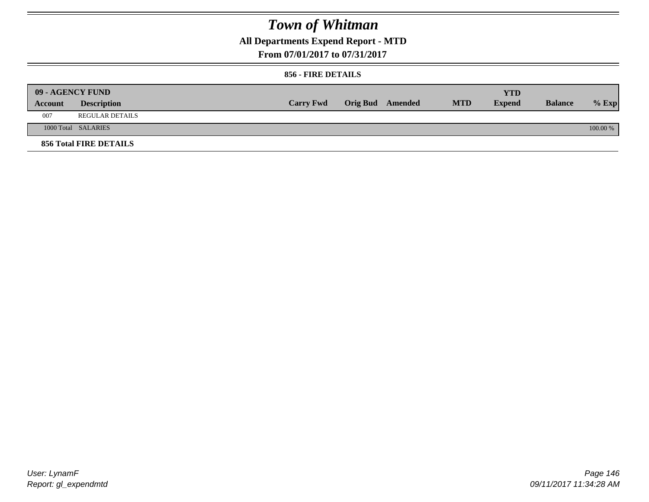## **All Departments Expend Report - MTD**

#### **From 07/01/2017 to 07/31/2017**

#### **856 - FIRE DETAILS**

|         | <b>09 - AGENCY FUND</b> |                  |                         |            | <b>YTD</b>    |                |          |
|---------|-------------------------|------------------|-------------------------|------------|---------------|----------------|----------|
| Account | <b>Description</b>      | <b>Carry Fwd</b> | <b>Orig Bud</b> Amended | <b>MTD</b> | <b>Expend</b> | <b>Balance</b> | $%$ Exp  |
| 007     | <b>REGULAR DETAILS</b>  |                  |                         |            |               |                |          |
|         | 1000 Total SALARIES     |                  |                         |            |               |                | 100.00 % |
|         | 856 Total FIRE DETAILS  |                  |                         |            |               |                |          |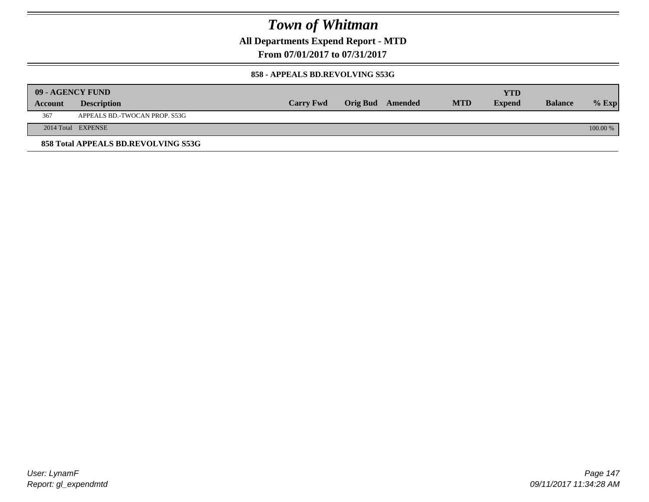**All Departments Expend Report - MTD**

**From 07/01/2017 to 07/31/2017**

#### **858 - APPEALS BD.REVOLVING S53G**

|         | 09 - AGENCY FUND                    |                  |                         |            | <b>YTD</b>    |                |            |
|---------|-------------------------------------|------------------|-------------------------|------------|---------------|----------------|------------|
| Account | <b>Description</b>                  | <b>Carry Fwd</b> | <b>Orig Bud</b> Amended | <b>MTD</b> | <b>Expend</b> | <b>Balance</b> | $%$ Exp    |
| 367     | APPEALS BD.-TWOCAN PROP. S53G       |                  |                         |            |               |                |            |
|         | 2014 Total EXPENSE                  |                  |                         |            |               |                | $100.00\%$ |
|         | 858 Total APPEALS BD.REVOLVING S53G |                  |                         |            |               |                |            |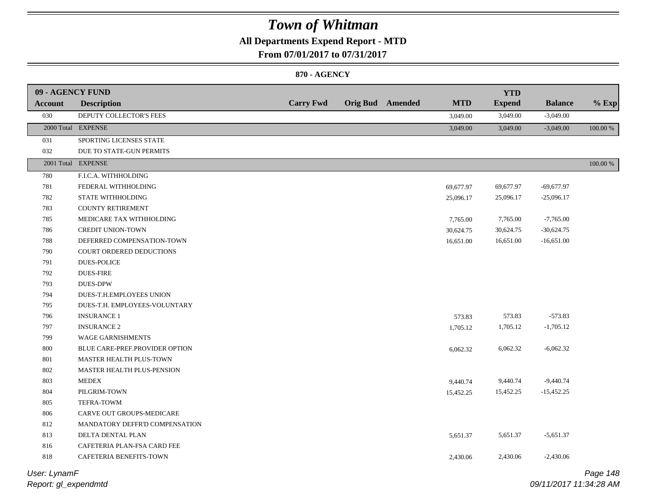## **All Departments Expend Report - MTD**

**From 07/01/2017 to 07/31/2017**

### **870 - AGENCY**

| 09 - AGENCY FUND |                                |                  |                         |            | <b>YTD</b>    |                |             |
|------------------|--------------------------------|------------------|-------------------------|------------|---------------|----------------|-------------|
| Account          | <b>Description</b>             | <b>Carry Fwd</b> | <b>Orig Bud</b> Amended | <b>MTD</b> | <b>Expend</b> | <b>Balance</b> | $%$ Exp     |
| 030              | DEPUTY COLLECTOR'S FEES        |                  |                         | 3,049.00   | 3,049.00      | $-3,049.00$    |             |
|                  | 2000 Total EXPENSE             |                  |                         | 3,049.00   | 3,049.00      | $-3,049.00$    | 100.00 %    |
| 031              | SPORTING LICENSES STATE        |                  |                         |            |               |                |             |
| 032              | DUE TO STATE-GUN PERMITS       |                  |                         |            |               |                |             |
|                  | 2001 Total EXPENSE             |                  |                         |            |               |                | $100.00~\%$ |
| $780\,$          | F.I.C.A. WITHHOLDING           |                  |                         |            |               |                |             |
| 781              | FEDERAL WITHHOLDING            |                  |                         | 69,677.97  | 69,677.97     | $-69,677.97$   |             |
| 782              | STATE WITHHOLDING              |                  |                         | 25,096.17  | 25,096.17     | $-25,096.17$   |             |
| 783              | <b>COUNTY RETIREMENT</b>       |                  |                         |            |               |                |             |
| 785              | MEDICARE TAX WITHHOLDING       |                  |                         | 7,765.00   | 7,765.00      | $-7,765.00$    |             |
| 786              | CREDIT UNION-TOWN              |                  |                         | 30,624.75  | 30,624.75     | $-30,624.75$   |             |
| 788              | DEFERRED COMPENSATION-TOWN     |                  |                         | 16,651.00  | 16,651.00     | $-16,651.00$   |             |
| 790              | COURT ORDERED DEDUCTIONS       |                  |                         |            |               |                |             |
| 791              | <b>DUES-POLICE</b>             |                  |                         |            |               |                |             |
| 792              | <b>DUES-FIRE</b>               |                  |                         |            |               |                |             |
| 793              | <b>DUES-DPW</b>                |                  |                         |            |               |                |             |
| 794              | DUES-T.H.EMPLOYEES UNION       |                  |                         |            |               |                |             |
| 795              | DUES-T.H. EMPLOYEES-VOLUNTARY  |                  |                         |            |               |                |             |
| 796              | <b>INSURANCE 1</b>             |                  |                         | 573.83     | 573.83        | $-573.83$      |             |
| 797              | <b>INSURANCE 2</b>             |                  |                         | 1,705.12   | 1,705.12      | $-1,705.12$    |             |
| 799              | WAGE GARNISHMENTS              |                  |                         |            |               |                |             |
| 800              | BLUE CARE-PREF.PROVIDER OPTION |                  |                         | 6,062.32   | 6,062.32      | $-6,062.32$    |             |
| 801              | MASTER HEALTH PLUS-TOWN        |                  |                         |            |               |                |             |
| 802              | MASTER HEALTH PLUS-PENSION     |                  |                         |            |               |                |             |
| 803              | <b>MEDEX</b>                   |                  |                         | 9,440.74   | 9,440.74      | $-9,440.74$    |             |
| 804              | PILGRIM-TOWN                   |                  |                         | 15,452.25  | 15,452.25     | $-15,452.25$   |             |
| 805              | TEFRA-TOWM                     |                  |                         |            |               |                |             |
| 806              | CARVE OUT GROUPS-MEDICARE      |                  |                         |            |               |                |             |
| 812              | MANDATORY DEFFR'D COMPENSATION |                  |                         |            |               |                |             |
| 813              | DELTA DENTAL PLAN              |                  |                         | 5,651.37   | 5,651.37      | $-5,651.37$    |             |
| 816              | CAFETERIA PLAN-FSA CARD FEE    |                  |                         |            |               |                |             |
| 818              | CAFETERIA BENEFITS-TOWN        |                  |                         | 2,430.06   | 2,430.06      | $-2,430.06$    |             |

*Report: gl\_expendmtd User: LynamF*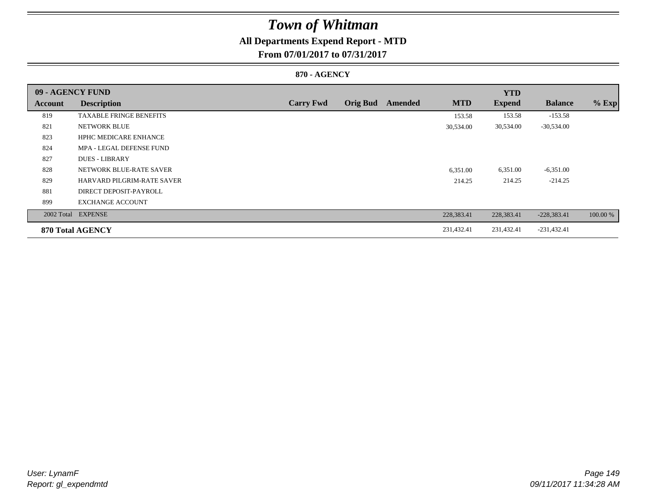## **All Departments Expend Report - MTD**

**From 07/01/2017 to 07/31/2017**

### **870 - AGENCY**

| 09 - AGENCY FUND |                                |                  |                 |         |            | <b>YTD</b>    |                |          |
|------------------|--------------------------------|------------------|-----------------|---------|------------|---------------|----------------|----------|
| Account          | <b>Description</b>             | <b>Carry Fwd</b> | <b>Orig Bud</b> | Amended | <b>MTD</b> | <b>Expend</b> | <b>Balance</b> | $%$ Exp  |
| 819              | <b>TAXABLE FRINGE BENEFITS</b> |                  |                 |         | 153.58     | 153.58        | $-153.58$      |          |
| 821              | NETWORK BLUE                   |                  |                 |         | 30,534.00  | 30,534.00     | $-30,534.00$   |          |
| 823              | <b>HPHC MEDICARE ENHANCE</b>   |                  |                 |         |            |               |                |          |
| 824              | MPA - LEGAL DEFENSE FUND       |                  |                 |         |            |               |                |          |
| 827              | <b>DUES - LIBRARY</b>          |                  |                 |         |            |               |                |          |
| 828              | NETWORK BLUE-RATE SAVER        |                  |                 |         | 6,351.00   | 6,351.00      | $-6,351.00$    |          |
| 829              | HARVARD PILGRIM-RATE SAVER     |                  |                 |         | 214.25     | 214.25        | $-214.25$      |          |
| 881              | DIRECT DEPOSIT-PAYROLL         |                  |                 |         |            |               |                |          |
| 899              | <b>EXCHANGE ACCOUNT</b>        |                  |                 |         |            |               |                |          |
|                  | 2002 Total EXPENSE             |                  |                 |         | 228,383.41 | 228,383.41    | $-228,383.41$  | 100.00 % |
|                  | 870 Total AGENCY               |                  |                 |         | 231,432.41 | 231,432.41    | $-231,432.41$  |          |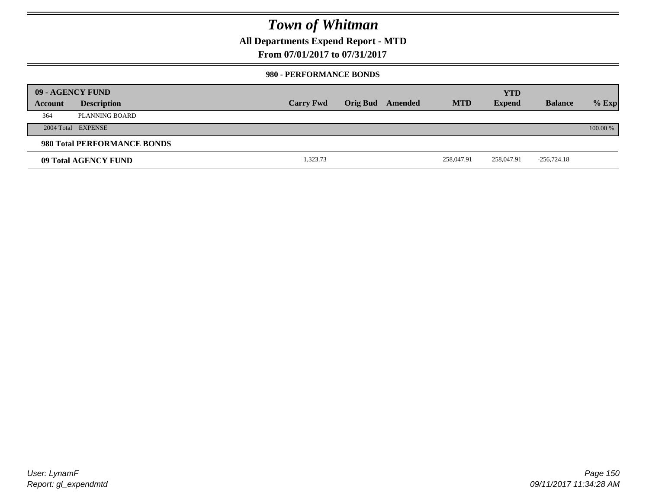### **All Departments Expend Report - MTD**

**From 07/01/2017 to 07/31/2017**

### **980 - PERFORMANCE BONDS**

|         | 09 - AGENCY FUND            |                  |                 |         |            | <b>YTD</b>    |                |          |
|---------|-----------------------------|------------------|-----------------|---------|------------|---------------|----------------|----------|
| Account | <b>Description</b>          | <b>Carry Fwd</b> | <b>Orig Bud</b> | Amended | <b>MTD</b> | <b>Expend</b> | <b>Balance</b> | $%$ Exp  |
| 364     | PLANNING BOARD              |                  |                 |         |            |               |                |          |
|         | 2004 Total EXPENSE          |                  |                 |         |            |               |                | 100.00 % |
|         | 980 Total PERFORMANCE BONDS |                  |                 |         |            |               |                |          |
|         | 09 Total AGENCY FUND        | 1,323.73         |                 |         | 258,047.91 | 258,047.91    | $-256,724.18$  |          |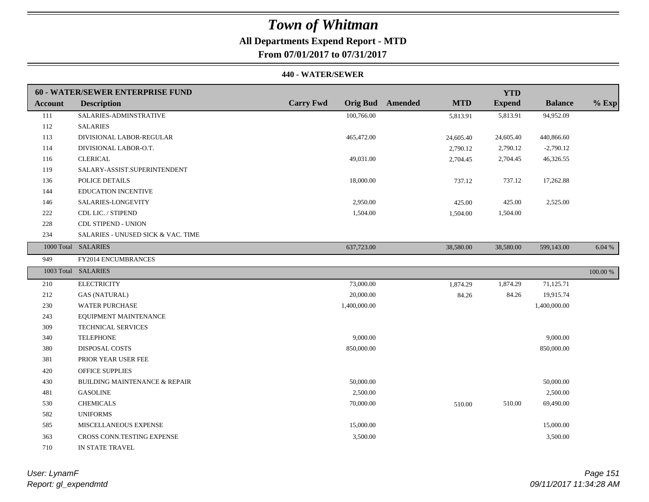## **All Departments Expend Report - MTD**

**From 07/01/2017 to 07/31/2017**

|                | <b>60 - WATER/SEWER ENTERPRISE FUND</b>  |                  |                                       | <b>YTD</b>    |                |          |
|----------------|------------------------------------------|------------------|---------------------------------------|---------------|----------------|----------|
| <b>Account</b> | <b>Description</b>                       | <b>Carry Fwd</b> | <b>Orig Bud</b> Amended<br><b>MTD</b> | <b>Expend</b> | <b>Balance</b> | $%$ Exp  |
| 111            | SALARIES-ADMINSTRATIVE                   | 100,766.00       | 5,813.91                              | 5,813.91      | 94,952.09      |          |
| 112            | <b>SALARIES</b>                          |                  |                                       |               |                |          |
| 113            | DIVISIONAL LABOR-REGULAR                 | 465,472.00       | 24,605.40                             | 24,605.40     | 440,866.60     |          |
| 114            | DIVISIONAL LABOR-O.T.                    |                  | 2,790.12                              | 2,790.12      | $-2,790.12$    |          |
| 116            | <b>CLERICAL</b>                          | 49,031.00        | 2,704.45                              | 2,704.45      | 46,326.55      |          |
| 119            | SALARY-ASSIST.SUPERINTENDENT             |                  |                                       |               |                |          |
| 136            | POLICE DETAILS                           | 18,000.00        | 737.12                                | 737.12        | 17,262.88      |          |
| 144            | EDUCATION INCENTIVE                      |                  |                                       |               |                |          |
| 146            | SALARIES-LONGEVITY                       | 2,950.00         | 425.00                                | 425.00        | 2,525.00       |          |
| 222            | CDL LIC. / STIPEND                       | 1,504.00         | 1,504.00                              | 1,504.00      |                |          |
| 228            | <b>CDL STIPEND - UNION</b>               |                  |                                       |               |                |          |
| 234            | SALARIES - UNUSED SICK & VAC. TIME       |                  |                                       |               |                |          |
|                | 1000 Total SALARIES                      | 637,723.00       | 38,580.00                             | 38,580.00     | 599,143.00     | 6.04 %   |
| 949            | FY2014 ENCUMBRANCES                      |                  |                                       |               |                |          |
|                | 1003 Total SALARIES                      |                  |                                       |               |                | 100.00 % |
| 210            | <b>ELECTRICITY</b>                       | 73,000.00        | 1,874.29                              | 1,874.29      | 71,125.71      |          |
| 212            | <b>GAS (NATURAL)</b>                     | 20,000.00        | 84.26                                 | 84.26         | 19,915.74      |          |
| 230            | <b>WATER PURCHASE</b>                    | 1,400,000.00     |                                       |               | 1,400,000.00   |          |
| 243            | EQUIPMENT MAINTENANCE                    |                  |                                       |               |                |          |
| 309            | <b>TECHNICAL SERVICES</b>                |                  |                                       |               |                |          |
| 340            | <b>TELEPHONE</b>                         | 9,000.00         |                                       |               | 9,000.00       |          |
| 380            | <b>DISPOSAL COSTS</b>                    | 850,000.00       |                                       |               | 850,000.00     |          |
| 381            | PRIOR YEAR USER FEE                      |                  |                                       |               |                |          |
| 420            | <b>OFFICE SUPPLIES</b>                   |                  |                                       |               |                |          |
| 430            | <b>BUILDING MAINTENANCE &amp; REPAIR</b> | 50,000.00        |                                       |               | 50,000.00      |          |
| 481            | <b>GASOLINE</b>                          | 2,500.00         |                                       |               | 2,500.00       |          |
| 530            | <b>CHEMICALS</b>                         | 70,000.00        | 510.00                                | 510.00        | 69,490.00      |          |
| 582            | <b>UNIFORMS</b>                          |                  |                                       |               |                |          |
| 585            | MISCELLANEOUS EXPENSE                    | 15,000.00        |                                       |               | 15,000.00      |          |
| 363            | CROSS CONN.TESTING EXPENSE               | 3,500.00         |                                       |               | 3,500.00       |          |
| 710            | IN STATE TRAVEL                          |                  |                                       |               |                |          |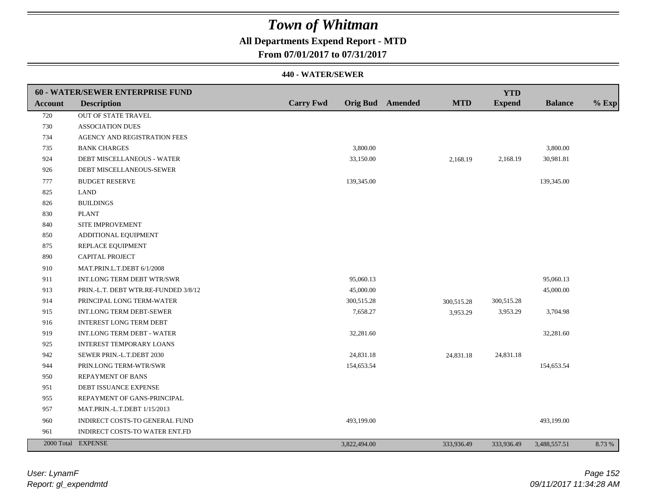## **All Departments Expend Report - MTD**

**From 07/01/2017 to 07/31/2017**

|         | 60 - WATER/SEWER ENTERPRISE FUND     |                  |              |                         |            | <b>YTD</b>    |                |         |
|---------|--------------------------------------|------------------|--------------|-------------------------|------------|---------------|----------------|---------|
| Account | <b>Description</b>                   | <b>Carry Fwd</b> |              | <b>Orig Bud</b> Amended | <b>MTD</b> | <b>Expend</b> | <b>Balance</b> | $%$ Exp |
| 720     | OUT OF STATE TRAVEL                  |                  |              |                         |            |               |                |         |
| 730     | <b>ASSOCIATION DUES</b>              |                  |              |                         |            |               |                |         |
| 734     | AGENCY AND REGISTRATION FEES         |                  |              |                         |            |               |                |         |
| 735     | <b>BANK CHARGES</b>                  |                  | 3,800.00     |                         |            |               | 3,800.00       |         |
| 924     | DEBT MISCELLANEOUS - WATER           |                  | 33,150.00    |                         | 2,168.19   | 2,168.19      | 30,981.81      |         |
| 926     | DEBT MISCELLANEOUS-SEWER             |                  |              |                         |            |               |                |         |
| 777     | <b>BUDGET RESERVE</b>                |                  | 139,345.00   |                         |            |               | 139,345.00     |         |
| 825     | <b>LAND</b>                          |                  |              |                         |            |               |                |         |
| 826     | <b>BUILDINGS</b>                     |                  |              |                         |            |               |                |         |
| 830     | <b>PLANT</b>                         |                  |              |                         |            |               |                |         |
| 840     | SITE IMPROVEMENT                     |                  |              |                         |            |               |                |         |
| 850     | ADDITIONAL EQUIPMENT                 |                  |              |                         |            |               |                |         |
| 875     | REPLACE EQUIPMENT                    |                  |              |                         |            |               |                |         |
| 890     | CAPITAL PROJECT                      |                  |              |                         |            |               |                |         |
| 910     | MAT.PRIN.L.T.DEBT 6/1/2008           |                  |              |                         |            |               |                |         |
| 911     | INT.LONG TERM DEBT WTR/SWR           |                  | 95,060.13    |                         |            |               | 95,060.13      |         |
| 913     | PRIN.-L.T. DEBT WTR.RE-FUNDED 3/8/12 |                  | 45,000.00    |                         |            |               | 45,000.00      |         |
| 914     | PRINCIPAL LONG TERM-WATER            |                  | 300,515.28   |                         | 300,515.28 | 300,515.28    |                |         |
| 915     | INT.LONG TERM DEBT-SEWER             |                  | 7,658.27     |                         | 3,953.29   | 3,953.29      | 3,704.98       |         |
| 916     | <b>INTEREST LONG TERM DEBT</b>       |                  |              |                         |            |               |                |         |
| 919     | <b>INT.LONG TERM DEBT - WATER</b>    |                  | 32,281.60    |                         |            |               | 32,281.60      |         |
| 925     | <b>INTEREST TEMPORARY LOANS</b>      |                  |              |                         |            |               |                |         |
| 942     | SEWER PRIN.-L.T.DEBT 2030            |                  | 24,831.18    |                         | 24,831.18  | 24,831.18     |                |         |
| 944     | PRIN.LONG TERM-WTR/SWR               |                  | 154,653.54   |                         |            |               | 154,653.54     |         |
| 950     | <b>REPAYMENT OF BANS</b>             |                  |              |                         |            |               |                |         |
| 951     | DEBT ISSUANCE EXPENSE                |                  |              |                         |            |               |                |         |
| 955     | REPAYMENT OF GANS-PRINCIPAL          |                  |              |                         |            |               |                |         |
| 957     | MAT.PRIN.-L.T.DEBT 1/15/2013         |                  |              |                         |            |               |                |         |
| 960     | INDIRECT COSTS-TO GENERAL FUND       |                  | 493,199.00   |                         |            |               | 493,199.00     |         |
| 961     | INDIRECT COSTS-TO WATER ENT.FD       |                  |              |                         |            |               |                |         |
|         | 2000 Total EXPENSE                   |                  | 3,822,494.00 |                         | 333,936.49 | 333,936.49    | 3,488,557.51   | 8.73 %  |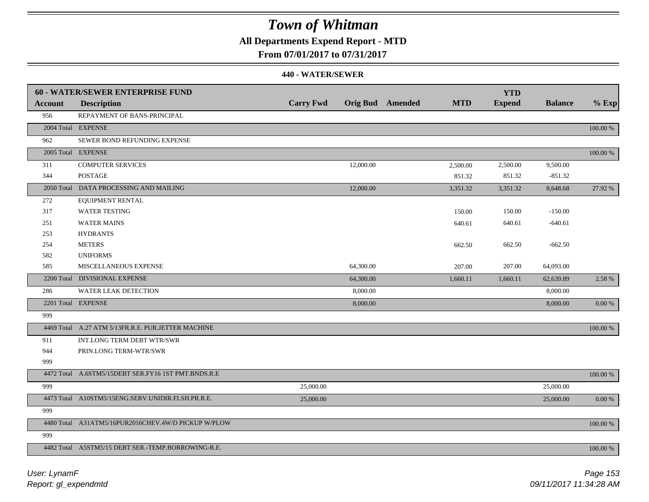## **All Departments Expend Report - MTD**

**From 07/01/2017 to 07/31/2017**

|                | <b>60 - WATER/SEWER ENTERPRISE FUND</b>             |                  |                         |            | <b>YTD</b>    |                |             |
|----------------|-----------------------------------------------------|------------------|-------------------------|------------|---------------|----------------|-------------|
| <b>Account</b> | <b>Description</b>                                  | <b>Carry Fwd</b> | <b>Orig Bud</b> Amended | <b>MTD</b> | <b>Expend</b> | <b>Balance</b> | $%$ Exp     |
| 956            | REPAYMENT OF BANS-PRINCIPAL                         |                  |                         |            |               |                |             |
|                | 2004 Total EXPENSE                                  |                  |                         |            |               |                | 100.00 %    |
| 962            | SEWER BOND REFUNDING EXPENSE                        |                  |                         |            |               |                |             |
|                | 2005 Total EXPENSE                                  |                  |                         |            |               |                | 100.00 %    |
| 311            | <b>COMPUTER SERVICES</b>                            |                  | 12,000.00               | 2,500.00   | 2,500.00      | 9,500.00       |             |
| 344            | <b>POSTAGE</b>                                      |                  |                         | 851.32     | 851.32        | $-851.32$      |             |
|                | 2050 Total DATA PROCESSING AND MAILING              |                  | 12,000.00               | 3,351.32   | 3,351.32      | 8,648.68       | 27.92 %     |
| 272            | <b>EQUIPMENT RENTAL</b>                             |                  |                         |            |               |                |             |
| 317            | <b>WATER TESTING</b>                                |                  |                         | 150.00     | 150.00        | $-150.00$      |             |
| 251            | <b>WATER MAINS</b>                                  |                  |                         | 640.61     | 640.61        | $-640.61$      |             |
| 253            | <b>HYDRANTS</b>                                     |                  |                         |            |               |                |             |
| 254            | <b>METERS</b>                                       |                  |                         | 662.50     | 662.50        | $-662.50$      |             |
| 582            | <b>UNIFORMS</b>                                     |                  |                         |            |               |                |             |
| 585            | MISCELLANEOUS EXPENSE                               |                  | 64,300.00               | 207.00     | 207.00        | 64,093.00      |             |
|                | 2200 Total DIVISIONAL EXPENSE                       |                  | 64,300.00               | 1,660.11   | 1,660.11      | 62,639.89      | 2.58 %      |
| 286            | <b>WATER LEAK DETECTION</b>                         |                  | 8,000.00                |            |               | 8,000.00       |             |
|                | 2201 Total EXPENSE                                  |                  | 8,000.00                |            |               | 8,000.00       | 0.00 %      |
| 999            |                                                     |                  |                         |            |               |                |             |
|                | 4469 Total A.27 ATM 5/13FR.R.E. PUR.JETTER MACHINE  |                  |                         |            |               |                | 100.00 %    |
| 911            | INT.LONG TERM DEBT WTR/SWR                          |                  |                         |            |               |                |             |
| 944            | PRIN.LONG TERM-WTR/SWR                              |                  |                         |            |               |                |             |
| 999            |                                                     |                  |                         |            |               |                |             |
|                | 4472 Total A.6STM5/15DEBT SER.FY16 1ST PMT.BNDS.R.E |                  |                         |            |               |                | $100.00~\%$ |
| 999            |                                                     | 25,000.00        |                         |            |               | 25,000.00      |             |
|                | 4473 Total A10STM5/15ENG.SERV.UNIDIR.FLSH.PR.R.E.   | 25,000.00        |                         |            |               | 25,000.00      | $0.00\ \%$  |
| 999            |                                                     |                  |                         |            |               |                |             |
|                | 4480 Total A31ATM5/16PUR2016CHEV.4W/D PICKUP W/PLOW |                  |                         |            |               |                | 100.00 %    |
| 999            |                                                     |                  |                         |            |               |                |             |
|                | 4482 Total A5STM5/15 DEBT SER.-TEMP.BORROWING-R.E.  |                  |                         |            |               |                | 100.00 %    |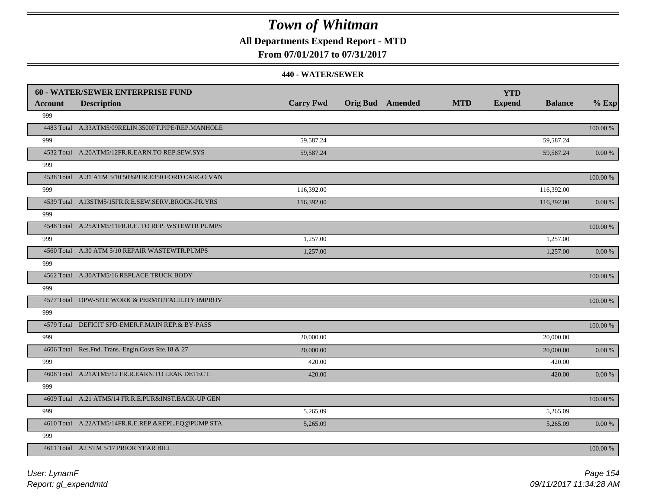## **All Departments Expend Report - MTD**

### **From 07/01/2017 to 07/31/2017**

|         | <b>60 - WATER/SEWER ENTERPRISE FUND</b>              |                  |                         |            | <b>YTD</b>    |                |             |
|---------|------------------------------------------------------|------------------|-------------------------|------------|---------------|----------------|-------------|
| Account | <b>Description</b>                                   | <b>Carry Fwd</b> | <b>Orig Bud</b> Amended | <b>MTD</b> | <b>Expend</b> | <b>Balance</b> | $%$ Exp     |
| 999     |                                                      |                  |                         |            |               |                |             |
|         | 4483 Total A.33ATM5/09RELIN.3500FT.PIPE/REP.MANHOLE  |                  |                         |            |               |                | 100.00 %    |
| 999     |                                                      | 59,587.24        |                         |            |               | 59,587.24      |             |
|         | 4532 Total A.20ATM5/12FR.R.EARN.TO REP.SEW.SYS       | 59,587.24        |                         |            |               | 59,587.24      | 0.00 %      |
| 999     |                                                      |                  |                         |            |               |                |             |
|         | 4538 Total A.31 ATM 5/10 50% PUR.E350 FORD CARGO VAN |                  |                         |            |               |                | 100.00 %    |
| 999     |                                                      | 116,392.00       |                         |            |               | 116,392.00     |             |
|         | 4539 Total A13STM5/15FR.R.E.SEW.SERV.BROCK-PR.YRS    | 116,392.00       |                         |            |               | 116,392.00     | 0.00 %      |
| 999     |                                                      |                  |                         |            |               |                |             |
|         | 4548 Total A.25ATM5/11FR.R.E. TO REP. WSTEWTR PUMPS  |                  |                         |            |               |                | 100.00 %    |
| 999     |                                                      | 1,257.00         |                         |            |               | 1,257.00       |             |
|         | 4560 Total A.30 ATM 5/10 REPAIR WASTEWTR.PUMPS       | 1,257.00         |                         |            |               | 1,257.00       | 0.00 %      |
| 999     |                                                      |                  |                         |            |               |                |             |
|         | 4562 Total A.30ATM5/16 REPLACE TRUCK BODY            |                  |                         |            |               |                | 100.00 %    |
| 999     |                                                      |                  |                         |            |               |                |             |
|         | 4577 Total DPW-SITE WORK & PERMIT/FACILITY IMPROV.   |                  |                         |            |               |                | $100.00~\%$ |
| 999     |                                                      |                  |                         |            |               |                |             |
|         | 4579 Total DEFICIT SPD-EMER.F.MAIN REP.& BY-PASS     |                  |                         |            |               |                | 100.00 %    |
| 999     |                                                      | 20,000.00        |                         |            |               | 20,000.00      |             |
|         | 4606 Total Res.Fnd. Trans.-Engin.Costs Rte.18 & 27   | 20,000.00        |                         |            |               | 20,000.00      | $0.00\,\%$  |
| 999     |                                                      | 420.00           |                         |            |               | 420.00         |             |
|         | 4608 Total A.21ATM5/12 FR.R.EARN.TO LEAK DETECT.     | 420.00           |                         |            |               | 420.00         | 0.00 %      |
| 999     |                                                      |                  |                         |            |               |                |             |
|         | 4609 Total A.21 ATM5/14 FR.R.E.PUR&INST.BACK-UP GEN  |                  |                         |            |               |                | 100.00 %    |
| 999     |                                                      | 5,265.09         |                         |            |               | 5,265.09       |             |
|         | 4610 Total A.22ATM5/14FR.R.E.REP.&REPL.EQ@PUMP STA.  | 5,265.09         |                         |            |               | 5,265.09       | 0.00 %      |
| 999     |                                                      |                  |                         |            |               |                |             |
|         | 4611 Total A2 STM 5/17 PRIOR YEAR BILL               |                  |                         |            |               |                | 100.00 %    |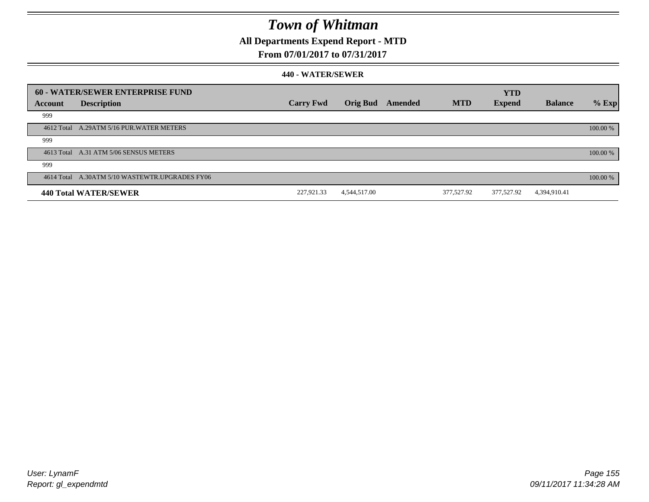## **All Departments Expend Report - MTD**

### **From 07/01/2017 to 07/31/2017**

|         | 60 - WATER/SEWER ENTERPRISE FUND               |                  |              |         |            | <b>YTD</b>    |                |          |
|---------|------------------------------------------------|------------------|--------------|---------|------------|---------------|----------------|----------|
| Account | <b>Description</b>                             | <b>Carry Fwd</b> | Orig Bud     | Amended | <b>MTD</b> | <b>Expend</b> | <b>Balance</b> | $%$ Exp  |
| 999     |                                                |                  |              |         |            |               |                |          |
|         | 4612 Total A.29ATM 5/16 PUR. WATER METERS      |                  |              |         |            |               |                | 100.00 % |
| 999     |                                                |                  |              |         |            |               |                |          |
|         | 4613 Total A.31 ATM 5/06 SENSUS METERS         |                  |              |         |            |               |                | 100.00 % |
| 999     |                                                |                  |              |         |            |               |                |          |
|         | 4614 Total A.30ATM 5/10 WASTEWTR.UPGRADES FY06 |                  |              |         |            |               |                | 100.00 % |
|         | 440 Total WATER/SEWER                          | 227,921.33       | 4,544,517.00 |         | 377,527.92 | 377,527.92    | 4,394,910.41   |          |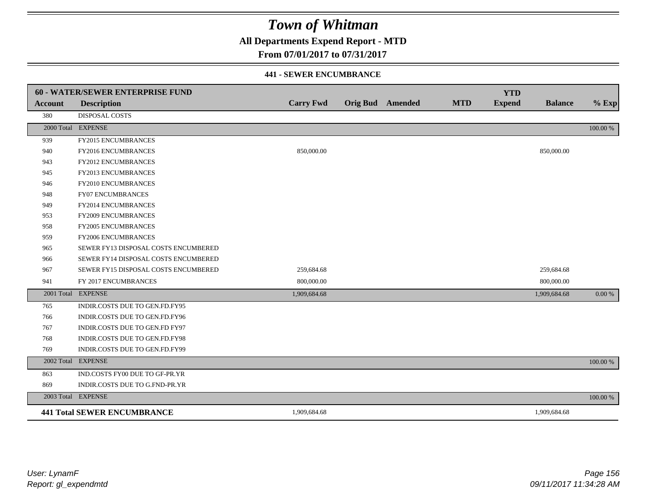**All Departments Expend Report - MTD**

### **From 07/01/2017 to 07/31/2017**

#### **441 - SEWER ENCUMBRANCE**

|                | <b>60 - WATER/SEWER ENTERPRISE FUND</b> |                  |                         |            | <b>YTD</b>    |                |          |
|----------------|-----------------------------------------|------------------|-------------------------|------------|---------------|----------------|----------|
| <b>Account</b> | <b>Description</b>                      | <b>Carry Fwd</b> | <b>Orig Bud</b> Amended | <b>MTD</b> | <b>Expend</b> | <b>Balance</b> | $%$ Exp  |
| 380            | <b>DISPOSAL COSTS</b>                   |                  |                         |            |               |                |          |
|                | 2000 Total EXPENSE                      |                  |                         |            |               |                | 100.00 % |
| 939            | <b>FY2015 ENCUMBRANCES</b>              |                  |                         |            |               |                |          |
| 940            | FY2016 ENCUMBRANCES                     | 850,000.00       |                         |            |               | 850,000.00     |          |
| 943            | <b>FY2012 ENCUMBRANCES</b>              |                  |                         |            |               |                |          |
| 945            | FY2013 ENCUMBRANCES                     |                  |                         |            |               |                |          |
| 946            | <b>FY2010 ENCUMBRANCES</b>              |                  |                         |            |               |                |          |
| 948            | <b>FY07 ENCUMBRANCES</b>                |                  |                         |            |               |                |          |
| 949            | FY2014 ENCUMBRANCES                     |                  |                         |            |               |                |          |
| 953            | <b>FY2009 ENCUMBRANCES</b>              |                  |                         |            |               |                |          |
| 958            | FY2005 ENCUMBRANCES                     |                  |                         |            |               |                |          |
| 959            | <b>FY2006 ENCUMBRANCES</b>              |                  |                         |            |               |                |          |
| 965            | SEWER FY13 DISPOSAL COSTS ENCUMBERED    |                  |                         |            |               |                |          |
| 966            | SEWER FY14 DISPOSAL COSTS ENCUMBERED    |                  |                         |            |               |                |          |
| 967            | SEWER FY15 DISPOSAL COSTS ENCUMBERED    | 259,684.68       |                         |            |               | 259,684.68     |          |
| 941            | FY 2017 ENCUMBRANCES                    | 800,000.00       |                         |            |               | 800,000.00     |          |
|                | 2001 Total EXPENSE                      | 1,909,684.68     |                         |            |               | 1,909,684.68   | 0.00 %   |
| 765            | INDIR.COSTS DUE TO GEN.FD.FY95          |                  |                         |            |               |                |          |
| 766            | INDIR.COSTS DUE TO GEN.FD.FY96          |                  |                         |            |               |                |          |
| 767            | INDIR.COSTS DUE TO GEN.FD FY97          |                  |                         |            |               |                |          |
| 768            | INDIR.COSTS DUE TO GEN.FD.FY98          |                  |                         |            |               |                |          |
| 769            | INDIR.COSTS DUE TO GEN.FD.FY99          |                  |                         |            |               |                |          |
|                | 2002 Total EXPENSE                      |                  |                         |            |               |                | 100.00 % |
| 863            | IND.COSTS FY00 DUE TO GF-PR.YR          |                  |                         |            |               |                |          |
| 869            | INDIR.COSTS DUE TO G.FND-PR.YR          |                  |                         |            |               |                |          |
|                | 2003 Total EXPENSE                      |                  |                         |            |               |                | 100.00 % |
|                | <b>441 Total SEWER ENCUMBRANCE</b>      | 1,909,684.68     |                         |            |               | 1,909,684.68   |          |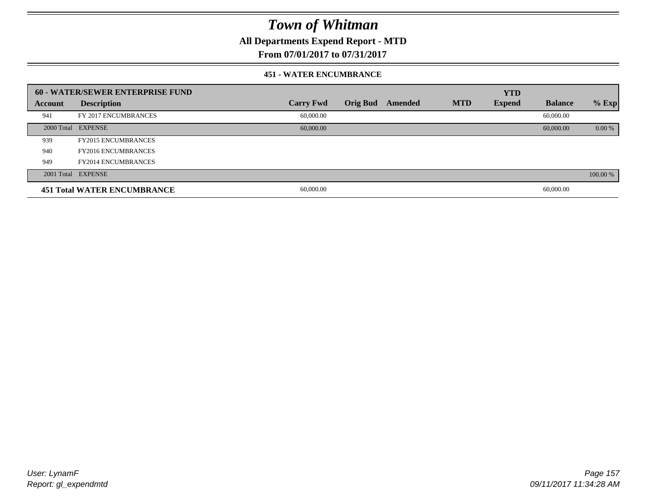**All Departments Expend Report - MTD**

### **From 07/01/2017 to 07/31/2017**

#### **451 - WATER ENCUMBRANCE**

|                | 60 - WATER/SEWER ENTERPRISE FUND   |                  |                 |         |            | <b>YTD</b>    |                |          |
|----------------|------------------------------------|------------------|-----------------|---------|------------|---------------|----------------|----------|
| <b>Account</b> | <b>Description</b>                 | <b>Carry Fwd</b> | <b>Orig Bud</b> | Amended | <b>MTD</b> | <b>Expend</b> | <b>Balance</b> | $%$ Exp  |
| 941            | FY 2017 ENCUMBRANCES               | 60,000.00        |                 |         |            |               | 60,000.00      |          |
|                | 2000 Total EXPENSE                 | 60,000.00        |                 |         |            |               | 60,000.00      | $0.00\%$ |
| 939            | <b>FY2015 ENCUMBRANCES</b>         |                  |                 |         |            |               |                |          |
| 940            | <b>FY2016 ENCUMBRANCES</b>         |                  |                 |         |            |               |                |          |
| 949            | <b>FY2014 ENCUMBRANCES</b>         |                  |                 |         |            |               |                |          |
|                | 2001 Total EXPENSE                 |                  |                 |         |            |               |                | 100.00 % |
|                | <b>451 Total WATER ENCUMBRANCE</b> | 60,000.00        |                 |         |            |               | 60,000.00      |          |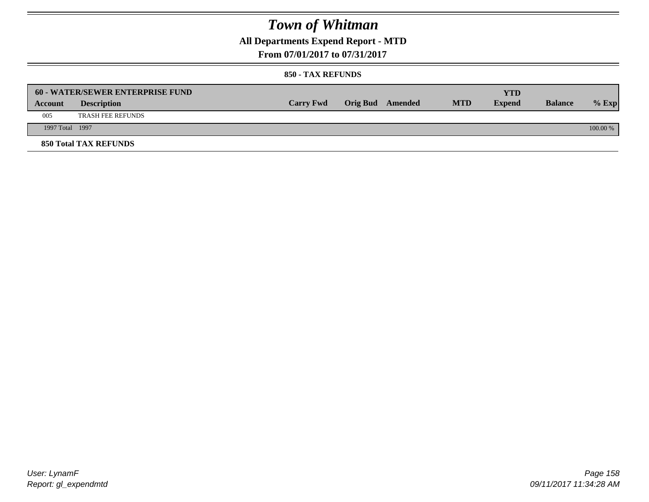## **All Departments Expend Report - MTD**

**From 07/01/2017 to 07/31/2017**

|                 | <b>60 - WATER/SEWER ENTERPRISE FUND</b> |                  |                         |            | YTD           |                |            |
|-----------------|-----------------------------------------|------------------|-------------------------|------------|---------------|----------------|------------|
| Account         | <b>Description</b>                      | <b>Carry Fwd</b> | <b>Orig Bud</b> Amended | <b>MTD</b> | <b>Expend</b> | <b>Balance</b> | $%$ Exp    |
| 005             | <b>TRASH FEE REFUNDS</b>                |                  |                         |            |               |                |            |
| 1997 Total 1997 |                                         |                  |                         |            |               |                | $100.00\%$ |
|                 | <b>850 Total TAX REFUNDS</b>            |                  |                         |            |               |                |            |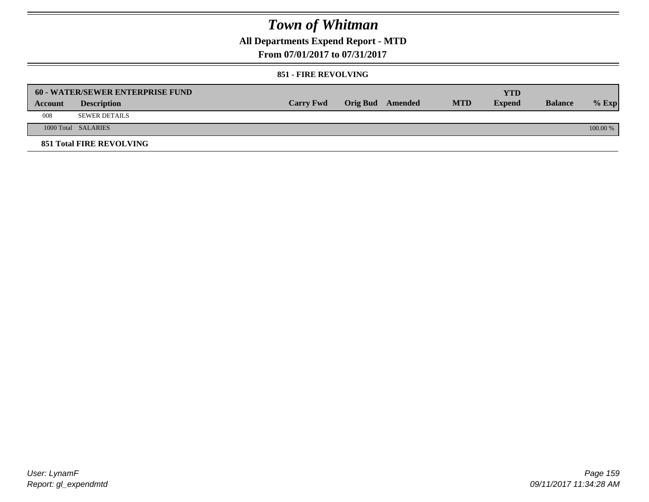## **All Departments Expend Report - MTD**

**From 07/01/2017 to 07/31/2017**

#### **851 - FIRE REVOLVING**

|         | <b>60 - WATER/SEWER ENTERPRISE FUND</b> |                  |                  |            | <b>YTD</b>    |                |            |
|---------|-----------------------------------------|------------------|------------------|------------|---------------|----------------|------------|
| Account | <b>Description</b>                      | <b>Carry Fwd</b> | Orig Bud Amended | <b>MTD</b> | <b>Expend</b> | <b>Balance</b> | $%$ Exp    |
| 008     | SEWER DETAILS                           |                  |                  |            |               |                |            |
|         | 1000 Total SALARIES                     |                  |                  |            |               |                | $100.00\%$ |
|         | <b>851 Total FIRE REVOLVING</b>         |                  |                  |            |               |                |            |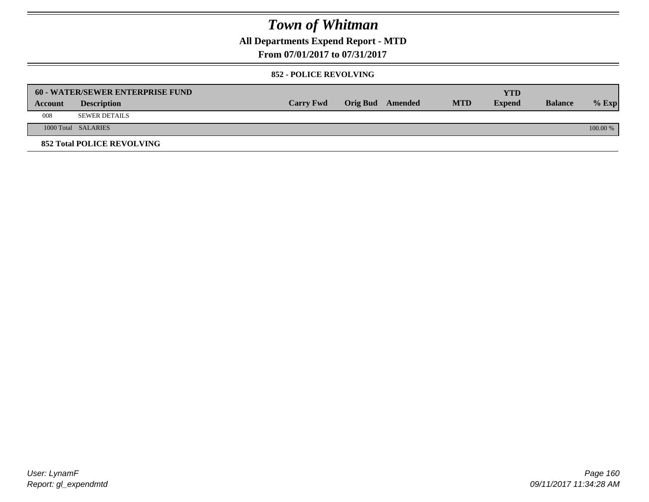**All Departments Expend Report - MTD**

**From 07/01/2017 to 07/31/2017**

#### **852 - POLICE REVOLVING**

|                | 60 - WATER/SEWER ENTERPRISE FUND  |                  |                  |            | YTD           |                |          |
|----------------|-----------------------------------|------------------|------------------|------------|---------------|----------------|----------|
| <b>Account</b> | <b>Description</b>                | <b>Carry Fwd</b> | Orig Bud Amended | <b>MTD</b> | <b>Expend</b> | <b>Balance</b> | $%$ Exp  |
| 008            | <b>SEWER DETAILS</b>              |                  |                  |            |               |                |          |
|                | 1000 Total SALARIES               |                  |                  |            |               |                | 100.00 % |
|                | <b>852 Total POLICE REVOLVING</b> |                  |                  |            |               |                |          |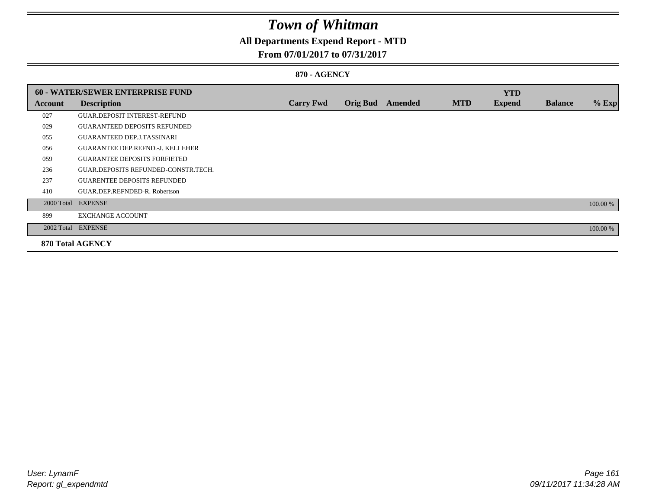## **All Departments Expend Report - MTD**

### **From 07/01/2017 to 07/31/2017**

#### **870 - AGENCY**

|         | <b>60 - WATER/SEWER ENTERPRISE FUND</b> |                  |                 |         |            | <b>YTD</b>    |                |          |
|---------|-----------------------------------------|------------------|-----------------|---------|------------|---------------|----------------|----------|
| Account | <b>Description</b>                      | <b>Carry Fwd</b> | <b>Orig Bud</b> | Amended | <b>MTD</b> | <b>Expend</b> | <b>Balance</b> | $%$ Exp  |
| 027     | <b>GUAR DEPOSIT INTEREST-REFUND</b>     |                  |                 |         |            |               |                |          |
| 029     | <b>GUARANTEED DEPOSITS REFUNDED</b>     |                  |                 |         |            |               |                |          |
| 055     | <b>GUARANTEED DEP.J.TASSINARI</b>       |                  |                 |         |            |               |                |          |
| 056     | <b>GUARANTEE DEP.REFND.-J. KELLEHER</b> |                  |                 |         |            |               |                |          |
| 059     | <b>GUARANTEE DEPOSITS FORFIETED</b>     |                  |                 |         |            |               |                |          |
| 236     | GUAR.DEPOSITS REFUNDED-CONSTR.TECH.     |                  |                 |         |            |               |                |          |
| 237     | <b>GUARENTEE DEPOSITS REFUNDED</b>      |                  |                 |         |            |               |                |          |
| 410     | GUAR.DEP.REFNDED-R. Robertson           |                  |                 |         |            |               |                |          |
|         | 2000 Total EXPENSE                      |                  |                 |         |            |               |                | 100.00 % |
| 899     | <b>EXCHANGE ACCOUNT</b>                 |                  |                 |         |            |               |                |          |
|         | 2002 Total EXPENSE                      |                  |                 |         |            |               |                | 100.00 % |
|         | <b>870 Total AGENCY</b>                 |                  |                 |         |            |               |                |          |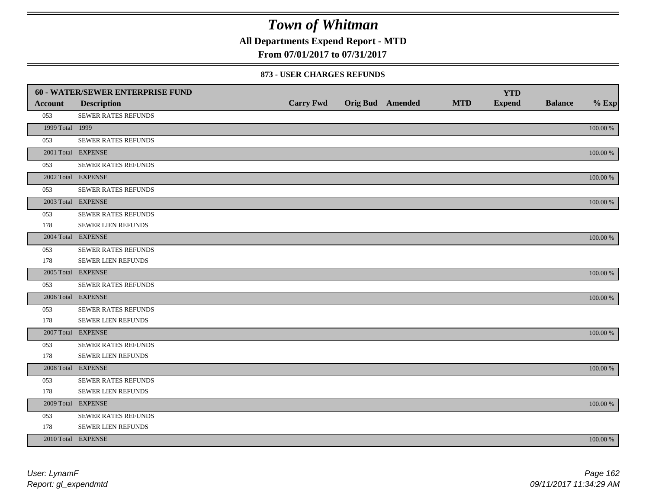**All Departments Expend Report - MTD**

**From 07/01/2017 to 07/31/2017**

#### **873 - USER CHARGES REFUNDS**

|                 | 60 - WATER/SEWER ENTERPRISE FUND |                  |                         |            | <b>YTD</b>    |                |             |
|-----------------|----------------------------------|------------------|-------------------------|------------|---------------|----------------|-------------|
| <b>Account</b>  | <b>Description</b>               | <b>Carry Fwd</b> | <b>Orig Bud</b> Amended | <b>MTD</b> | <b>Expend</b> | <b>Balance</b> | $%$ Exp     |
| 053             | SEWER RATES REFUNDS              |                  |                         |            |               |                |             |
| 1999 Total 1999 |                                  |                  |                         |            |               |                | 100.00 %    |
| 053             | SEWER RATES REFUNDS              |                  |                         |            |               |                |             |
|                 | 2001 Total EXPENSE               |                  |                         |            |               |                | 100.00 %    |
| 053             | SEWER RATES REFUNDS              |                  |                         |            |               |                |             |
|                 | 2002 Total EXPENSE               |                  |                         |            |               |                | 100.00 %    |
| 053             | SEWER RATES REFUNDS              |                  |                         |            |               |                |             |
|                 | 2003 Total EXPENSE               |                  |                         |            |               |                | $100.00~\%$ |
| 053             | SEWER RATES REFUNDS              |                  |                         |            |               |                |             |
| 178             | SEWER LIEN REFUNDS               |                  |                         |            |               |                |             |
|                 | 2004 Total EXPENSE               |                  |                         |            |               |                | 100.00 %    |
| 053             | <b>SEWER RATES REFUNDS</b>       |                  |                         |            |               |                |             |
| 178             | SEWER LIEN REFUNDS               |                  |                         |            |               |                |             |
|                 | 2005 Total EXPENSE               |                  |                         |            |               |                | 100.00 %    |
| 053             | <b>SEWER RATES REFUNDS</b>       |                  |                         |            |               |                |             |
|                 | 2006 Total EXPENSE               |                  |                         |            |               |                | 100.00 %    |
| 053             | <b>SEWER RATES REFUNDS</b>       |                  |                         |            |               |                |             |
| 178             | SEWER LIEN REFUNDS               |                  |                         |            |               |                |             |
|                 | 2007 Total EXPENSE               |                  |                         |            |               |                | 100.00 %    |
| 053             | SEWER RATES REFUNDS              |                  |                         |            |               |                |             |
| 178             | <b>SEWER LIEN REFUNDS</b>        |                  |                         |            |               |                |             |
|                 | 2008 Total EXPENSE               |                  |                         |            |               |                | 100.00 %    |
| 053             | <b>SEWER RATES REFUNDS</b>       |                  |                         |            |               |                |             |
| 178             | <b>SEWER LIEN REFUNDS</b>        |                  |                         |            |               |                |             |
|                 | 2009 Total EXPENSE               |                  |                         |            |               |                | 100.00 %    |
| 053             | SEWER RATES REFUNDS              |                  |                         |            |               |                |             |
| 178             | <b>SEWER LIEN REFUNDS</b>        |                  |                         |            |               |                |             |
|                 | 2010 Total EXPENSE               |                  |                         |            |               |                | 100.00 %    |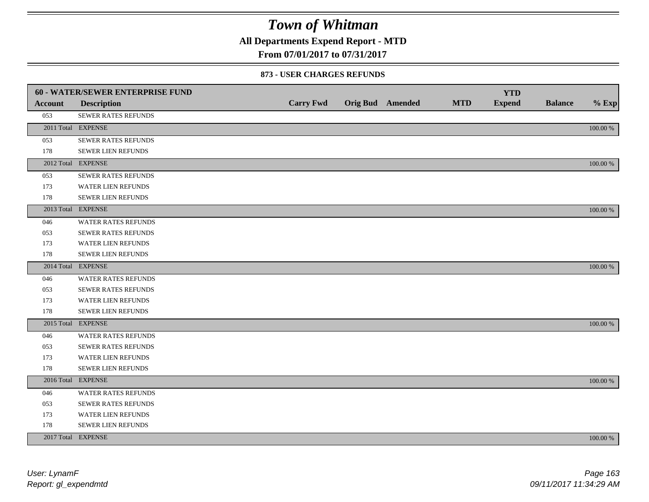**All Departments Expend Report - MTD**

### **From 07/01/2017 to 07/31/2017**

#### **873 - USER CHARGES REFUNDS**

|                | 60 - WATER/SEWER ENTERPRISE FUND |                  |                         |            | <b>YTD</b>    |                |             |
|----------------|----------------------------------|------------------|-------------------------|------------|---------------|----------------|-------------|
| <b>Account</b> | <b>Description</b>               | <b>Carry Fwd</b> | <b>Orig Bud</b> Amended | <b>MTD</b> | <b>Expend</b> | <b>Balance</b> | $%$ Exp     |
| 053            | SEWER RATES REFUNDS              |                  |                         |            |               |                |             |
|                | 2011 Total EXPENSE               |                  |                         |            |               |                | 100.00 %    |
| 053            | SEWER RATES REFUNDS              |                  |                         |            |               |                |             |
| 178            | <b>SEWER LIEN REFUNDS</b>        |                  |                         |            |               |                |             |
|                | 2012 Total EXPENSE               |                  |                         |            |               |                | 100.00 %    |
| 053            | <b>SEWER RATES REFUNDS</b>       |                  |                         |            |               |                |             |
| 173            | <b>WATER LIEN REFUNDS</b>        |                  |                         |            |               |                |             |
| 178            | <b>SEWER LIEN REFUNDS</b>        |                  |                         |            |               |                |             |
|                | 2013 Total EXPENSE               |                  |                         |            |               |                | 100.00 %    |
| 046            | <b>WATER RATES REFUNDS</b>       |                  |                         |            |               |                |             |
| 053            | SEWER RATES REFUNDS              |                  |                         |            |               |                |             |
| 173            | <b>WATER LIEN REFUNDS</b>        |                  |                         |            |               |                |             |
| 178            | SEWER LIEN REFUNDS               |                  |                         |            |               |                |             |
|                | 2014 Total EXPENSE               |                  |                         |            |               |                | 100.00 %    |
| 046            | WATER RATES REFUNDS              |                  |                         |            |               |                |             |
| 053            | SEWER RATES REFUNDS              |                  |                         |            |               |                |             |
| 173            | WATER LIEN REFUNDS               |                  |                         |            |               |                |             |
| 178            | SEWER LIEN REFUNDS               |                  |                         |            |               |                |             |
|                | 2015 Total EXPENSE               |                  |                         |            |               |                | 100.00 %    |
| 046            | WATER RATES REFUNDS              |                  |                         |            |               |                |             |
| 053            | <b>SEWER RATES REFUNDS</b>       |                  |                         |            |               |                |             |
| 173            | <b>WATER LIEN REFUNDS</b>        |                  |                         |            |               |                |             |
| 178            | SEWER LIEN REFUNDS               |                  |                         |            |               |                |             |
|                | 2016 Total EXPENSE               |                  |                         |            |               |                | 100.00 %    |
| 046            | WATER RATES REFUNDS              |                  |                         |            |               |                |             |
| 053            | <b>SEWER RATES REFUNDS</b>       |                  |                         |            |               |                |             |
| 173            | <b>WATER LIEN REFUNDS</b>        |                  |                         |            |               |                |             |
| 178            | <b>SEWER LIEN REFUNDS</b>        |                  |                         |            |               |                |             |
|                | 2017 Total EXPENSE               |                  |                         |            |               |                | $100.00~\%$ |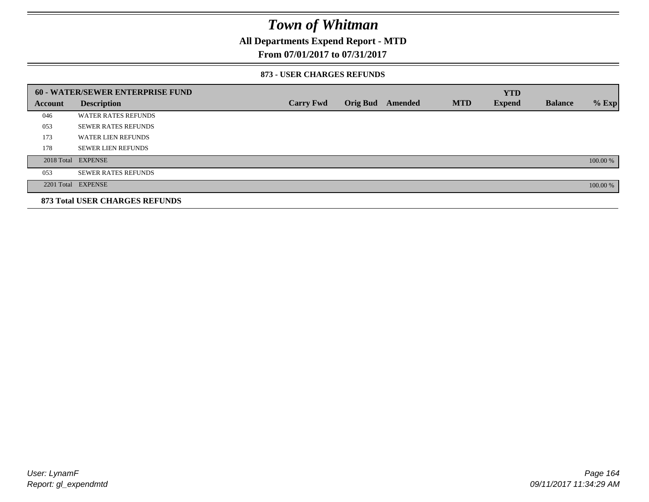### **All Departments Expend Report - MTD**

### **From 07/01/2017 to 07/31/2017**

#### **873 - USER CHARGES REFUNDS**

|         | <b>60 - WATER/SEWER ENTERPRISE FUND</b> |                  |                 |         |            | <b>YTD</b>    |                |          |
|---------|-----------------------------------------|------------------|-----------------|---------|------------|---------------|----------------|----------|
| Account | <b>Description</b>                      | <b>Carry Fwd</b> | <b>Orig Bud</b> | Amended | <b>MTD</b> | <b>Expend</b> | <b>Balance</b> | $%$ Exp  |
| 046     | <b>WATER RATES REFUNDS</b>              |                  |                 |         |            |               |                |          |
| 053     | <b>SEWER RATES REFUNDS</b>              |                  |                 |         |            |               |                |          |
| 173     | <b>WATER LIEN REFUNDS</b>               |                  |                 |         |            |               |                |          |
| 178     | <b>SEWER LIEN REFUNDS</b>               |                  |                 |         |            |               |                |          |
|         | 2018 Total EXPENSE                      |                  |                 |         |            |               |                | 100.00 % |
| 053     | <b>SEWER RATES REFUNDS</b>              |                  |                 |         |            |               |                |          |
|         | 2201 Total EXPENSE                      |                  |                 |         |            |               |                | 100.00 % |
|         | <b>873 Total USER CHARGES REFUNDS</b>   |                  |                 |         |            |               |                |          |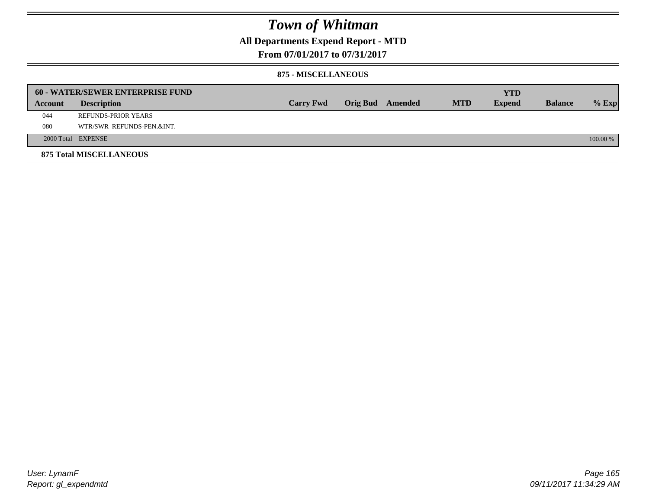## **All Departments Expend Report - MTD**

### **From 07/01/2017 to 07/31/2017**

#### **875 - MISCELLANEOUS**

|         | <b>60 - WATER/SEWER ENTERPRISE FUND</b> |                  |  |                  |            | <b>YTD</b>    |                |            |
|---------|-----------------------------------------|------------------|--|------------------|------------|---------------|----------------|------------|
| Account | <b>Description</b>                      | <b>Carry Fwd</b> |  | Orig Bud Amended | <b>MTD</b> | <b>Expend</b> | <b>Balance</b> | $%$ Exp    |
| 044     | REFUNDS-PRIOR YEARS                     |                  |  |                  |            |               |                |            |
| 080     | WTR/SWR REFUNDS-PEN.&INT.               |                  |  |                  |            |               |                |            |
|         | 2000 Total EXPENSE                      |                  |  |                  |            |               |                | $100.00\%$ |
|         | <b>875 Total MISCELLANEOUS</b>          |                  |  |                  |            |               |                |            |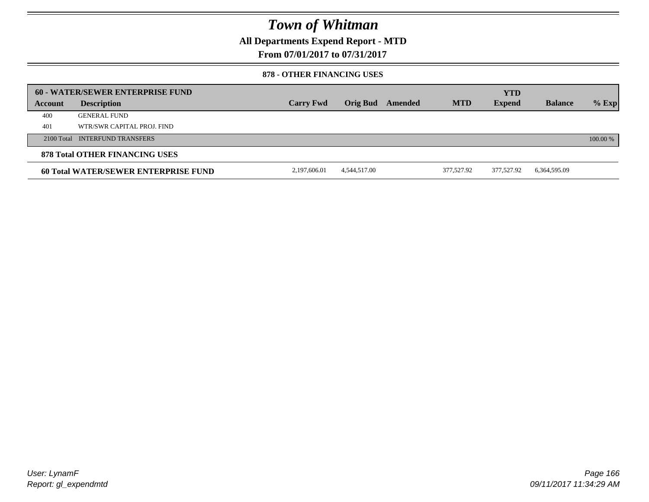**All Departments Expend Report - MTD**

**From 07/01/2017 to 07/31/2017**

#### **878 - OTHER FINANCING USES**

|         | 60 - WATER/SEWER ENTERPRISE FUND     |                  |              |         |            | <b>YTD</b>    |                |          |
|---------|--------------------------------------|------------------|--------------|---------|------------|---------------|----------------|----------|
| Account | <b>Description</b>                   | <b>Carry Fwd</b> | Orig Bud     | Amended | <b>MTD</b> | <b>Expend</b> | <b>Balance</b> | $%$ Exp  |
| 400     | <b>GENERAL FUND</b>                  |                  |              |         |            |               |                |          |
| 401     | WTR/SWR CAPITAL PROJ. FIND           |                  |              |         |            |               |                |          |
|         | 2100 Total INTERFUND TRANSFERS       |                  |              |         |            |               |                | 100.00 % |
|         | 878 Total OTHER FINANCING USES       |                  |              |         |            |               |                |          |
|         | 60 Total WATER/SEWER ENTERPRISE FUND | 2,197,606.01     | 4,544,517.00 |         | 377,527.92 | 377.527.92    | 6,364,595.09   |          |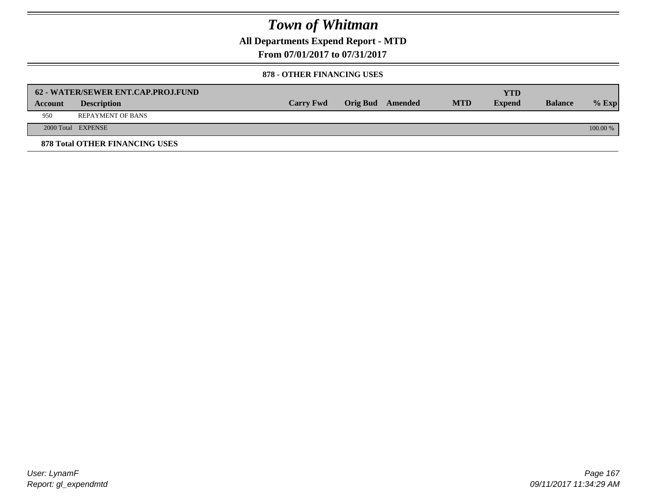**All Departments Expend Report - MTD**

**From 07/01/2017 to 07/31/2017**

#### **878 - OTHER FINANCING USES**

|         | 62 - WATER/SEWER ENT.CAP.PROJ.FUND    |                  |                  |            | <b>YTD</b>    |                |            |
|---------|---------------------------------------|------------------|------------------|------------|---------------|----------------|------------|
| Account | <b>Description</b>                    | <b>Carry Fwd</b> | Orig Bud Amended | <b>MTD</b> | <b>Expend</b> | <b>Balance</b> | $%$ Exp    |
| 950     | <b>REPAYMENT OF BANS</b>              |                  |                  |            |               |                |            |
|         | 2000 Total EXPENSE                    |                  |                  |            |               |                | $100.00\%$ |
|         | <b>878 Total OTHER FINANCING USES</b> |                  |                  |            |               |                |            |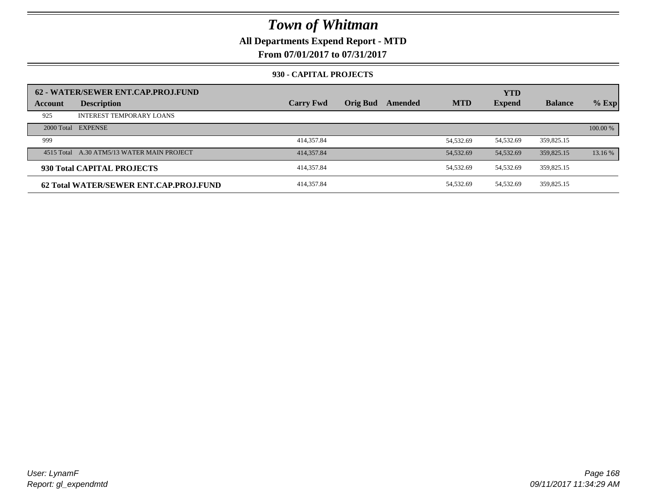### **All Departments Expend Report - MTD**

**From 07/01/2017 to 07/31/2017**

#### **930 - CAPITAL PROJECTS**

|         | 62 - WATER/SEWER ENT.CAP.PROJ.FUND         |                  |                 |         |            | <b>YTD</b>    |                |          |
|---------|--------------------------------------------|------------------|-----------------|---------|------------|---------------|----------------|----------|
| Account | <b>Description</b>                         | <b>Carry Fwd</b> | <b>Orig Bud</b> | Amended | <b>MTD</b> | <b>Expend</b> | <b>Balance</b> | $%$ Exp  |
| 925     | <b>INTEREST TEMPORARY LOANS</b>            |                  |                 |         |            |               |                |          |
|         | 2000 Total EXPENSE                         |                  |                 |         |            |               |                | 100.00 % |
| 999     |                                            | 414,357.84       |                 |         | 54.532.69  | 54,532.69     | 359,825.15     |          |
|         | 4515 Total A.30 ATM5/13 WATER MAIN PROJECT | 414,357.84       |                 |         | 54,532.69  | 54,532.69     | 359,825.15     | 13.16 %  |
|         | 930 Total CAPITAL PROJECTS                 | 414.357.84       |                 |         | 54.532.69  | 54,532.69     | 359.825.15     |          |
|         | 62 Total WATER/SEWER ENT.CAP.PROJ.FUND     | 414,357.84       |                 |         | 54.532.69  | 54,532.69     | 359,825.15     |          |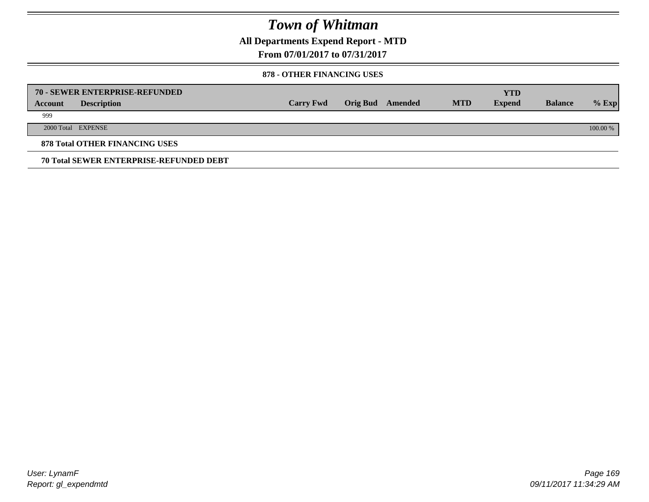**All Departments Expend Report - MTD**

**From 07/01/2017 to 07/31/2017**

#### **878 - OTHER FINANCING USES**

|         | 70 - SEWER ENTERPRISE-REFUNDED                 |                  |                 |         |            | <b>YTD</b>    |                |          |
|---------|------------------------------------------------|------------------|-----------------|---------|------------|---------------|----------------|----------|
| Account | <b>Description</b>                             | <b>Carry Fwd</b> | <b>Orig Bud</b> | Amended | <b>MTD</b> | <b>Expend</b> | <b>Balance</b> | $%$ Exp  |
| 999     |                                                |                  |                 |         |            |               |                |          |
|         | 2000 Total EXPENSE                             |                  |                 |         |            |               |                | 100.00 % |
|         | <b>878 Total OTHER FINANCING USES</b>          |                  |                 |         |            |               |                |          |
|         | <b>70 Total SEWER ENTERPRISE-REFUNDED DEBT</b> |                  |                 |         |            |               |                |          |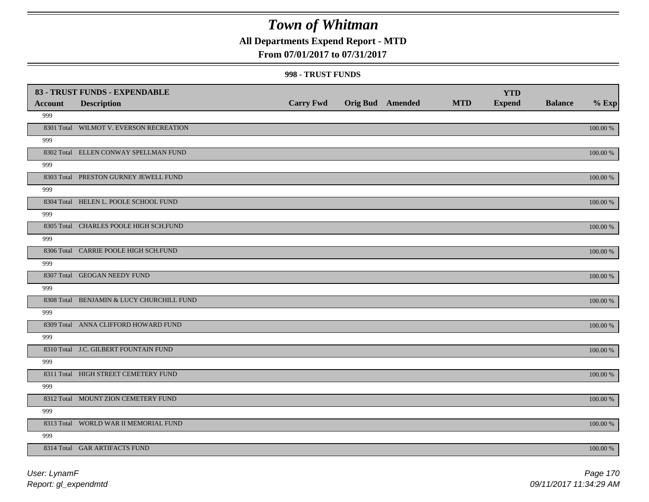### **All Departments Expend Report - MTD**

### **From 07/01/2017 to 07/31/2017**

#### **998 - TRUST FUNDS**

|                | 83 - TRUST FUNDS - EXPENDABLE             |                  |                         |            | <b>YTD</b>    |                |             |
|----------------|-------------------------------------------|------------------|-------------------------|------------|---------------|----------------|-------------|
| <b>Account</b> | <b>Description</b>                        | <b>Carry Fwd</b> | <b>Orig Bud</b> Amended | <b>MTD</b> | <b>Expend</b> | <b>Balance</b> | $%$ Exp     |
| 999            |                                           |                  |                         |            |               |                |             |
|                | 8301 Total WILMOT V. EVERSON RECREATION   |                  |                         |            |               |                | $100.00~\%$ |
| 999            |                                           |                  |                         |            |               |                |             |
|                | 8302 Total ELLEN CONWAY SPELLMAN FUND     |                  |                         |            |               |                | 100.00 %    |
| 999            |                                           |                  |                         |            |               |                |             |
|                | 8303 Total PRESTON GURNEY JEWELL FUND     |                  |                         |            |               |                | $100.00~\%$ |
| 999            |                                           |                  |                         |            |               |                |             |
|                | 8304 Total HELEN L. POOLE SCHOOL FUND     |                  |                         |            |               |                | 100.00 %    |
| 999            |                                           |                  |                         |            |               |                |             |
|                | 8305 Total CHARLES POOLE HIGH SCH.FUND    |                  |                         |            |               |                | 100.00 %    |
| 999            |                                           |                  |                         |            |               |                |             |
|                | 8306 Total CARRIE POOLE HIGH SCH.FUND     |                  |                         |            |               |                | 100.00 %    |
| 999            |                                           |                  |                         |            |               |                |             |
|                | 8307 Total GEOGAN NEEDY FUND              |                  |                         |            |               |                | 100.00 %    |
| 999            |                                           |                  |                         |            |               |                |             |
|                | 8308 Total BENJAMIN & LUCY CHURCHILL FUND |                  |                         |            |               |                | 100.00 %    |
| 999            |                                           |                  |                         |            |               |                |             |
|                | 8309 Total ANNA CLIFFORD HOWARD FUND      |                  |                         |            |               |                | 100.00 %    |
| 999            |                                           |                  |                         |            |               |                |             |
|                | 8310 Total J.C. GILBERT FOUNTAIN FUND     |                  |                         |            |               |                | $100.00~\%$ |
| 999            |                                           |                  |                         |            |               |                |             |
|                | 8311 Total HIGH STREET CEMETERY FUND      |                  |                         |            |               |                | $100.00~\%$ |
| 999            |                                           |                  |                         |            |               |                |             |
|                | 8312 Total MOUNT ZION CEMETERY FUND       |                  |                         |            |               |                | $100.00~\%$ |
| 999            |                                           |                  |                         |            |               |                |             |
|                | 8313 Total WORLD WAR II MEMORIAL FUND     |                  |                         |            |               |                | 100.00 %    |
| 999            |                                           |                  |                         |            |               |                |             |
|                | 8314 Total GAR ARTIFACTS FUND             |                  |                         |            |               |                | 100.00 %    |

*Report: gl\_expendmtd User: LynamF*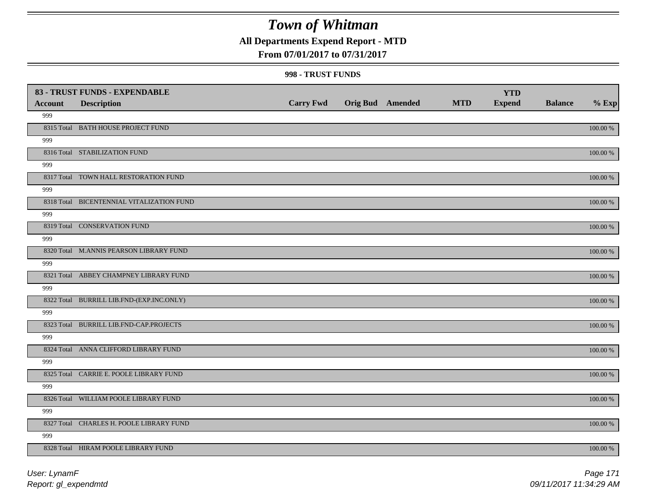### **All Departments Expend Report - MTD**

### **From 07/01/2017 to 07/31/2017**

#### **998 - TRUST FUNDS**

|                | 83 - TRUST FUNDS - EXPENDABLE             |                  |                         |            | <b>YTD</b>    |                |             |
|----------------|-------------------------------------------|------------------|-------------------------|------------|---------------|----------------|-------------|
| <b>Account</b> | <b>Description</b>                        | <b>Carry Fwd</b> | <b>Orig Bud</b> Amended | <b>MTD</b> | <b>Expend</b> | <b>Balance</b> | $%$ Exp     |
| 999            |                                           |                  |                         |            |               |                |             |
|                | 8315 Total BATH HOUSE PROJECT FUND        |                  |                         |            |               |                | $100.00~\%$ |
| 999            |                                           |                  |                         |            |               |                |             |
|                | 8316 Total STABILIZATION FUND             |                  |                         |            |               |                | 100.00 %    |
| 999            |                                           |                  |                         |            |               |                |             |
|                | 8317 Total TOWN HALL RESTORATION FUND     |                  |                         |            |               |                | $100.00~\%$ |
| 999            |                                           |                  |                         |            |               |                |             |
|                | 8318 Total BICENTENNIAL VITALIZATION FUND |                  |                         |            |               |                | 100.00 %    |
| 999            |                                           |                  |                         |            |               |                |             |
|                | 8319 Total CONSERVATION FUND              |                  |                         |            |               |                | 100.00 %    |
| 999            |                                           |                  |                         |            |               |                |             |
|                | 8320 Total M.ANNIS PEARSON LIBRARY FUND   |                  |                         |            |               |                | 100.00 %    |
| 999            |                                           |                  |                         |            |               |                |             |
|                | 8321 Total ABBEY CHAMPNEY LIBRARY FUND    |                  |                         |            |               |                | 100.00 %    |
| 999            |                                           |                  |                         |            |               |                |             |
|                | 8322 Total BURRILL LIB.FND-(EXP.INC.ONLY) |                  |                         |            |               |                | 100.00 %    |
| 999            |                                           |                  |                         |            |               |                |             |
|                | 8323 Total BURRILL LIB.FND-CAP.PROJECTS   |                  |                         |            |               |                | 100.00 %    |
| 999            |                                           |                  |                         |            |               |                |             |
|                | 8324 Total ANNA CLIFFORD LIBRARY FUND     |                  |                         |            |               |                | $100.00~\%$ |
| 999            |                                           |                  |                         |            |               |                |             |
|                | 8325 Total CARRIE E. POOLE LIBRARY FUND   |                  |                         |            |               |                | $100.00~\%$ |
| 999            |                                           |                  |                         |            |               |                |             |
|                | 8326 Total WILLIAM POOLE LIBRARY FUND     |                  |                         |            |               |                | $100.00~\%$ |
| 999            |                                           |                  |                         |            |               |                |             |
|                | 8327 Total CHARLES H. POOLE LIBRARY FUND  |                  |                         |            |               |                | 100.00 %    |
| 999            |                                           |                  |                         |            |               |                |             |
|                | 8328 Total HIRAM POOLE LIBRARY FUND       |                  |                         |            |               |                | 100.00 %    |

*Report: gl\_expendmtd User: LynamF*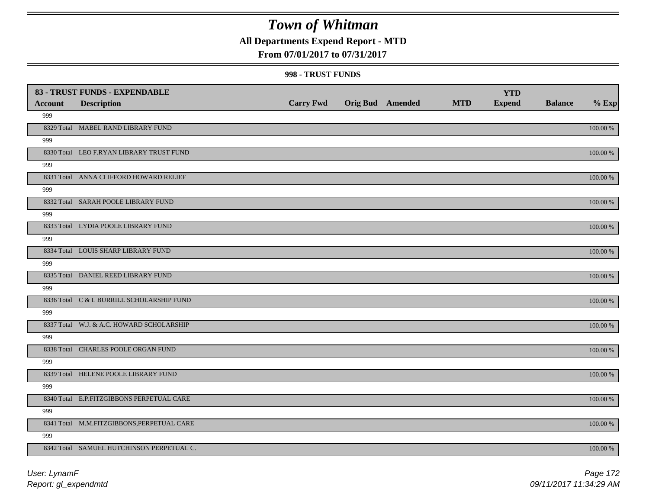### **All Departments Expend Report - MTD**

### **From 07/01/2017 to 07/31/2017**

#### **998 - TRUST FUNDS**

|                | 83 - TRUST FUNDS - EXPENDABLE              |                  |                         |            | <b>YTD</b>    |                |             |
|----------------|--------------------------------------------|------------------|-------------------------|------------|---------------|----------------|-------------|
| <b>Account</b> | <b>Description</b>                         | <b>Carry Fwd</b> | <b>Orig Bud</b> Amended | <b>MTD</b> | <b>Expend</b> | <b>Balance</b> | $%$ Exp     |
| 999            |                                            |                  |                         |            |               |                |             |
|                | 8329 Total MABEL RAND LIBRARY FUND         |                  |                         |            |               |                | 100.00 %    |
| 999            |                                            |                  |                         |            |               |                |             |
|                | 8330 Total LEO F.RYAN LIBRARY TRUST FUND   |                  |                         |            |               |                | 100.00 %    |
| 999            |                                            |                  |                         |            |               |                |             |
|                | 8331 Total ANNA CLIFFORD HOWARD RELIEF     |                  |                         |            |               |                | $100.00~\%$ |
| 999            |                                            |                  |                         |            |               |                |             |
|                | 8332 Total SARAH POOLE LIBRARY FUND        |                  |                         |            |               |                | 100.00 %    |
| 999            |                                            |                  |                         |            |               |                |             |
|                | 8333 Total LYDIA POOLE LIBRARY FUND        |                  |                         |            |               |                | 100.00 %    |
| 999            |                                            |                  |                         |            |               |                |             |
|                | 8334 Total LOUIS SHARP LIBRARY FUND        |                  |                         |            |               |                | 100.00 %    |
| 999            |                                            |                  |                         |            |               |                |             |
|                | 8335 Total DANIEL REED LIBRARY FUND        |                  |                         |            |               |                | 100.00 %    |
| 999            |                                            |                  |                         |            |               |                |             |
|                | 8336 Total C & L BURRILL SCHOLARSHIP FUND  |                  |                         |            |               |                | 100.00 %    |
| 999            |                                            |                  |                         |            |               |                |             |
|                | 8337 Total W.J. & A.C. HOWARD SCHOLARSHIP  |                  |                         |            |               |                | 100.00 %    |
| 999            |                                            |                  |                         |            |               |                |             |
|                | 8338 Total CHARLES POOLE ORGAN FUND        |                  |                         |            |               |                | 100.00 %    |
| 999            |                                            |                  |                         |            |               |                |             |
|                | 8339 Total HELENE POOLE LIBRARY FUND       |                  |                         |            |               |                | $100.00~\%$ |
| 999            |                                            |                  |                         |            |               |                |             |
|                | 8340 Total E.P.FITZGIBBONS PERPETUAL CARE  |                  |                         |            |               |                | $100.00~\%$ |
| 999            |                                            |                  |                         |            |               |                |             |
|                | 8341 Total M.M.FITZGIBBONS, PERPETUAL CARE |                  |                         |            |               |                | 100.00 %    |
| 999            |                                            |                  |                         |            |               |                |             |
|                | 8342 Total SAMUEL HUTCHINSON PERPETUAL C.  |                  |                         |            |               |                | 100.00 %    |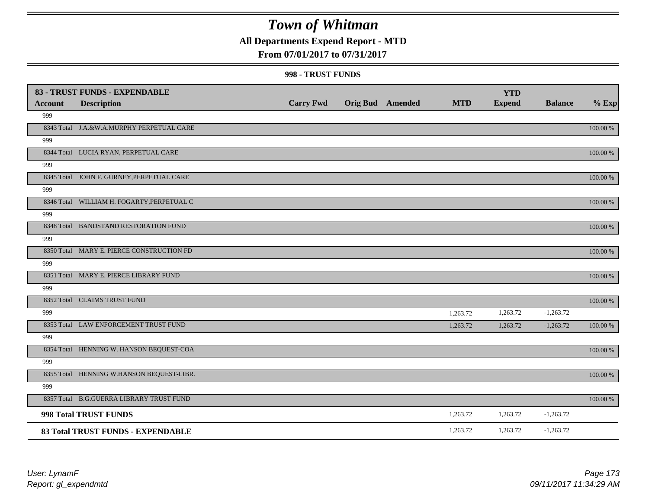## **All Departments Expend Report - MTD**

### **From 07/01/2017 to 07/31/2017**

#### **998 - TRUST FUNDS**

|                | 83 - TRUST FUNDS - EXPENDABLE              |                  |                         |            | <b>YTD</b>    |                |          |
|----------------|--------------------------------------------|------------------|-------------------------|------------|---------------|----------------|----------|
| <b>Account</b> | <b>Description</b>                         | <b>Carry Fwd</b> | <b>Orig Bud</b> Amended | <b>MTD</b> | <b>Expend</b> | <b>Balance</b> | $%$ Exp  |
| 999            |                                            |                  |                         |            |               |                |          |
|                | 8343 Total J.A.&W.A.MURPHY PERPETUAL CARE  |                  |                         |            |               |                | 100.00 % |
| 999            |                                            |                  |                         |            |               |                |          |
|                | 8344 Total LUCIA RYAN, PERPETUAL CARE      |                  |                         |            |               |                | 100.00 % |
| 999            |                                            |                  |                         |            |               |                |          |
|                | 8345 Total JOHN F. GURNEY, PERPETUAL CARE  |                  |                         |            |               |                | 100.00 % |
| 999            |                                            |                  |                         |            |               |                |          |
|                | 8346 Total WILLIAM H. FOGARTY, PERPETUAL C |                  |                         |            |               |                | 100.00 % |
| 999            |                                            |                  |                         |            |               |                |          |
|                | 8348 Total BANDSTAND RESTORATION FUND      |                  |                         |            |               |                | 100.00 % |
| 999            |                                            |                  |                         |            |               |                |          |
|                | 8350 Total MARY E. PIERCE CONSTRUCTION FD  |                  |                         |            |               |                | 100.00 % |
| 999            |                                            |                  |                         |            |               |                |          |
|                | 8351 Total MARY E. PIERCE LIBRARY FUND     |                  |                         |            |               |                | 100.00 % |
| 999            |                                            |                  |                         |            |               |                |          |
|                | 8352 Total CLAIMS TRUST FUND               |                  |                         |            |               |                | 100.00 % |
| 999            |                                            |                  |                         | 1,263.72   | 1,263.72      | $-1,263.72$    |          |
|                | 8353 Total LAW ENFORCEMENT TRUST FUND      |                  |                         | 1,263.72   | 1,263.72      | $-1,263.72$    | 100.00 % |
| 999            |                                            |                  |                         |            |               |                |          |
|                | 8354 Total HENNING W. HANSON BEQUEST-COA   |                  |                         |            |               |                | 100.00 % |
| 999            |                                            |                  |                         |            |               |                |          |
|                | 8355 Total HENNING W.HANSON BEQUEST-LIBR.  |                  |                         |            |               |                | 100.00 % |
| 999            |                                            |                  |                         |            |               |                |          |
|                | 8357 Total B.G.GUERRA LIBRARY TRUST FUND   |                  |                         |            |               |                | 100.00 % |
|                | 998 Total TRUST FUNDS                      |                  |                         | 1,263.72   | 1,263.72      | $-1,263.72$    |          |
|                | 83 Total TRUST FUNDS - EXPENDABLE          |                  |                         | 1,263.72   | 1,263.72      | $-1,263.72$    |          |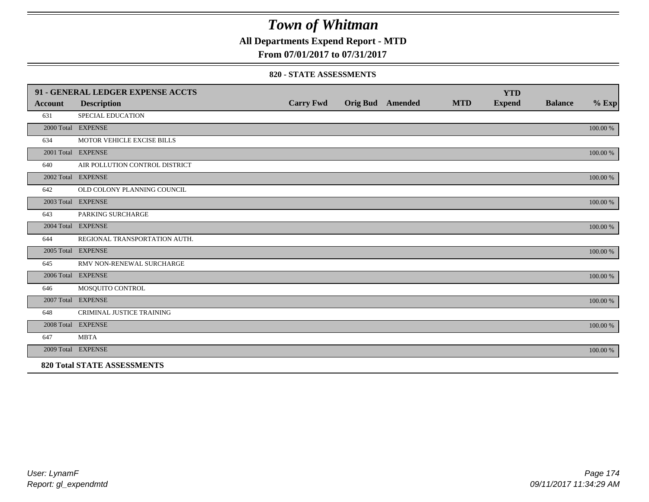**All Departments Expend Report - MTD**

**From 07/01/2017 to 07/31/2017**

#### **820 - STATE ASSESSMENTS**

|                | 91 - GENERAL LEDGER EXPENSE ACCTS  |                  |                         |            | <b>YTD</b>    |                |          |
|----------------|------------------------------------|------------------|-------------------------|------------|---------------|----------------|----------|
| <b>Account</b> | <b>Description</b>                 | <b>Carry Fwd</b> | <b>Orig Bud</b> Amended | <b>MTD</b> | <b>Expend</b> | <b>Balance</b> | $%$ Exp  |
| 631            | <b>SPECIAL EDUCATION</b>           |                  |                         |            |               |                |          |
|                | 2000 Total EXPENSE                 |                  |                         |            |               |                | 100.00 % |
| 634            | MOTOR VEHICLE EXCISE BILLS         |                  |                         |            |               |                |          |
|                | 2001 Total EXPENSE                 |                  |                         |            |               |                | 100.00 % |
| 640            | AIR POLLUTION CONTROL DISTRICT     |                  |                         |            |               |                |          |
|                | 2002 Total EXPENSE                 |                  |                         |            |               |                | 100.00 % |
| 642            | OLD COLONY PLANNING COUNCIL        |                  |                         |            |               |                |          |
|                | 2003 Total EXPENSE                 |                  |                         |            |               |                | 100.00 % |
| 643            | PARKING SURCHARGE                  |                  |                         |            |               |                |          |
|                | 2004 Total EXPENSE                 |                  |                         |            |               |                | 100.00 % |
| 644            | REGIONAL TRANSPORTATION AUTH.      |                  |                         |            |               |                |          |
|                | 2005 Total EXPENSE                 |                  |                         |            |               |                | 100.00 % |
| 645            | RMV NON-RENEWAL SURCHARGE          |                  |                         |            |               |                |          |
|                | 2006 Total EXPENSE                 |                  |                         |            |               |                | 100.00 % |
| 646            | MOSQUITO CONTROL                   |                  |                         |            |               |                |          |
|                | 2007 Total EXPENSE                 |                  |                         |            |               |                | 100.00 % |
| 648            | <b>CRIMINAL JUSTICE TRAINING</b>   |                  |                         |            |               |                |          |
|                | 2008 Total EXPENSE                 |                  |                         |            |               |                | 100.00 % |
| 647            | <b>MBTA</b>                        |                  |                         |            |               |                |          |
|                | 2009 Total EXPENSE                 |                  |                         |            |               |                | 100.00 % |
|                | <b>820 Total STATE ASSESSMENTS</b> |                  |                         |            |               |                |          |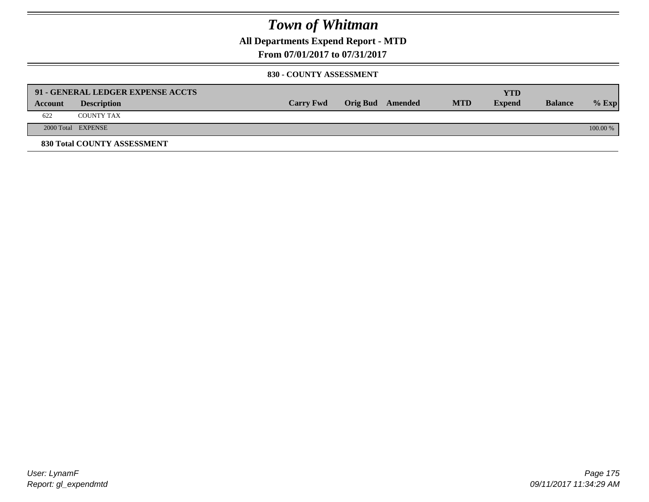**All Departments Expend Report - MTD**

**From 07/01/2017 to 07/31/2017**

#### **830 - COUNTY ASSESSMENT**

|         | 91 - GENERAL LEDGER EXPENSE ACCTS |                  |                  |            | <b>YTD</b>    |                |            |
|---------|-----------------------------------|------------------|------------------|------------|---------------|----------------|------------|
| Account | <b>Description</b>                | <b>Carry Fwd</b> | Orig Bud Amended | <b>MTD</b> | <b>Expend</b> | <b>Balance</b> | $%$ Exp    |
| 622     | <b>COUNTY TAX</b>                 |                  |                  |            |               |                |            |
|         | 2000 Total EXPENSE                |                  |                  |            |               |                | $100.00\%$ |
|         | 830 Total COUNTY ASSESSMENT       |                  |                  |            |               |                |            |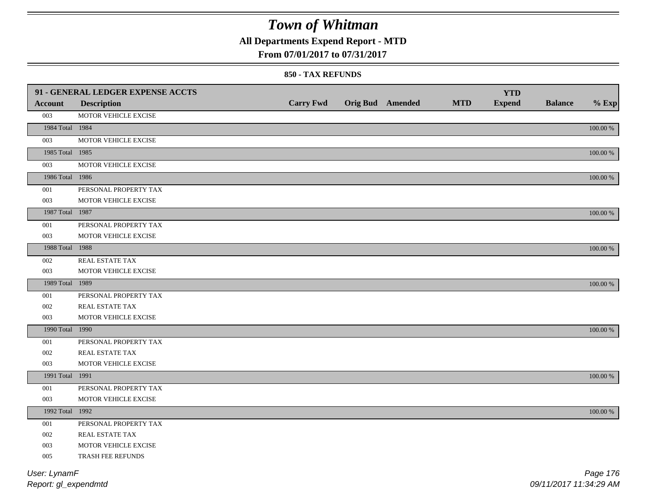## **All Departments Expend Report - MTD**

### **From 07/01/2017 to 07/31/2017**

#### **850 - TAX REFUNDS**

|                 | 91 - GENERAL LEDGER EXPENSE ACCTS |                  |                         |            | <b>YTD</b>    |                |             |
|-----------------|-----------------------------------|------------------|-------------------------|------------|---------------|----------------|-------------|
| Account         | <b>Description</b>                | <b>Carry Fwd</b> | <b>Orig Bud</b> Amended | <b>MTD</b> | <b>Expend</b> | <b>Balance</b> | $%$ Exp     |
| 003             | MOTOR VEHICLE EXCISE              |                  |                         |            |               |                |             |
| 1984 Total 1984 |                                   |                  |                         |            |               |                | 100.00 %    |
| 003             | MOTOR VEHICLE EXCISE              |                  |                         |            |               |                |             |
| 1985 Total 1985 |                                   |                  |                         |            |               |                | 100.00 %    |
| 003             | MOTOR VEHICLE EXCISE              |                  |                         |            |               |                |             |
| 1986 Total 1986 |                                   |                  |                         |            |               |                | $100.00~\%$ |
| 001             | PERSONAL PROPERTY TAX             |                  |                         |            |               |                |             |
| 003             | MOTOR VEHICLE EXCISE              |                  |                         |            |               |                |             |
| 1987 Total 1987 |                                   |                  |                         |            |               |                | 100.00 %    |
| 001             | PERSONAL PROPERTY TAX             |                  |                         |            |               |                |             |
| 003             | MOTOR VEHICLE EXCISE              |                  |                         |            |               |                |             |
| 1988 Total 1988 |                                   |                  |                         |            |               |                | 100.00 %    |
| 002             | REAL ESTATE TAX                   |                  |                         |            |               |                |             |
| 003             | MOTOR VEHICLE EXCISE              |                  |                         |            |               |                |             |
| 1989 Total 1989 |                                   |                  |                         |            |               |                | 100.00 %    |
| 001             | PERSONAL PROPERTY TAX             |                  |                         |            |               |                |             |
| 002             | REAL ESTATE TAX                   |                  |                         |            |               |                |             |
| 003             | MOTOR VEHICLE EXCISE              |                  |                         |            |               |                |             |
| 1990 Total 1990 |                                   |                  |                         |            |               |                | 100.00 %    |
| 001             | PERSONAL PROPERTY TAX             |                  |                         |            |               |                |             |
| 002             | REAL ESTATE TAX                   |                  |                         |            |               |                |             |
| 003             | MOTOR VEHICLE EXCISE              |                  |                         |            |               |                |             |
| 1991 Total 1991 |                                   |                  |                         |            |               |                | 100.00 %    |
| $001\,$         | PERSONAL PROPERTY TAX             |                  |                         |            |               |                |             |
| 003             | MOTOR VEHICLE EXCISE              |                  |                         |            |               |                |             |
| 1992 Total 1992 |                                   |                  |                         |            |               |                | 100.00 %    |
| 001             | PERSONAL PROPERTY TAX             |                  |                         |            |               |                |             |
| 002             | REAL ESTATE TAX                   |                  |                         |            |               |                |             |
| 003             | MOTOR VEHICLE EXCISE              |                  |                         |            |               |                |             |
| 005             | TRASH FEE REFUNDS                 |                  |                         |            |               |                |             |
| User: LynamF    |                                   |                  |                         |            |               |                | Page 176    |
|                 |                                   |                  |                         |            |               |                |             |

*Report: gl\_expendmtd*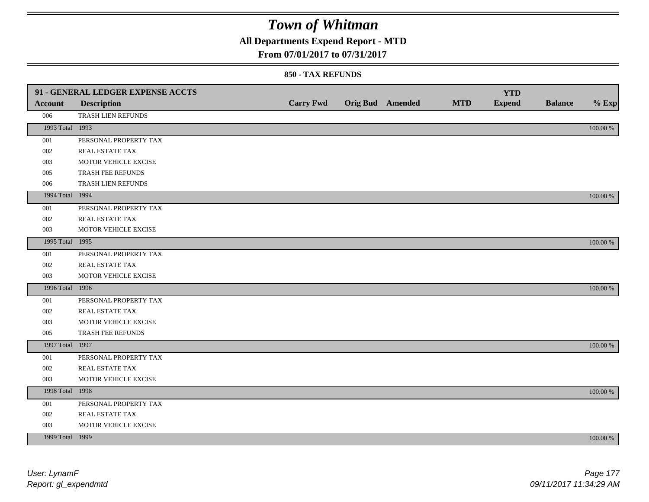## **All Departments Expend Report - MTD**

### **From 07/01/2017 to 07/31/2017**

|                 | 91 - GENERAL LEDGER EXPENSE ACCTS |                  |                         |            | <b>YTD</b>    |                |          |
|-----------------|-----------------------------------|------------------|-------------------------|------------|---------------|----------------|----------|
| Account         | <b>Description</b>                | <b>Carry Fwd</b> | <b>Orig Bud</b> Amended | <b>MTD</b> | <b>Expend</b> | <b>Balance</b> | $%$ Exp  |
| 006             | TRASH LIEN REFUNDS                |                  |                         |            |               |                |          |
| 1993 Total 1993 |                                   |                  |                         |            |               |                | 100.00 % |
| 001             | PERSONAL PROPERTY TAX             |                  |                         |            |               |                |          |
| 002             | <b>REAL ESTATE TAX</b>            |                  |                         |            |               |                |          |
| 003             | MOTOR VEHICLE EXCISE              |                  |                         |            |               |                |          |
| 005             | TRASH FEE REFUNDS                 |                  |                         |            |               |                |          |
| 006             | TRASH LIEN REFUNDS                |                  |                         |            |               |                |          |
| 1994 Total 1994 |                                   |                  |                         |            |               |                | 100.00 % |
| 001             | PERSONAL PROPERTY TAX             |                  |                         |            |               |                |          |
| 002             | REAL ESTATE TAX                   |                  |                         |            |               |                |          |
| 003             | MOTOR VEHICLE EXCISE              |                  |                         |            |               |                |          |
| 1995 Total 1995 |                                   |                  |                         |            |               |                | 100.00 % |
| 001             | PERSONAL PROPERTY TAX             |                  |                         |            |               |                |          |
| 002             | REAL ESTATE TAX                   |                  |                         |            |               |                |          |
| 003             | MOTOR VEHICLE EXCISE              |                  |                         |            |               |                |          |
| 1996 Total 1996 |                                   |                  |                         |            |               |                | 100.00 % |
| 001             | PERSONAL PROPERTY TAX             |                  |                         |            |               |                |          |
| 002             | <b>REAL ESTATE TAX</b>            |                  |                         |            |               |                |          |
| 003             | MOTOR VEHICLE EXCISE              |                  |                         |            |               |                |          |
| 005             | TRASH FEE REFUNDS                 |                  |                         |            |               |                |          |
| 1997 Total 1997 |                                   |                  |                         |            |               |                | 100.00 % |
| 001             | PERSONAL PROPERTY TAX             |                  |                         |            |               |                |          |
| 002             | REAL ESTATE TAX                   |                  |                         |            |               |                |          |
| 003             | MOTOR VEHICLE EXCISE              |                  |                         |            |               |                |          |
| 1998 Total 1998 |                                   |                  |                         |            |               |                | 100.00 % |
| 001             | PERSONAL PROPERTY TAX             |                  |                         |            |               |                |          |
| 002             | REAL ESTATE TAX                   |                  |                         |            |               |                |          |
| 003             | MOTOR VEHICLE EXCISE              |                  |                         |            |               |                |          |
| 1999 Total 1999 |                                   |                  |                         |            |               |                | 100.00 % |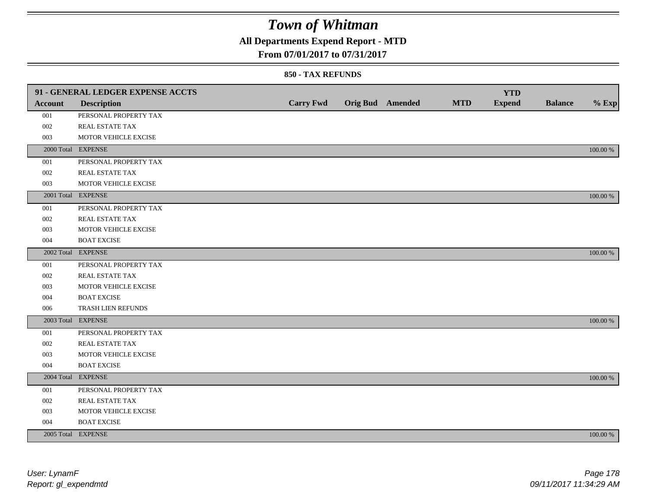## **All Departments Expend Report - MTD**

### **From 07/01/2017 to 07/31/2017**

|                | 91 - GENERAL LEDGER EXPENSE ACCTS |                  |                         |            | <b>YTD</b>    |                |             |
|----------------|-----------------------------------|------------------|-------------------------|------------|---------------|----------------|-------------|
| <b>Account</b> | <b>Description</b>                | <b>Carry Fwd</b> | <b>Orig Bud</b> Amended | <b>MTD</b> | <b>Expend</b> | <b>Balance</b> | $%$ Exp     |
| 001            | PERSONAL PROPERTY TAX             |                  |                         |            |               |                |             |
| 002            | REAL ESTATE TAX                   |                  |                         |            |               |                |             |
| 003            | MOTOR VEHICLE EXCISE              |                  |                         |            |               |                |             |
|                | 2000 Total EXPENSE                |                  |                         |            |               |                | 100.00 %    |
| 001            | PERSONAL PROPERTY TAX             |                  |                         |            |               |                |             |
| 002            | REAL ESTATE TAX                   |                  |                         |            |               |                |             |
| 003            | MOTOR VEHICLE EXCISE              |                  |                         |            |               |                |             |
|                | 2001 Total EXPENSE                |                  |                         |            |               |                | 100.00 %    |
| 001            | PERSONAL PROPERTY TAX             |                  |                         |            |               |                |             |
| 002            | REAL ESTATE TAX                   |                  |                         |            |               |                |             |
| 003            | MOTOR VEHICLE EXCISE              |                  |                         |            |               |                |             |
| 004            | <b>BOAT EXCISE</b>                |                  |                         |            |               |                |             |
|                | 2002 Total EXPENSE                |                  |                         |            |               |                | 100.00 %    |
| 001            | PERSONAL PROPERTY TAX             |                  |                         |            |               |                |             |
| 002            | REAL ESTATE TAX                   |                  |                         |            |               |                |             |
| 003            | MOTOR VEHICLE EXCISE              |                  |                         |            |               |                |             |
| 004            | <b>BOAT EXCISE</b>                |                  |                         |            |               |                |             |
| 006            | TRASH LIEN REFUNDS                |                  |                         |            |               |                |             |
|                | 2003 Total EXPENSE                |                  |                         |            |               |                | 100.00 %    |
| 001            | PERSONAL PROPERTY TAX             |                  |                         |            |               |                |             |
| 002            | REAL ESTATE TAX                   |                  |                         |            |               |                |             |
| 003            | MOTOR VEHICLE EXCISE              |                  |                         |            |               |                |             |
| 004            | <b>BOAT EXCISE</b>                |                  |                         |            |               |                |             |
|                | 2004 Total EXPENSE                |                  |                         |            |               |                | 100.00 %    |
| 001            | PERSONAL PROPERTY TAX             |                  |                         |            |               |                |             |
| 002            | REAL ESTATE TAX                   |                  |                         |            |               |                |             |
| 003            | MOTOR VEHICLE EXCISE              |                  |                         |            |               |                |             |
| 004            | <b>BOAT EXCISE</b>                |                  |                         |            |               |                |             |
|                | 2005 Total EXPENSE                |                  |                         |            |               |                | $100.00~\%$ |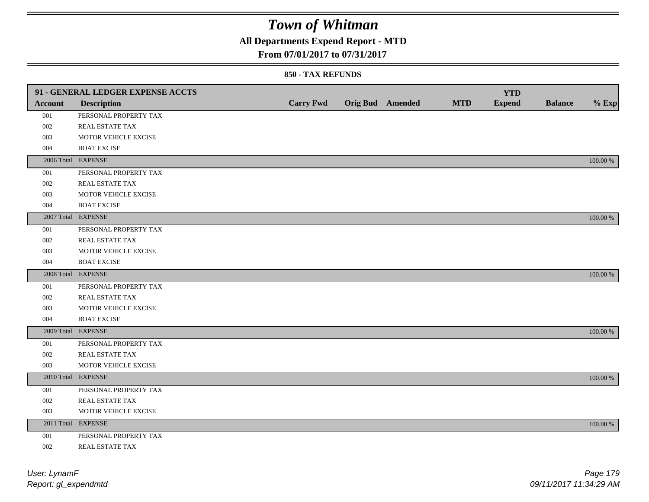## **All Departments Expend Report - MTD**

### **From 07/01/2017 to 07/31/2017**

|                | 91 - GENERAL LEDGER EXPENSE ACCTS |                  |                         |            | <b>YTD</b>    |                |             |
|----------------|-----------------------------------|------------------|-------------------------|------------|---------------|----------------|-------------|
| <b>Account</b> | <b>Description</b>                | <b>Carry Fwd</b> | <b>Orig Bud Amended</b> | <b>MTD</b> | <b>Expend</b> | <b>Balance</b> | $%$ Exp     |
| 001            | PERSONAL PROPERTY TAX             |                  |                         |            |               |                |             |
| 002            | REAL ESTATE TAX                   |                  |                         |            |               |                |             |
| 003            | MOTOR VEHICLE EXCISE              |                  |                         |            |               |                |             |
| 004            | <b>BOAT EXCISE</b>                |                  |                         |            |               |                |             |
|                | 2006 Total EXPENSE                |                  |                         |            |               |                | 100.00 %    |
| 001            | PERSONAL PROPERTY TAX             |                  |                         |            |               |                |             |
| 002            | REAL ESTATE TAX                   |                  |                         |            |               |                |             |
| 003            | MOTOR VEHICLE EXCISE              |                  |                         |            |               |                |             |
| 004            | <b>BOAT EXCISE</b>                |                  |                         |            |               |                |             |
|                | 2007 Total EXPENSE                |                  |                         |            |               |                | 100.00 %    |
| 001            | PERSONAL PROPERTY TAX             |                  |                         |            |               |                |             |
| 002            | REAL ESTATE TAX                   |                  |                         |            |               |                |             |
| 003            | MOTOR VEHICLE EXCISE              |                  |                         |            |               |                |             |
| 004            | <b>BOAT EXCISE</b>                |                  |                         |            |               |                |             |
|                | 2008 Total EXPENSE                |                  |                         |            |               |                | $100.00~\%$ |
| 001            | PERSONAL PROPERTY TAX             |                  |                         |            |               |                |             |
| 002            | REAL ESTATE TAX                   |                  |                         |            |               |                |             |
| 003            | MOTOR VEHICLE EXCISE              |                  |                         |            |               |                |             |
| 004            | <b>BOAT EXCISE</b>                |                  |                         |            |               |                |             |
|                | 2009 Total EXPENSE                |                  |                         |            |               |                | 100.00 %    |
| 001            | PERSONAL PROPERTY TAX             |                  |                         |            |               |                |             |
| 002            | REAL ESTATE TAX                   |                  |                         |            |               |                |             |
| 003            | MOTOR VEHICLE EXCISE              |                  |                         |            |               |                |             |
|                | 2010 Total EXPENSE                |                  |                         |            |               |                | $100.00~\%$ |
| 001            | PERSONAL PROPERTY TAX             |                  |                         |            |               |                |             |
| 002            | REAL ESTATE TAX                   |                  |                         |            |               |                |             |
| 003            | MOTOR VEHICLE EXCISE              |                  |                         |            |               |                |             |
|                | 2011 Total EXPENSE                |                  |                         |            |               |                | $100.00~\%$ |
| 001            | PERSONAL PROPERTY TAX             |                  |                         |            |               |                |             |
| 002            | REAL ESTATE TAX                   |                  |                         |            |               |                |             |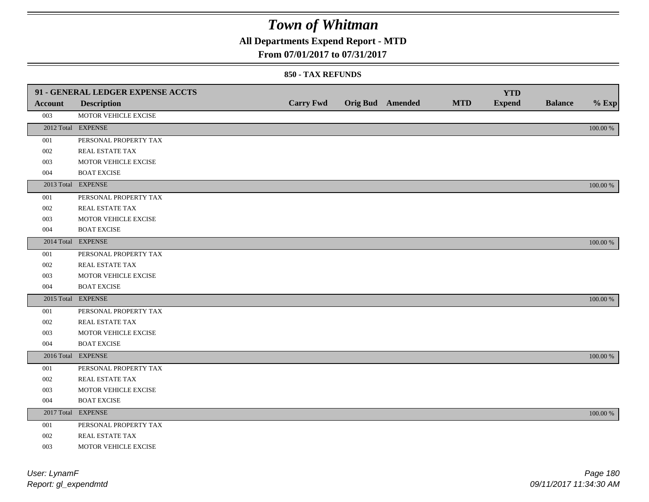## **All Departments Expend Report - MTD**

### **From 07/01/2017 to 07/31/2017**

|                | 91 - GENERAL LEDGER EXPENSE ACCTS |                  |                         |            | <b>YTD</b>    |                |             |
|----------------|-----------------------------------|------------------|-------------------------|------------|---------------|----------------|-------------|
| <b>Account</b> | <b>Description</b>                | <b>Carry Fwd</b> | <b>Orig Bud</b> Amended | <b>MTD</b> | <b>Expend</b> | <b>Balance</b> | $%$ Exp     |
| 003            | MOTOR VEHICLE EXCISE              |                  |                         |            |               |                |             |
|                | 2012 Total EXPENSE                |                  |                         |            |               |                | 100.00 %    |
| 001            | PERSONAL PROPERTY TAX             |                  |                         |            |               |                |             |
| 002            | REAL ESTATE TAX                   |                  |                         |            |               |                |             |
| 003            | MOTOR VEHICLE EXCISE              |                  |                         |            |               |                |             |
| 004            | <b>BOAT EXCISE</b>                |                  |                         |            |               |                |             |
|                | 2013 Total EXPENSE                |                  |                         |            |               |                | 100.00 %    |
| 001            | PERSONAL PROPERTY TAX             |                  |                         |            |               |                |             |
| 002            | <b>REAL ESTATE TAX</b>            |                  |                         |            |               |                |             |
| 003            | MOTOR VEHICLE EXCISE              |                  |                         |            |               |                |             |
| 004            | <b>BOAT EXCISE</b>                |                  |                         |            |               |                |             |
|                | 2014 Total EXPENSE                |                  |                         |            |               |                | 100.00 %    |
| 001            | PERSONAL PROPERTY TAX             |                  |                         |            |               |                |             |
| 002            | REAL ESTATE TAX                   |                  |                         |            |               |                |             |
| 003            | MOTOR VEHICLE EXCISE              |                  |                         |            |               |                |             |
| 004            | <b>BOAT EXCISE</b>                |                  |                         |            |               |                |             |
|                | 2015 Total EXPENSE                |                  |                         |            |               |                | 100.00 %    |
| 001            | PERSONAL PROPERTY TAX             |                  |                         |            |               |                |             |
| 002            | REAL ESTATE TAX                   |                  |                         |            |               |                |             |
| 003            | MOTOR VEHICLE EXCISE              |                  |                         |            |               |                |             |
| 004            | <b>BOAT EXCISE</b>                |                  |                         |            |               |                |             |
|                | 2016 Total EXPENSE                |                  |                         |            |               |                | 100.00 %    |
| 001            | PERSONAL PROPERTY TAX             |                  |                         |            |               |                |             |
| 002            | REAL ESTATE TAX                   |                  |                         |            |               |                |             |
| 003            | MOTOR VEHICLE EXCISE              |                  |                         |            |               |                |             |
| 004            | <b>BOAT EXCISE</b>                |                  |                         |            |               |                |             |
|                | 2017 Total EXPENSE                |                  |                         |            |               |                | $100.00~\%$ |
| $001\,$        | PERSONAL PROPERTY TAX             |                  |                         |            |               |                |             |
| 002            | REAL ESTATE TAX                   |                  |                         |            |               |                |             |
| 003            | MOTOR VEHICLE EXCISE              |                  |                         |            |               |                |             |
|                |                                   |                  |                         |            |               |                |             |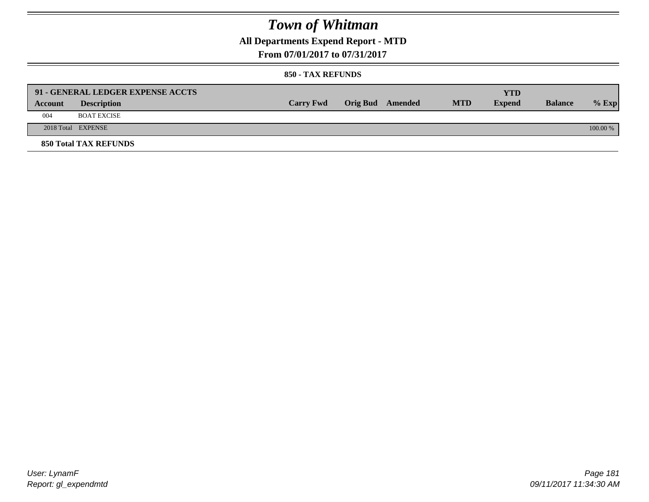## **All Departments Expend Report - MTD**

**From 07/01/2017 to 07/31/2017**

#### **850 - TAX REFUNDS**

|         | 91 - GENERAL LEDGER EXPENSE ACCTS |                  |                  |            | <b>YTD</b>    |                |            |
|---------|-----------------------------------|------------------|------------------|------------|---------------|----------------|------------|
| Account | <b>Description</b>                | <b>Carry Fwd</b> | Orig Bud Amended | <b>MTD</b> | <b>Expend</b> | <b>Balance</b> | $%$ Exp    |
| 004     | <b>BOAT EXCISE</b>                |                  |                  |            |               |                |            |
|         | 2018 Total EXPENSE                |                  |                  |            |               |                | $100.00\%$ |
|         | <b>850 Total TAX REFUNDS</b>      |                  |                  |            |               |                |            |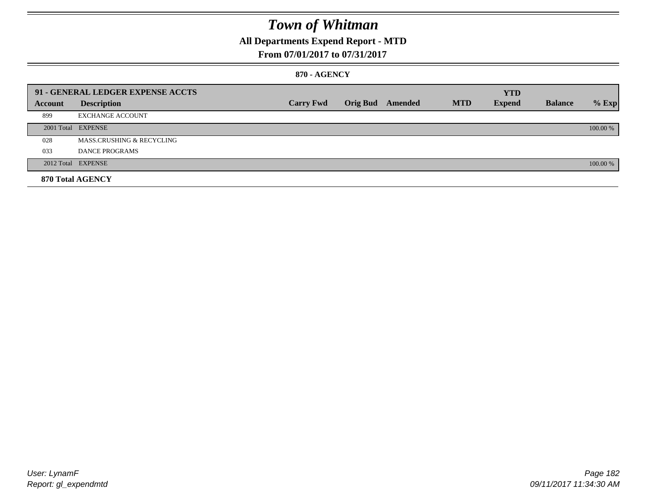## **All Departments Expend Report - MTD**

### **From 07/01/2017 to 07/31/2017**

#### **870 - AGENCY**

|         | 91 - GENERAL LEDGER EXPENSE ACCTS |                  |                         |            | <b>YTD</b>    |                |          |
|---------|-----------------------------------|------------------|-------------------------|------------|---------------|----------------|----------|
| Account | <b>Description</b>                | <b>Carry Fwd</b> | <b>Orig Bud</b> Amended | <b>MTD</b> | <b>Expend</b> | <b>Balance</b> | $%$ Exp  |
| 899     | <b>EXCHANGE ACCOUNT</b>           |                  |                         |            |               |                |          |
|         | 2001 Total EXPENSE                |                  |                         |            |               |                | 100.00 % |
| 028     | MASS.CRUSHING & RECYCLING         |                  |                         |            |               |                |          |
| 033     | <b>DANCE PROGRAMS</b>             |                  |                         |            |               |                |          |
|         | 2012 Total EXPENSE                |                  |                         |            |               |                | 100.00 % |
|         | 870 Total AGENCY                  |                  |                         |            |               |                |          |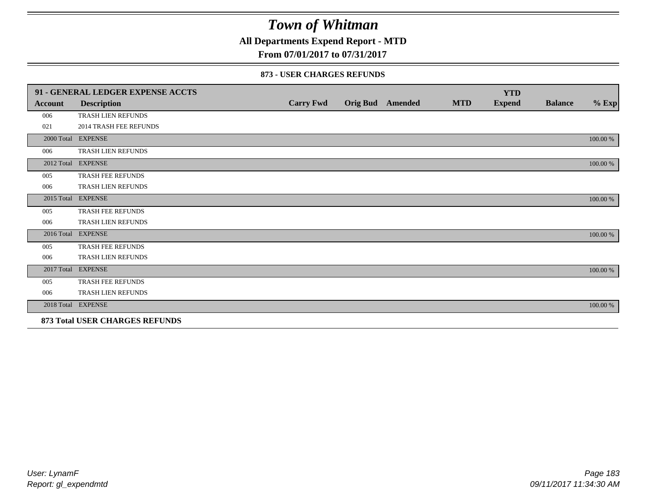**All Departments Expend Report - MTD**

**From 07/01/2017 to 07/31/2017**

#### **873 - USER CHARGES REFUNDS**

|            | 91 - GENERAL LEDGER EXPENSE ACCTS |                  |                         |            | <b>YTD</b>    |                |          |
|------------|-----------------------------------|------------------|-------------------------|------------|---------------|----------------|----------|
| Account    | <b>Description</b>                | <b>Carry Fwd</b> | <b>Orig Bud</b> Amended | <b>MTD</b> | <b>Expend</b> | <b>Balance</b> | $\%$ Exp |
| 006        | <b>TRASH LIEN REFUNDS</b>         |                  |                         |            |               |                |          |
| 021        | <b>2014 TRASH FEE REFUNDS</b>     |                  |                         |            |               |                |          |
|            | 2000 Total EXPENSE                |                  |                         |            |               |                | 100.00 % |
| 006        | TRASH LIEN REFUNDS                |                  |                         |            |               |                |          |
|            | 2012 Total EXPENSE                |                  |                         |            |               |                | 100.00 % |
| 005        | TRASH FEE REFUNDS                 |                  |                         |            |               |                |          |
| 006        | TRASH LIEN REFUNDS                |                  |                         |            |               |                |          |
| 2015 Total | <b>EXPENSE</b>                    |                  |                         |            |               |                | 100.00 % |
| 005        | TRASH FEE REFUNDS                 |                  |                         |            |               |                |          |
| 006        | TRASH LIEN REFUNDS                |                  |                         |            |               |                |          |
|            | 2016 Total EXPENSE                |                  |                         |            |               |                | 100.00 % |
| 005        | <b>TRASH FEE REFUNDS</b>          |                  |                         |            |               |                |          |
| 006        | <b>TRASH LIEN REFUNDS</b>         |                  |                         |            |               |                |          |
| 2017 Total | <b>EXPENSE</b>                    |                  |                         |            |               |                | 100.00 % |
| 005        | TRASH FEE REFUNDS                 |                  |                         |            |               |                |          |
| 006        | TRASH LIEN REFUNDS                |                  |                         |            |               |                |          |
|            | 2018 Total EXPENSE                |                  |                         |            |               |                | 100.00 % |
|            | 873 Total USER CHARGES REFUNDS    |                  |                         |            |               |                |          |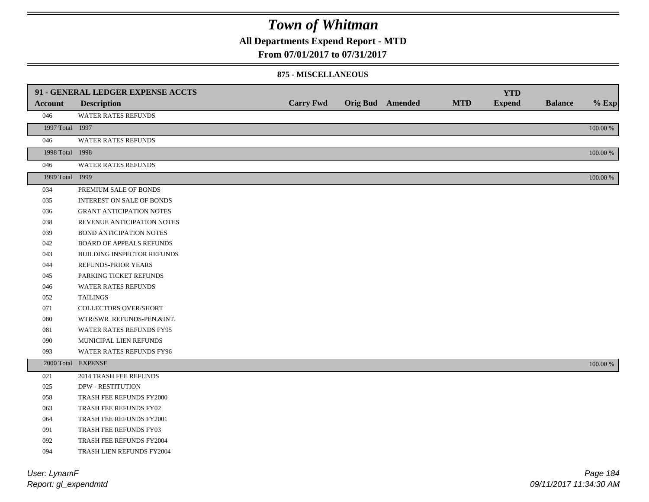**All Departments Expend Report - MTD**

**From 07/01/2017 to 07/31/2017**

#### **875 - MISCELLANEOUS**

|                            | 91 - GENERAL LEDGER EXPENSE ACCTS |                  |                  |            | <b>YTD</b>    |                |          |
|----------------------------|-----------------------------------|------------------|------------------|------------|---------------|----------------|----------|
| <b>Account</b>             | <b>Description</b>                | <b>Carry Fwd</b> | Orig Bud Amended | <b>MTD</b> | <b>Expend</b> | <b>Balance</b> | $%$ Exp  |
| 046                        | WATER RATES REFUNDS               |                  |                  |            |               |                |          |
| 1997 Total 1997            |                                   |                  |                  |            |               |                | 100.00 % |
| 046                        | WATER RATES REFUNDS               |                  |                  |            |               |                |          |
| 1998 Total 1998            |                                   |                  |                  |            |               |                | 100.00 % |
| 046                        | WATER RATES REFUNDS               |                  |                  |            |               |                |          |
| 1999 Total 1999            |                                   |                  |                  |            |               |                | 100.00 % |
| 034                        | PREMIUM SALE OF BONDS             |                  |                  |            |               |                |          |
| 035                        | INTEREST ON SALE OF BONDS         |                  |                  |            |               |                |          |
| 036                        | <b>GRANT ANTICIPATION NOTES</b>   |                  |                  |            |               |                |          |
| 038                        | REVENUE ANTICIPATION NOTES        |                  |                  |            |               |                |          |
| 039                        | <b>BOND ANTICIPATION NOTES</b>    |                  |                  |            |               |                |          |
| 042                        | BOARD OF APPEALS REFUNDS          |                  |                  |            |               |                |          |
| 043                        | BUILDING INSPECTOR REFUNDS        |                  |                  |            |               |                |          |
| 044                        | REFUNDS-PRIOR YEARS               |                  |                  |            |               |                |          |
| 045                        | PARKING TICKET REFUNDS            |                  |                  |            |               |                |          |
| 046                        | WATER RATES REFUNDS               |                  |                  |            |               |                |          |
| 052                        | <b>TAILINGS</b>                   |                  |                  |            |               |                |          |
| 071                        | COLLECTORS OVER/SHORT             |                  |                  |            |               |                |          |
| 080                        | WTR/SWR REFUNDS-PEN.&INT.         |                  |                  |            |               |                |          |
| 081                        | WATER RATES REFUNDS FY95          |                  |                  |            |               |                |          |
| 090                        | MUNICIPAL LIEN REFUNDS            |                  |                  |            |               |                |          |
| 093                        | WATER RATES REFUNDS FY96          |                  |                  |            |               |                |          |
|                            | 2000 Total EXPENSE                |                  |                  |            |               |                | 100.00 % |
| 021                        | 2014 TRASH FEE REFUNDS            |                  |                  |            |               |                |          |
| 025                        | <b>DPW - RESTITUTION</b>          |                  |                  |            |               |                |          |
| 058                        | TRASH FEE REFUNDS FY2000          |                  |                  |            |               |                |          |
| 063                        | TRASH FEE REFUNDS FY02            |                  |                  |            |               |                |          |
| 064                        | TRASH FEE REFUNDS FY2001          |                  |                  |            |               |                |          |
| 091                        | TRASH FEE REFUNDS FY03            |                  |                  |            |               |                |          |
| 092                        | TRASH FEE REFUNDS FY2004          |                  |                  |            |               |                |          |
| 094                        | TRASH LIEN REFUNDS FY2004         |                  |                  |            |               |                |          |
| $11.2.41$ $1.4.42$ $1.4.7$ |                                   |                  |                  |            |               |                | $D = 40$ |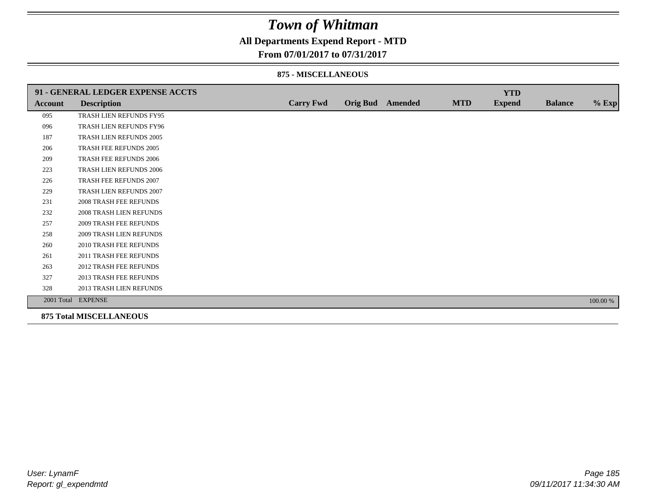### **All Departments Expend Report - MTD**

#### **From 07/01/2017 to 07/31/2017**

#### **875 - MISCELLANEOUS**

|         | 91 - GENERAL LEDGER EXPENSE ACCTS |                  |                         |            | <b>YTD</b>    |                |          |
|---------|-----------------------------------|------------------|-------------------------|------------|---------------|----------------|----------|
| Account | <b>Description</b>                | <b>Carry Fwd</b> | <b>Orig Bud</b> Amended | <b>MTD</b> | <b>Expend</b> | <b>Balance</b> | $%$ Exp  |
| 095     | TRASH LIEN REFUNDS FY95           |                  |                         |            |               |                |          |
| 096     | TRASH LIEN REFUNDS FY96           |                  |                         |            |               |                |          |
| 187     | TRASH LIEN REFUNDS 2005           |                  |                         |            |               |                |          |
| 206     | TRASH FEE REFUNDS 2005            |                  |                         |            |               |                |          |
| 209     | TRASH FEE REFUNDS 2006            |                  |                         |            |               |                |          |
| 223     | TRASH LIEN REFUNDS 2006           |                  |                         |            |               |                |          |
| 226     | TRASH FEE REFUNDS 2007            |                  |                         |            |               |                |          |
| 229     | TRASH LIEN REFUNDS 2007           |                  |                         |            |               |                |          |
| 231     | <b>2008 TRASH FEE REFUNDS</b>     |                  |                         |            |               |                |          |
| 232     | <b>2008 TRASH LIEN REFUNDS</b>    |                  |                         |            |               |                |          |
| 257     | <b>2009 TRASH FEE REFUNDS</b>     |                  |                         |            |               |                |          |
| 258     | <b>2009 TRASH LIEN REFUNDS</b>    |                  |                         |            |               |                |          |
| 260     | 2010 TRASH FEE REFUNDS            |                  |                         |            |               |                |          |
| 261     | 2011 TRASH FEE REFUNDS            |                  |                         |            |               |                |          |
| 263     | <b>2012 TRASH FEE REFUNDS</b>     |                  |                         |            |               |                |          |
| 327     | 2013 TRASH FEE REFUNDS            |                  |                         |            |               |                |          |
| 328     | 2013 TRASH LIEN REFUNDS           |                  |                         |            |               |                |          |
|         | 2001 Total EXPENSE                |                  |                         |            |               |                | 100.00 % |

**875 Total MISCELLANEOUS**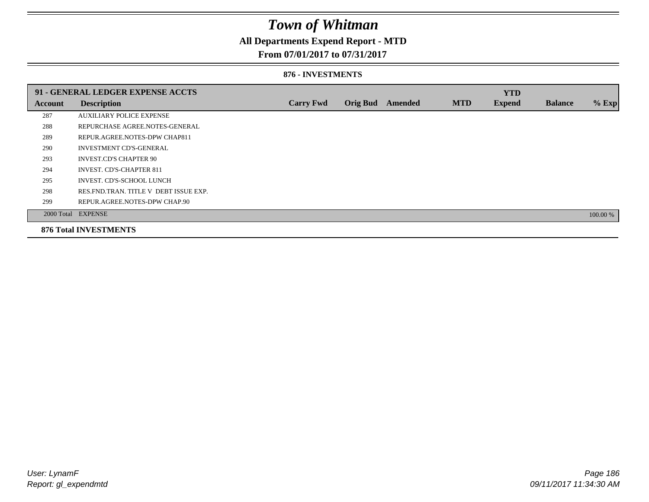## **All Departments Expend Report - MTD**

### **From 07/01/2017 to 07/31/2017**

#### **876 - INVESTMENTS**

|                | 91 - GENERAL LEDGER EXPENSE ACCTS       |                  |                 |         |            | <b>YTD</b>    |                |          |
|----------------|-----------------------------------------|------------------|-----------------|---------|------------|---------------|----------------|----------|
| <b>Account</b> | <b>Description</b>                      | <b>Carry Fwd</b> | <b>Orig Bud</b> | Amended | <b>MTD</b> | <b>Expend</b> | <b>Balance</b> | $%$ Exp  |
| 287            | <b>AUXILIARY POLICE EXPENSE</b>         |                  |                 |         |            |               |                |          |
| 288            | REPURCHASE AGREE NOTES-GENERAL          |                  |                 |         |            |               |                |          |
| 289            | REPUR.AGREE.NOTES-DPW CHAP811           |                  |                 |         |            |               |                |          |
| 290            | <b>INVESTMENT CD'S-GENERAL</b>          |                  |                 |         |            |               |                |          |
| 293            | <b>INVEST.CD'S CHAPTER 90</b>           |                  |                 |         |            |               |                |          |
| 294            | <b>INVEST. CD'S-CHAPTER 811</b>         |                  |                 |         |            |               |                |          |
| 295            | INVEST. CD'S-SCHOOL LUNCH               |                  |                 |         |            |               |                |          |
| 298            | RES. FND. TRAN. TITLE V DEBT ISSUE EXP. |                  |                 |         |            |               |                |          |
| 299            | REPUR.AGREE.NOTES-DPW CHAP.90           |                  |                 |         |            |               |                |          |
|                | 2000 Total EXPENSE                      |                  |                 |         |            |               |                | 100.00 % |
|                | <b>876 Total INVESTMENTS</b>            |                  |                 |         |            |               |                |          |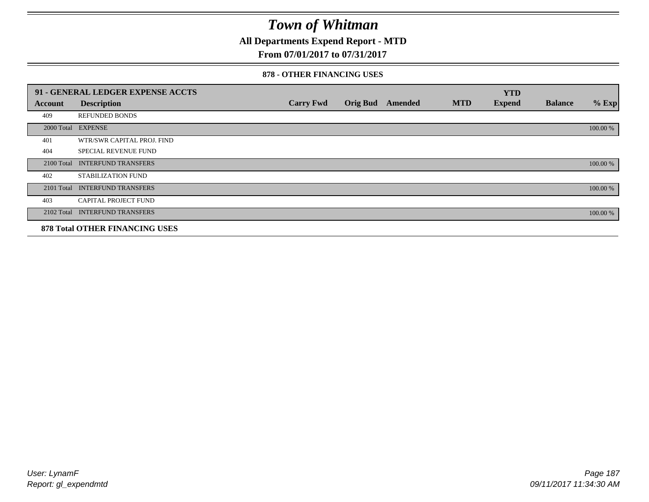**All Departments Expend Report - MTD**

### **From 07/01/2017 to 07/31/2017**

#### **878 - OTHER FINANCING USES**

|            | 91 - GENERAL LEDGER EXPENSE ACCTS     |                  |                 |         |            | <b>YTD</b>    |                |          |
|------------|---------------------------------------|------------------|-----------------|---------|------------|---------------|----------------|----------|
| Account    | <b>Description</b>                    | <b>Carry Fwd</b> | <b>Orig Bud</b> | Amended | <b>MTD</b> | <b>Expend</b> | <b>Balance</b> | $%$ Exp  |
| 409        | <b>REFUNDED BONDS</b>                 |                  |                 |         |            |               |                |          |
| 2000 Total | <b>EXPENSE</b>                        |                  |                 |         |            |               |                | 100.00 % |
| 401        | WTR/SWR CAPITAL PROJ. FIND            |                  |                 |         |            |               |                |          |
| 404        | <b>SPECIAL REVENUE FUND</b>           |                  |                 |         |            |               |                |          |
| 2100 Total | <b>INTERFUND TRANSFERS</b>            |                  |                 |         |            |               |                | 100.00 % |
| 402        | STABILIZATION FUND                    |                  |                 |         |            |               |                |          |
| 2101 Total | <b>INTERFUND TRANSFERS</b>            |                  |                 |         |            |               |                | 100.00 % |
| 403        | <b>CAPITAL PROJECT FUND</b>           |                  |                 |         |            |               |                |          |
|            | 2102 Total INTERFUND TRANSFERS        |                  |                 |         |            |               |                | 100.00 % |
|            | <b>878 Total OTHER FINANCING USES</b> |                  |                 |         |            |               |                |          |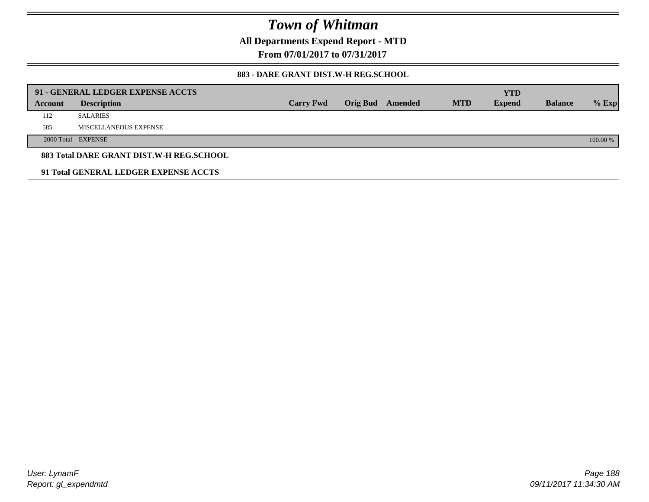**All Departments Expend Report - MTD**

**From 07/01/2017 to 07/31/2017**

### **883 - DARE GRANT DIST.W-H REG.SCHOOL**

|         | 91 - GENERAL LEDGER EXPENSE ACCTS        |                  |          |         |            | <b>YTD</b>    |                |            |
|---------|------------------------------------------|------------------|----------|---------|------------|---------------|----------------|------------|
| Account | <b>Description</b>                       | <b>Carry Fwd</b> | Orig Bud | Amended | <b>MTD</b> | <b>Expend</b> | <b>Balance</b> | $%$ Exp    |
| 112     | <b>SALARIES</b>                          |                  |          |         |            |               |                |            |
| 585     | MISCELLANEOUS EXPENSE                    |                  |          |         |            |               |                |            |
|         | 2000 Total EXPENSE                       |                  |          |         |            |               |                | $100.00\%$ |
|         | 883 Total DARE GRANT DIST.W-H REG.SCHOOL |                  |          |         |            |               |                |            |
|         | 91 Total GENERAL LEDGER EXPENSE ACCTS    |                  |          |         |            |               |                |            |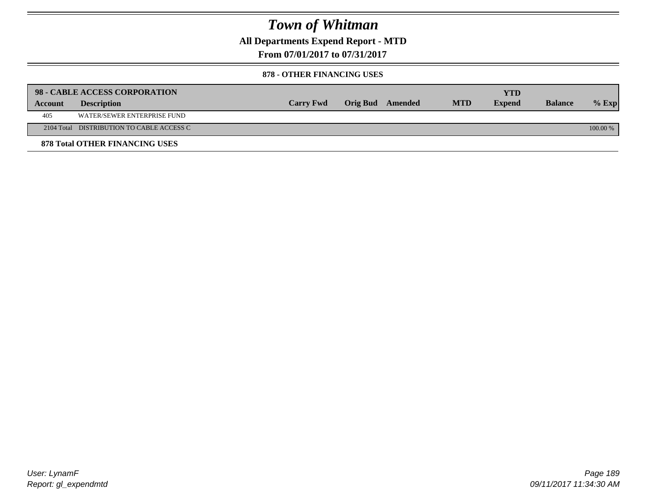**All Departments Expend Report - MTD**

**From 07/01/2017 to 07/31/2017**

#### **878 - OTHER FINANCING USES**

|         | 98 - CABLE ACCESS CORPORATION             |                  |                  |            | <b>YTD</b>    |                |            |
|---------|-------------------------------------------|------------------|------------------|------------|---------------|----------------|------------|
| Account | <b>Description</b>                        | <b>Carry Fwd</b> | Orig Bud Amended | <b>MTD</b> | <b>Expend</b> | <b>Balance</b> | $%$ Exp    |
| 405     | WATER/SEWER ENTERPRISE FUND               |                  |                  |            |               |                |            |
|         | 2104 Total DISTRIBUTION TO CABLE ACCESS C |                  |                  |            |               |                | $100.00\%$ |
|         | <b>878 Total OTHER FINANCING USES</b>     |                  |                  |            |               |                |            |